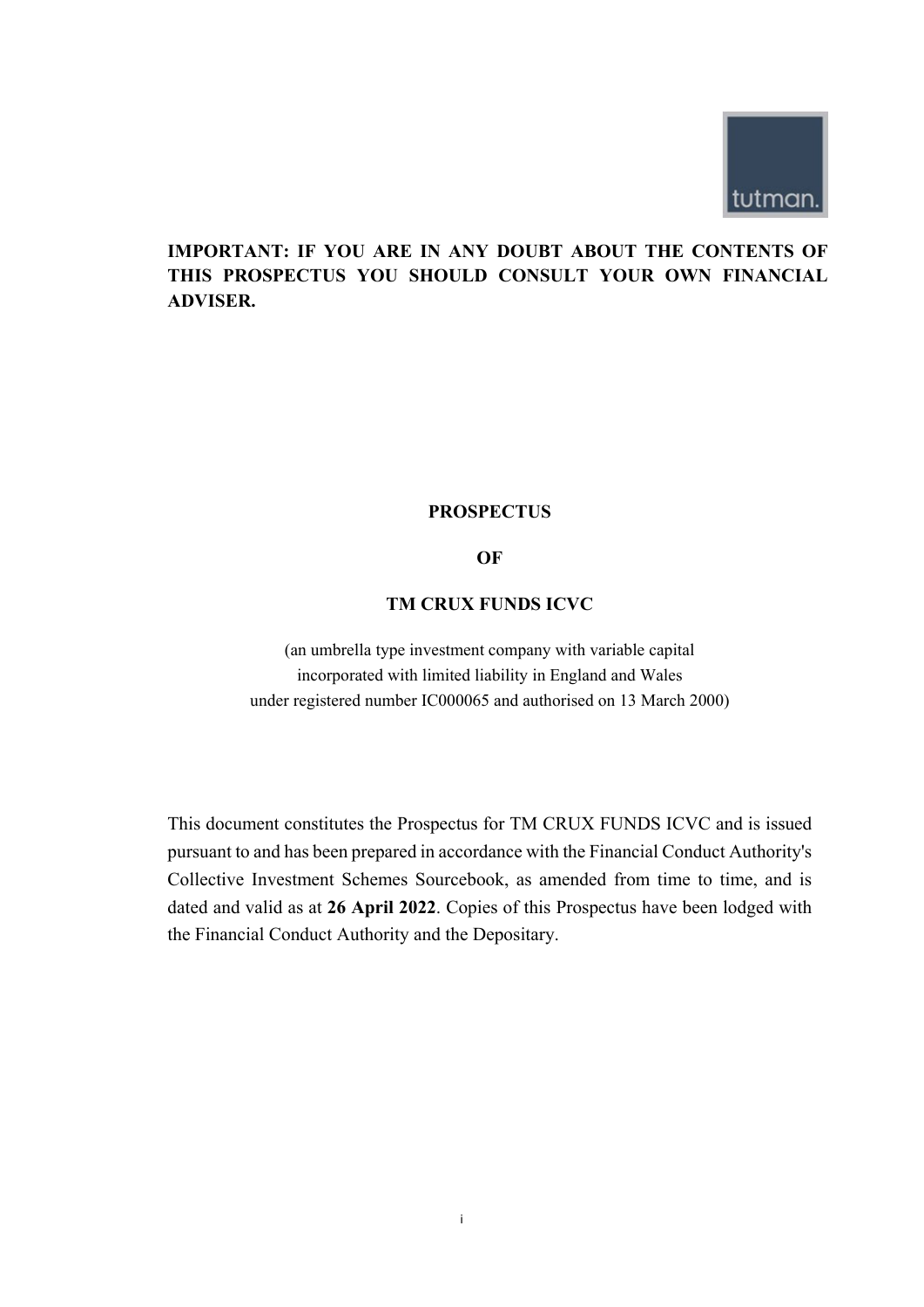

# **IMPORTANT: IF YOU ARE IN ANY DOUBT ABOUT THE CONTENTS OF THIS PROSPECTUS YOU SHOULD CONSULT YOUR OWN FINANCIAL ADVISER.**

# **PROSPECTUS**

# **OF**

# **TM CRUX FUNDS ICVC**

(an umbrella type investment company with variable capital incorporated with limited liability in England and Wales under registered number IC000065 and authorised on 13 March 2000)

This document constitutes the Prospectus for TM CRUX FUNDS ICVC and is issued pursuant to and has been prepared in accordance with the Financial Conduct Authority's Collective Investment Schemes Sourcebook, as amended from time to time, and is dated and valid as at **26 April 2022**. Copies of this Prospectus have been lodged with the Financial Conduct Authority and the Depositary.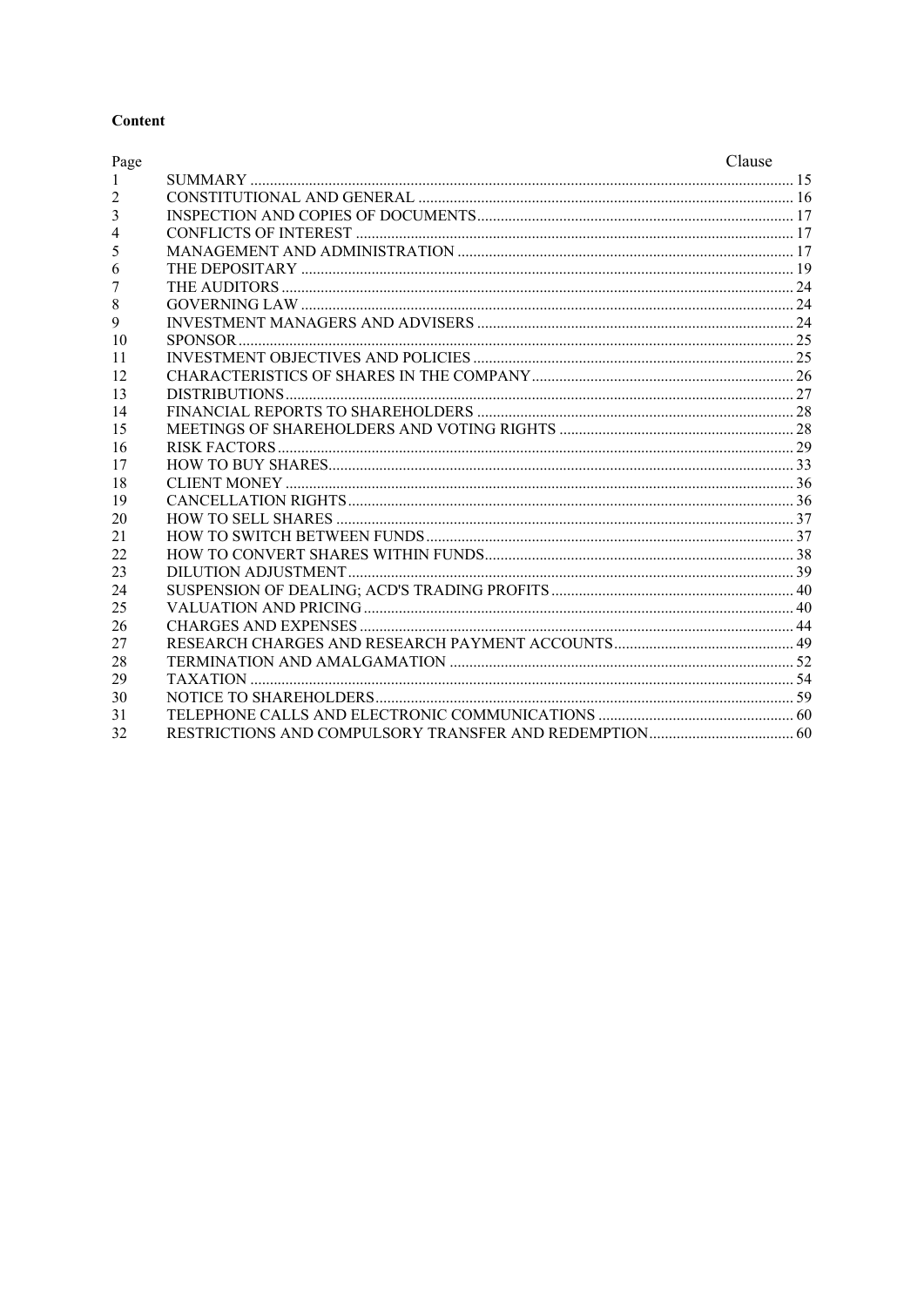# Content

| Page           | Clause |
|----------------|--------|
| -1             |        |
| $\overline{2}$ |        |
| 3              |        |
| $\overline{4}$ |        |
| 5              |        |
| 6              |        |
| 7              |        |
| $\,$ 8 $\,$    |        |
| 9              |        |
| 10             |        |
| 11             |        |
| 12             |        |
| 13             |        |
| 14             |        |
| 15             |        |
| 16             |        |
| 17             |        |
| 18             |        |
| 19             |        |
| 20             |        |
| 21             |        |
| 22             |        |
| 23             |        |
| 24             |        |
| 25             |        |
| 26             |        |
| 27             |        |
| 28             |        |
| 29             |        |
| 30             |        |
| 31             |        |
| 32             |        |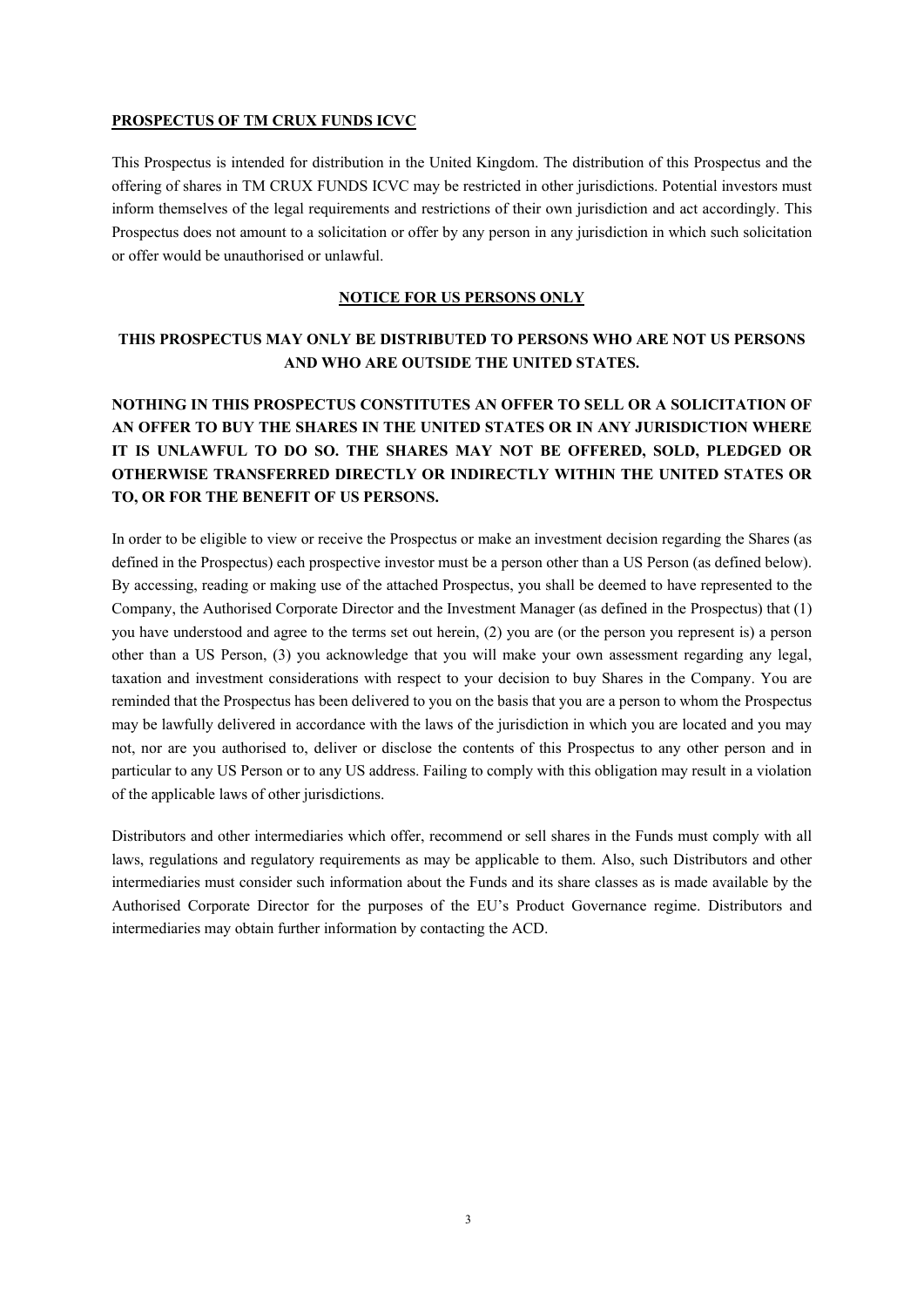### **PROSPECTUS OF TM CRUX FUNDS ICVC**

This Prospectus is intended for distribution in the United Kingdom. The distribution of this Prospectus and the offering of shares in TM CRUX FUNDS ICVC may be restricted in other jurisdictions. Potential investors must inform themselves of the legal requirements and restrictions of their own jurisdiction and act accordingly. This Prospectus does not amount to a solicitation or offer by any person in any jurisdiction in which such solicitation or offer would be unauthorised or unlawful.

# **NOTICE FOR US PERSONS ONLY**

# **THIS PROSPECTUS MAY ONLY BE DISTRIBUTED TO PERSONS WHO ARE NOT US PERSONS AND WHO ARE OUTSIDE THE UNITED STATES.**

# **NOTHING IN THIS PROSPECTUS CONSTITUTES AN OFFER TO SELL OR A SOLICITATION OF AN OFFER TO BUY THE SHARES IN THE UNITED STATES OR IN ANY JURISDICTION WHERE IT IS UNLAWFUL TO DO SO. THE SHARES MAY NOT BE OFFERED, SOLD, PLEDGED OR OTHERWISE TRANSFERRED DIRECTLY OR INDIRECTLY WITHIN THE UNITED STATES OR TO, OR FOR THE BENEFIT OF US PERSONS.**

In order to be eligible to view or receive the Prospectus or make an investment decision regarding the Shares (as defined in the Prospectus) each prospective investor must be a person other than a US Person (as defined below). By accessing, reading or making use of the attached Prospectus, you shall be deemed to have represented to the Company, the Authorised Corporate Director and the Investment Manager (as defined in the Prospectus) that (1) you have understood and agree to the terms set out herein, (2) you are (or the person you represent is) a person other than a US Person, (3) you acknowledge that you will make your own assessment regarding any legal, taxation and investment considerations with respect to your decision to buy Shares in the Company. You are reminded that the Prospectus has been delivered to you on the basis that you are a person to whom the Prospectus may be lawfully delivered in accordance with the laws of the jurisdiction in which you are located and you may not, nor are you authorised to, deliver or disclose the contents of this Prospectus to any other person and in particular to any US Person or to any US address. Failing to comply with this obligation may result in a violation of the applicable laws of other jurisdictions.

Distributors and other intermediaries which offer, recommend or sell shares in the Funds must comply with all laws, regulations and regulatory requirements as may be applicable to them. Also, such Distributors and other intermediaries must consider such information about the Funds and its share classes as is made available by the Authorised Corporate Director for the purposes of the EU's Product Governance regime. Distributors and intermediaries may obtain further information by contacting the ACD.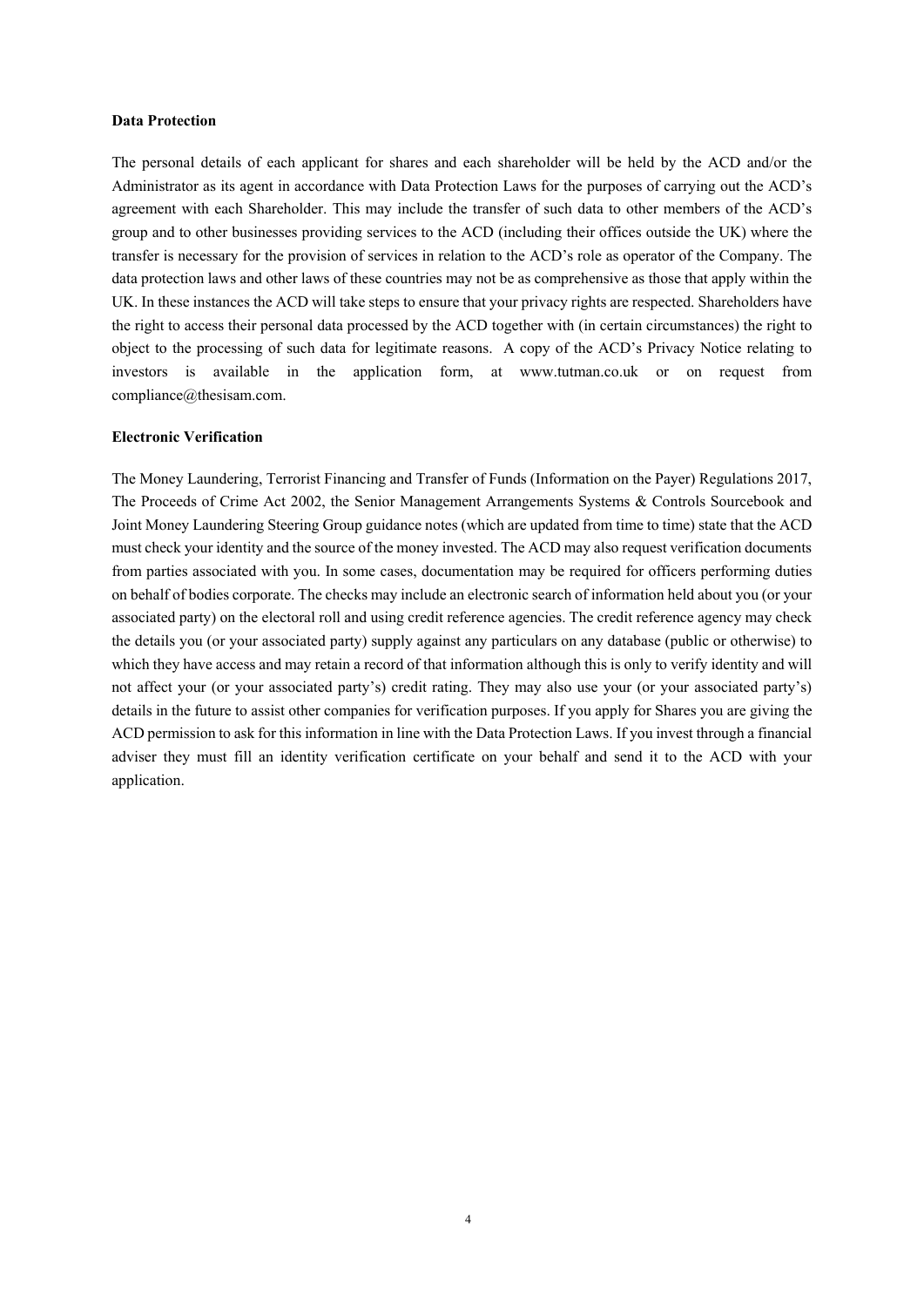#### **Data Protection**

The personal details of each applicant for shares and each shareholder will be held by the ACD and/or the Administrator as its agent in accordance with Data Protection Laws for the purposes of carrying out the ACD's agreement with each Shareholder. This may include the transfer of such data to other members of the ACD's group and to other businesses providing services to the ACD (including their offices outside the UK) where the transfer is necessary for the provision of services in relation to the ACD's role as operator of the Company. The data protection laws and other laws of these countries may not be as comprehensive as those that apply within the UK. In these instances the ACD will take steps to ensure that your privacy rights are respected. Shareholders have the right to access their personal data processed by the ACD together with (in certain circumstances) the right to object to the processing of such data for legitimate reasons. A copy of the ACD's Privacy Notice relating to investors is available in the application form, at www.tutman.co.uk or on request from compliance@thesisam.com.

### **Electronic Verification**

The Money Laundering, Terrorist Financing and Transfer of Funds (Information on the Payer) Regulations 2017, The Proceeds of Crime Act 2002, the Senior Management Arrangements Systems & Controls Sourcebook and Joint Money Laundering Steering Group guidance notes (which are updated from time to time) state that the ACD must check your identity and the source of the money invested. The ACD may also request verification documents from parties associated with you. In some cases, documentation may be required for officers performing duties on behalf of bodies corporate. The checks may include an electronic search of information held about you (or your associated party) on the electoral roll and using credit reference agencies. The credit reference agency may check the details you (or your associated party) supply against any particulars on any database (public or otherwise) to which they have access and may retain a record of that information although this is only to verify identity and will not affect your (or your associated party's) credit rating. They may also use your (or your associated party's) details in the future to assist other companies for verification purposes. If you apply for Shares you are giving the ACD permission to ask for this information in line with the Data Protection Laws. If you invest through a financial adviser they must fill an identity verification certificate on your behalf and send it to the ACD with your application.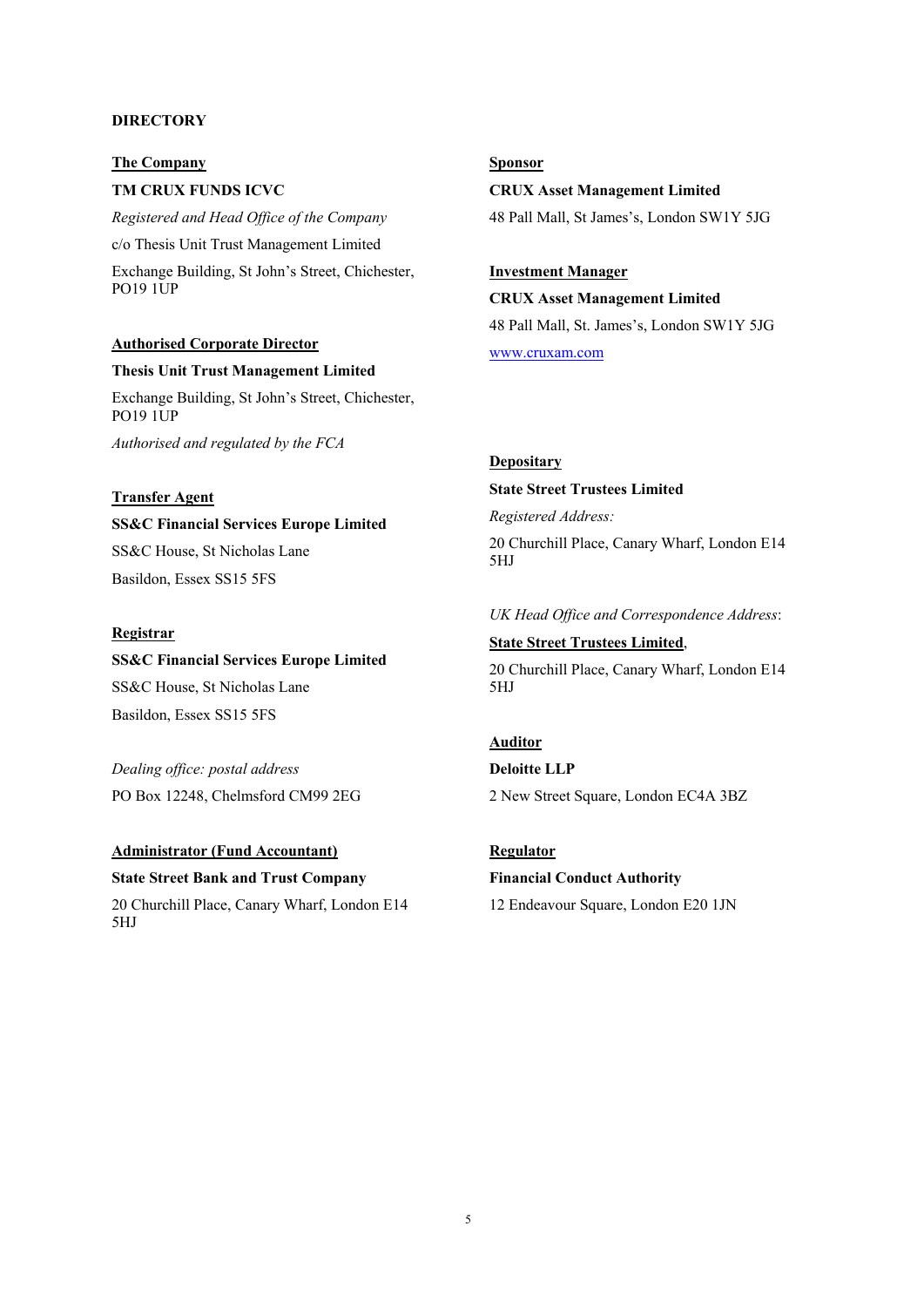#### **DIRECTORY**

**The Company** 

**TM CRUX FUNDS ICVC** 

*Registered and Head Office of the Company* 

c/o Thesis Unit Trust Management Limited

Exchange Building, St John's Street, Chichester, PO19 1UP

#### **Authorised Corporate Director**

### **Thesis Unit Trust Management Limited**

Exchange Building, St John's Street, Chichester, PO19 1UP

*Authorised and regulated by the FCA* 

### **Transfer Agent**

**SS&C Financial Services Europe Limited**  SS&C House, St Nicholas Lane Basildon, Essex SS15 5FS

#### **Registrar**

# **SS&C Financial Services Europe Limited**

SS&C House, St Nicholas Lane Basildon, Essex SS15 5FS

*Dealing office: postal address*  PO Box 12248, Chelmsford CM99 2EG

# **Administrator (Fund Accountant)**

**State Street Bank and Trust Company**  20 Churchill Place, Canary Wharf, London E14 5HJ

# **Sponsor**

**CRUX Asset Management Limited**  48 Pall Mall, St James's, London SW1Y 5JG

# **Investment Manager**

**CRUX Asset Management Limited**  48 Pall Mall, St. James's, London SW1Y 5JG www.cruxam.com

#### **Depositary**

### **State Street Trustees Limited**

*Registered Address:* 

20 Churchill Place, Canary Wharf, London E14 5HJ

### *UK Head Office and Correspondence Address*:

**State Street Trustees Limited**, 20 Churchill Place, Canary Wharf, London E14 5HJ

# **Auditor**

**Deloitte LLP**  2 New Street Square, London EC4A 3BZ

# **Regulator**

# **Financial Conduct Authority**

12 Endeavour Square, London E20 1JN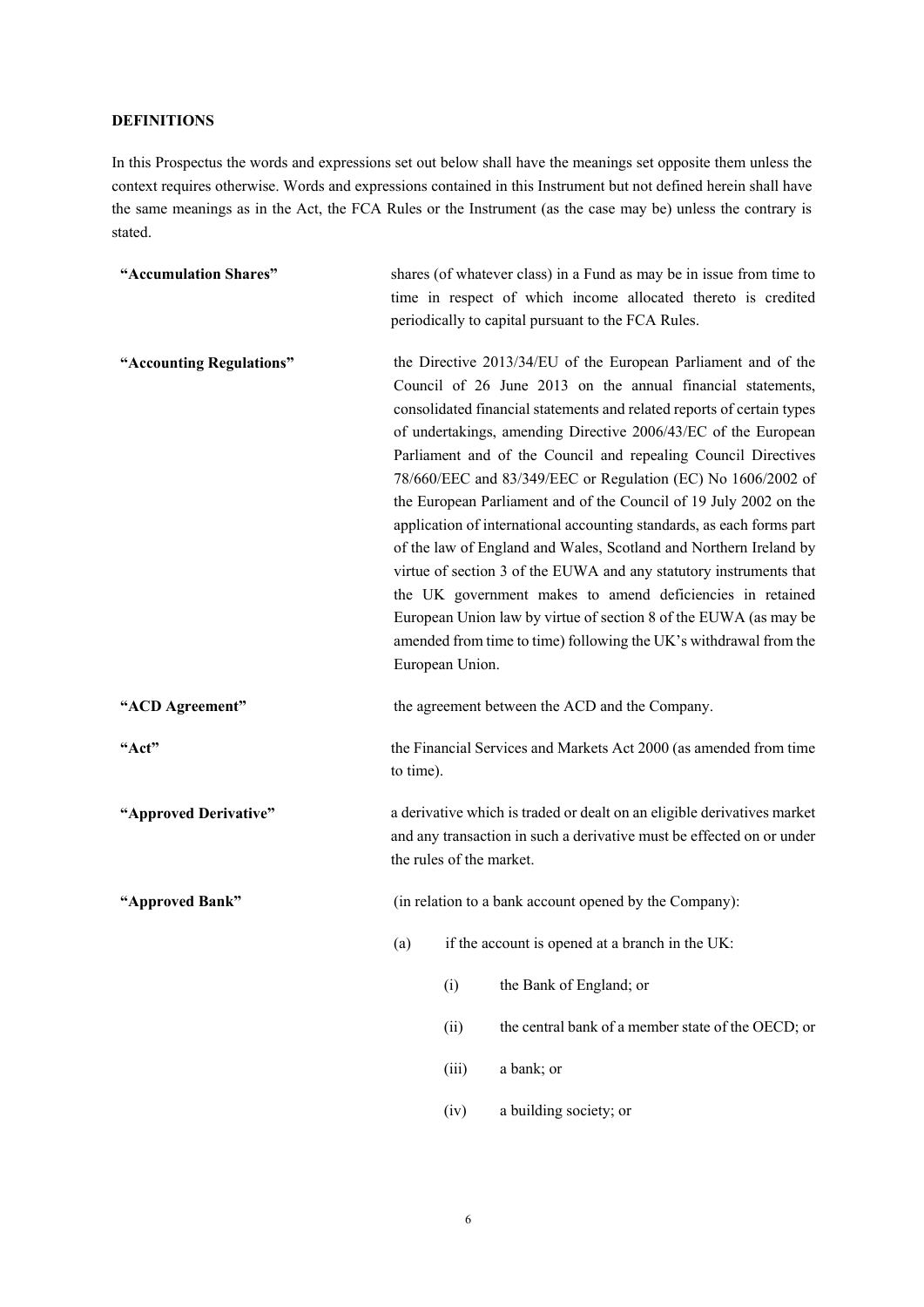### **DEFINITIONS**

In this Prospectus the words and expressions set out below shall have the meanings set opposite them unless the context requires otherwise. Words and expressions contained in this Instrument but not defined herein shall have the same meanings as in the Act, the FCA Rules or the Instrument (as the case may be) unless the contrary is stated.

| "Accumulation Shares"    | shares (of whatever class) in a Fund as may be in issue from time to<br>time in respect of which income allocated thereto is credited<br>periodically to capital pursuant to the FCA Rules. |                                                                                                                                                                                                                                                                                                                                                                                                                                                                                                                                                                                                                                                                                                                                                                                                                                                                                                                               |                                                                   |  |
|--------------------------|---------------------------------------------------------------------------------------------------------------------------------------------------------------------------------------------|-------------------------------------------------------------------------------------------------------------------------------------------------------------------------------------------------------------------------------------------------------------------------------------------------------------------------------------------------------------------------------------------------------------------------------------------------------------------------------------------------------------------------------------------------------------------------------------------------------------------------------------------------------------------------------------------------------------------------------------------------------------------------------------------------------------------------------------------------------------------------------------------------------------------------------|-------------------------------------------------------------------|--|
| "Accounting Regulations" |                                                                                                                                                                                             | the Directive 2013/34/EU of the European Parliament and of the<br>Council of 26 June 2013 on the annual financial statements,<br>consolidated financial statements and related reports of certain types<br>of undertakings, amending Directive 2006/43/EC of the European<br>Parliament and of the Council and repealing Council Directives<br>78/660/EEC and 83/349/EEC or Regulation (EC) No 1606/2002 of<br>the European Parliament and of the Council of 19 July 2002 on the<br>application of international accounting standards, as each forms part<br>of the law of England and Wales, Scotland and Northern Ireland by<br>virtue of section 3 of the EUWA and any statutory instruments that<br>the UK government makes to amend deficiencies in retained<br>European Union law by virtue of section 8 of the EUWA (as may be<br>amended from time to time) following the UK's withdrawal from the<br>European Union. |                                                                   |  |
| "ACD Agreement"          | the agreement between the ACD and the Company.                                                                                                                                              |                                                                                                                                                                                                                                                                                                                                                                                                                                                                                                                                                                                                                                                                                                                                                                                                                                                                                                                               |                                                                   |  |
| "Act"                    | to time).                                                                                                                                                                                   |                                                                                                                                                                                                                                                                                                                                                                                                                                                                                                                                                                                                                                                                                                                                                                                                                                                                                                                               | the Financial Services and Markets Act 2000 (as amended from time |  |
| "Approved Derivative"    | a derivative which is traded or dealt on an eligible derivatives market<br>and any transaction in such a derivative must be effected on or under<br>the rules of the market.                |                                                                                                                                                                                                                                                                                                                                                                                                                                                                                                                                                                                                                                                                                                                                                                                                                                                                                                                               |                                                                   |  |
| "Approved Bank"          | (in relation to a bank account opened by the Company):                                                                                                                                      |                                                                                                                                                                                                                                                                                                                                                                                                                                                                                                                                                                                                                                                                                                                                                                                                                                                                                                                               |                                                                   |  |
|                          | (a)                                                                                                                                                                                         |                                                                                                                                                                                                                                                                                                                                                                                                                                                                                                                                                                                                                                                                                                                                                                                                                                                                                                                               | if the account is opened at a branch in the UK:                   |  |
|                          |                                                                                                                                                                                             | (i)                                                                                                                                                                                                                                                                                                                                                                                                                                                                                                                                                                                                                                                                                                                                                                                                                                                                                                                           | the Bank of England; or                                           |  |
|                          |                                                                                                                                                                                             | (ii)                                                                                                                                                                                                                                                                                                                                                                                                                                                                                                                                                                                                                                                                                                                                                                                                                                                                                                                          | the central bank of a member state of the OECD; or                |  |
|                          |                                                                                                                                                                                             | (iii)                                                                                                                                                                                                                                                                                                                                                                                                                                                                                                                                                                                                                                                                                                                                                                                                                                                                                                                         | a bank; or                                                        |  |

(iv) a building society; or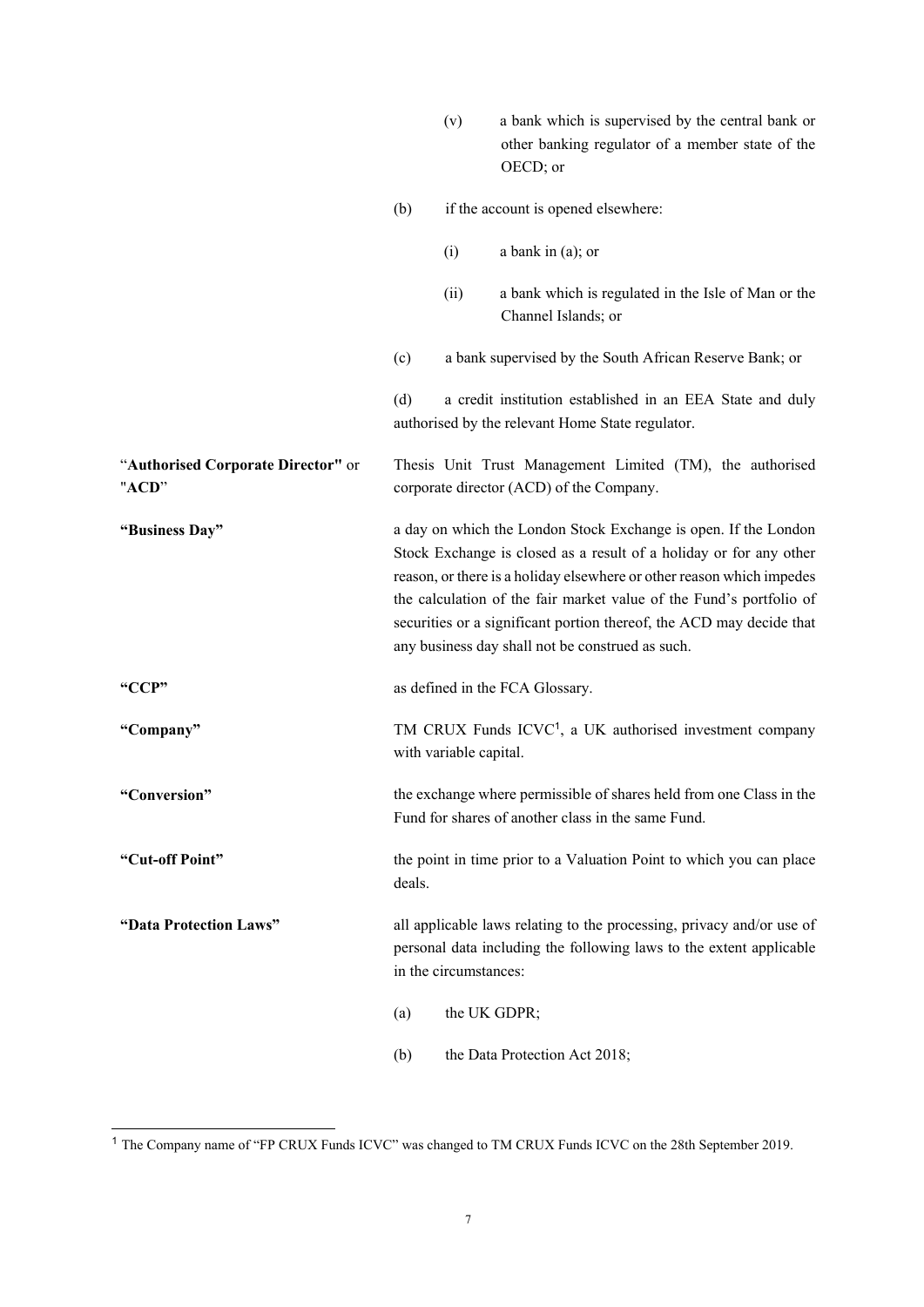|                                             |                                                                                                                                                                                                                                                                                                                                                                                                                   | (v)                                                                                                                       | a bank which is supervised by the central bank or<br>other banking regulator of a member state of the<br>OECD; or |
|---------------------------------------------|-------------------------------------------------------------------------------------------------------------------------------------------------------------------------------------------------------------------------------------------------------------------------------------------------------------------------------------------------------------------------------------------------------------------|---------------------------------------------------------------------------------------------------------------------------|-------------------------------------------------------------------------------------------------------------------|
|                                             | (b)                                                                                                                                                                                                                                                                                                                                                                                                               |                                                                                                                           | if the account is opened elsewhere:                                                                               |
|                                             |                                                                                                                                                                                                                                                                                                                                                                                                                   | (i)                                                                                                                       | a bank in $(a)$ ; or                                                                                              |
|                                             |                                                                                                                                                                                                                                                                                                                                                                                                                   | (ii)                                                                                                                      | a bank which is regulated in the Isle of Man or the<br>Channel Islands; or                                        |
|                                             | (c)                                                                                                                                                                                                                                                                                                                                                                                                               |                                                                                                                           | a bank supervised by the South African Reserve Bank; or                                                           |
|                                             | (d)                                                                                                                                                                                                                                                                                                                                                                                                               |                                                                                                                           | a credit institution established in an EEA State and duly<br>authorised by the relevant Home State regulator.     |
| "Authorised Corporate Director" or<br>"ACD" |                                                                                                                                                                                                                                                                                                                                                                                                                   |                                                                                                                           | Thesis Unit Trust Management Limited (TM), the authorised<br>corporate director (ACD) of the Company.             |
| "Business Day"                              | a day on which the London Stock Exchange is open. If the London<br>Stock Exchange is closed as a result of a holiday or for any other<br>reason, or there is a holiday elsewhere or other reason which impedes<br>the calculation of the fair market value of the Fund's portfolio of<br>securities or a significant portion thereof, the ACD may decide that<br>any business day shall not be construed as such. |                                                                                                                           |                                                                                                                   |
| "CCP"                                       |                                                                                                                                                                                                                                                                                                                                                                                                                   |                                                                                                                           | as defined in the FCA Glossary.                                                                                   |
| "Company"                                   |                                                                                                                                                                                                                                                                                                                                                                                                                   | with variable capital.                                                                                                    | TM CRUX Funds ICVC <sup>1</sup> , a UK authorised investment company                                              |
| "Conversion"                                |                                                                                                                                                                                                                                                                                                                                                                                                                   | the exchange where permissible of shares held from one Class in the<br>Fund for shares of another class in the same Fund. |                                                                                                                   |
| "Cut-off Point"                             | the point in time prior to a Valuation Point to which you can place<br>deals.                                                                                                                                                                                                                                                                                                                                     |                                                                                                                           |                                                                                                                   |
| "Data Protection Laws"                      | all applicable laws relating to the processing, privacy and/or use of<br>personal data including the following laws to the extent applicable<br>in the circumstances:                                                                                                                                                                                                                                             |                                                                                                                           |                                                                                                                   |
|                                             | (a)                                                                                                                                                                                                                                                                                                                                                                                                               |                                                                                                                           | the UK GDPR;                                                                                                      |
|                                             | (b)                                                                                                                                                                                                                                                                                                                                                                                                               |                                                                                                                           | the Data Protection Act 2018;                                                                                     |
|                                             |                                                                                                                                                                                                                                                                                                                                                                                                                   |                                                                                                                           |                                                                                                                   |

<sup>1</sup> The Company name of "FP CRUX Funds ICVC" was changed to TM CRUX Funds ICVC on the 28th September 2019.

1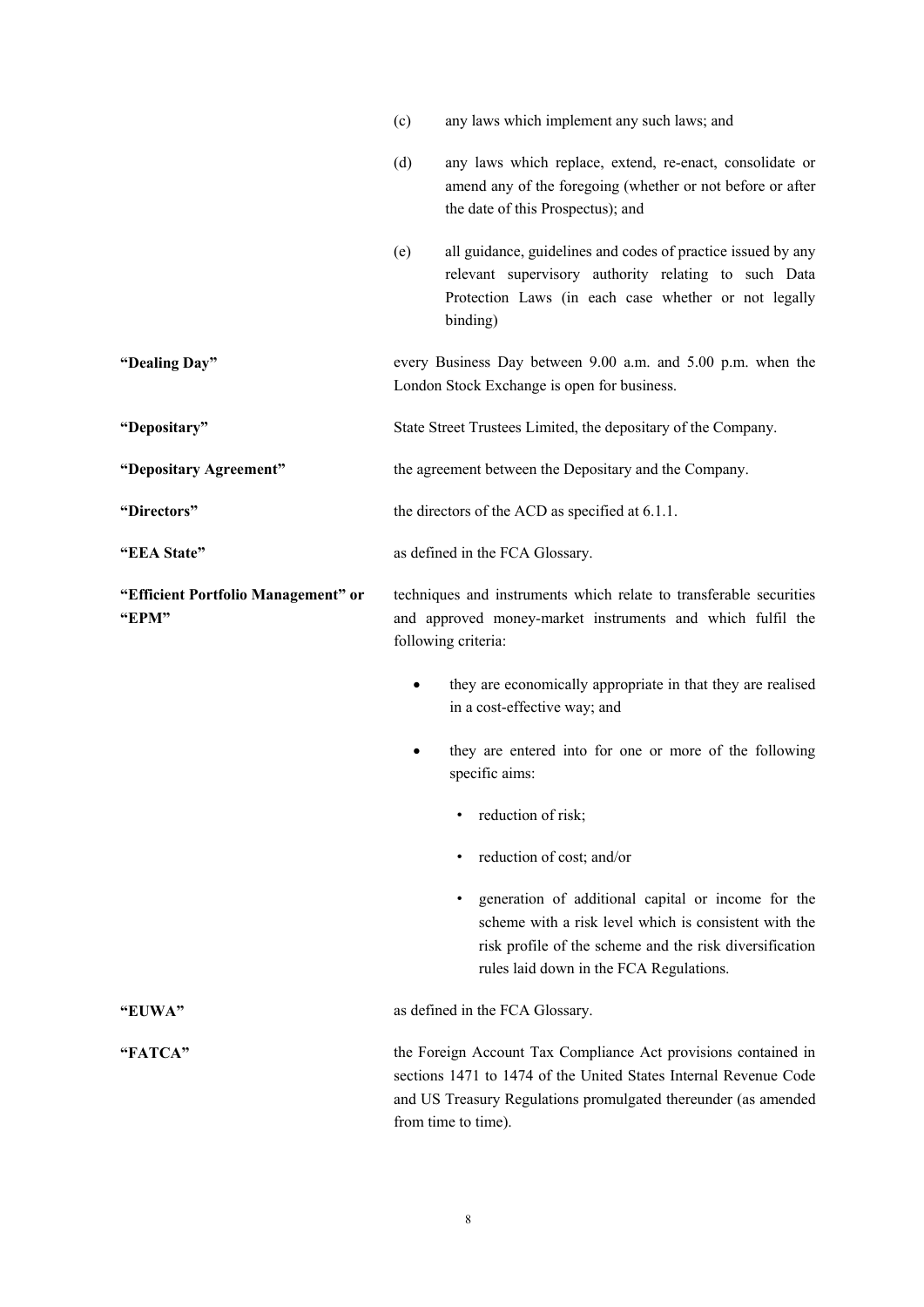|                                              | (c)                                                                                                                                                     | any laws which implement any such laws; and                                                                                                                                                                                 |  |  |
|----------------------------------------------|---------------------------------------------------------------------------------------------------------------------------------------------------------|-----------------------------------------------------------------------------------------------------------------------------------------------------------------------------------------------------------------------------|--|--|
|                                              | (d)                                                                                                                                                     | any laws which replace, extend, re-enact, consolidate or<br>amend any of the foregoing (whether or not before or after<br>the date of this Prospectus); and                                                                 |  |  |
|                                              | (e)                                                                                                                                                     | all guidance, guidelines and codes of practice issued by any<br>relevant supervisory authority relating to such Data<br>Protection Laws (in each case whether or not legally<br>binding)                                    |  |  |
| "Dealing Day"                                |                                                                                                                                                         | every Business Day between 9.00 a.m. and 5.00 p.m. when the<br>London Stock Exchange is open for business.                                                                                                                  |  |  |
| "Depositary"                                 |                                                                                                                                                         | State Street Trustees Limited, the depositary of the Company.                                                                                                                                                               |  |  |
| "Depositary Agreement"                       |                                                                                                                                                         | the agreement between the Depositary and the Company.                                                                                                                                                                       |  |  |
| "Directors"                                  |                                                                                                                                                         | the directors of the ACD as specified at 6.1.1.                                                                                                                                                                             |  |  |
| "EEA State"                                  | as defined in the FCA Glossary.                                                                                                                         |                                                                                                                                                                                                                             |  |  |
| "Efficient Portfolio Management" or<br>"EPM" | techniques and instruments which relate to transferable securities<br>and approved money-market instruments and which fulfil the<br>following criteria: |                                                                                                                                                                                                                             |  |  |
|                                              |                                                                                                                                                         | they are economically appropriate in that they are realised<br>in a cost-effective way; and                                                                                                                                 |  |  |
|                                              |                                                                                                                                                         | they are entered into for one or more of the following<br>specific aims:                                                                                                                                                    |  |  |
|                                              |                                                                                                                                                         | reduction of risk;                                                                                                                                                                                                          |  |  |
|                                              |                                                                                                                                                         | reduction of cost; and/or                                                                                                                                                                                                   |  |  |
|                                              |                                                                                                                                                         | generation of additional capital or income for the<br>٠<br>scheme with a risk level which is consistent with the<br>risk profile of the scheme and the risk diversification<br>rules laid down in the FCA Regulations.      |  |  |
| "EUWA"                                       |                                                                                                                                                         | as defined in the FCA Glossary.                                                                                                                                                                                             |  |  |
| "FATCA"                                      |                                                                                                                                                         | the Foreign Account Tax Compliance Act provisions contained in<br>sections 1471 to 1474 of the United States Internal Revenue Code<br>and US Treasury Regulations promulgated thereunder (as amended<br>from time to time). |  |  |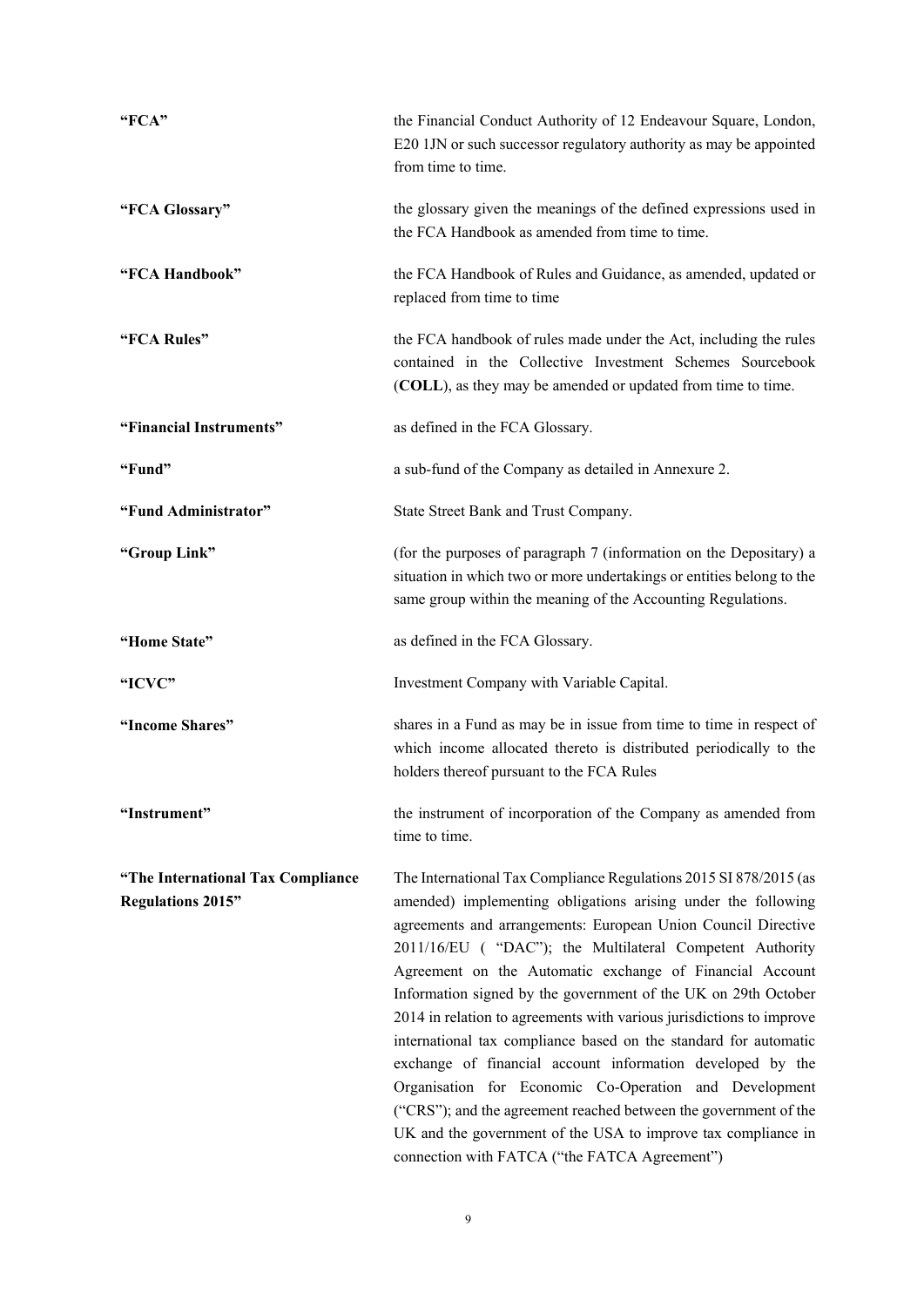| "FCA"                                                         | the Financial Conduct Authority of 12 Endeavour Square, London,<br>E20 1JN or such successor regulatory authority as may be appointed<br>from time to time.                                                                                                                                                                                                                                                                                                                                                                                                                                                                                                                                                                                                                                                                                             |  |  |
|---------------------------------------------------------------|---------------------------------------------------------------------------------------------------------------------------------------------------------------------------------------------------------------------------------------------------------------------------------------------------------------------------------------------------------------------------------------------------------------------------------------------------------------------------------------------------------------------------------------------------------------------------------------------------------------------------------------------------------------------------------------------------------------------------------------------------------------------------------------------------------------------------------------------------------|--|--|
| "FCA Glossary"                                                | the glossary given the meanings of the defined expressions used in<br>the FCA Handbook as amended from time to time.                                                                                                                                                                                                                                                                                                                                                                                                                                                                                                                                                                                                                                                                                                                                    |  |  |
| "FCA Handbook"                                                | the FCA Handbook of Rules and Guidance, as amended, updated or<br>replaced from time to time                                                                                                                                                                                                                                                                                                                                                                                                                                                                                                                                                                                                                                                                                                                                                            |  |  |
| "FCA Rules"                                                   | the FCA handbook of rules made under the Act, including the rules<br>contained in the Collective Investment Schemes Sourcebook<br>(COLL), as they may be amended or updated from time to time.                                                                                                                                                                                                                                                                                                                                                                                                                                                                                                                                                                                                                                                          |  |  |
| "Financial Instruments"                                       | as defined in the FCA Glossary.                                                                                                                                                                                                                                                                                                                                                                                                                                                                                                                                                                                                                                                                                                                                                                                                                         |  |  |
| "Fund"                                                        | a sub-fund of the Company as detailed in Annexure 2.                                                                                                                                                                                                                                                                                                                                                                                                                                                                                                                                                                                                                                                                                                                                                                                                    |  |  |
| "Fund Administrator"                                          | State Street Bank and Trust Company.                                                                                                                                                                                                                                                                                                                                                                                                                                                                                                                                                                                                                                                                                                                                                                                                                    |  |  |
| "Group Link"                                                  | (for the purposes of paragraph 7 (information on the Depositary) a<br>situation in which two or more undertakings or entities belong to the<br>same group within the meaning of the Accounting Regulations.                                                                                                                                                                                                                                                                                                                                                                                                                                                                                                                                                                                                                                             |  |  |
| "Home State"                                                  | as defined in the FCA Glossary.                                                                                                                                                                                                                                                                                                                                                                                                                                                                                                                                                                                                                                                                                                                                                                                                                         |  |  |
| "ICVC"                                                        | Investment Company with Variable Capital.                                                                                                                                                                                                                                                                                                                                                                                                                                                                                                                                                                                                                                                                                                                                                                                                               |  |  |
| "Income Shares"                                               | shares in a Fund as may be in issue from time to time in respect of<br>which income allocated thereto is distributed periodically to the<br>holders thereof pursuant to the FCA Rules                                                                                                                                                                                                                                                                                                                                                                                                                                                                                                                                                                                                                                                                   |  |  |
| "Instrument"                                                  | the instrument of incorporation of the Company as amended from<br>time to time.                                                                                                                                                                                                                                                                                                                                                                                                                                                                                                                                                                                                                                                                                                                                                                         |  |  |
| "The International Tax Compliance<br><b>Regulations 2015"</b> | The International Tax Compliance Regulations 2015 SI 878/2015 (as<br>amended) implementing obligations arising under the following<br>agreements and arrangements: European Union Council Directive<br>2011/16/EU ("DAC"); the Multilateral Competent Authority<br>Agreement on the Automatic exchange of Financial Account<br>Information signed by the government of the UK on 29th October<br>2014 in relation to agreements with various jurisdictions to improve<br>international tax compliance based on the standard for automatic<br>exchange of financial account information developed by the<br>Organisation for Economic Co-Operation and Development<br>("CRS"); and the agreement reached between the government of the<br>UK and the government of the USA to improve tax compliance in<br>connection with FATCA ("the FATCA Agreement") |  |  |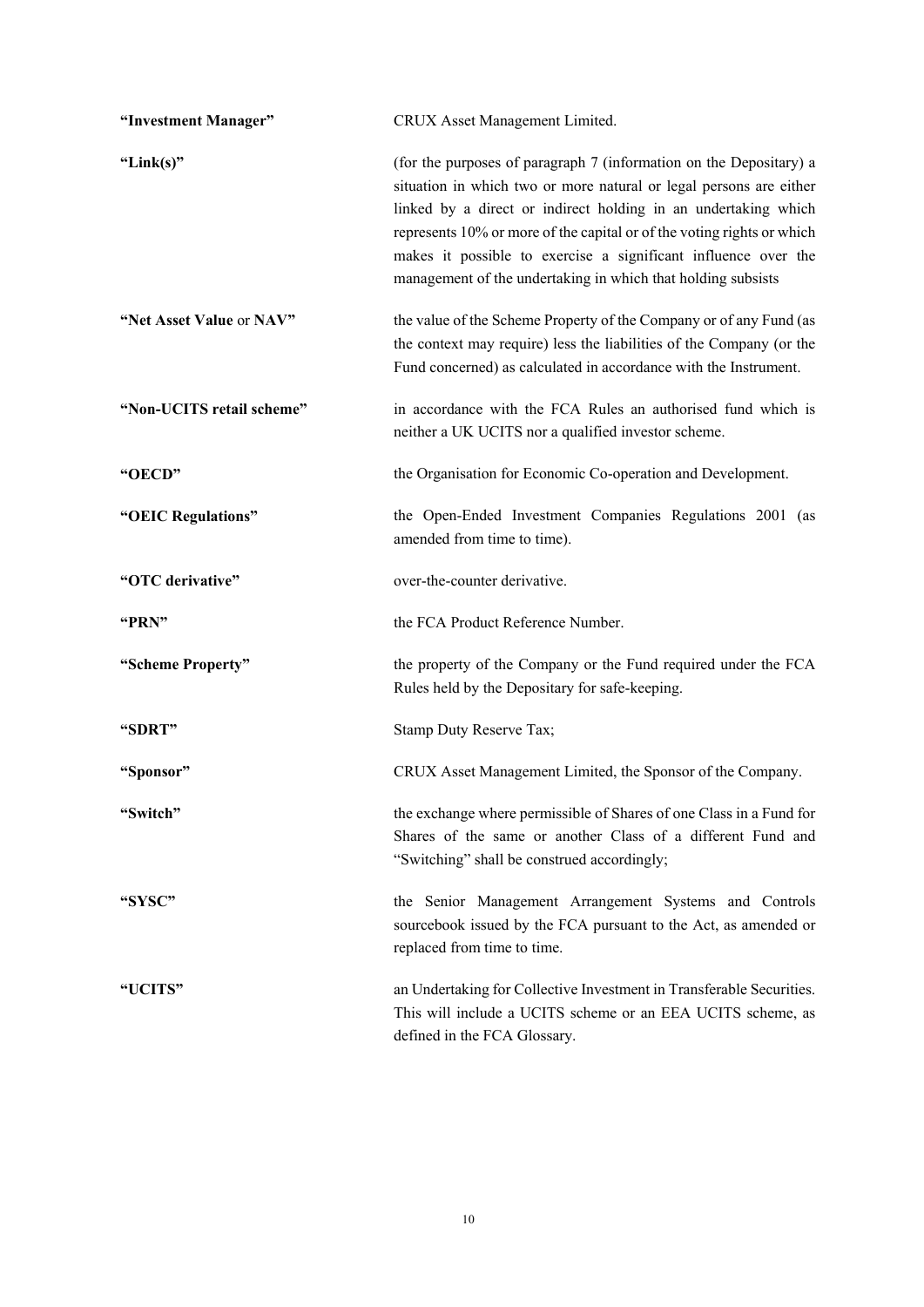| "Investment Manager"      | CRUX Asset Management Limited.                                                                                                                                                                                                                                                                                                                                                                                         |
|---------------------------|------------------------------------------------------------------------------------------------------------------------------------------------------------------------------------------------------------------------------------------------------------------------------------------------------------------------------------------------------------------------------------------------------------------------|
| "Link $(s)$ "             | (for the purposes of paragraph 7 (information on the Depositary) a<br>situation in which two or more natural or legal persons are either<br>linked by a direct or indirect holding in an undertaking which<br>represents 10% or more of the capital or of the voting rights or which<br>makes it possible to exercise a significant influence over the<br>management of the undertaking in which that holding subsists |
| "Net Asset Value or NAV"  | the value of the Scheme Property of the Company or of any Fund (as<br>the context may require) less the liabilities of the Company (or the<br>Fund concerned) as calculated in accordance with the Instrument.                                                                                                                                                                                                         |
| "Non-UCITS retail scheme" | in accordance with the FCA Rules an authorised fund which is<br>neither a UK UCITS nor a qualified investor scheme.                                                                                                                                                                                                                                                                                                    |
| "OECD"                    | the Organisation for Economic Co-operation and Development.                                                                                                                                                                                                                                                                                                                                                            |
| "OEIC Regulations"        | the Open-Ended Investment Companies Regulations 2001 (as<br>amended from time to time).                                                                                                                                                                                                                                                                                                                                |
| "OTC derivative"          | over-the-counter derivative.                                                                                                                                                                                                                                                                                                                                                                                           |
| "PRN"                     | the FCA Product Reference Number.                                                                                                                                                                                                                                                                                                                                                                                      |
| "Scheme Property"         | the property of the Company or the Fund required under the FCA<br>Rules held by the Depositary for safe-keeping.                                                                                                                                                                                                                                                                                                       |
| "SDRT"                    | Stamp Duty Reserve Tax;                                                                                                                                                                                                                                                                                                                                                                                                |
| "Sponsor"                 | CRUX Asset Management Limited, the Sponsor of the Company.                                                                                                                                                                                                                                                                                                                                                             |
| "Switch"                  | the exchange where permissible of Shares of one Class in a Fund for<br>Shares of the same or another Class of a different Fund and<br>"Switching" shall be construed accordingly;                                                                                                                                                                                                                                      |
| "SYSC"                    | the Senior Management Arrangement Systems and Controls<br>sourcebook issued by the FCA pursuant to the Act, as amended or<br>replaced from time to time.                                                                                                                                                                                                                                                               |
| "UCITS"                   | an Undertaking for Collective Investment in Transferable Securities.<br>This will include a UCITS scheme or an EEA UCITS scheme, as<br>defined in the FCA Glossary.                                                                                                                                                                                                                                                    |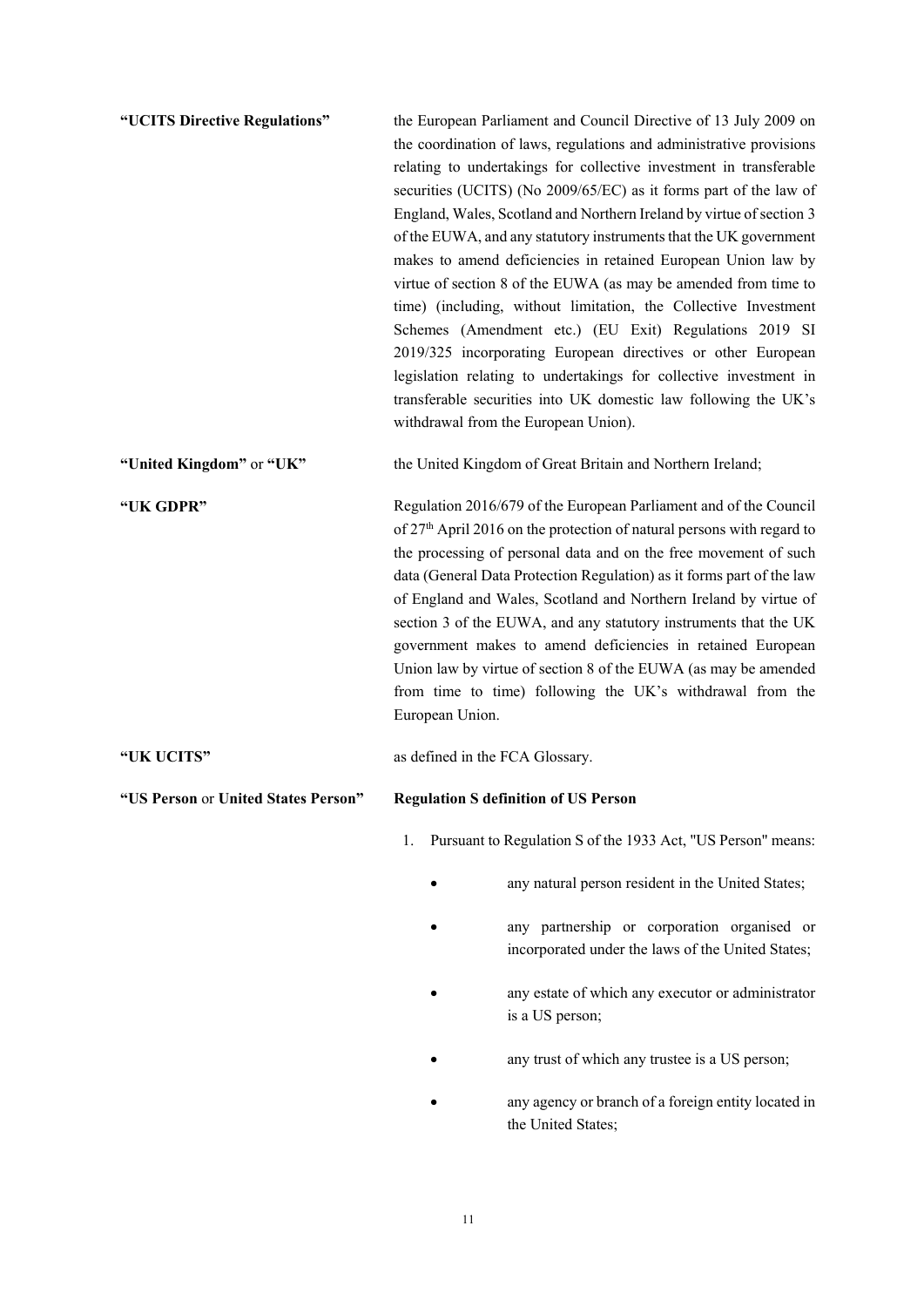| "UCITS Directive Regulations"       | the European Parliament and Council Directive of 13 July 2009 on<br>the coordination of laws, regulations and administrative provisions<br>relating to undertakings for collective investment in transferable<br>securities (UCITS) (No 2009/65/EC) as it forms part of the law of<br>England, Wales, Scotland and Northern Ireland by virtue of section 3<br>of the EUWA, and any statutory instruments that the UK government<br>makes to amend deficiencies in retained European Union law by<br>virtue of section 8 of the EUWA (as may be amended from time to<br>time) (including, without limitation, the Collective Investment<br>Schemes (Amendment etc.) (EU Exit) Regulations 2019 SI<br>2019/325 incorporating European directives or other European<br>legislation relating to undertakings for collective investment in<br>transferable securities into UK domestic law following the UK's<br>withdrawal from the European Union). |                                                                                                  |  |
|-------------------------------------|--------------------------------------------------------------------------------------------------------------------------------------------------------------------------------------------------------------------------------------------------------------------------------------------------------------------------------------------------------------------------------------------------------------------------------------------------------------------------------------------------------------------------------------------------------------------------------------------------------------------------------------------------------------------------------------------------------------------------------------------------------------------------------------------------------------------------------------------------------------------------------------------------------------------------------------------------|--------------------------------------------------------------------------------------------------|--|
| "United Kingdom" or "UK"            |                                                                                                                                                                                                                                                                                                                                                                                                                                                                                                                                                                                                                                                                                                                                                                                                                                                                                                                                                  | the United Kingdom of Great Britain and Northern Ireland;                                        |  |
| "UK GDPR"                           | Regulation 2016/679 of the European Parliament and of the Council<br>of 27 <sup>th</sup> April 2016 on the protection of natural persons with regard to<br>the processing of personal data and on the free movement of such<br>data (General Data Protection Regulation) as it forms part of the law<br>of England and Wales, Scotland and Northern Ireland by virtue of<br>section 3 of the EUWA, and any statutory instruments that the UK<br>government makes to amend deficiencies in retained European<br>Union law by virtue of section 8 of the EUWA (as may be amended<br>from time to time) following the UK's withdrawal from the<br>European Union.                                                                                                                                                                                                                                                                                   |                                                                                                  |  |
| "UK UCITS"                          | as defined in the FCA Glossary.                                                                                                                                                                                                                                                                                                                                                                                                                                                                                                                                                                                                                                                                                                                                                                                                                                                                                                                  |                                                                                                  |  |
| "US Person or United States Person" |                                                                                                                                                                                                                                                                                                                                                                                                                                                                                                                                                                                                                                                                                                                                                                                                                                                                                                                                                  | <b>Regulation S definition of US Person</b>                                                      |  |
|                                     | 1.                                                                                                                                                                                                                                                                                                                                                                                                                                                                                                                                                                                                                                                                                                                                                                                                                                                                                                                                               | Pursuant to Regulation S of the 1933 Act, "US Person" means:                                     |  |
|                                     |                                                                                                                                                                                                                                                                                                                                                                                                                                                                                                                                                                                                                                                                                                                                                                                                                                                                                                                                                  | any natural person resident in the United States;                                                |  |
|                                     |                                                                                                                                                                                                                                                                                                                                                                                                                                                                                                                                                                                                                                                                                                                                                                                                                                                                                                                                                  | any partnership or corporation organised or<br>incorporated under the laws of the United States; |  |
|                                     |                                                                                                                                                                                                                                                                                                                                                                                                                                                                                                                                                                                                                                                                                                                                                                                                                                                                                                                                                  | any estate of which any executor or administrator<br>is a US person;                             |  |
|                                     |                                                                                                                                                                                                                                                                                                                                                                                                                                                                                                                                                                                                                                                                                                                                                                                                                                                                                                                                                  | any trust of which any trustee is a US person;                                                   |  |

 any agency or branch of a foreign entity located in the United States;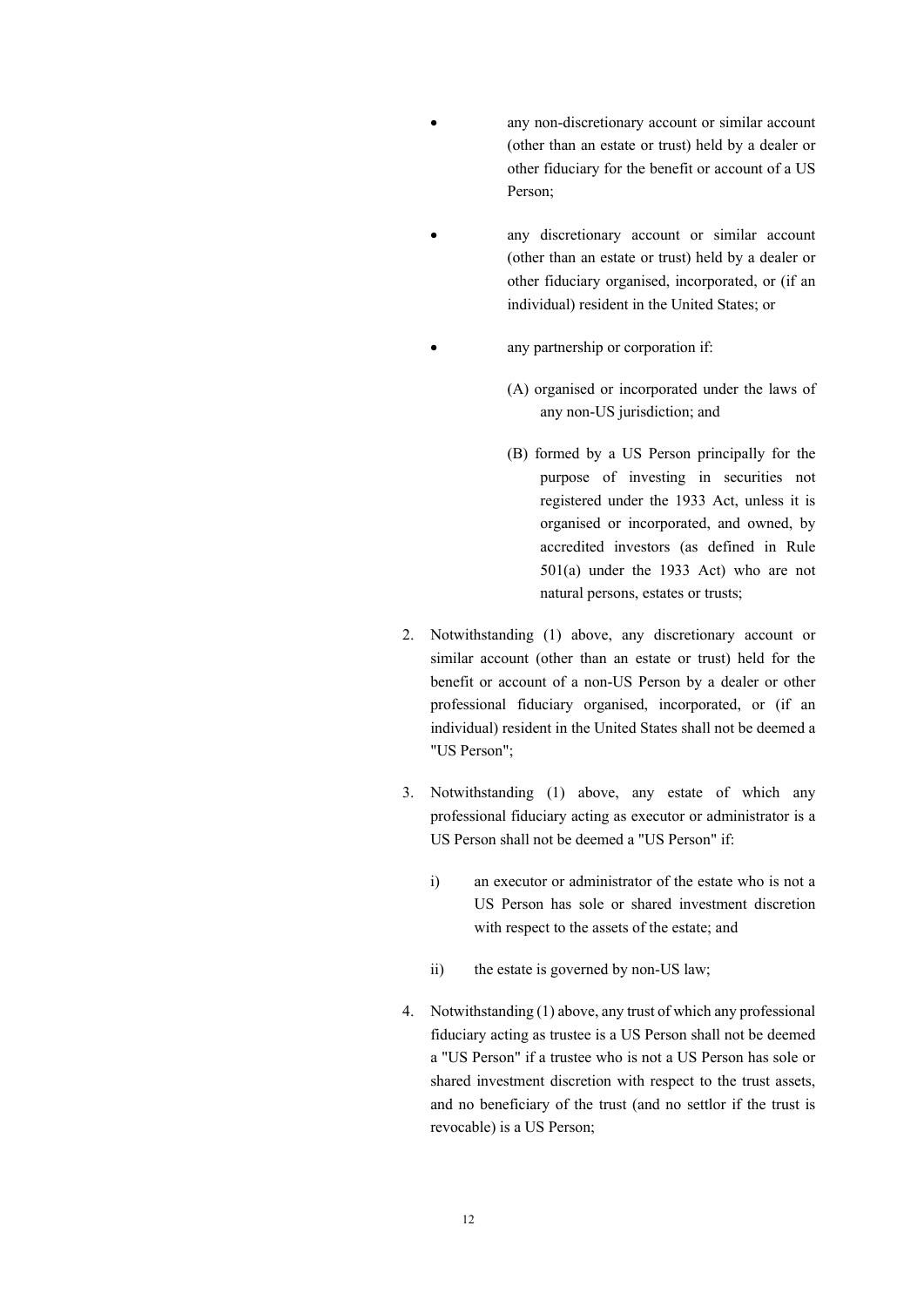- any non-discretionary account or similar account (other than an estate or trust) held by a dealer or other fiduciary for the benefit or account of a US Person;
- any discretionary account or similar account (other than an estate or trust) held by a dealer or other fiduciary organised, incorporated, or (if an individual) resident in the United States; or
	- any partnership or corporation if:
		- (A) organised or incorporated under the laws of any non-US jurisdiction; and
		- (B) formed by a US Person principally for the purpose of investing in securities not registered under the 1933 Act, unless it is organised or incorporated, and owned, by accredited investors (as defined in Rule 501(a) under the 1933 Act) who are not natural persons, estates or trusts;
- 2. Notwithstanding (1) above, any discretionary account or similar account (other than an estate or trust) held for the benefit or account of a non-US Person by a dealer or other professional fiduciary organised, incorporated, or (if an individual) resident in the United States shall not be deemed a "US Person";
- 3. Notwithstanding (1) above, any estate of which any professional fiduciary acting as executor or administrator is a US Person shall not be deemed a "US Person" if:
	- i) an executor or administrator of the estate who is not a US Person has sole or shared investment discretion with respect to the assets of the estate; and
	- ii) the estate is governed by non-US law;
- 4. Notwithstanding (1) above, any trust of which any professional fiduciary acting as trustee is a US Person shall not be deemed a "US Person" if a trustee who is not a US Person has sole or shared investment discretion with respect to the trust assets, and no beneficiary of the trust (and no settlor if the trust is revocable) is a US Person;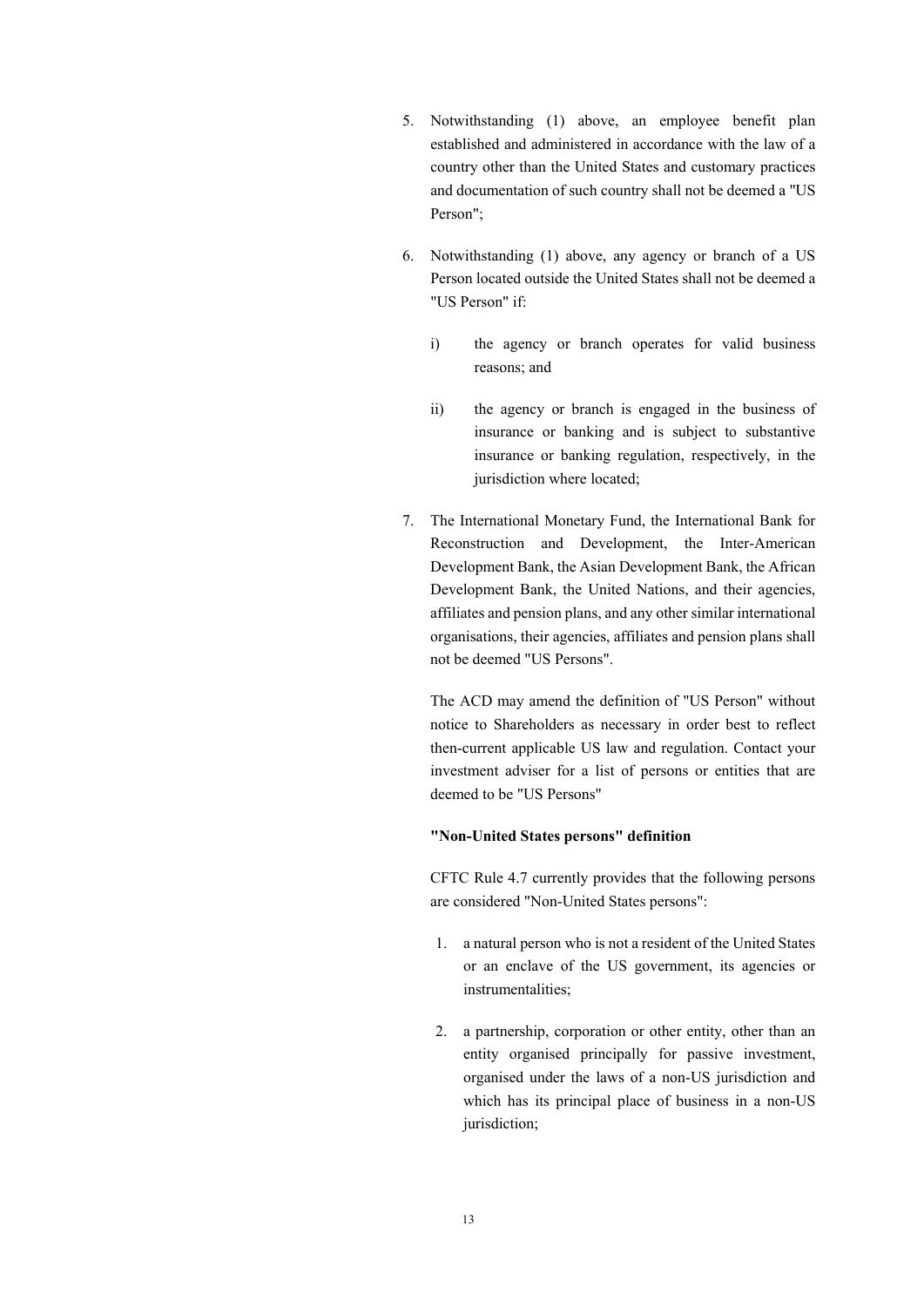- 5. Notwithstanding (1) above, an employee benefit plan established and administered in accordance with the law of a country other than the United States and customary practices and documentation of such country shall not be deemed a "US Person";
- 6. Notwithstanding (1) above, any agency or branch of a US Person located outside the United States shall not be deemed a "US Person" if:
	- i) the agency or branch operates for valid business reasons; and
	- ii) the agency or branch is engaged in the business of insurance or banking and is subject to substantive insurance or banking regulation, respectively, in the jurisdiction where located;
- 7. The International Monetary Fund, the International Bank for Reconstruction and Development, the Inter-American Development Bank, the Asian Development Bank, the African Development Bank, the United Nations, and their agencies, affiliates and pension plans, and any other similar international organisations, their agencies, affiliates and pension plans shall not be deemed "US Persons".

The ACD may amend the definition of "US Person" without notice to Shareholders as necessary in order best to reflect then-current applicable US law and regulation. Contact your investment adviser for a list of persons or entities that are deemed to be "US Persons"

#### **"Non-United States persons" definition**

CFTC Rule 4.7 currently provides that the following persons are considered "Non-United States persons":

- 1. a natural person who is not a resident of the United States or an enclave of the US government, its agencies or instrumentalities;
- 2. a partnership, corporation or other entity, other than an entity organised principally for passive investment, organised under the laws of a non-US jurisdiction and which has its principal place of business in a non-US jurisdiction;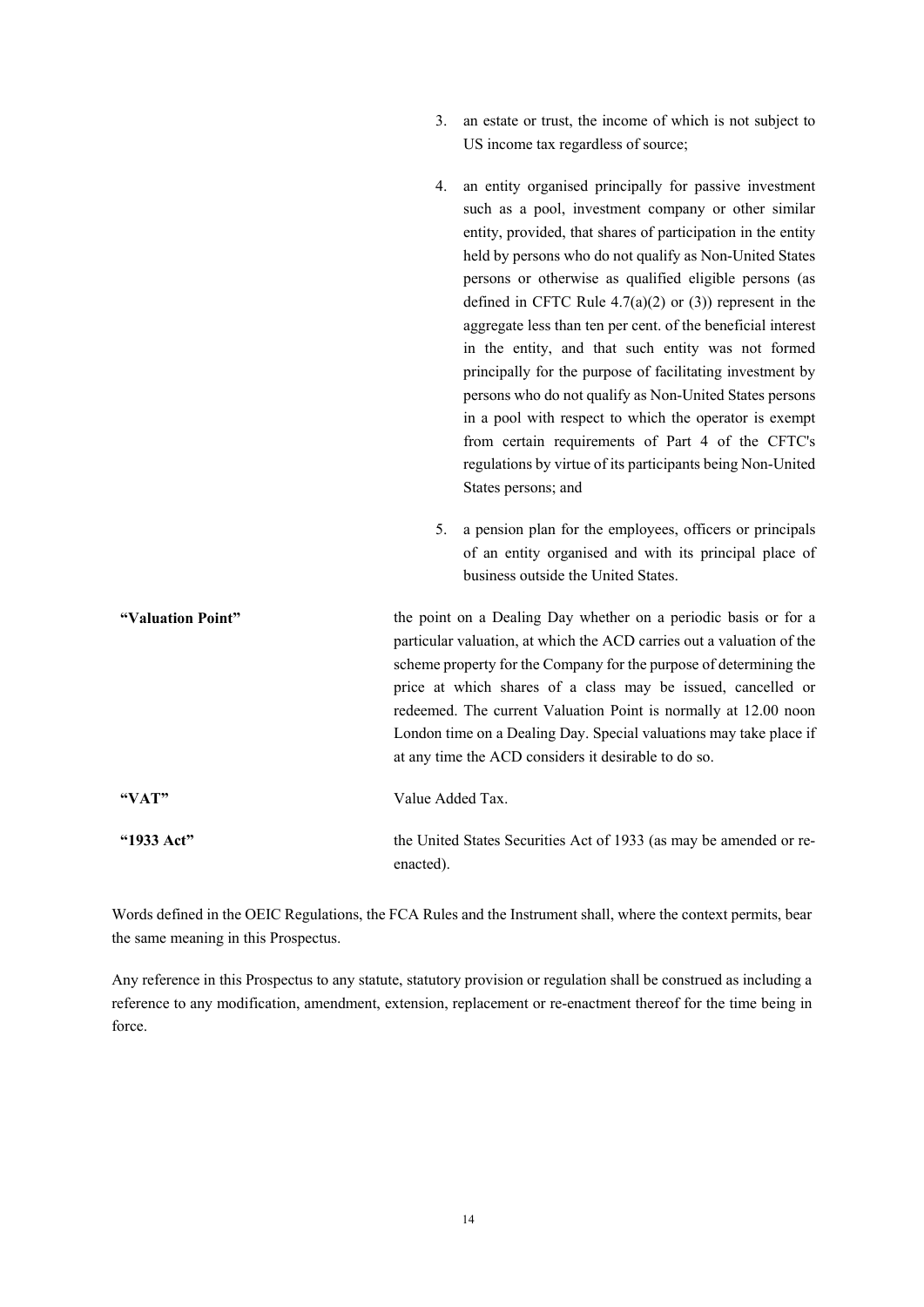- 3. an estate or trust, the income of which is not subject to US income tax regardless of source;
- 4. an entity organised principally for passive investment such as a pool, investment company or other similar entity, provided, that shares of participation in the entity held by persons who do not qualify as Non-United States persons or otherwise as qualified eligible persons (as defined in CFTC Rule  $4.7(a)(2)$  or  $(3)$ ) represent in the aggregate less than ten per cent. of the beneficial interest in the entity, and that such entity was not formed principally for the purpose of facilitating investment by persons who do not qualify as Non-United States persons in a pool with respect to which the operator is exempt from certain requirements of Part 4 of the CFTC's regulations by virtue of its participants being Non-United States persons; and
- 5. a pension plan for the employees, officers or principals of an entity organised and with its principal place of business outside the United States.
- **"Valuation Point"** the point on a Dealing Day whether on a periodic basis or for a particular valuation, at which the ACD carries out a valuation of the scheme property for the Company for the purpose of determining the price at which shares of a class may be issued, cancelled or redeemed. The current Valuation Point is normally at 12.00 noon London time on a Dealing Day. Special valuations may take place if at any time the ACD considers it desirable to do so. **"VAT"** Value Added Tax. **"1933 Act"** the United States Securities Act of 1933 (as may be amended or reenacted).

Words defined in the OEIC Regulations, the FCA Rules and the Instrument shall, where the context permits, bear the same meaning in this Prospectus.

Any reference in this Prospectus to any statute, statutory provision or regulation shall be construed as including a reference to any modification, amendment, extension, replacement or re-enactment thereof for the time being in force.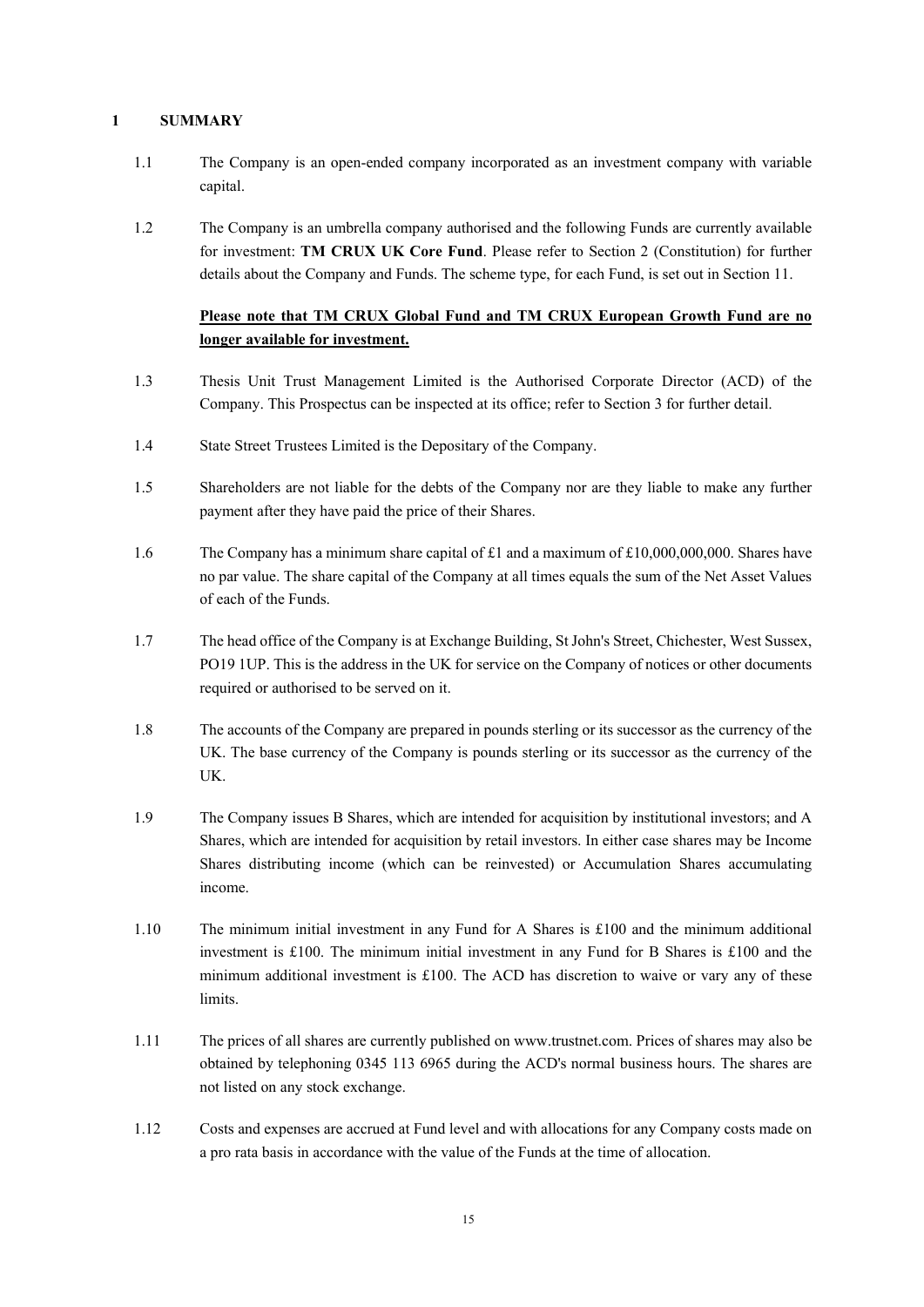# **1 SUMMARY**

- 1.1 The Company is an open-ended company incorporated as an investment company with variable capital.
- 1.2 The Company is an umbrella company authorised and the following Funds are currently available for investment: **TM CRUX UK Core Fund**. Please refer to Section 2 (Constitution) for further details about the Company and Funds. The scheme type, for each Fund, is set out in Section 11.

# **Please note that TM CRUX Global Fund and TM CRUX European Growth Fund are no longer available for investment.**

- 1.3 Thesis Unit Trust Management Limited is the Authorised Corporate Director (ACD) of the Company. This Prospectus can be inspected at its office; refer to Section 3 for further detail.
- 1.4 State Street Trustees Limited is the Depositary of the Company.
- 1.5 Shareholders are not liable for the debts of the Company nor are they liable to make any further payment after they have paid the price of their Shares.
- 1.6 The Company has a minimum share capital of £1 and a maximum of £10,000,000,000. Shares have no par value. The share capital of the Company at all times equals the sum of the Net Asset Values of each of the Funds.
- 1.7 The head office of the Company is at Exchange Building, St John's Street, Chichester, West Sussex, PO19 1UP. This is the address in the UK for service on the Company of notices or other documents required or authorised to be served on it.
- 1.8 The accounts of the Company are prepared in pounds sterling or its successor as the currency of the UK. The base currency of the Company is pounds sterling or its successor as the currency of the UK.
- 1.9 The Company issues B Shares, which are intended for acquisition by institutional investors; and A Shares, which are intended for acquisition by retail investors. In either case shares may be Income Shares distributing income (which can be reinvested) or Accumulation Shares accumulating income.
- 1.10 The minimum initial investment in any Fund for A Shares is £100 and the minimum additional investment is £100. The minimum initial investment in any Fund for B Shares is £100 and the minimum additional investment is £100. The ACD has discretion to waive or vary any of these limits.
- 1.11 The prices of all shares are currently published on www.trustnet.com. Prices of shares may also be obtained by telephoning 0345 113 6965 during the ACD's normal business hours. The shares are not listed on any stock exchange.
- 1.12 Costs and expenses are accrued at Fund level and with allocations for any Company costs made on a pro rata basis in accordance with the value of the Funds at the time of allocation.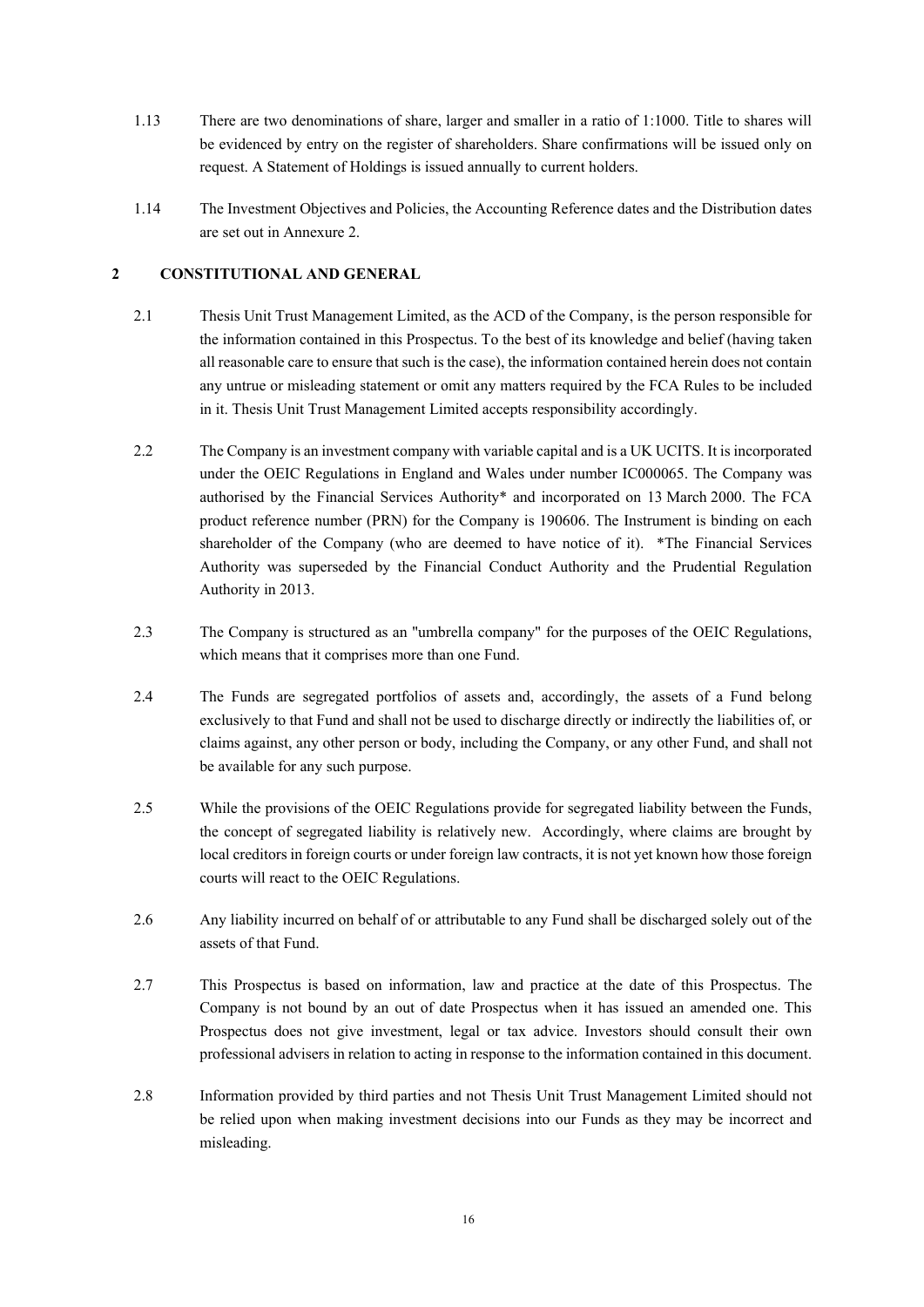- 1.13 There are two denominations of share, larger and smaller in a ratio of 1:1000. Title to shares will be evidenced by entry on the register of shareholders. Share confirmations will be issued only on request. A Statement of Holdings is issued annually to current holders.
- 1.14 The Investment Objectives and Policies, the Accounting Reference dates and the Distribution dates are set out in Annexure 2.

# **2 CONSTITUTIONAL AND GENERAL**

- 2.1 Thesis Unit Trust Management Limited, as the ACD of the Company, is the person responsible for the information contained in this Prospectus. To the best of its knowledge and belief (having taken all reasonable care to ensure that such is the case), the information contained herein does not contain any untrue or misleading statement or omit any matters required by the FCA Rules to be included in it. Thesis Unit Trust Management Limited accepts responsibility accordingly.
- 2.2 The Company is an investment company with variable capital and is a UK UCITS. It is incorporated under the OEIC Regulations in England and Wales under number IC000065. The Company was authorised by the Financial Services Authority\* and incorporated on 13 March 2000. The FCA product reference number (PRN) for the Company is 190606. The Instrument is binding on each shareholder of the Company (who are deemed to have notice of it). \*The Financial Services Authority was superseded by the Financial Conduct Authority and the Prudential Regulation Authority in 2013.
- 2.3 The Company is structured as an "umbrella company" for the purposes of the OEIC Regulations, which means that it comprises more than one Fund.
- 2.4 The Funds are segregated portfolios of assets and, accordingly, the assets of a Fund belong exclusively to that Fund and shall not be used to discharge directly or indirectly the liabilities of, or claims against, any other person or body, including the Company, or any other Fund, and shall not be available for any such purpose.
- 2.5 While the provisions of the OEIC Regulations provide for segregated liability between the Funds, the concept of segregated liability is relatively new. Accordingly, where claims are brought by local creditors in foreign courts or under foreign law contracts, it is not yet known how those foreign courts will react to the OEIC Regulations.
- 2.6 Any liability incurred on behalf of or attributable to any Fund shall be discharged solely out of the assets of that Fund.
- 2.7 This Prospectus is based on information, law and practice at the date of this Prospectus. The Company is not bound by an out of date Prospectus when it has issued an amended one. This Prospectus does not give investment, legal or tax advice. Investors should consult their own professional advisers in relation to acting in response to the information contained in this document.
- 2.8 Information provided by third parties and not Thesis Unit Trust Management Limited should not be relied upon when making investment decisions into our Funds as they may be incorrect and misleading.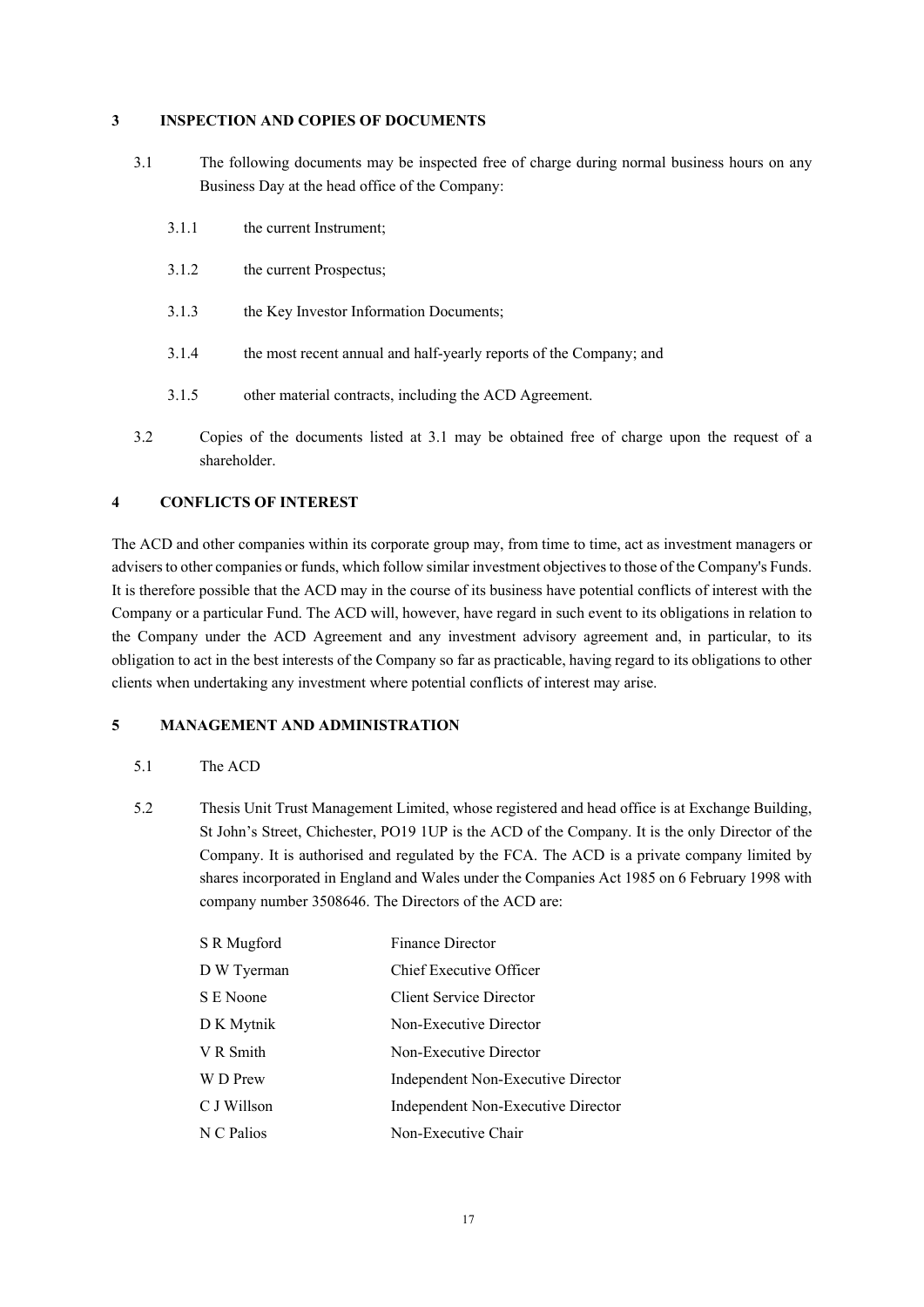### **3 INSPECTION AND COPIES OF DOCUMENTS**

- 3.1 The following documents may be inspected free of charge during normal business hours on any Business Day at the head office of the Company:
	- 3.1.1 the current Instrument;
	- 3.1.2 the current Prospectus;
	- 3.1.3 the Key Investor Information Documents;
	- 3.1.4 the most recent annual and half-yearly reports of the Company; and
	- 3.1.5 other material contracts, including the ACD Agreement.
- 3.2 Copies of the documents listed at 3.1 may be obtained free of charge upon the request of a shareholder.

# **4 CONFLICTS OF INTEREST**

The ACD and other companies within its corporate group may, from time to time, act as investment managers or advisers to other companies or funds, which follow similar investment objectives to those of the Company's Funds. It is therefore possible that the ACD may in the course of its business have potential conflicts of interest with the Company or a particular Fund. The ACD will, however, have regard in such event to its obligations in relation to the Company under the ACD Agreement and any investment advisory agreement and, in particular, to its obligation to act in the best interests of the Company so far as practicable, having regard to its obligations to other clients when undertaking any investment where potential conflicts of interest may arise.

# **5 MANAGEMENT AND ADMINISTRATION**

#### 5.1 The ACD

5.2 Thesis Unit Trust Management Limited, whose registered and head office is at Exchange Building, St John's Street, Chichester, PO19 1UP is the ACD of the Company. It is the only Director of the Company. It is authorised and regulated by the FCA. The ACD is a private company limited by shares incorporated in England and Wales under the Companies Act 1985 on 6 February 1998 with company number 3508646. The Directors of the ACD are:

| S R Mugford | Finance Director                   |
|-------------|------------------------------------|
| D W Tyerman | Chief Executive Officer            |
| S E Noone   | <b>Client Service Director</b>     |
| D K Mytnik  | Non-Executive Director             |
| V R Smith   | Non-Executive Director             |
| W D Prew    | Independent Non-Executive Director |
| C J Willson | Independent Non-Executive Director |
| N C Palios  | Non-Executive Chair                |
|             |                                    |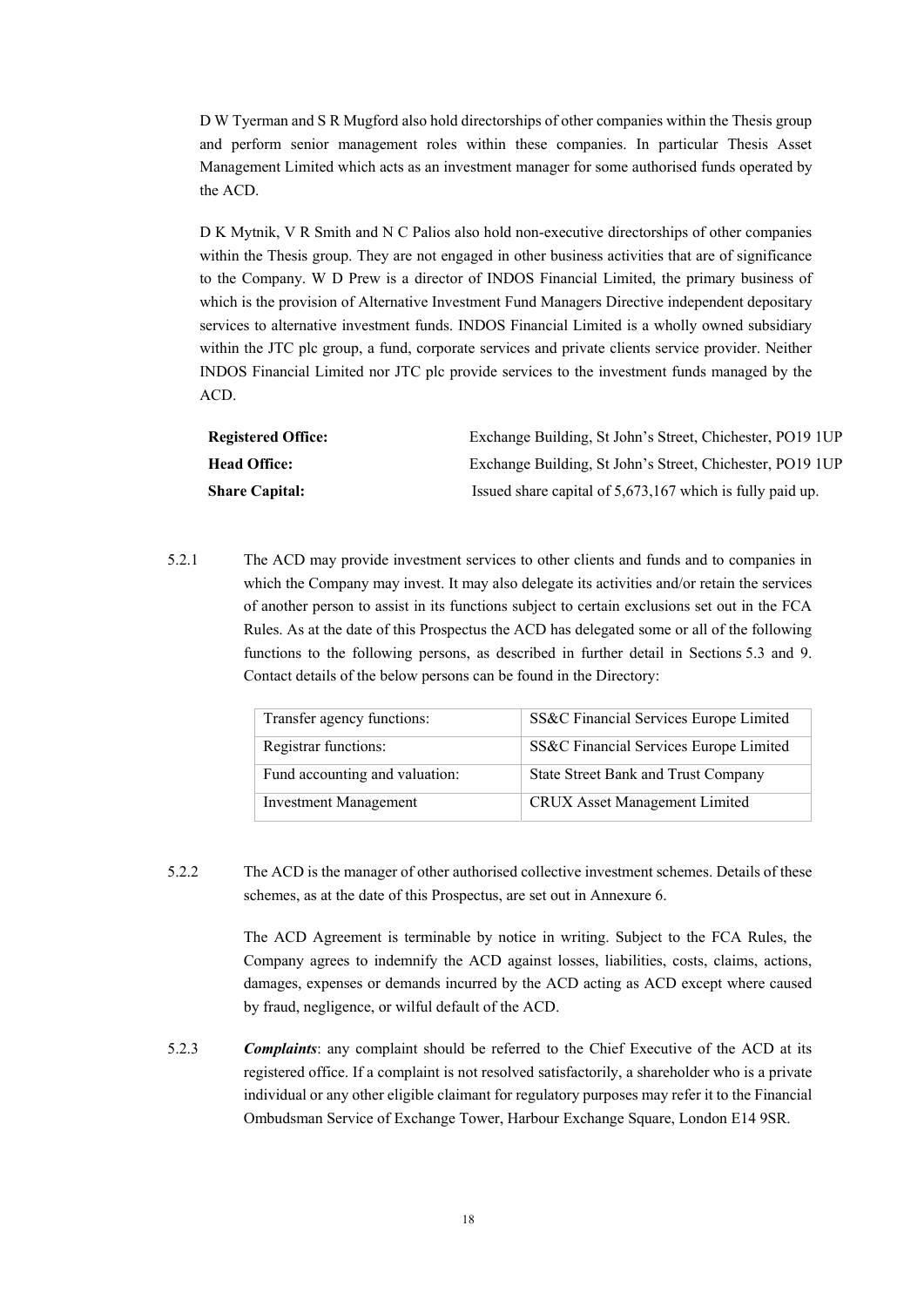D W Tyerman and S R Mugford also hold directorships of other companies within the Thesis group and perform senior management roles within these companies. In particular Thesis Asset Management Limited which acts as an investment manager for some authorised funds operated by the ACD.

D K Mytnik, V R Smith and N C Palios also hold non-executive directorships of other companies within the Thesis group. They are not engaged in other business activities that are of significance to the Company. W D Prew is a director of INDOS Financial Limited, the primary business of which is the provision of Alternative Investment Fund Managers Directive independent depositary services to alternative investment funds. INDOS Financial Limited is a wholly owned subsidiary within the JTC plc group, a fund, corporate services and private clients service provider. Neither INDOS Financial Limited nor JTC plc provide services to the investment funds managed by the ACD.

| <b>Registered Office:</b> | Exchange Building, St John's Street, Chichester, PO19 1UP |
|---------------------------|-----------------------------------------------------------|
| <b>Head Office:</b>       | Exchange Building, St John's Street, Chichester, PO19 1UP |
| <b>Share Capital:</b>     | Issued share capital of 5,673,167 which is fully paid up. |

5.2.1 The ACD may provide investment services to other clients and funds and to companies in which the Company may invest. It may also delegate its activities and/or retain the services of another person to assist in its functions subject to certain exclusions set out in the FCA Rules. As at the date of this Prospectus the ACD has delegated some or all of the following functions to the following persons, as described in further detail in Sections 5.3 and 9. Contact details of the below persons can be found in the Directory:

| Transfer agency functions:     | SS&C Financial Services Europe Limited |
|--------------------------------|----------------------------------------|
| Registrar functions:           | SS&C Financial Services Europe Limited |
| Fund accounting and valuation: | State Street Bank and Trust Company    |
| <b>Investment Management</b>   | CRUX Asset Management Limited          |

5.2.2 The ACD is the manager of other authorised collective investment schemes. Details of these schemes, as at the date of this Prospectus, are set out in Annexure 6.

> The ACD Agreement is terminable by notice in writing. Subject to the FCA Rules, the Company agrees to indemnify the ACD against losses, liabilities, costs, claims, actions, damages, expenses or demands incurred by the ACD acting as ACD except where caused by fraud, negligence, or wilful default of the ACD.

5.2.3 *Complaints*: any complaint should be referred to the Chief Executive of the ACD at its registered office. If a complaint is not resolved satisfactorily, a shareholder who is a private individual or any other eligible claimant for regulatory purposes may refer it to the Financial Ombudsman Service of Exchange Tower, Harbour Exchange Square, London E14 9SR.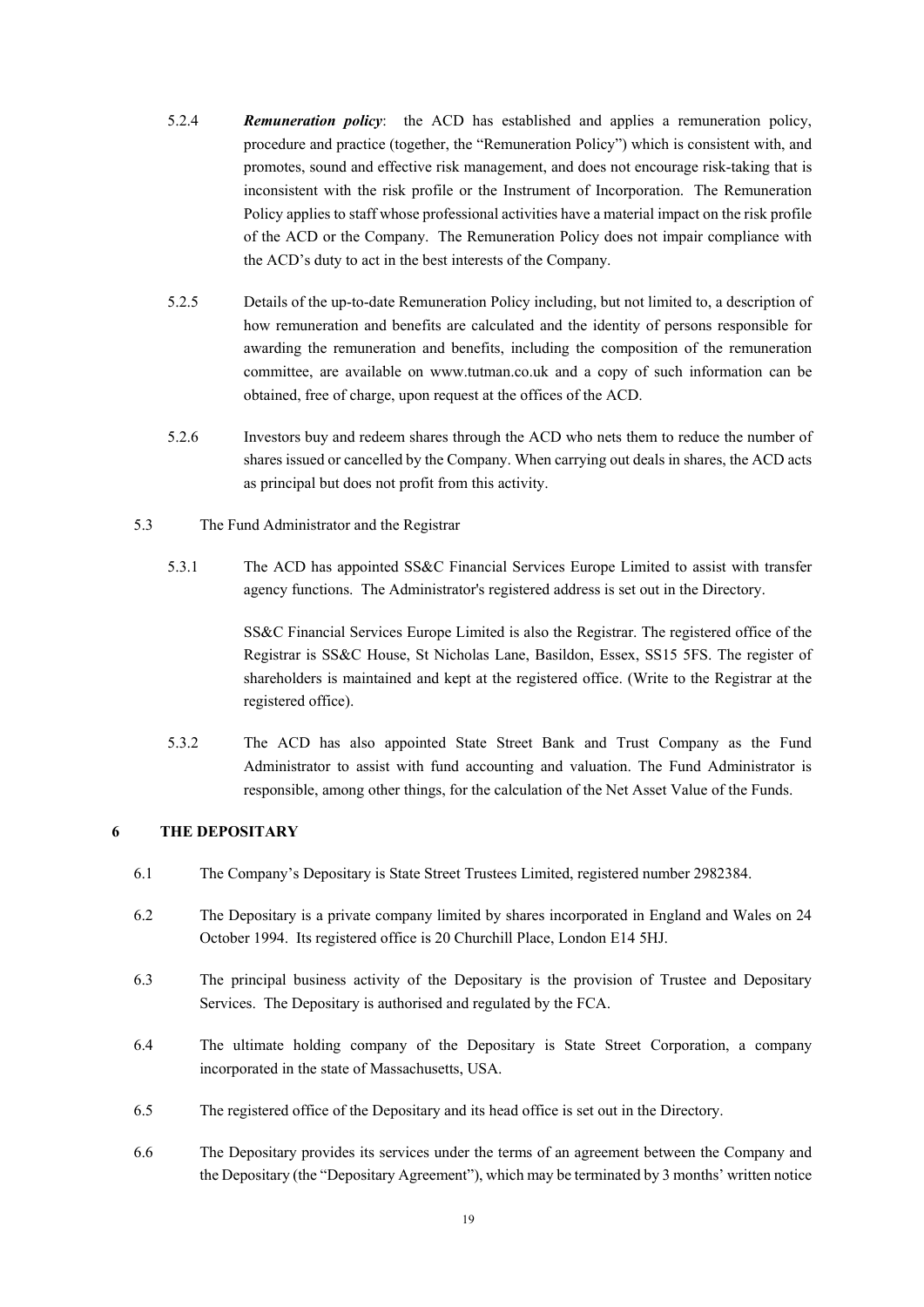- 5.2.4 *Remuneration policy*: the ACD has established and applies a remuneration policy, procedure and practice (together, the "Remuneration Policy") which is consistent with, and promotes, sound and effective risk management, and does not encourage risk-taking that is inconsistent with the risk profile or the Instrument of Incorporation. The Remuneration Policy applies to staff whose professional activities have a material impact on the risk profile of the ACD or the Company. The Remuneration Policy does not impair compliance with the ACD's duty to act in the best interests of the Company.
- 5.2.5 Details of the up-to-date Remuneration Policy including, but not limited to, a description of how remuneration and benefits are calculated and the identity of persons responsible for awarding the remuneration and benefits, including the composition of the remuneration committee, are available on www.tutman.co.uk and a copy of such information can be obtained, free of charge, upon request at the offices of the ACD.
- 5.2.6 Investors buy and redeem shares through the ACD who nets them to reduce the number of shares issued or cancelled by the Company. When carrying out deals in shares, the ACD acts as principal but does not profit from this activity.
- 5.3 The Fund Administrator and the Registrar
	- 5.3.1 The ACD has appointed SS&C Financial Services Europe Limited to assist with transfer agency functions. The Administrator's registered address is set out in the Directory.

SS&C Financial Services Europe Limited is also the Registrar. The registered office of the Registrar is SS&C House, St Nicholas Lane, Basildon, Essex, SS15 5FS. The register of shareholders is maintained and kept at the registered office. (Write to the Registrar at the registered office).

5.3.2 The ACD has also appointed State Street Bank and Trust Company as the Fund Administrator to assist with fund accounting and valuation. The Fund Administrator is responsible, among other things, for the calculation of the Net Asset Value of the Funds.

# **6 THE DEPOSITARY**

- 6.1 The Company's Depositary is State Street Trustees Limited, registered number 2982384.
- 6.2 The Depositary is a private company limited by shares incorporated in England and Wales on 24 October 1994. Its registered office is 20 Churchill Place, London E14 5HJ.
- 6.3 The principal business activity of the Depositary is the provision of Trustee and Depositary Services. The Depositary is authorised and regulated by the FCA.
- 6.4 The ultimate holding company of the Depositary is State Street Corporation, a company incorporated in the state of Massachusetts, USA.
- 6.5 The registered office of the Depositary and its head office is set out in the Directory.
- 6.6 The Depositary provides its services under the terms of an agreement between the Company and the Depositary (the "Depositary Agreement"), which may be terminated by 3 months' written notice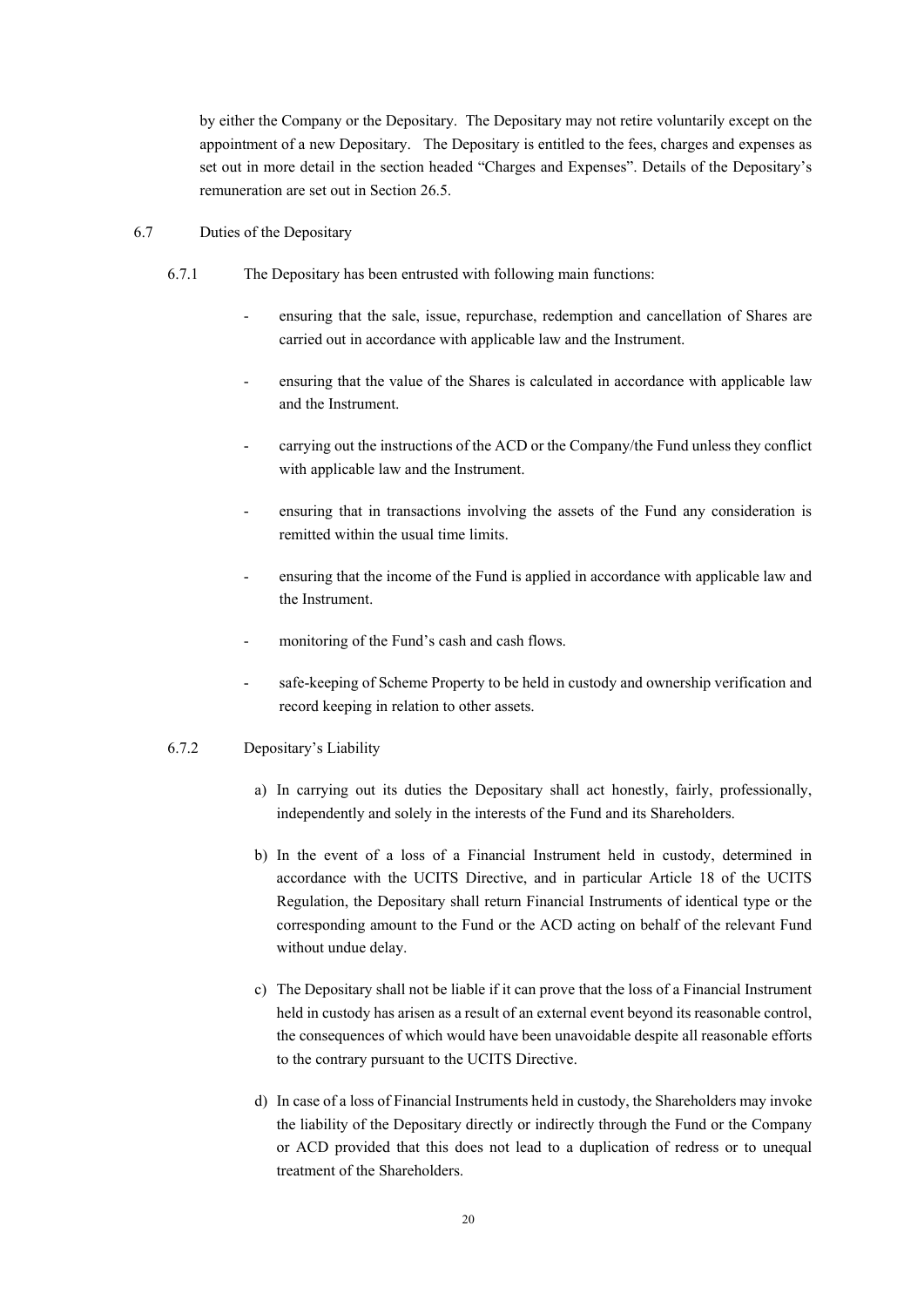by either the Company or the Depositary. The Depositary may not retire voluntarily except on the appointment of a new Depositary. The Depositary is entitled to the fees, charges and expenses as set out in more detail in the section headed "Charges and Expenses". Details of the Depositary's remuneration are set out in Section 26.5.

- 6.7 Duties of the Depositary
	- 6.7.1 The Depositary has been entrusted with following main functions:
		- ensuring that the sale, issue, repurchase, redemption and cancellation of Shares are carried out in accordance with applicable law and the Instrument.
		- ensuring that the value of the Shares is calculated in accordance with applicable law and the Instrument.
		- carrying out the instructions of the ACD or the Company/the Fund unless they conflict with applicable law and the Instrument.
		- ensuring that in transactions involving the assets of the Fund any consideration is remitted within the usual time limits.
		- ensuring that the income of the Fund is applied in accordance with applicable law and the Instrument.
		- monitoring of the Fund's cash and cash flows.
		- safe-keeping of Scheme Property to be held in custody and ownership verification and record keeping in relation to other assets.

#### 6.7.2 Depositary's Liability

- a) In carrying out its duties the Depositary shall act honestly, fairly, professionally, independently and solely in the interests of the Fund and its Shareholders.
- b) In the event of a loss of a Financial Instrument held in custody, determined in accordance with the UCITS Directive, and in particular Article 18 of the UCITS Regulation, the Depositary shall return Financial Instruments of identical type or the corresponding amount to the Fund or the ACD acting on behalf of the relevant Fund without undue delay.
- c) The Depositary shall not be liable if it can prove that the loss of a Financial Instrument held in custody has arisen as a result of an external event beyond its reasonable control, the consequences of which would have been unavoidable despite all reasonable efforts to the contrary pursuant to the UCITS Directive.
- d) In case of a loss of Financial Instruments held in custody, the Shareholders may invoke the liability of the Depositary directly or indirectly through the Fund or the Company or ACD provided that this does not lead to a duplication of redress or to unequal treatment of the Shareholders.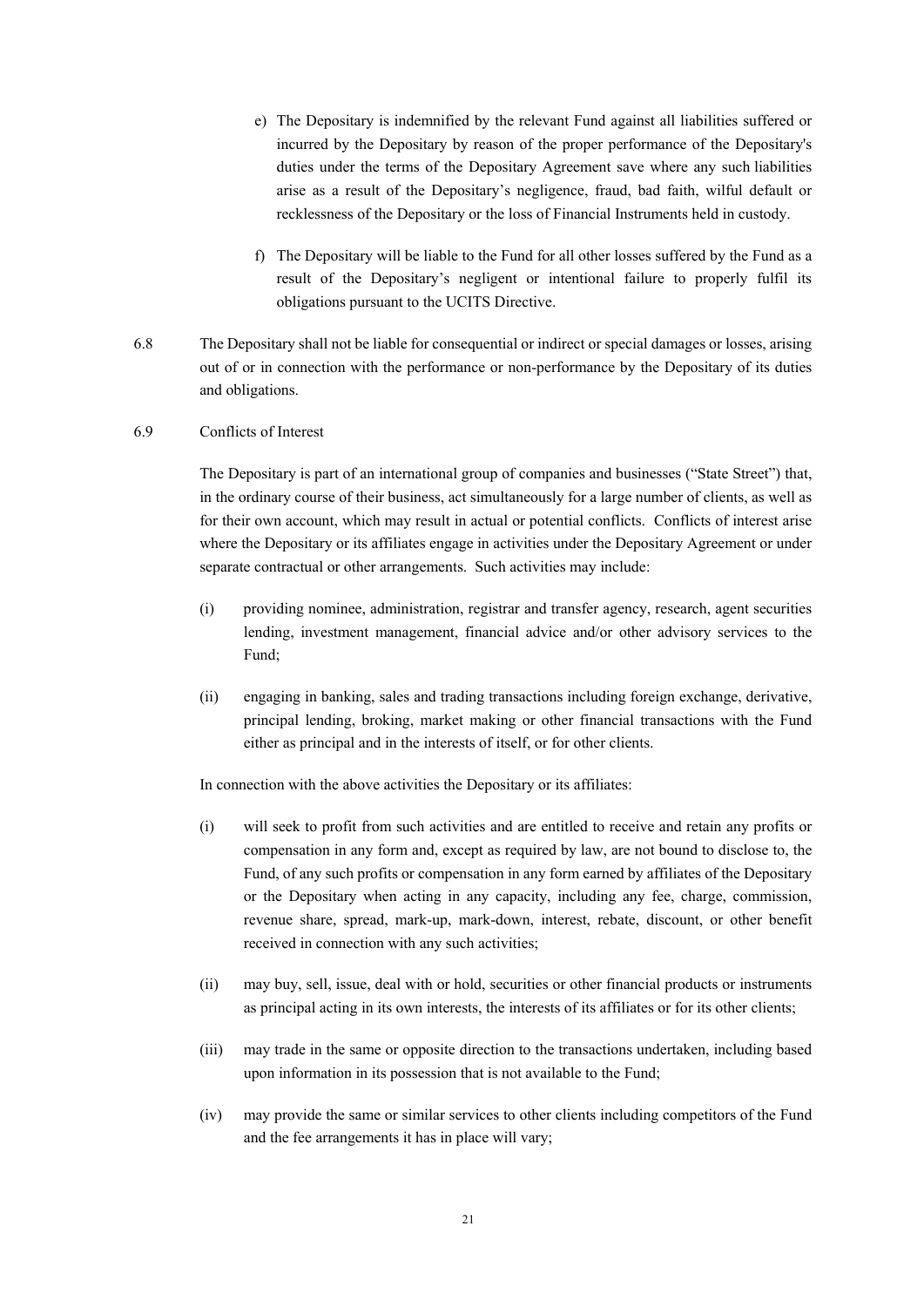- e) The Depositary is indemnified by the relevant Fund against all liabilities suffered or incurred by the Depositary by reason of the proper performance of the Depositary's duties under the terms of the Depositary Agreement save where any such liabilities arise as a result of the Depositary's negligence, fraud, bad faith, wilful default or recklessness of the Depositary or the loss of Financial Instruments held in custody.
- f) The Depositary will be liable to the Fund for all other losses suffered by the Fund as a result of the Depositary's negligent or intentional failure to properly fulfil its obligations pursuant to the UCITS Directive.
- 6.8 The Depositary shall not be liable for consequential or indirect or special damages or losses, arising out of or in connection with the performance or non-performance by the Depositary of its duties and obligations.

### 6.9 Conflicts of Interest

The Depositary is part of an international group of companies and businesses ("State Street") that, in the ordinary course of their business, act simultaneously for a large number of clients, as well as for their own account, which may result in actual or potential conflicts. Conflicts of interest arise where the Depositary or its affiliates engage in activities under the Depositary Agreement or under separate contractual or other arrangements. Such activities may include:

- (i) providing nominee, administration, registrar and transfer agency, research, agent securities lending, investment management, financial advice and/or other advisory services to the Fund;
- (ii) engaging in banking, sales and trading transactions including foreign exchange, derivative, principal lending, broking, market making or other financial transactions with the Fund either as principal and in the interests of itself, or for other clients.

In connection with the above activities the Depositary or its affiliates:

- (i) will seek to profit from such activities and are entitled to receive and retain any profits or compensation in any form and, except as required by law, are not bound to disclose to, the Fund, of any such profits or compensation in any form earned by affiliates of the Depositary or the Depositary when acting in any capacity, including any fee, charge, commission, revenue share, spread, mark-up, mark-down, interest, rebate, discount, or other benefit received in connection with any such activities;
- (ii) may buy, sell, issue, deal with or hold, securities or other financial products or instruments as principal acting in its own interests, the interests of its affiliates or for its other clients;
- (iii) may trade in the same or opposite direction to the transactions undertaken, including based upon information in its possession that is not available to the Fund;
- (iv) may provide the same or similar services to other clients including competitors of the Fund and the fee arrangements it has in place will vary;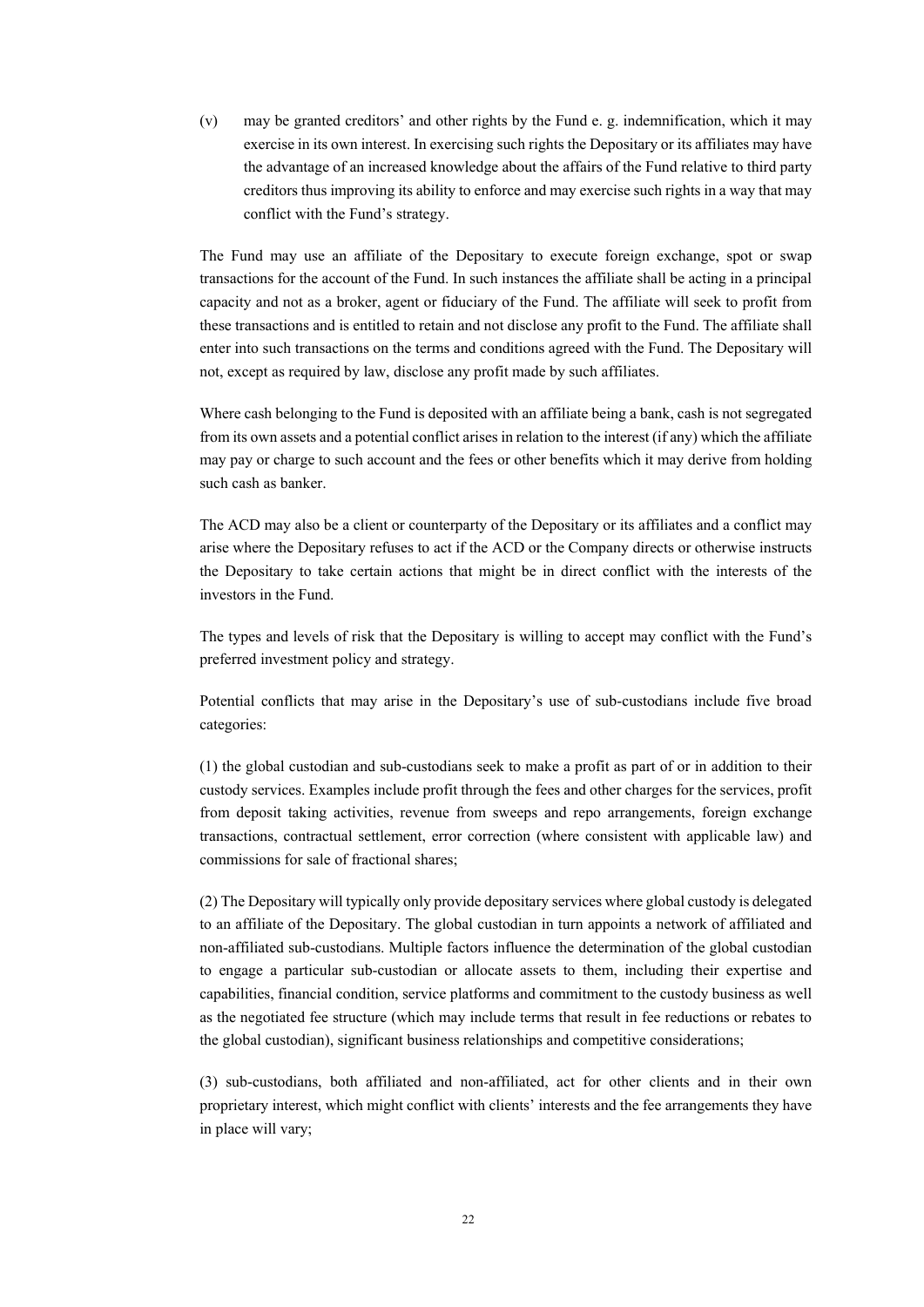(v) may be granted creditors' and other rights by the Fund e. g. indemnification, which it may exercise in its own interest. In exercising such rights the Depositary or its affiliates may have the advantage of an increased knowledge about the affairs of the Fund relative to third party creditors thus improving its ability to enforce and may exercise such rights in a way that may conflict with the Fund's strategy.

The Fund may use an affiliate of the Depositary to execute foreign exchange, spot or swap transactions for the account of the Fund. In such instances the affiliate shall be acting in a principal capacity and not as a broker, agent or fiduciary of the Fund. The affiliate will seek to profit from these transactions and is entitled to retain and not disclose any profit to the Fund. The affiliate shall enter into such transactions on the terms and conditions agreed with the Fund. The Depositary will not, except as required by law, disclose any profit made by such affiliates.

Where cash belonging to the Fund is deposited with an affiliate being a bank, cash is not segregated from its own assets and a potential conflict arises in relation to the interest (if any) which the affiliate may pay or charge to such account and the fees or other benefits which it may derive from holding such cash as banker.

The ACD may also be a client or counterparty of the Depositary or its affiliates and a conflict may arise where the Depositary refuses to act if the ACD or the Company directs or otherwise instructs the Depositary to take certain actions that might be in direct conflict with the interests of the investors in the Fund.

The types and levels of risk that the Depositary is willing to accept may conflict with the Fund's preferred investment policy and strategy.

Potential conflicts that may arise in the Depositary's use of sub-custodians include five broad categories:

(1) the global custodian and sub-custodians seek to make a profit as part of or in addition to their custody services. Examples include profit through the fees and other charges for the services, profit from deposit taking activities, revenue from sweeps and repo arrangements, foreign exchange transactions, contractual settlement, error correction (where consistent with applicable law) and commissions for sale of fractional shares;

(2) The Depositary will typically only provide depositary services where global custody is delegated to an affiliate of the Depositary. The global custodian in turn appoints a network of affiliated and non-affiliated sub-custodians. Multiple factors influence the determination of the global custodian to engage a particular sub-custodian or allocate assets to them, including their expertise and capabilities, financial condition, service platforms and commitment to the custody business as well as the negotiated fee structure (which may include terms that result in fee reductions or rebates to the global custodian), significant business relationships and competitive considerations;

(3) sub-custodians, both affiliated and non-affiliated, act for other clients and in their own proprietary interest, which might conflict with clients' interests and the fee arrangements they have in place will vary;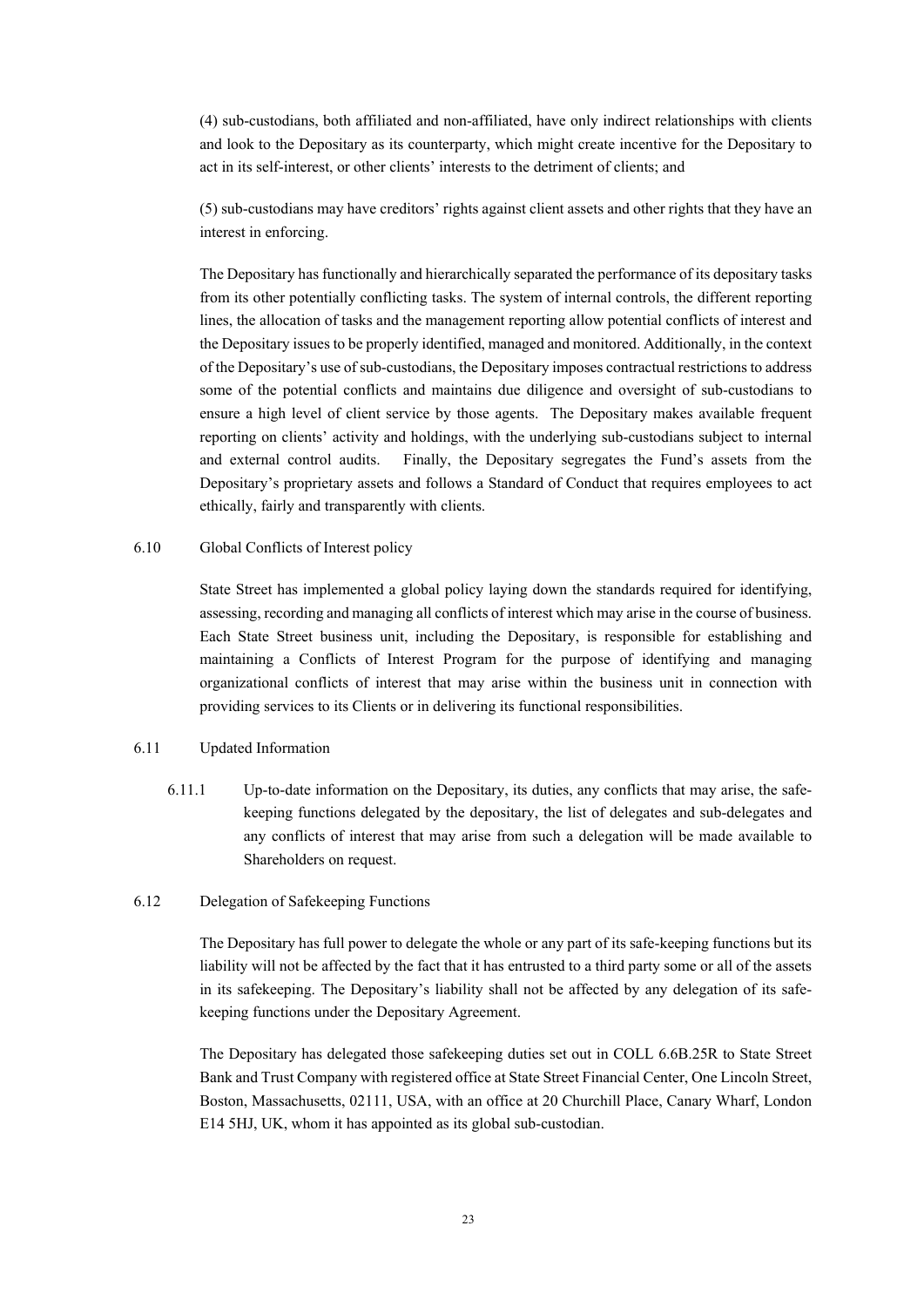(4) sub-custodians, both affiliated and non-affiliated, have only indirect relationships with clients and look to the Depositary as its counterparty, which might create incentive for the Depositary to act in its self-interest, or other clients' interests to the detriment of clients; and

(5) sub-custodians may have creditors' rights against client assets and other rights that they have an interest in enforcing.

The Depositary has functionally and hierarchically separated the performance of its depositary tasks from its other potentially conflicting tasks. The system of internal controls, the different reporting lines, the allocation of tasks and the management reporting allow potential conflicts of interest and the Depositary issues to be properly identified, managed and monitored. Additionally, in the context of the Depositary's use of sub-custodians, the Depositary imposes contractual restrictions to address some of the potential conflicts and maintains due diligence and oversight of sub-custodians to ensure a high level of client service by those agents. The Depositary makes available frequent reporting on clients' activity and holdings, with the underlying sub-custodians subject to internal and external control audits. Finally, the Depositary segregates the Fund's assets from the Depositary's proprietary assets and follows a Standard of Conduct that requires employees to act ethically, fairly and transparently with clients.

#### 6.10 Global Conflicts of Interest policy

State Street has implemented a global policy laying down the standards required for identifying, assessing, recording and managing all conflicts of interest which may arise in the course of business. Each State Street business unit, including the Depositary, is responsible for establishing and maintaining a Conflicts of Interest Program for the purpose of identifying and managing organizational conflicts of interest that may arise within the business unit in connection with providing services to its Clients or in delivering its functional responsibilities.

#### 6.11 Updated Information

6.11.1 Up-to-date information on the Depositary, its duties, any conflicts that may arise, the safekeeping functions delegated by the depositary, the list of delegates and sub-delegates and any conflicts of interest that may arise from such a delegation will be made available to Shareholders on request.

#### 6.12 Delegation of Safekeeping Functions

The Depositary has full power to delegate the whole or any part of its safe-keeping functions but its liability will not be affected by the fact that it has entrusted to a third party some or all of the assets in its safekeeping. The Depositary's liability shall not be affected by any delegation of its safekeeping functions under the Depositary Agreement.

The Depositary has delegated those safekeeping duties set out in COLL 6.6B.25R to State Street Bank and Trust Company with registered office at State Street Financial Center, One Lincoln Street, Boston, Massachusetts, 02111, USA, with an office at 20 Churchill Place, Canary Wharf, London E14 5HJ, UK, whom it has appointed as its global sub-custodian.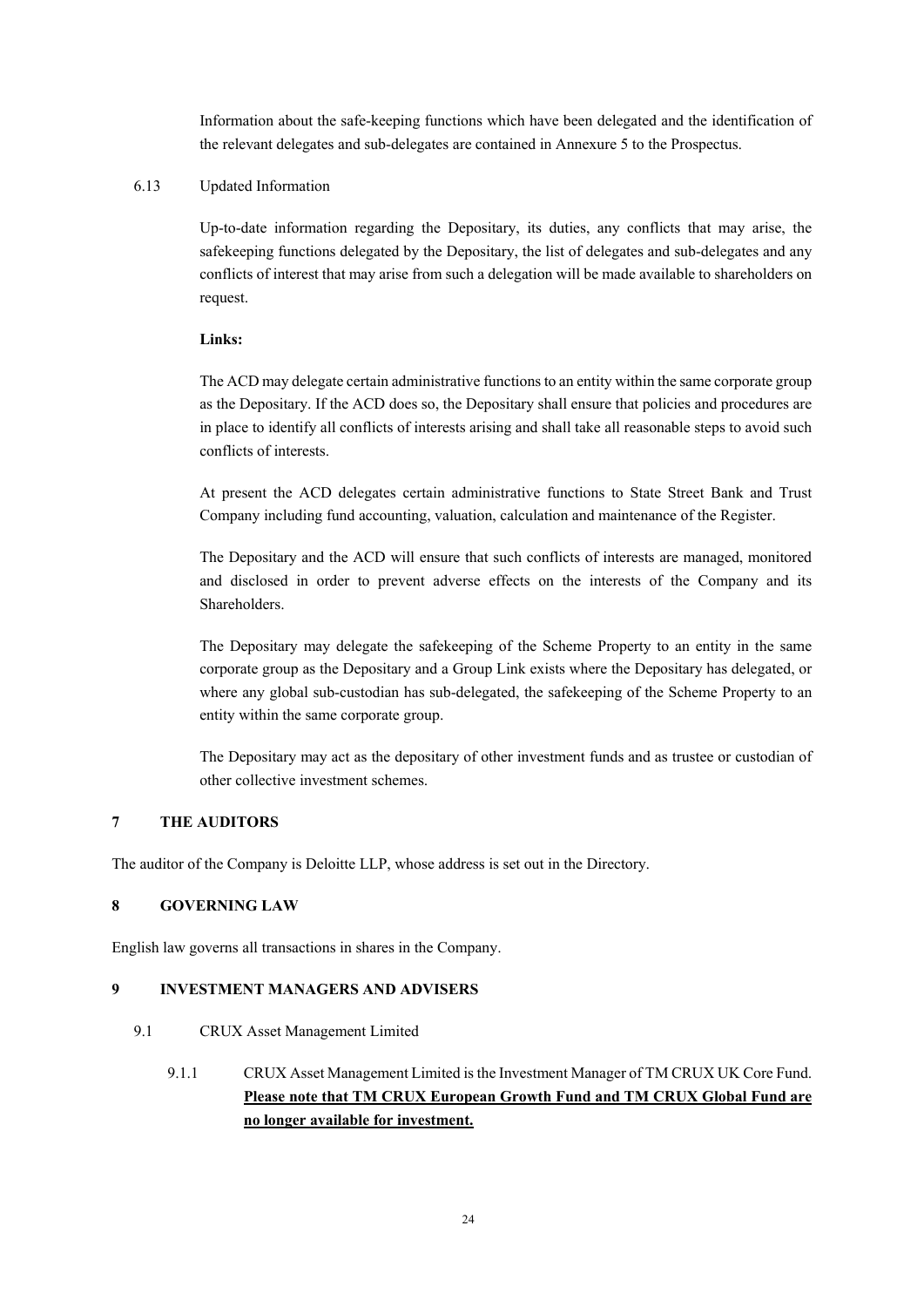Information about the safe-keeping functions which have been delegated and the identification of the relevant delegates and sub-delegates are contained in Annexure 5 to the Prospectus.

# 6.13 Updated Information

Up-to-date information regarding the Depositary, its duties, any conflicts that may arise, the safekeeping functions delegated by the Depositary, the list of delegates and sub-delegates and any conflicts of interest that may arise from such a delegation will be made available to shareholders on request.

# **Links:**

The ACD may delegate certain administrative functions to an entity within the same corporate group as the Depositary. If the ACD does so, the Depositary shall ensure that policies and procedures are in place to identify all conflicts of interests arising and shall take all reasonable steps to avoid such conflicts of interests.

At present the ACD delegates certain administrative functions to State Street Bank and Trust Company including fund accounting, valuation, calculation and maintenance of the Register.

The Depositary and the ACD will ensure that such conflicts of interests are managed, monitored and disclosed in order to prevent adverse effects on the interests of the Company and its Shareholders.

The Depositary may delegate the safekeeping of the Scheme Property to an entity in the same corporate group as the Depositary and a Group Link exists where the Depositary has delegated, or where any global sub-custodian has sub-delegated, the safekeeping of the Scheme Property to an entity within the same corporate group.

The Depositary may act as the depositary of other investment funds and as trustee or custodian of other collective investment schemes.

# **7 THE AUDITORS**

The auditor of the Company is Deloitte LLP, whose address is set out in the Directory.

# **8 GOVERNING LAW**

English law governs all transactions in shares in the Company.

## **9 INVESTMENT MANAGERS AND ADVISERS**

- 9.1 CRUX Asset Management Limited
	- 9.1.1 CRUX Asset Management Limited is the Investment Manager of TM CRUX UK Core Fund. **Please note that TM CRUX European Growth Fund and TM CRUX Global Fund are no longer available for investment.**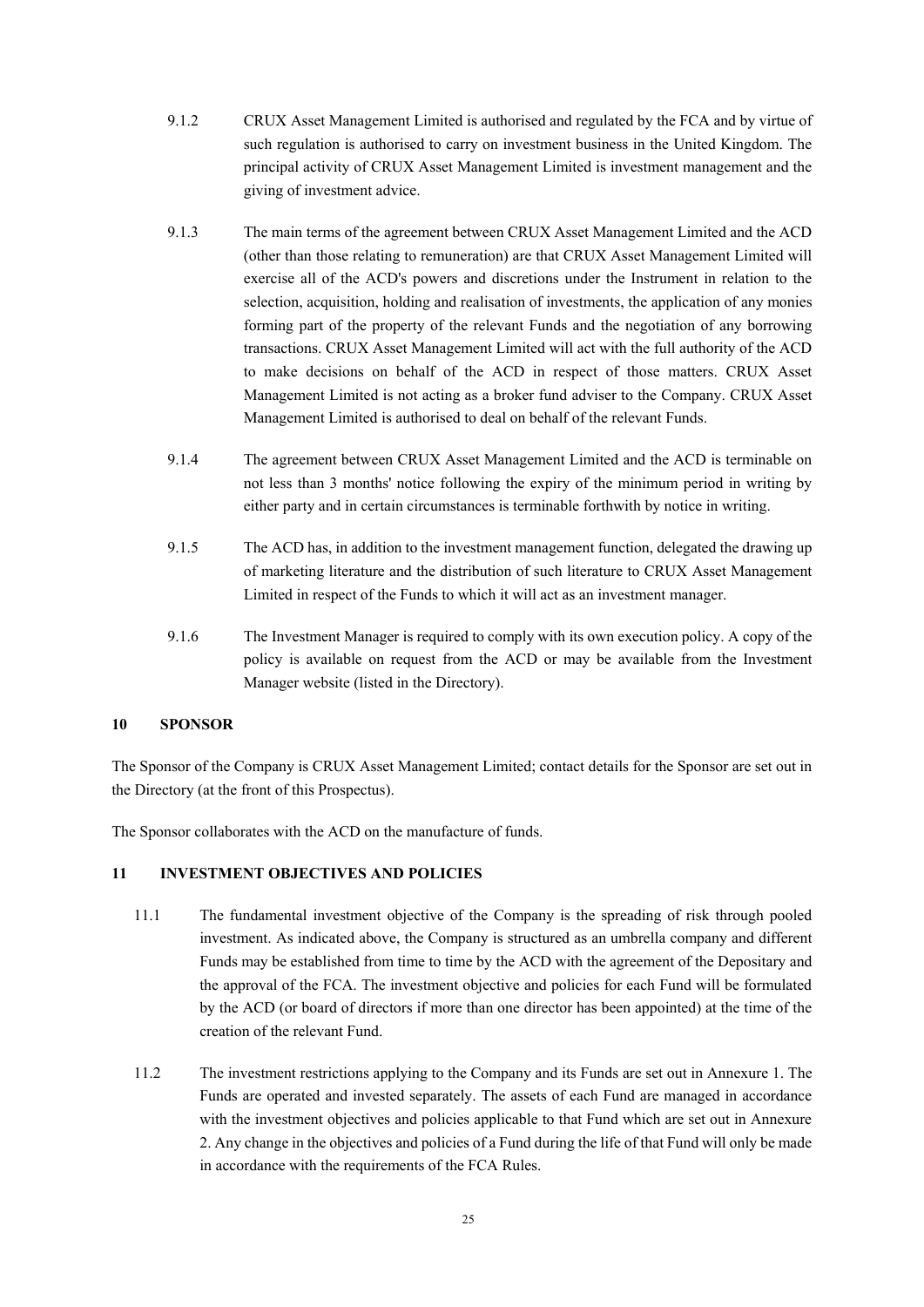- 9.1.2 CRUX Asset Management Limited is authorised and regulated by the FCA and by virtue of such regulation is authorised to carry on investment business in the United Kingdom. The principal activity of CRUX Asset Management Limited is investment management and the giving of investment advice.
- 9.1.3 The main terms of the agreement between CRUX Asset Management Limited and the ACD (other than those relating to remuneration) are that CRUX Asset Management Limited will exercise all of the ACD's powers and discretions under the Instrument in relation to the selection, acquisition, holding and realisation of investments, the application of any monies forming part of the property of the relevant Funds and the negotiation of any borrowing transactions. CRUX Asset Management Limited will act with the full authority of the ACD to make decisions on behalf of the ACD in respect of those matters. CRUX Asset Management Limited is not acting as a broker fund adviser to the Company. CRUX Asset Management Limited is authorised to deal on behalf of the relevant Funds.
- 9.1.4 The agreement between CRUX Asset Management Limited and the ACD is terminable on not less than 3 months' notice following the expiry of the minimum period in writing by either party and in certain circumstances is terminable forthwith by notice in writing.
- 9.1.5 The ACD has, in addition to the investment management function, delegated the drawing up of marketing literature and the distribution of such literature to CRUX Asset Management Limited in respect of the Funds to which it will act as an investment manager.
- 9.1.6 The Investment Manager is required to comply with its own execution policy. A copy of the policy is available on request from the ACD or may be available from the Investment Manager website (listed in the Directory).

### **10 SPONSOR**

The Sponsor of the Company is CRUX Asset Management Limited; contact details for the Sponsor are set out in the Directory (at the front of this Prospectus).

The Sponsor collaborates with the ACD on the manufacture of funds.

## **11 INVESTMENT OBJECTIVES AND POLICIES**

- 11.1 The fundamental investment objective of the Company is the spreading of risk through pooled investment. As indicated above, the Company is structured as an umbrella company and different Funds may be established from time to time by the ACD with the agreement of the Depositary and the approval of the FCA. The investment objective and policies for each Fund will be formulated by the ACD (or board of directors if more than one director has been appointed) at the time of the creation of the relevant Fund.
- 11.2 The investment restrictions applying to the Company and its Funds are set out in Annexure 1. The Funds are operated and invested separately. The assets of each Fund are managed in accordance with the investment objectives and policies applicable to that Fund which are set out in Annexure 2. Any change in the objectives and policies of a Fund during the life of that Fund will only be made in accordance with the requirements of the FCA Rules.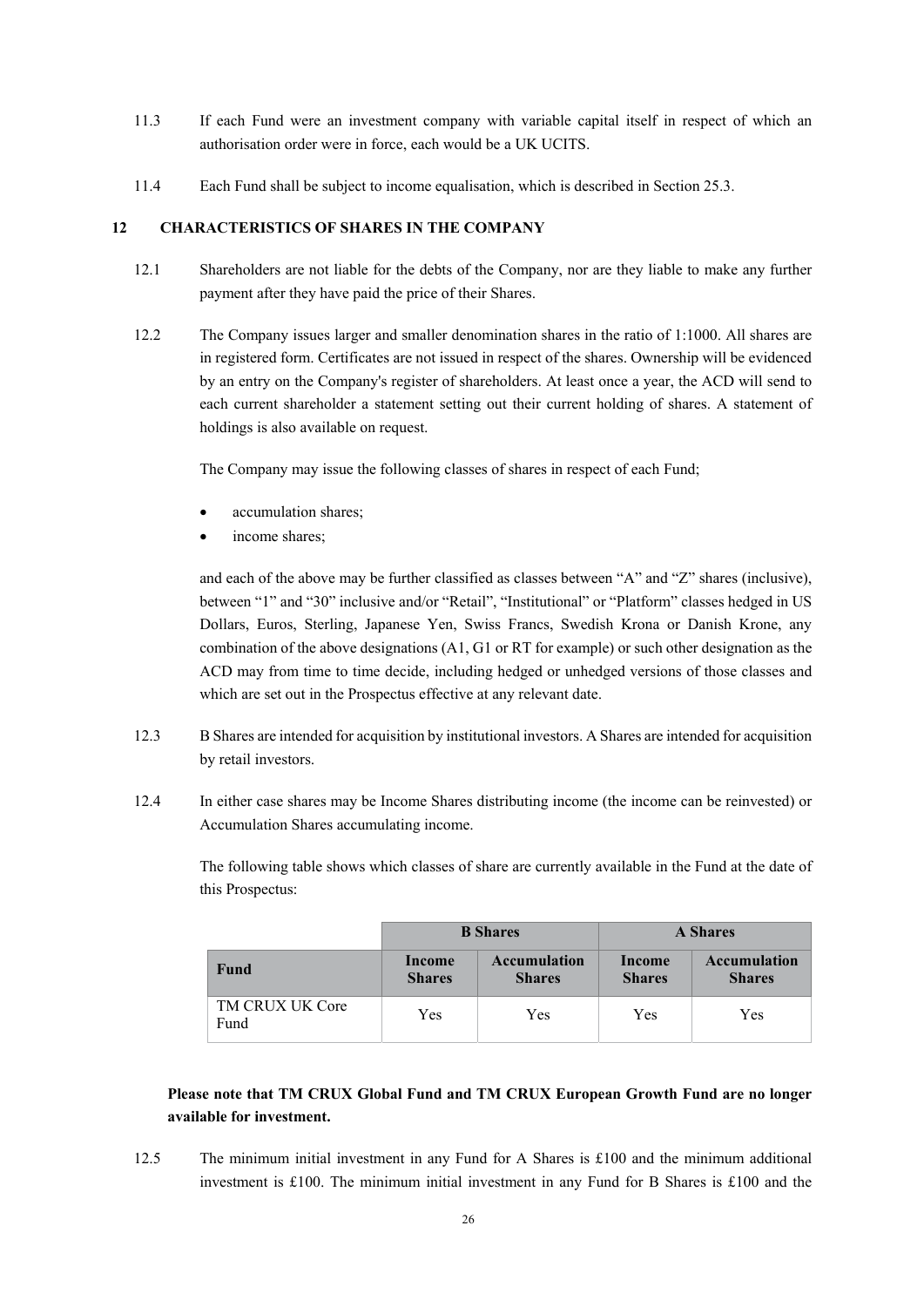- 11.3 If each Fund were an investment company with variable capital itself in respect of which an authorisation order were in force, each would be a UK UCITS.
- 11.4 Each Fund shall be subject to income equalisation, which is described in Section 25.3.

### **12 CHARACTERISTICS OF SHARES IN THE COMPANY**

- 12.1 Shareholders are not liable for the debts of the Company, nor are they liable to make any further payment after they have paid the price of their Shares.
- 12.2 The Company issues larger and smaller denomination shares in the ratio of 1:1000. All shares are in registered form. Certificates are not issued in respect of the shares. Ownership will be evidenced by an entry on the Company's register of shareholders. At least once a year, the ACD will send to each current shareholder a statement setting out their current holding of shares. A statement of holdings is also available on request.

The Company may issue the following classes of shares in respect of each Fund;

- accumulation shares;
- income shares;

and each of the above may be further classified as classes between "A" and "Z" shares (inclusive), between "1" and "30" inclusive and/or "Retail", "Institutional" or "Platform" classes hedged in US Dollars, Euros, Sterling, Japanese Yen, Swiss Francs, Swedish Krona or Danish Krone, any combination of the above designations (A1, G1 or RT for example) or such other designation as the ACD may from time to time decide, including hedged or unhedged versions of those classes and which are set out in the Prospectus effective at any relevant date.

- 12.3 B Shares are intended for acquisition by institutional investors. A Shares are intended for acquisition by retail investors.
- 12.4 In either case shares may be Income Shares distributing income (the income can be reinvested) or Accumulation Shares accumulating income.

The following table shows which classes of share are currently available in the Fund at the date of this Prospectus:

|                         |                                                                 | <b>B</b> Shares | <b>A</b> Shares         |                                      |
|-------------------------|-----------------------------------------------------------------|-----------------|-------------------------|--------------------------------------|
| Fund                    | <b>Accumulation</b><br>Income<br><b>Shares</b><br><b>Shares</b> |                 | Income<br><b>Shares</b> | <b>Accumulation</b><br><b>Shares</b> |
| TM CRUX UK Core<br>Fund | Yes                                                             | Yes             | Yes                     | Yes                                  |

# **Please note that TM CRUX Global Fund and TM CRUX European Growth Fund are no longer available for investment.**

12.5 The minimum initial investment in any Fund for A Shares is £100 and the minimum additional investment is £100. The minimum initial investment in any Fund for B Shares is £100 and the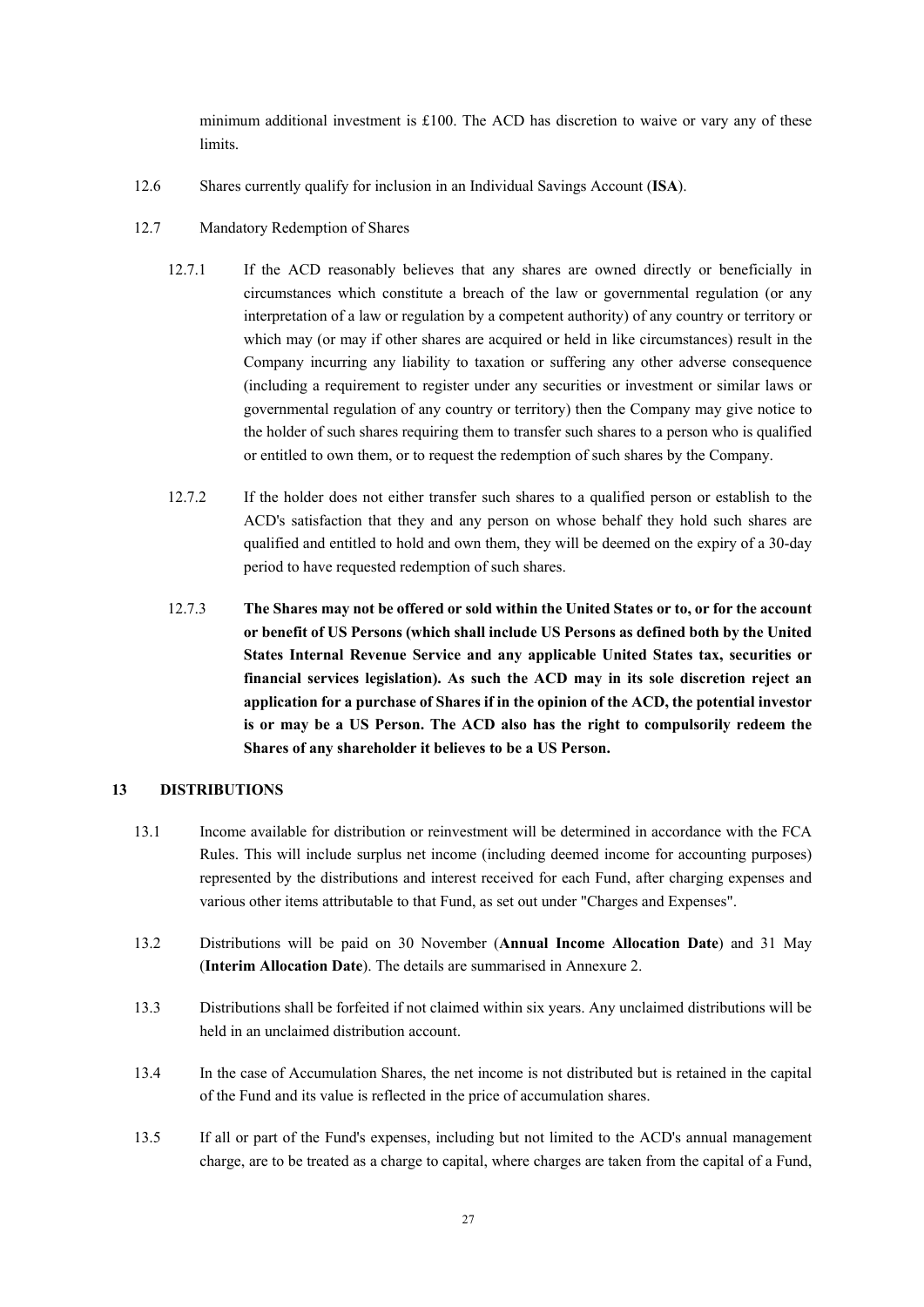minimum additional investment is £100. The ACD has discretion to waive or vary any of these limits.

- 12.6 Shares currently qualify for inclusion in an Individual Savings Account (**ISA**).
- 12.7 Mandatory Redemption of Shares
	- 12.7.1 If the ACD reasonably believes that any shares are owned directly or beneficially in circumstances which constitute a breach of the law or governmental regulation (or any interpretation of a law or regulation by a competent authority) of any country or territory or which may (or may if other shares are acquired or held in like circumstances) result in the Company incurring any liability to taxation or suffering any other adverse consequence (including a requirement to register under any securities or investment or similar laws or governmental regulation of any country or territory) then the Company may give notice to the holder of such shares requiring them to transfer such shares to a person who is qualified or entitled to own them, or to request the redemption of such shares by the Company.
	- 12.7.2 If the holder does not either transfer such shares to a qualified person or establish to the ACD's satisfaction that they and any person on whose behalf they hold such shares are qualified and entitled to hold and own them, they will be deemed on the expiry of a 30-day period to have requested redemption of such shares.
	- 12.7.3 **The Shares may not be offered or sold within the United States or to, or for the account or benefit of US Persons (which shall include US Persons as defined both by the United States Internal Revenue Service and any applicable United States tax, securities or financial services legislation). As such the ACD may in its sole discretion reject an application for a purchase of Shares if in the opinion of the ACD, the potential investor is or may be a US Person. The ACD also has the right to compulsorily redeem the Shares of any shareholder it believes to be a US Person.**

### **13 DISTRIBUTIONS**

- 13.1 Income available for distribution or reinvestment will be determined in accordance with the FCA Rules. This will include surplus net income (including deemed income for accounting purposes) represented by the distributions and interest received for each Fund, after charging expenses and various other items attributable to that Fund, as set out under "Charges and Expenses".
- 13.2 Distributions will be paid on 30 November (**Annual Income Allocation Date**) and 31 May (**Interim Allocation Date**). The details are summarised in Annexure 2.
- 13.3 Distributions shall be forfeited if not claimed within six years. Any unclaimed distributions will be held in an unclaimed distribution account.
- 13.4 In the case of Accumulation Shares, the net income is not distributed but is retained in the capital of the Fund and its value is reflected in the price of accumulation shares.
- 13.5 If all or part of the Fund's expenses, including but not limited to the ACD's annual management charge, are to be treated as a charge to capital, where charges are taken from the capital of a Fund,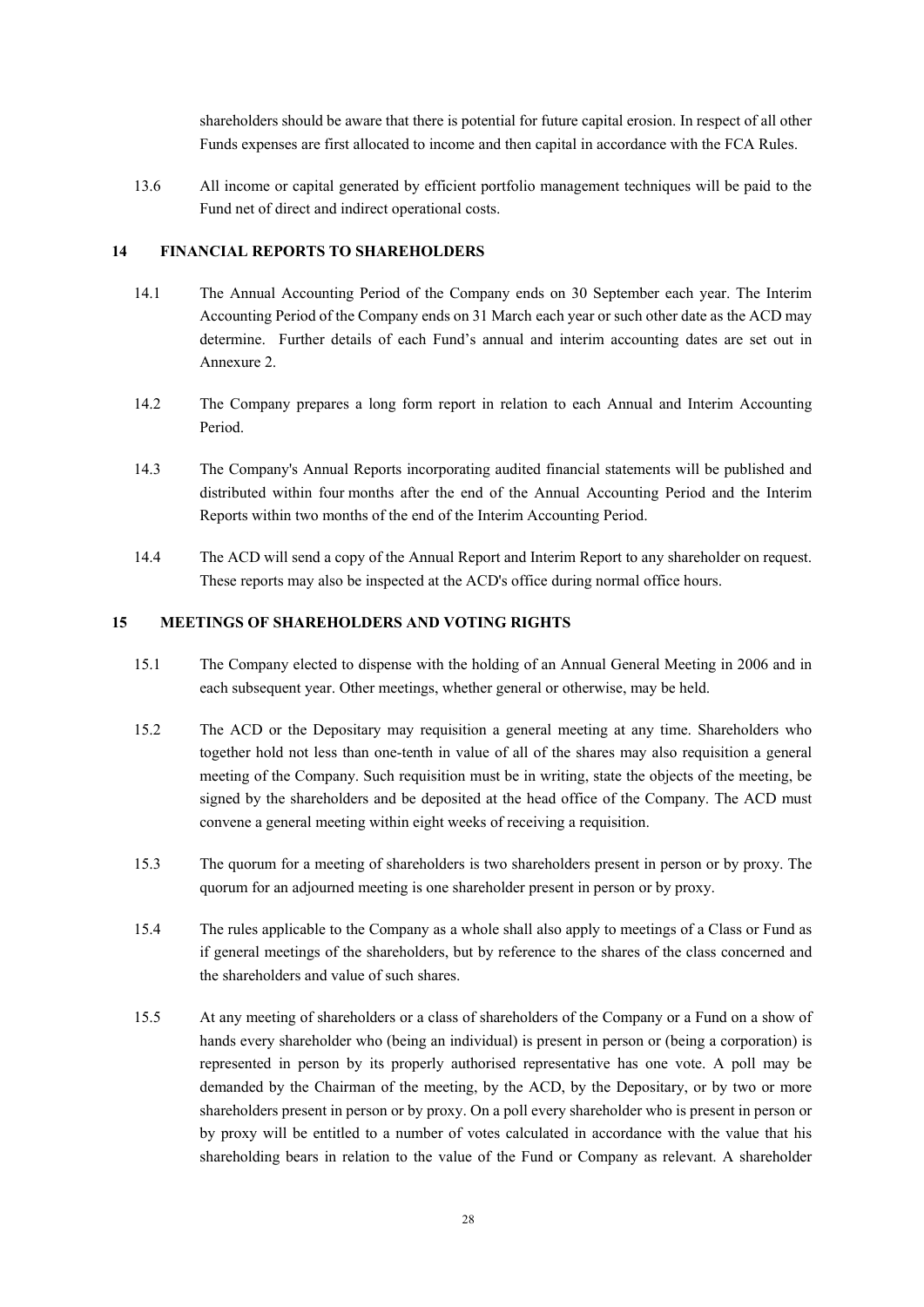shareholders should be aware that there is potential for future capital erosion. In respect of all other Funds expenses are first allocated to income and then capital in accordance with the FCA Rules.

13.6 All income or capital generated by efficient portfolio management techniques will be paid to the Fund net of direct and indirect operational costs.

# **14 FINANCIAL REPORTS TO SHAREHOLDERS**

- 14.1 The Annual Accounting Period of the Company ends on 30 September each year. The Interim Accounting Period of the Company ends on 31 March each year or such other date as the ACD may determine. Further details of each Fund's annual and interim accounting dates are set out in Annexure 2.
- 14.2 The Company prepares a long form report in relation to each Annual and Interim Accounting Period.
- 14.3 The Company's Annual Reports incorporating audited financial statements will be published and distributed within four months after the end of the Annual Accounting Period and the Interim Reports within two months of the end of the Interim Accounting Period.
- 14.4 The ACD will send a copy of the Annual Report and Interim Report to any shareholder on request. These reports may also be inspected at the ACD's office during normal office hours.

## **15 MEETINGS OF SHAREHOLDERS AND VOTING RIGHTS**

- 15.1 The Company elected to dispense with the holding of an Annual General Meeting in 2006 and in each subsequent year. Other meetings, whether general or otherwise, may be held.
- 15.2 The ACD or the Depositary may requisition a general meeting at any time. Shareholders who together hold not less than one-tenth in value of all of the shares may also requisition a general meeting of the Company. Such requisition must be in writing, state the objects of the meeting, be signed by the shareholders and be deposited at the head office of the Company. The ACD must convene a general meeting within eight weeks of receiving a requisition.
- 15.3 The quorum for a meeting of shareholders is two shareholders present in person or by proxy. The quorum for an adjourned meeting is one shareholder present in person or by proxy.
- 15.4 The rules applicable to the Company as a whole shall also apply to meetings of a Class or Fund as if general meetings of the shareholders, but by reference to the shares of the class concerned and the shareholders and value of such shares.
- 15.5 At any meeting of shareholders or a class of shareholders of the Company or a Fund on a show of hands every shareholder who (being an individual) is present in person or (being a corporation) is represented in person by its properly authorised representative has one vote. A poll may be demanded by the Chairman of the meeting, by the ACD, by the Depositary, or by two or more shareholders present in person or by proxy. On a poll every shareholder who is present in person or by proxy will be entitled to a number of votes calculated in accordance with the value that his shareholding bears in relation to the value of the Fund or Company as relevant. A shareholder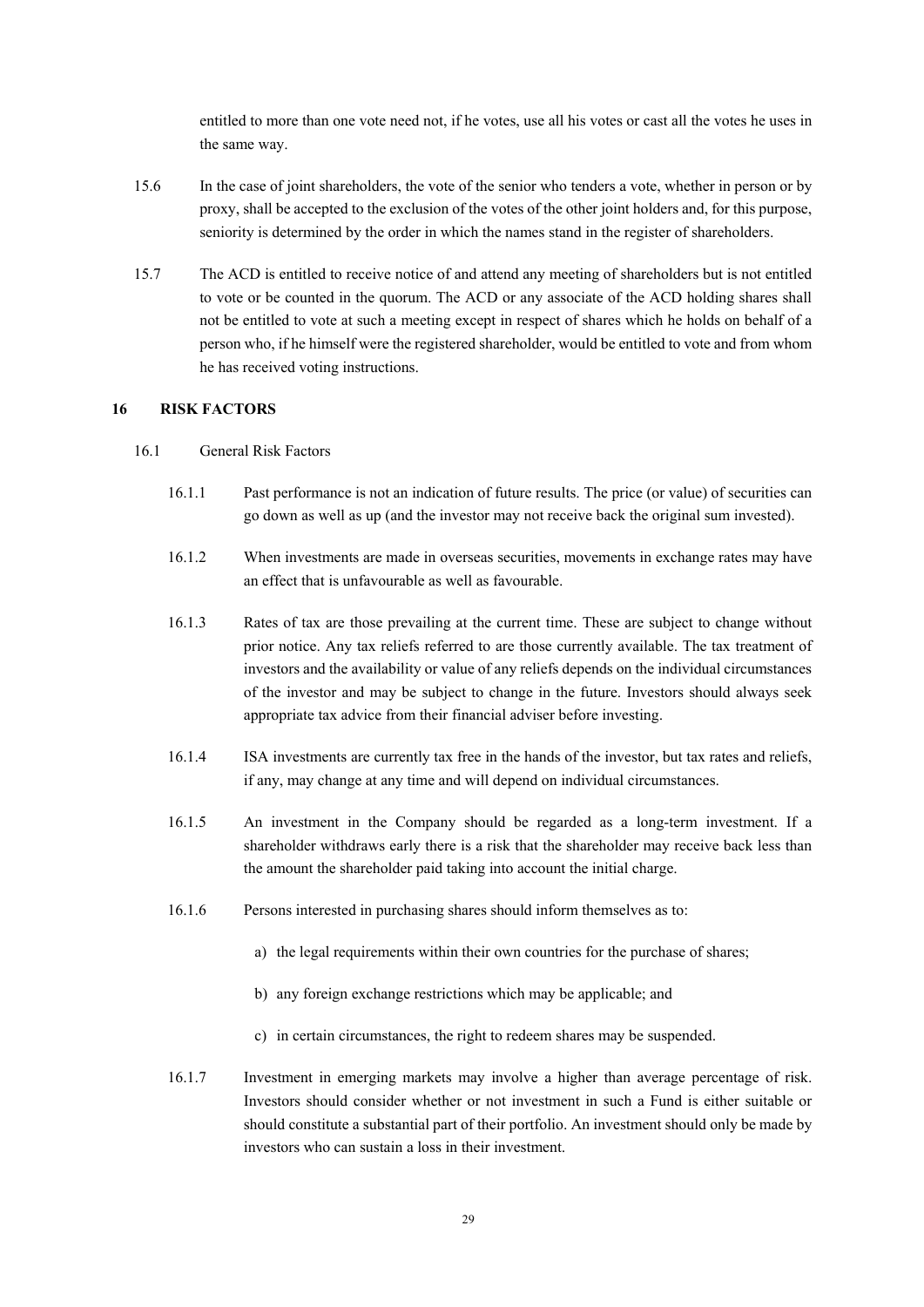entitled to more than one vote need not, if he votes, use all his votes or cast all the votes he uses in the same way.

- 15.6 In the case of joint shareholders, the vote of the senior who tenders a vote, whether in person or by proxy, shall be accepted to the exclusion of the votes of the other joint holders and, for this purpose, seniority is determined by the order in which the names stand in the register of shareholders.
- 15.7 The ACD is entitled to receive notice of and attend any meeting of shareholders but is not entitled to vote or be counted in the quorum. The ACD or any associate of the ACD holding shares shall not be entitled to vote at such a meeting except in respect of shares which he holds on behalf of a person who, if he himself were the registered shareholder, would be entitled to vote and from whom he has received voting instructions.

#### **16 RISK FACTORS**

## 16.1 General Risk Factors

- 16.1.1 Past performance is not an indication of future results. The price (or value) of securities can go down as well as up (and the investor may not receive back the original sum invested).
- 16.1.2 When investments are made in overseas securities, movements in exchange rates may have an effect that is unfavourable as well as favourable.
- 16.1.3 Rates of tax are those prevailing at the current time. These are subject to change without prior notice. Any tax reliefs referred to are those currently available. The tax treatment of investors and the availability or value of any reliefs depends on the individual circumstances of the investor and may be subject to change in the future. Investors should always seek appropriate tax advice from their financial adviser before investing.
- 16.1.4 ISA investments are currently tax free in the hands of the investor, but tax rates and reliefs, if any, may change at any time and will depend on individual circumstances.
- 16.1.5 An investment in the Company should be regarded as a long-term investment. If a shareholder withdraws early there is a risk that the shareholder may receive back less than the amount the shareholder paid taking into account the initial charge.
- 16.1.6 Persons interested in purchasing shares should inform themselves as to:
	- a) the legal requirements within their own countries for the purchase of shares;
	- b) any foreign exchange restrictions which may be applicable; and
	- c) in certain circumstances, the right to redeem shares may be suspended.
- 16.1.7 Investment in emerging markets may involve a higher than average percentage of risk. Investors should consider whether or not investment in such a Fund is either suitable or should constitute a substantial part of their portfolio. An investment should only be made by investors who can sustain a loss in their investment.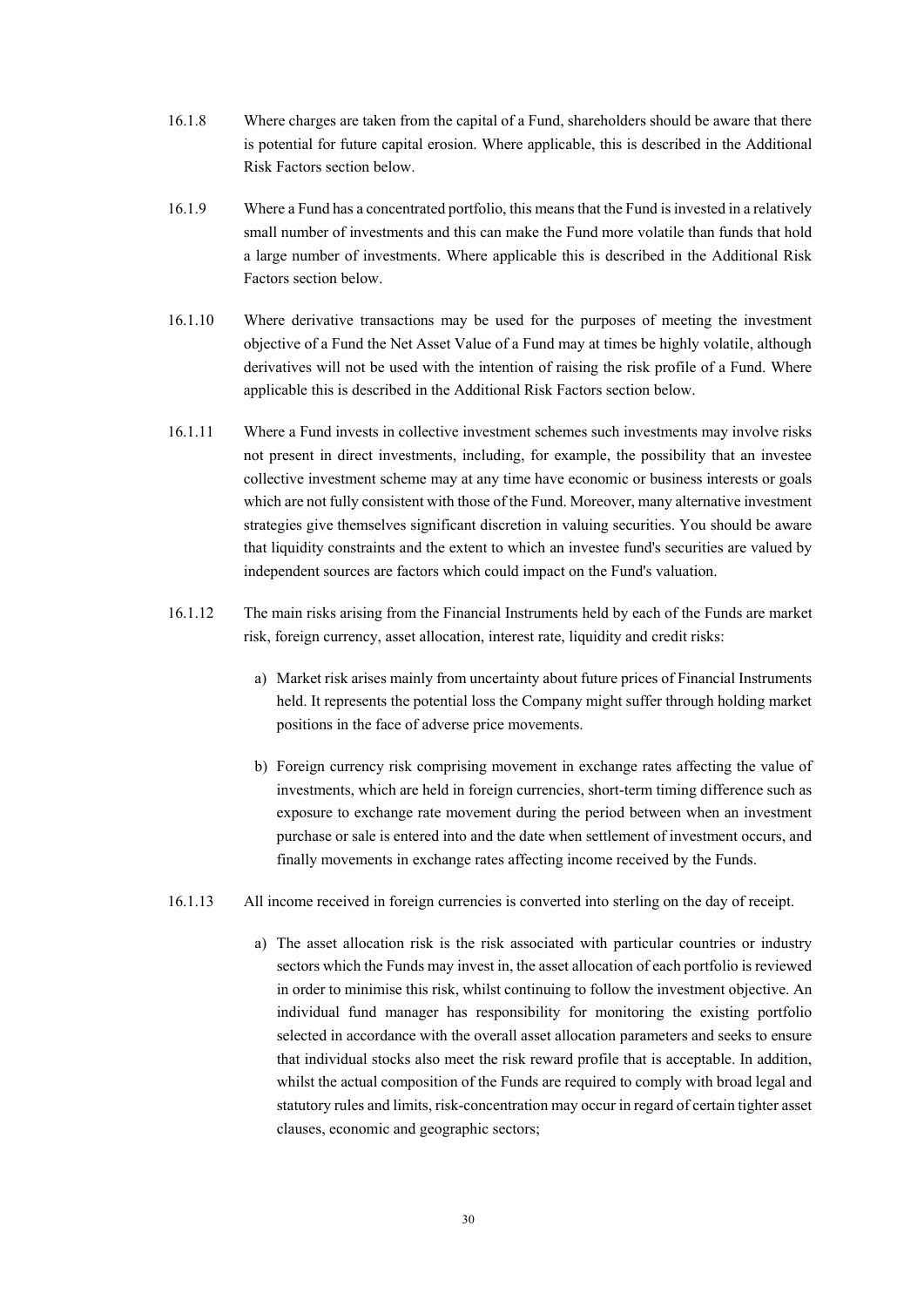- 16.1.8 Where charges are taken from the capital of a Fund, shareholders should be aware that there is potential for future capital erosion. Where applicable, this is described in the Additional Risk Factors section below.
- 16.1.9 Where a Fund has a concentrated portfolio, this means that the Fund is invested in a relatively small number of investments and this can make the Fund more volatile than funds that hold a large number of investments. Where applicable this is described in the Additional Risk Factors section below.
- 16.1.10 Where derivative transactions may be used for the purposes of meeting the investment objective of a Fund the Net Asset Value of a Fund may at times be highly volatile, although derivatives will not be used with the intention of raising the risk profile of a Fund. Where applicable this is described in the Additional Risk Factors section below.
- 16.1.11 Where a Fund invests in collective investment schemes such investments may involve risks not present in direct investments, including, for example, the possibility that an investee collective investment scheme may at any time have economic or business interests or goals which are not fully consistent with those of the Fund. Moreover, many alternative investment strategies give themselves significant discretion in valuing securities. You should be aware that liquidity constraints and the extent to which an investee fund's securities are valued by independent sources are factors which could impact on the Fund's valuation.
- 16.1.12 The main risks arising from the Financial Instruments held by each of the Funds are market risk, foreign currency, asset allocation, interest rate, liquidity and credit risks:
	- a) Market risk arises mainly from uncertainty about future prices of Financial Instruments held. It represents the potential loss the Company might suffer through holding market positions in the face of adverse price movements.
	- b) Foreign currency risk comprising movement in exchange rates affecting the value of investments, which are held in foreign currencies, short-term timing difference such as exposure to exchange rate movement during the period between when an investment purchase or sale is entered into and the date when settlement of investment occurs, and finally movements in exchange rates affecting income received by the Funds.
- 16.1.13 All income received in foreign currencies is converted into sterling on the day of receipt.
	- a) The asset allocation risk is the risk associated with particular countries or industry sectors which the Funds may invest in, the asset allocation of each portfolio is reviewed in order to minimise this risk, whilst continuing to follow the investment objective. An individual fund manager has responsibility for monitoring the existing portfolio selected in accordance with the overall asset allocation parameters and seeks to ensure that individual stocks also meet the risk reward profile that is acceptable. In addition, whilst the actual composition of the Funds are required to comply with broad legal and statutory rules and limits, risk-concentration may occur in regard of certain tighter asset clauses, economic and geographic sectors;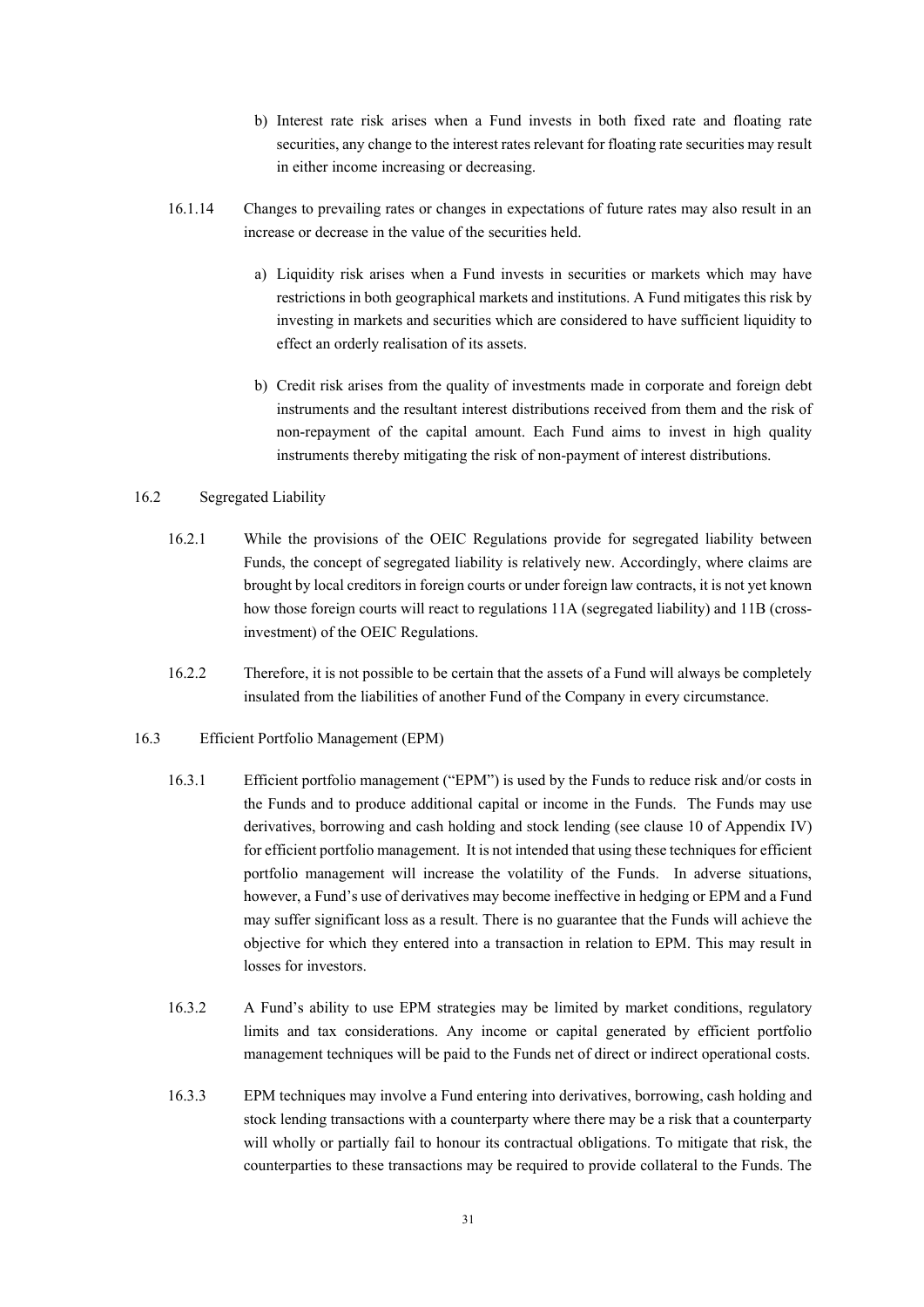- b) Interest rate risk arises when a Fund invests in both fixed rate and floating rate securities, any change to the interest rates relevant for floating rate securities may result in either income increasing or decreasing.
- 16.1.14 Changes to prevailing rates or changes in expectations of future rates may also result in an increase or decrease in the value of the securities held.
	- a) Liquidity risk arises when a Fund invests in securities or markets which may have restrictions in both geographical markets and institutions. A Fund mitigates this risk by investing in markets and securities which are considered to have sufficient liquidity to effect an orderly realisation of its assets.
	- b) Credit risk arises from the quality of investments made in corporate and foreign debt instruments and the resultant interest distributions received from them and the risk of non-repayment of the capital amount. Each Fund aims to invest in high quality instruments thereby mitigating the risk of non-payment of interest distributions.

#### 16.2 Segregated Liability

- 16.2.1 While the provisions of the OEIC Regulations provide for segregated liability between Funds, the concept of segregated liability is relatively new. Accordingly, where claims are brought by local creditors in foreign courts or under foreign law contracts, it is not yet known how those foreign courts will react to regulations 11A (segregated liability) and 11B (crossinvestment) of the OEIC Regulations.
- 16.2.2 Therefore, it is not possible to be certain that the assets of a Fund will always be completely insulated from the liabilities of another Fund of the Company in every circumstance.

#### 16.3 Efficient Portfolio Management (EPM)

- 16.3.1 Efficient portfolio management ("EPM") is used by the Funds to reduce risk and/or costs in the Funds and to produce additional capital or income in the Funds. The Funds may use derivatives, borrowing and cash holding and stock lending (see clause 10 of Appendix IV) for efficient portfolio management. It is not intended that using these techniques for efficient portfolio management will increase the volatility of the Funds. In adverse situations, however, a Fund's use of derivatives may become ineffective in hedging or EPM and a Fund may suffer significant loss as a result. There is no guarantee that the Funds will achieve the objective for which they entered into a transaction in relation to EPM. This may result in losses for investors.
- 16.3.2 A Fund's ability to use EPM strategies may be limited by market conditions, regulatory limits and tax considerations. Any income or capital generated by efficient portfolio management techniques will be paid to the Funds net of direct or indirect operational costs.
- 16.3.3 EPM techniques may involve a Fund entering into derivatives, borrowing, cash holding and stock lending transactions with a counterparty where there may be a risk that a counterparty will wholly or partially fail to honour its contractual obligations. To mitigate that risk, the counterparties to these transactions may be required to provide collateral to the Funds. The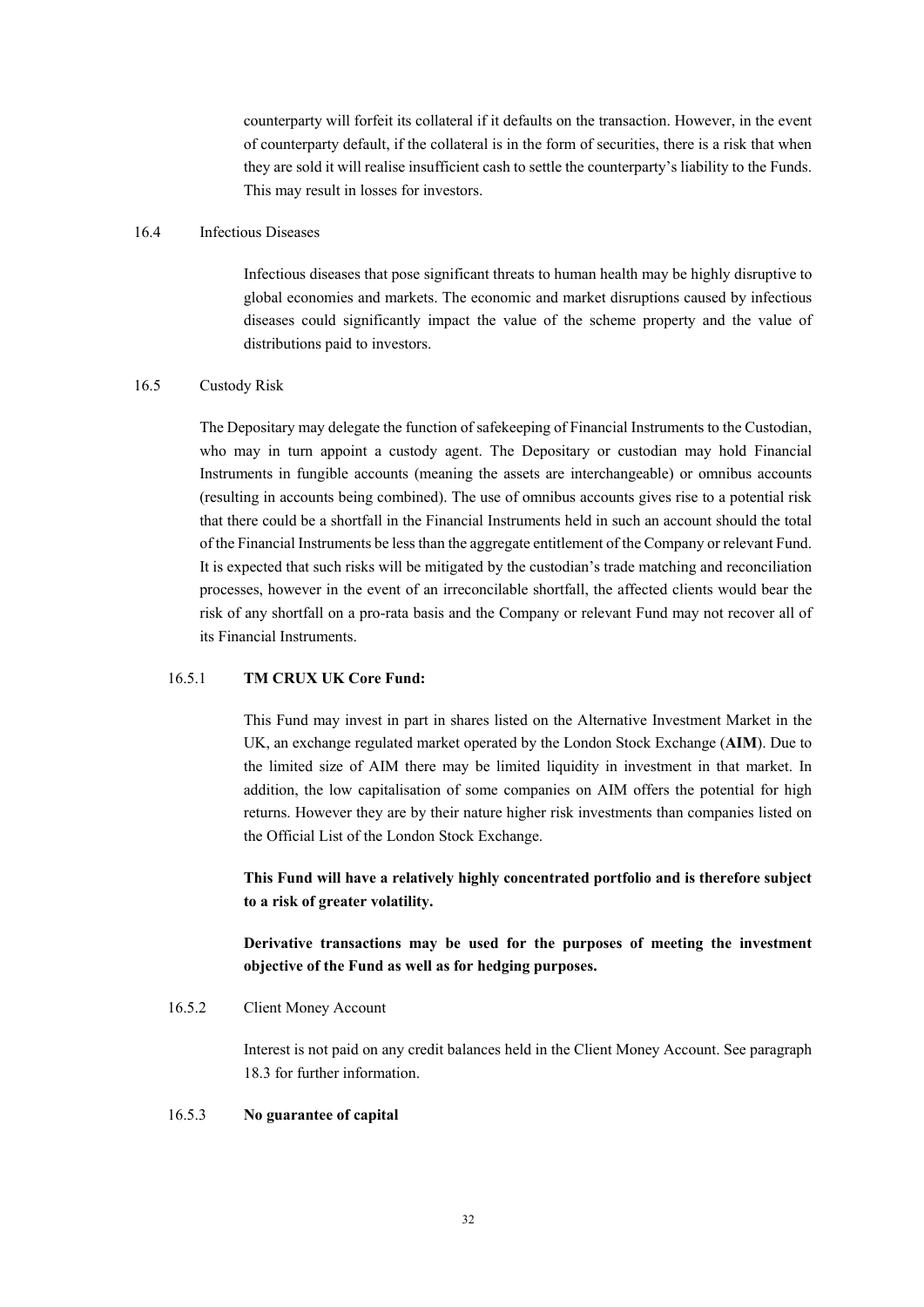counterparty will forfeit its collateral if it defaults on the transaction. However, in the event of counterparty default, if the collateral is in the form of securities, there is a risk that when they are sold it will realise insufficient cash to settle the counterparty's liability to the Funds. This may result in losses for investors.

# 16.4 Infectious Diseases

Infectious diseases that pose significant threats to human health may be highly disruptive to global economies and markets. The economic and market disruptions caused by infectious diseases could significantly impact the value of the scheme property and the value of distributions paid to investors.

### 16.5 Custody Risk

The Depositary may delegate the function of safekeeping of Financial Instruments to the Custodian, who may in turn appoint a custody agent. The Depositary or custodian may hold Financial Instruments in fungible accounts (meaning the assets are interchangeable) or omnibus accounts (resulting in accounts being combined). The use of omnibus accounts gives rise to a potential risk that there could be a shortfall in the Financial Instruments held in such an account should the total of the Financial Instruments be less than the aggregate entitlement of the Company or relevant Fund. It is expected that such risks will be mitigated by the custodian's trade matching and reconciliation processes, however in the event of an irreconcilable shortfall, the affected clients would bear the risk of any shortfall on a pro-rata basis and the Company or relevant Fund may not recover all of its Financial Instruments.

# 16.5.1 **TM CRUX UK Core Fund:**

This Fund may invest in part in shares listed on the Alternative Investment Market in the UK, an exchange regulated market operated by the London Stock Exchange (**AIM**). Due to the limited size of AIM there may be limited liquidity in investment in that market. In addition, the low capitalisation of some companies on AIM offers the potential for high returns. However they are by their nature higher risk investments than companies listed on the Official List of the London Stock Exchange.

**This Fund will have a relatively highly concentrated portfolio and is therefore subject to a risk of greater volatility.** 

**Derivative transactions may be used for the purposes of meeting the investment objective of the Fund as well as for hedging purposes.** 

### 16.5.2 Client Money Account

Interest is not paid on any credit balances held in the Client Money Account. See paragraph 18.3 for further information.

### 16.5.3 **No guarantee of capital**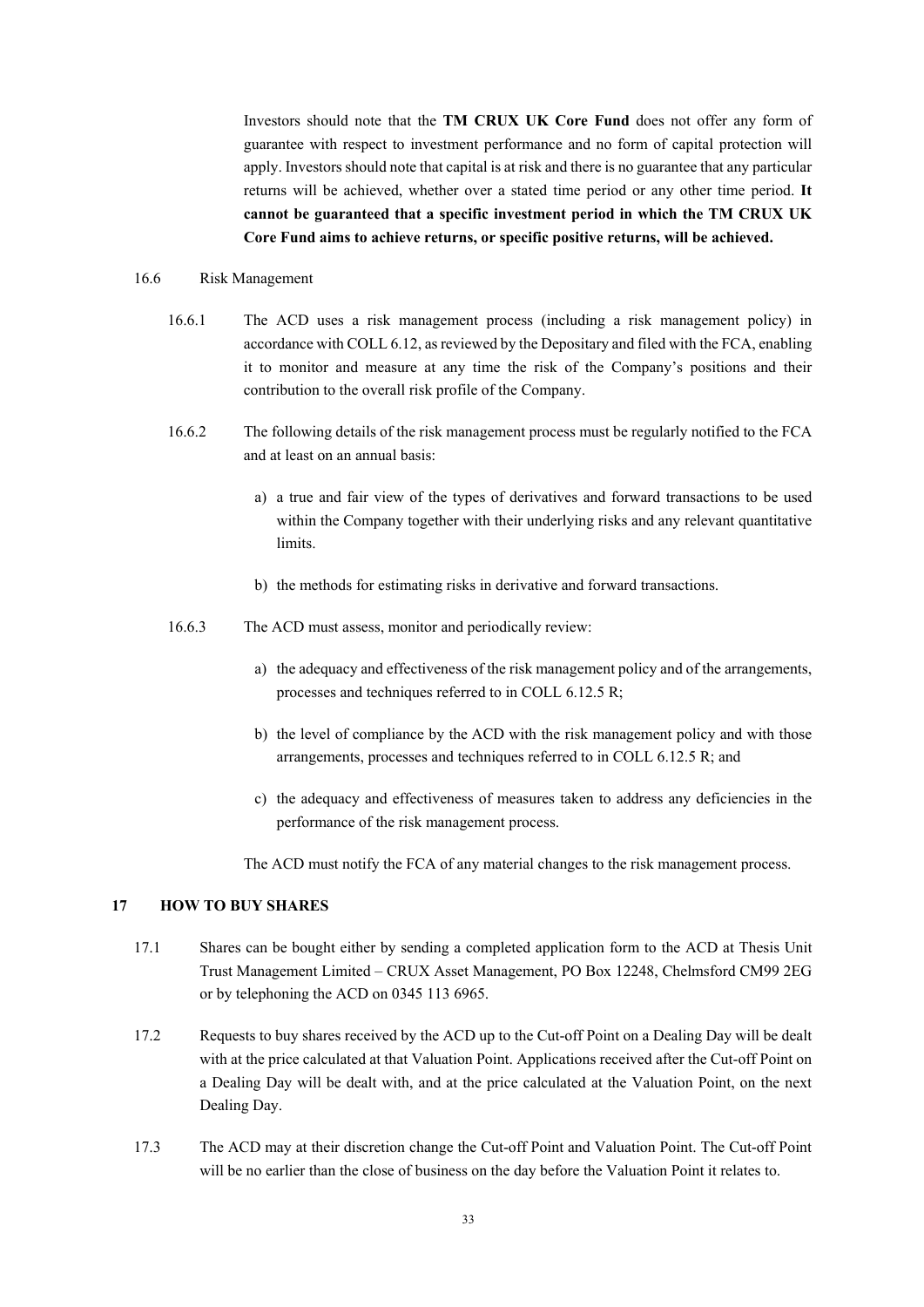Investors should note that the **TM CRUX UK Core Fund** does not offer any form of guarantee with respect to investment performance and no form of capital protection will apply. Investors should note that capital is at risk and there is no guarantee that any particular returns will be achieved, whether over a stated time period or any other time period. **It cannot be guaranteed that a specific investment period in which the TM CRUX UK Core Fund aims to achieve returns, or specific positive returns, will be achieved.**

### 16.6 Risk Management

- 16.6.1 The ACD uses a risk management process (including a risk management policy) in accordance with COLL 6.12, as reviewed by the Depositary and filed with the FCA, enabling it to monitor and measure at any time the risk of the Company's positions and their contribution to the overall risk profile of the Company.
- 16.6.2 The following details of the risk management process must be regularly notified to the FCA and at least on an annual basis:
	- a) a true and fair view of the types of derivatives and forward transactions to be used within the Company together with their underlying risks and any relevant quantitative limits.
	- b) the methods for estimating risks in derivative and forward transactions.
- 16.6.3 The ACD must assess, monitor and periodically review:
	- a) the adequacy and effectiveness of the risk management policy and of the arrangements, processes and techniques referred to in COLL 6.12.5 R;
	- b) the level of compliance by the ACD with the risk management policy and with those arrangements, processes and techniques referred to in COLL 6.12.5 R; and
	- c) the adequacy and effectiveness of measures taken to address any deficiencies in the performance of the risk management process.

The ACD must notify the FCA of any material changes to the risk management process.

### **17 HOW TO BUY SHARES**

- 17.1 Shares can be bought either by sending a completed application form to the ACD at Thesis Unit Trust Management Limited – CRUX Asset Management, PO Box 12248, Chelmsford CM99 2EG or by telephoning the ACD on 0345 113 6965.
- 17.2 Requests to buy shares received by the ACD up to the Cut-off Point on a Dealing Day will be dealt with at the price calculated at that Valuation Point. Applications received after the Cut-off Point on a Dealing Day will be dealt with, and at the price calculated at the Valuation Point, on the next Dealing Day.
- 17.3 The ACD may at their discretion change the Cut-off Point and Valuation Point. The Cut-off Point will be no earlier than the close of business on the day before the Valuation Point it relates to.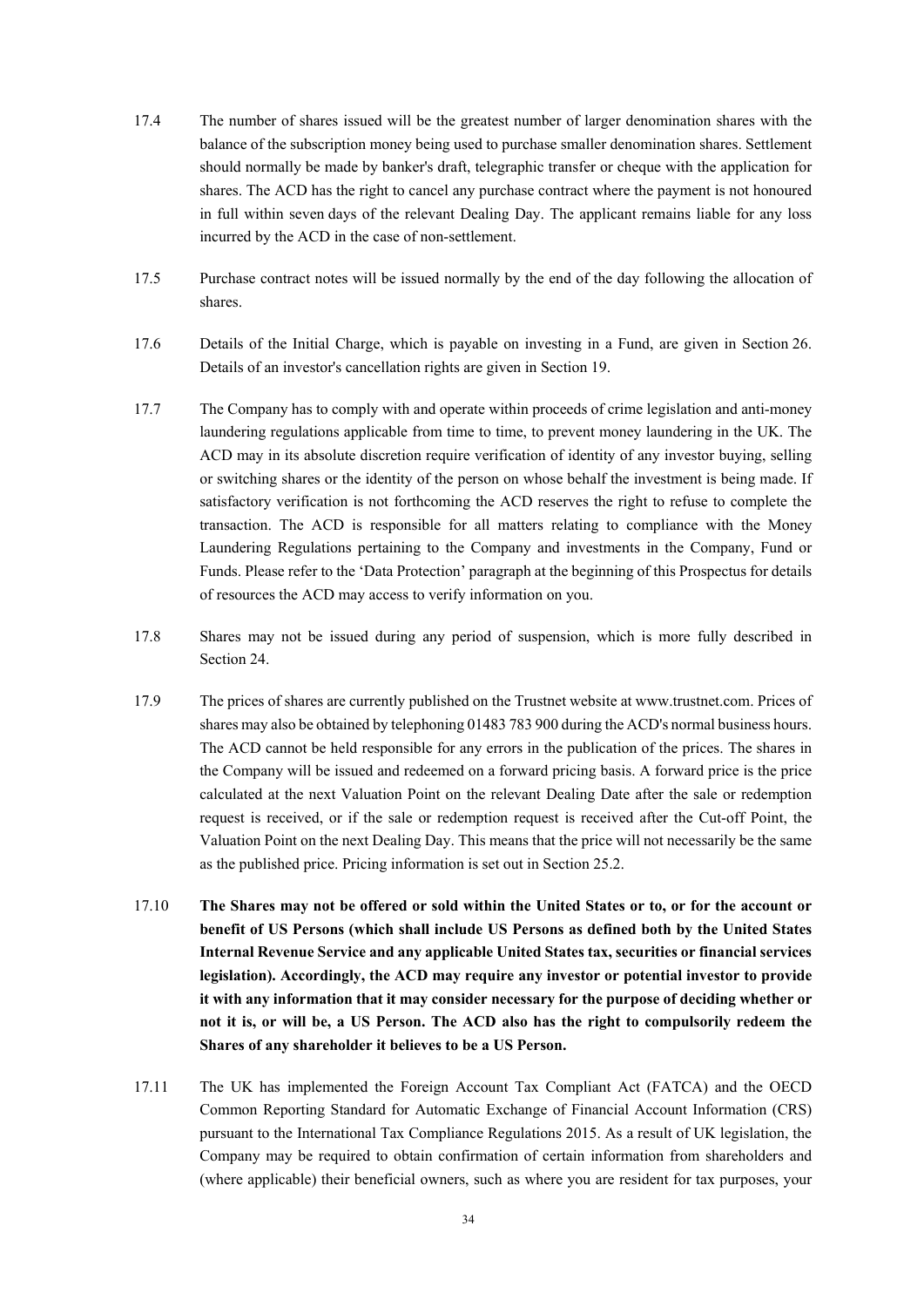- 17.4 The number of shares issued will be the greatest number of larger denomination shares with the balance of the subscription money being used to purchase smaller denomination shares. Settlement should normally be made by banker's draft, telegraphic transfer or cheque with the application for shares. The ACD has the right to cancel any purchase contract where the payment is not honoured in full within seven days of the relevant Dealing Day. The applicant remains liable for any loss incurred by the ACD in the case of non-settlement.
- 17.5 Purchase contract notes will be issued normally by the end of the day following the allocation of shares.
- 17.6 Details of the Initial Charge, which is payable on investing in a Fund, are given in Section 26. Details of an investor's cancellation rights are given in Section 19.
- 17.7 The Company has to comply with and operate within proceeds of crime legislation and anti-money laundering regulations applicable from time to time, to prevent money laundering in the UK. The ACD may in its absolute discretion require verification of identity of any investor buying, selling or switching shares or the identity of the person on whose behalf the investment is being made. If satisfactory verification is not forthcoming the ACD reserves the right to refuse to complete the transaction. The ACD is responsible for all matters relating to compliance with the Money Laundering Regulations pertaining to the Company and investments in the Company, Fund or Funds. Please refer to the 'Data Protection' paragraph at the beginning of this Prospectus for details of resources the ACD may access to verify information on you.
- 17.8 Shares may not be issued during any period of suspension, which is more fully described in Section 24.
- 17.9 The prices of shares are currently published on the Trustnet website at www.trustnet.com. Prices of shares may also be obtained by telephoning 01483 783 900 during the ACD's normal business hours. The ACD cannot be held responsible for any errors in the publication of the prices. The shares in the Company will be issued and redeemed on a forward pricing basis. A forward price is the price calculated at the next Valuation Point on the relevant Dealing Date after the sale or redemption request is received, or if the sale or redemption request is received after the Cut-off Point, the Valuation Point on the next Dealing Day. This means that the price will not necessarily be the same as the published price. Pricing information is set out in Section 25.2.
- 17.10 **The Shares may not be offered or sold within the United States or to, or for the account or benefit of US Persons (which shall include US Persons as defined both by the United States Internal Revenue Service and any applicable United States tax, securities or financial services legislation). Accordingly, the ACD may require any investor or potential investor to provide it with any information that it may consider necessary for the purpose of deciding whether or not it is, or will be, a US Person. The ACD also has the right to compulsorily redeem the Shares of any shareholder it believes to be a US Person.**
- 17.11 The UK has implemented the Foreign Account Tax Compliant Act (FATCA) and the OECD Common Reporting Standard for Automatic Exchange of Financial Account Information (CRS) pursuant to the International Tax Compliance Regulations 2015. As a result of UK legislation, the Company may be required to obtain confirmation of certain information from shareholders and (where applicable) their beneficial owners, such as where you are resident for tax purposes, your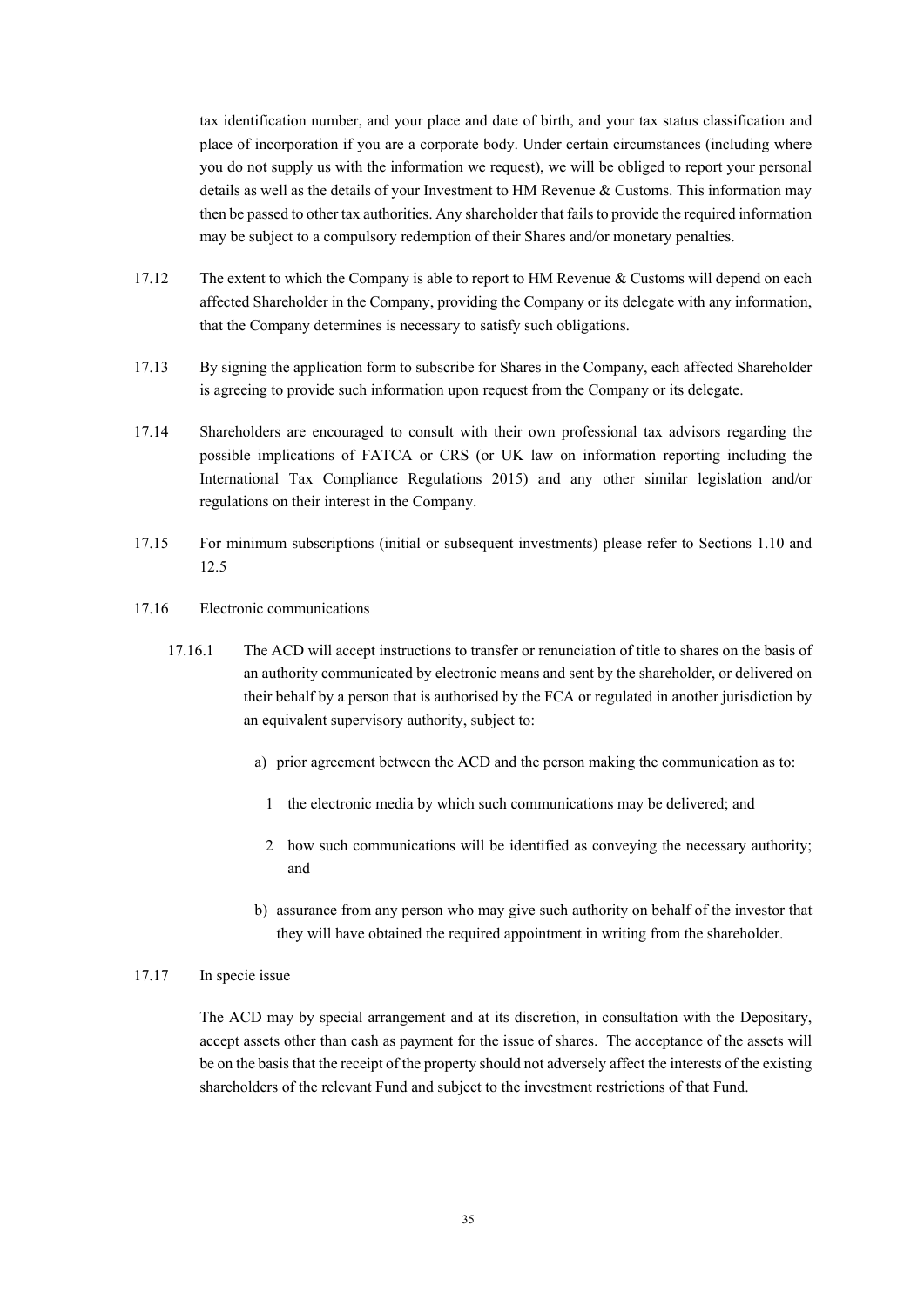tax identification number, and your place and date of birth, and your tax status classification and place of incorporation if you are a corporate body. Under certain circumstances (including where you do not supply us with the information we request), we will be obliged to report your personal details as well as the details of your Investment to HM Revenue & Customs. This information may then be passed to other tax authorities. Any shareholder that fails to provide the required information may be subject to a compulsory redemption of their Shares and/or monetary penalties.

- 17.12 The extent to which the Company is able to report to HM Revenue & Customs will depend on each affected Shareholder in the Company, providing the Company or its delegate with any information, that the Company determines is necessary to satisfy such obligations.
- 17.13 By signing the application form to subscribe for Shares in the Company, each affected Shareholder is agreeing to provide such information upon request from the Company or its delegate.
- 17.14 Shareholders are encouraged to consult with their own professional tax advisors regarding the possible implications of FATCA or CRS (or UK law on information reporting including the International Tax Compliance Regulations 2015) and any other similar legislation and/or regulations on their interest in the Company.
- 17.15 For minimum subscriptions (initial or subsequent investments) please refer to Sections 1.10 and 12.5
- 17.16 Electronic communications
	- 17.16.1 The ACD will accept instructions to transfer or renunciation of title to shares on the basis of an authority communicated by electronic means and sent by the shareholder, or delivered on their behalf by a person that is authorised by the FCA or regulated in another jurisdiction by an equivalent supervisory authority, subject to:
		- a) prior agreement between the ACD and the person making the communication as to:
			- 1 the electronic media by which such communications may be delivered; and
			- 2 how such communications will be identified as conveying the necessary authority; and
		- b) assurance from any person who may give such authority on behalf of the investor that they will have obtained the required appointment in writing from the shareholder.

### 17.17 In specie issue

The ACD may by special arrangement and at its discretion, in consultation with the Depositary, accept assets other than cash as payment for the issue of shares. The acceptance of the assets will be on the basis that the receipt of the property should not adversely affect the interests of the existing shareholders of the relevant Fund and subject to the investment restrictions of that Fund.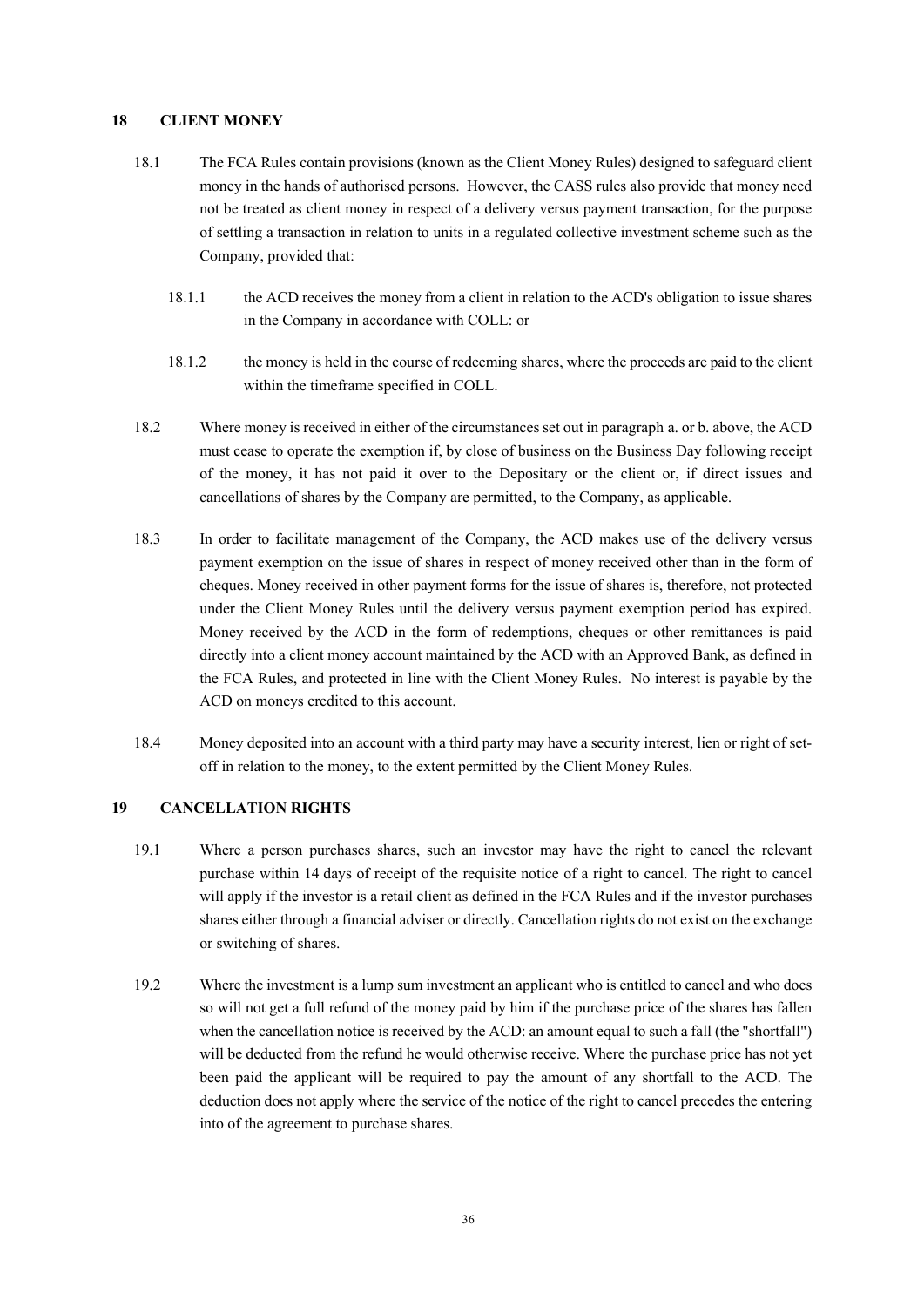### **18 CLIENT MONEY**

- 18.1 The FCA Rules contain provisions (known as the Client Money Rules) designed to safeguard client money in the hands of authorised persons. However, the CASS rules also provide that money need not be treated as client money in respect of a delivery versus payment transaction, for the purpose of settling a transaction in relation to units in a regulated collective investment scheme such as the Company, provided that:
	- 18.1.1 the ACD receives the money from a client in relation to the ACD's obligation to issue shares in the Company in accordance with COLL: or
	- 18.1.2 the money is held in the course of redeeming shares, where the proceeds are paid to the client within the timeframe specified in COLL.
- 18.2 Where money is received in either of the circumstances set out in paragraph a. or b. above, the ACD must cease to operate the exemption if, by close of business on the Business Day following receipt of the money, it has not paid it over to the Depositary or the client or, if direct issues and cancellations of shares by the Company are permitted, to the Company, as applicable.
- 18.3 In order to facilitate management of the Company, the ACD makes use of the delivery versus payment exemption on the issue of shares in respect of money received other than in the form of cheques. Money received in other payment forms for the issue of shares is, therefore, not protected under the Client Money Rules until the delivery versus payment exemption period has expired. Money received by the ACD in the form of redemptions, cheques or other remittances is paid directly into a client money account maintained by the ACD with an Approved Bank, as defined in the FCA Rules, and protected in line with the Client Money Rules. No interest is payable by the ACD on moneys credited to this account.
- 18.4 Money deposited into an account with a third party may have a security interest, lien or right of setoff in relation to the money, to the extent permitted by the Client Money Rules.

# **19 CANCELLATION RIGHTS**

- 19.1 Where a person purchases shares, such an investor may have the right to cancel the relevant purchase within 14 days of receipt of the requisite notice of a right to cancel. The right to cancel will apply if the investor is a retail client as defined in the FCA Rules and if the investor purchases shares either through a financial adviser or directly. Cancellation rights do not exist on the exchange or switching of shares.
- 19.2 Where the investment is a lump sum investment an applicant who is entitled to cancel and who does so will not get a full refund of the money paid by him if the purchase price of the shares has fallen when the cancellation notice is received by the ACD: an amount equal to such a fall (the "shortfall") will be deducted from the refund he would otherwise receive. Where the purchase price has not yet been paid the applicant will be required to pay the amount of any shortfall to the ACD. The deduction does not apply where the service of the notice of the right to cancel precedes the entering into of the agreement to purchase shares.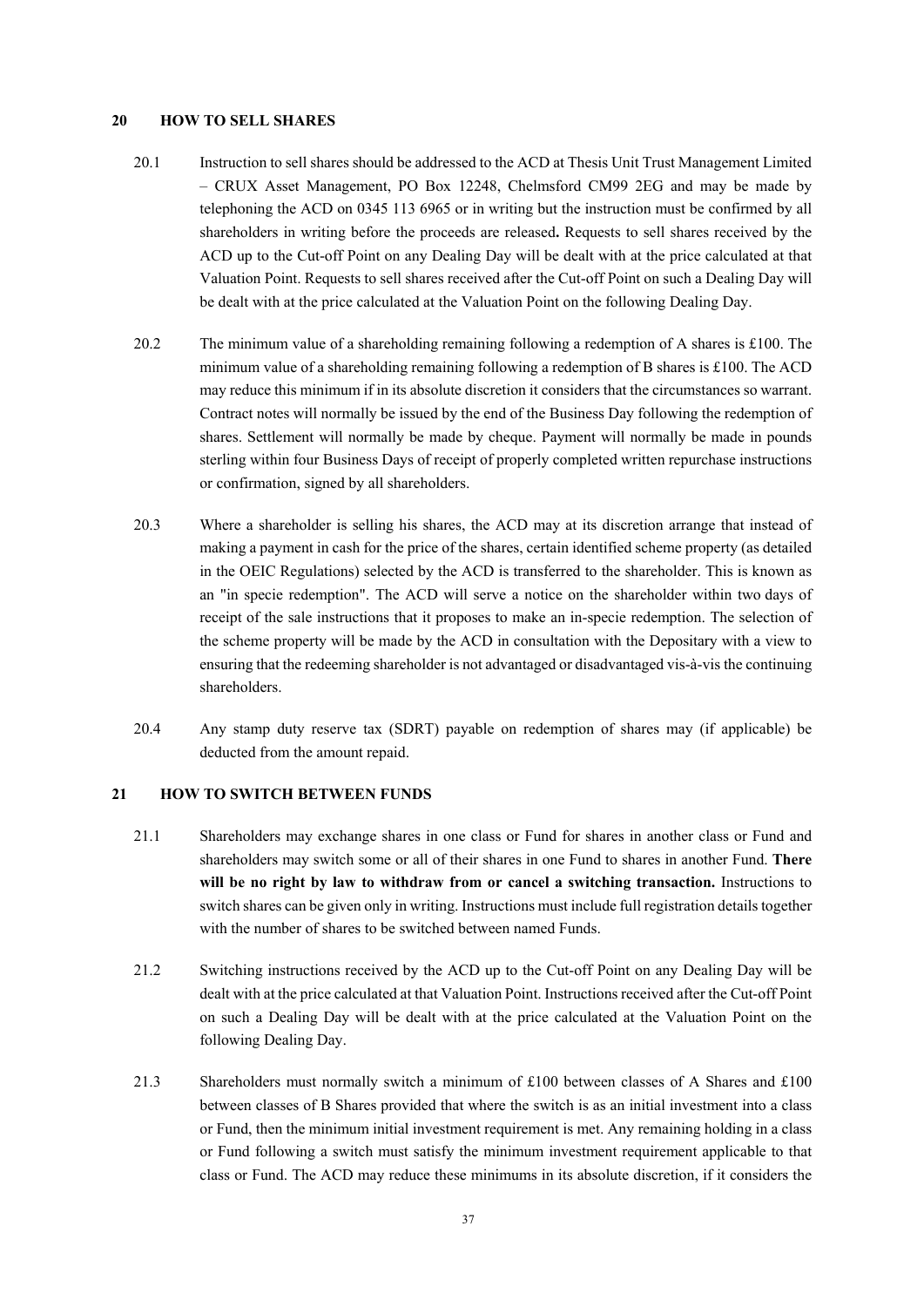#### **20 HOW TO SELL SHARES**

- 20.1 Instruction to sell shares should be addressed to the ACD at Thesis Unit Trust Management Limited – CRUX Asset Management, PO Box 12248, Chelmsford CM99 2EG and may be made by telephoning the ACD on 0345 113 6965 or in writing but the instruction must be confirmed by all shareholders in writing before the proceeds are released**.** Requests to sell shares received by the ACD up to the Cut-off Point on any Dealing Day will be dealt with at the price calculated at that Valuation Point. Requests to sell shares received after the Cut-off Point on such a Dealing Day will be dealt with at the price calculated at the Valuation Point on the following Dealing Day.
- 20.2 The minimum value of a shareholding remaining following a redemption of A shares is £100. The minimum value of a shareholding remaining following a redemption of B shares is £100. The ACD may reduce this minimum if in its absolute discretion it considers that the circumstances so warrant. Contract notes will normally be issued by the end of the Business Day following the redemption of shares. Settlement will normally be made by cheque. Payment will normally be made in pounds sterling within four Business Days of receipt of properly completed written repurchase instructions or confirmation, signed by all shareholders.
- 20.3 Where a shareholder is selling his shares, the ACD may at its discretion arrange that instead of making a payment in cash for the price of the shares, certain identified scheme property (as detailed in the OEIC Regulations) selected by the ACD is transferred to the shareholder. This is known as an "in specie redemption". The ACD will serve a notice on the shareholder within two days of receipt of the sale instructions that it proposes to make an in-specie redemption. The selection of the scheme property will be made by the ACD in consultation with the Depositary with a view to ensuring that the redeeming shareholder is not advantaged or disadvantaged vis-à-vis the continuing shareholders.
- 20.4 Any stamp duty reserve tax (SDRT) payable on redemption of shares may (if applicable) be deducted from the amount repaid.

# **21 HOW TO SWITCH BETWEEN FUNDS**

- 21.1 Shareholders may exchange shares in one class or Fund for shares in another class or Fund and shareholders may switch some or all of their shares in one Fund to shares in another Fund. **There will be no right by law to withdraw from or cancel a switching transaction.** Instructions to switch shares can be given only in writing. Instructions must include full registration details together with the number of shares to be switched between named Funds.
- 21.2 Switching instructions received by the ACD up to the Cut-off Point on any Dealing Day will be dealt with at the price calculated at that Valuation Point. Instructions received after the Cut-off Point on such a Dealing Day will be dealt with at the price calculated at the Valuation Point on the following Dealing Day.
- 21.3 Shareholders must normally switch a minimum of £100 between classes of A Shares and £100 between classes of B Shares provided that where the switch is as an initial investment into a class or Fund, then the minimum initial investment requirement is met. Any remaining holding in a class or Fund following a switch must satisfy the minimum investment requirement applicable to that class or Fund. The ACD may reduce these minimums in its absolute discretion, if it considers the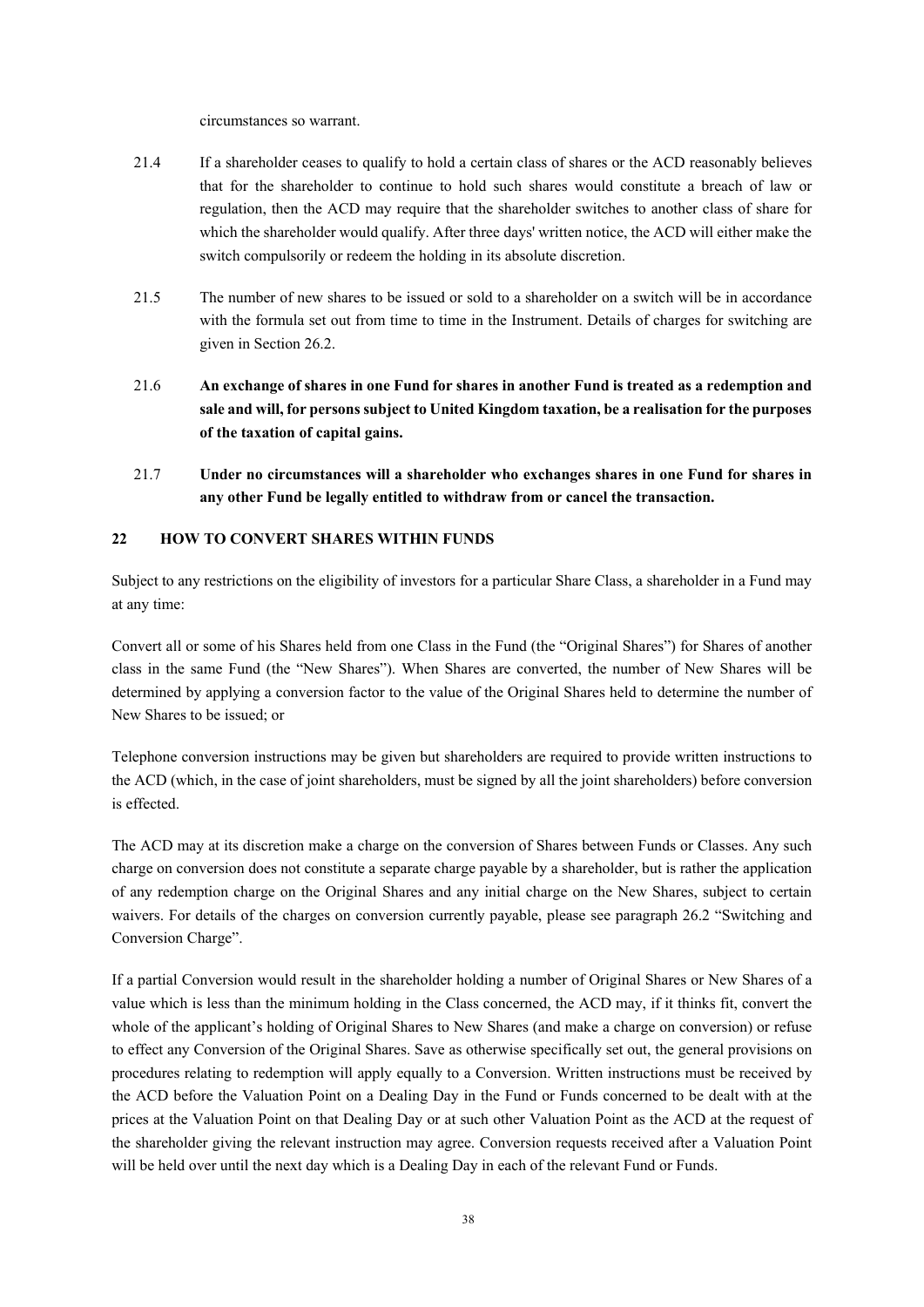circumstances so warrant.

- 21.4 If a shareholder ceases to qualify to hold a certain class of shares or the ACD reasonably believes that for the shareholder to continue to hold such shares would constitute a breach of law or regulation, then the ACD may require that the shareholder switches to another class of share for which the shareholder would qualify. After three days' written notice, the ACD will either make the switch compulsorily or redeem the holding in its absolute discretion.
- 21.5 The number of new shares to be issued or sold to a shareholder on a switch will be in accordance with the formula set out from time to time in the Instrument. Details of charges for switching are given in Section 26.2.
- 21.6 **An exchange of shares in one Fund for shares in another Fund is treated as a redemption and sale and will, for persons subject to United Kingdom taxation, be a realisation for the purposes of the taxation of capital gains.**
- 21.7 **Under no circumstances will a shareholder who exchanges shares in one Fund for shares in any other Fund be legally entitled to withdraw from or cancel the transaction.**

# **22 HOW TO CONVERT SHARES WITHIN FUNDS**

Subject to any restrictions on the eligibility of investors for a particular Share Class, a shareholder in a Fund may at any time:

Convert all or some of his Shares held from one Class in the Fund (the "Original Shares") for Shares of another class in the same Fund (the "New Shares"). When Shares are converted, the number of New Shares will be determined by applying a conversion factor to the value of the Original Shares held to determine the number of New Shares to be issued; or

Telephone conversion instructions may be given but shareholders are required to provide written instructions to the ACD (which, in the case of joint shareholders, must be signed by all the joint shareholders) before conversion is effected.

The ACD may at its discretion make a charge on the conversion of Shares between Funds or Classes. Any such charge on conversion does not constitute a separate charge payable by a shareholder, but is rather the application of any redemption charge on the Original Shares and any initial charge on the New Shares, subject to certain waivers. For details of the charges on conversion currently payable, please see paragraph 26.2 "Switching and Conversion Charge".

If a partial Conversion would result in the shareholder holding a number of Original Shares or New Shares of a value which is less than the minimum holding in the Class concerned, the ACD may, if it thinks fit, convert the whole of the applicant's holding of Original Shares to New Shares (and make a charge on conversion) or refuse to effect any Conversion of the Original Shares. Save as otherwise specifically set out, the general provisions on procedures relating to redemption will apply equally to a Conversion. Written instructions must be received by the ACD before the Valuation Point on a Dealing Day in the Fund or Funds concerned to be dealt with at the prices at the Valuation Point on that Dealing Day or at such other Valuation Point as the ACD at the request of the shareholder giving the relevant instruction may agree. Conversion requests received after a Valuation Point will be held over until the next day which is a Dealing Day in each of the relevant Fund or Funds.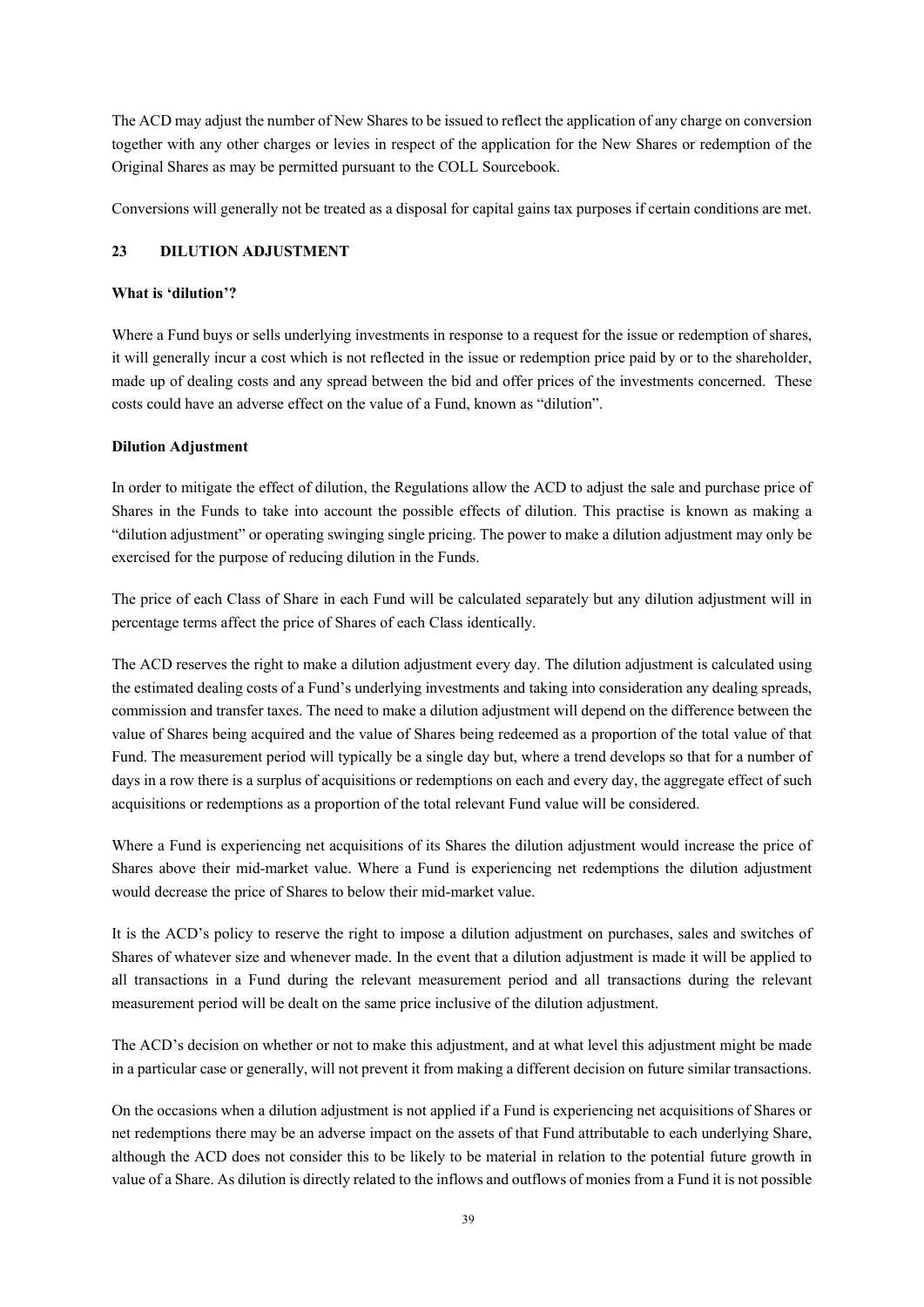The ACD may adjust the number of New Shares to be issued to reflect the application of any charge on conversion together with any other charges or levies in respect of the application for the New Shares or redemption of the Original Shares as may be permitted pursuant to the COLL Sourcebook.

Conversions will generally not be treated as a disposal for capital gains tax purposes if certain conditions are met.

# **23 DILUTION ADJUSTMENT**

### **What is 'dilution'?**

Where a Fund buys or sells underlying investments in response to a request for the issue or redemption of shares, it will generally incur a cost which is not reflected in the issue or redemption price paid by or to the shareholder, made up of dealing costs and any spread between the bid and offer prices of the investments concerned. These costs could have an adverse effect on the value of a Fund, known as "dilution".

### **Dilution Adjustment**

In order to mitigate the effect of dilution, the Regulations allow the ACD to adjust the sale and purchase price of Shares in the Funds to take into account the possible effects of dilution. This practise is known as making a "dilution adjustment" or operating swinging single pricing. The power to make a dilution adjustment may only be exercised for the purpose of reducing dilution in the Funds.

The price of each Class of Share in each Fund will be calculated separately but any dilution adjustment will in percentage terms affect the price of Shares of each Class identically.

The ACD reserves the right to make a dilution adjustment every day. The dilution adjustment is calculated using the estimated dealing costs of a Fund's underlying investments and taking into consideration any dealing spreads, commission and transfer taxes. The need to make a dilution adjustment will depend on the difference between the value of Shares being acquired and the value of Shares being redeemed as a proportion of the total value of that Fund. The measurement period will typically be a single day but, where a trend develops so that for a number of days in a row there is a surplus of acquisitions or redemptions on each and every day, the aggregate effect of such acquisitions or redemptions as a proportion of the total relevant Fund value will be considered.

Where a Fund is experiencing net acquisitions of its Shares the dilution adjustment would increase the price of Shares above their mid-market value. Where a Fund is experiencing net redemptions the dilution adjustment would decrease the price of Shares to below their mid-market value.

It is the ACD's policy to reserve the right to impose a dilution adjustment on purchases, sales and switches of Shares of whatever size and whenever made. In the event that a dilution adjustment is made it will be applied to all transactions in a Fund during the relevant measurement period and all transactions during the relevant measurement period will be dealt on the same price inclusive of the dilution adjustment.

The ACD's decision on whether or not to make this adjustment, and at what level this adjustment might be made in a particular case or generally, will not prevent it from making a different decision on future similar transactions.

On the occasions when a dilution adjustment is not applied if a Fund is experiencing net acquisitions of Shares or net redemptions there may be an adverse impact on the assets of that Fund attributable to each underlying Share, although the ACD does not consider this to be likely to be material in relation to the potential future growth in value of a Share. As dilution is directly related to the inflows and outflows of monies from a Fund it is not possible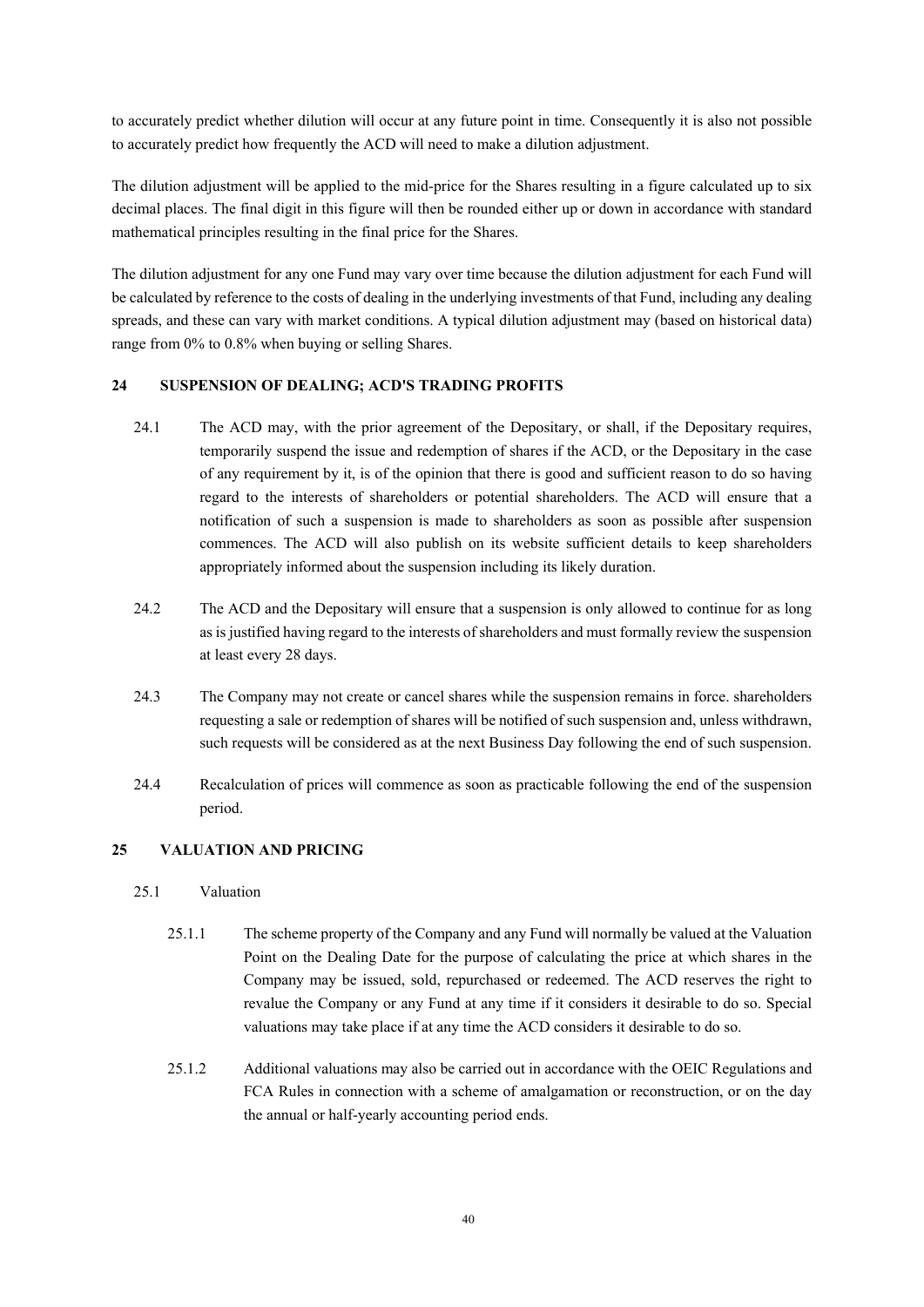to accurately predict whether dilution will occur at any future point in time. Consequently it is also not possible to accurately predict how frequently the ACD will need to make a dilution adjustment.

The dilution adjustment will be applied to the mid-price for the Shares resulting in a figure calculated up to six decimal places. The final digit in this figure will then be rounded either up or down in accordance with standard mathematical principles resulting in the final price for the Shares.

The dilution adjustment for any one Fund may vary over time because the dilution adjustment for each Fund will be calculated by reference to the costs of dealing in the underlying investments of that Fund, including any dealing spreads, and these can vary with market conditions. A typical dilution adjustment may (based on historical data) range from 0% to 0.8% when buying or selling Shares.

# **24 SUSPENSION OF DEALING; ACD'S TRADING PROFITS**

- 24.1 The ACD may, with the prior agreement of the Depositary, or shall, if the Depositary requires, temporarily suspend the issue and redemption of shares if the ACD, or the Depositary in the case of any requirement by it, is of the opinion that there is good and sufficient reason to do so having regard to the interests of shareholders or potential shareholders. The ACD will ensure that a notification of such a suspension is made to shareholders as soon as possible after suspension commences. The ACD will also publish on its website sufficient details to keep shareholders appropriately informed about the suspension including its likely duration.
- 24.2 The ACD and the Depositary will ensure that a suspension is only allowed to continue for as long as is justified having regard to the interests of shareholders and must formally review the suspension at least every 28 days.
- 24.3 The Company may not create or cancel shares while the suspension remains in force. shareholders requesting a sale or redemption of shares will be notified of such suspension and, unless withdrawn, such requests will be considered as at the next Business Day following the end of such suspension.
- 24.4 Recalculation of prices will commence as soon as practicable following the end of the suspension period.

# **25 VALUATION AND PRICING**

### 25.1 Valuation

- 25.1.1 The scheme property of the Company and any Fund will normally be valued at the Valuation Point on the Dealing Date for the purpose of calculating the price at which shares in the Company may be issued, sold, repurchased or redeemed. The ACD reserves the right to revalue the Company or any Fund at any time if it considers it desirable to do so. Special valuations may take place if at any time the ACD considers it desirable to do so.
- 25.1.2 Additional valuations may also be carried out in accordance with the OEIC Regulations and FCA Rules in connection with a scheme of amalgamation or reconstruction, or on the day the annual or half-yearly accounting period ends.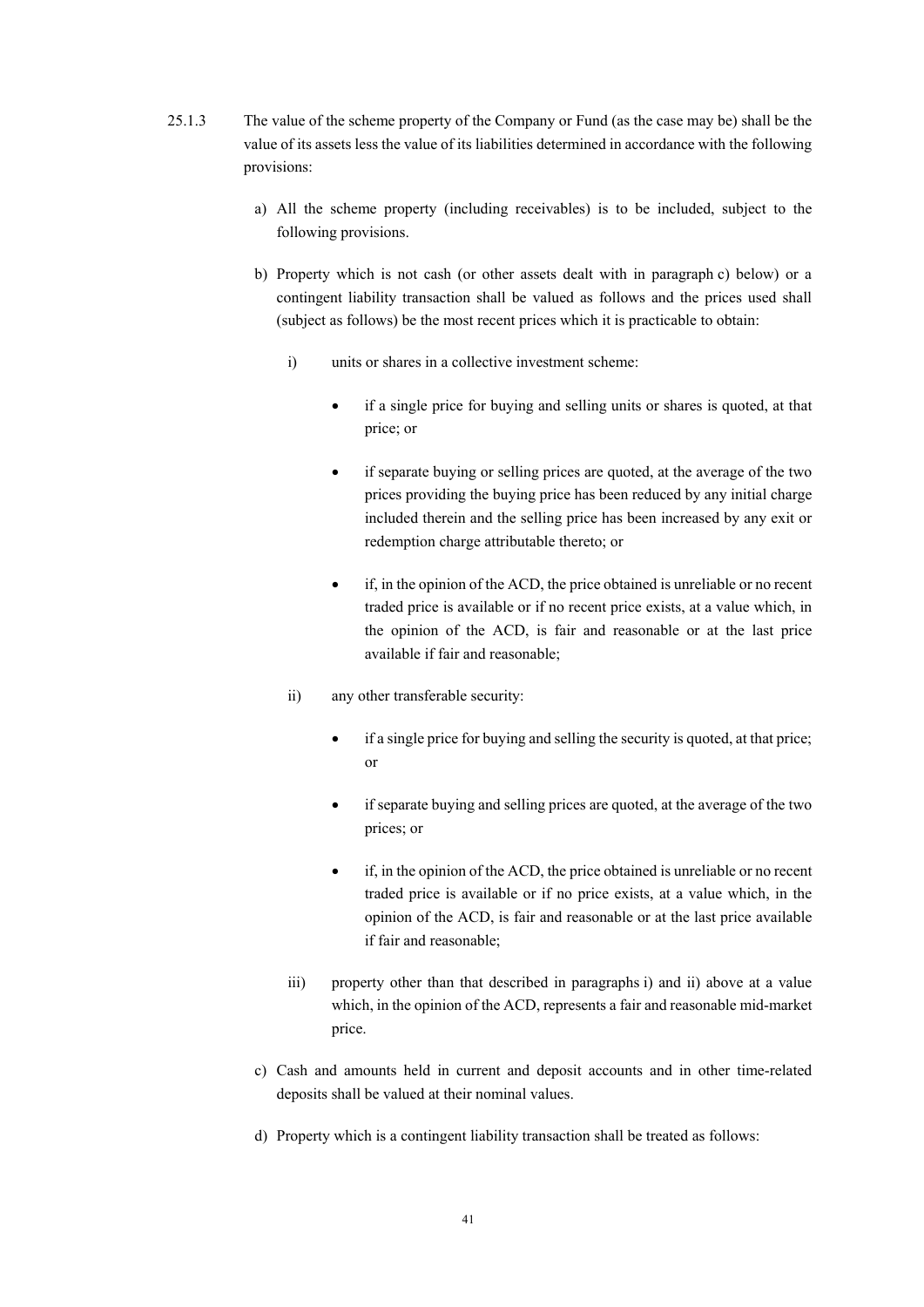- 25.1.3 The value of the scheme property of the Company or Fund (as the case may be) shall be the value of its assets less the value of its liabilities determined in accordance with the following provisions:
	- a) All the scheme property (including receivables) is to be included, subject to the following provisions.
	- b) Property which is not cash (or other assets dealt with in paragraph c) below) or a contingent liability transaction shall be valued as follows and the prices used shall (subject as follows) be the most recent prices which it is practicable to obtain:
		- i) units or shares in a collective investment scheme:
			- if a single price for buying and selling units or shares is quoted, at that price; or
			- if separate buying or selling prices are quoted, at the average of the two prices providing the buying price has been reduced by any initial charge included therein and the selling price has been increased by any exit or redemption charge attributable thereto; or
			- if, in the opinion of the ACD, the price obtained is unreliable or no recent traded price is available or if no recent price exists, at a value which, in the opinion of the ACD, is fair and reasonable or at the last price available if fair and reasonable;
		- ii) any other transferable security:
			- if a single price for buying and selling the security is quoted, at that price; or
			- if separate buying and selling prices are quoted, at the average of the two prices; or
			- if, in the opinion of the ACD, the price obtained is unreliable or no recent traded price is available or if no price exists, at a value which, in the opinion of the ACD, is fair and reasonable or at the last price available if fair and reasonable;
		- iii) property other than that described in paragraphs i) and ii) above at a value which, in the opinion of the ACD, represents a fair and reasonable mid-market price.
	- c) Cash and amounts held in current and deposit accounts and in other time-related deposits shall be valued at their nominal values.
	- d) Property which is a contingent liability transaction shall be treated as follows: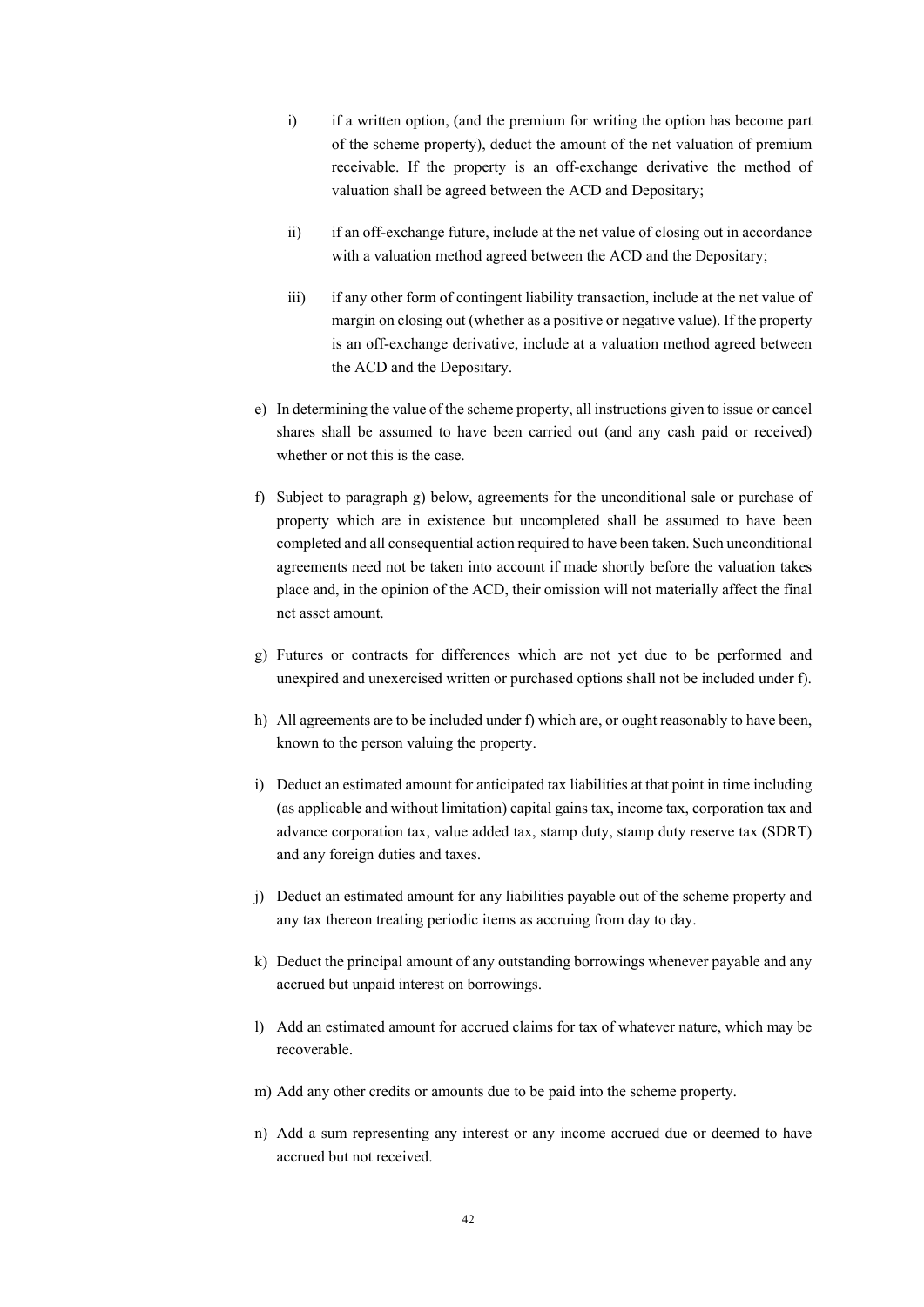- i) if a written option, (and the premium for writing the option has become part of the scheme property), deduct the amount of the net valuation of premium receivable. If the property is an off-exchange derivative the method of valuation shall be agreed between the ACD and Depositary;
- ii) if an off-exchange future, include at the net value of closing out in accordance with a valuation method agreed between the ACD and the Depositary;
- iii) if any other form of contingent liability transaction, include at the net value of margin on closing out (whether as a positive or negative value). If the property is an off-exchange derivative, include at a valuation method agreed between the ACD and the Depositary.
- e) In determining the value of the scheme property, all instructions given to issue or cancel shares shall be assumed to have been carried out (and any cash paid or received) whether or not this is the case.
- f) Subject to paragraph g) below, agreements for the unconditional sale or purchase of property which are in existence but uncompleted shall be assumed to have been completed and all consequential action required to have been taken. Such unconditional agreements need not be taken into account if made shortly before the valuation takes place and, in the opinion of the ACD, their omission will not materially affect the final net asset amount.
- g) Futures or contracts for differences which are not yet due to be performed and unexpired and unexercised written or purchased options shall not be included under f).
- h) All agreements are to be included under f) which are, or ought reasonably to have been, known to the person valuing the property.
- i) Deduct an estimated amount for anticipated tax liabilities at that point in time including (as applicable and without limitation) capital gains tax, income tax, corporation tax and advance corporation tax, value added tax, stamp duty, stamp duty reserve tax (SDRT) and any foreign duties and taxes.
- j) Deduct an estimated amount for any liabilities payable out of the scheme property and any tax thereon treating periodic items as accruing from day to day.
- k) Deduct the principal amount of any outstanding borrowings whenever payable and any accrued but unpaid interest on borrowings.
- l) Add an estimated amount for accrued claims for tax of whatever nature, which may be recoverable.
- m) Add any other credits or amounts due to be paid into the scheme property.
- n) Add a sum representing any interest or any income accrued due or deemed to have accrued but not received.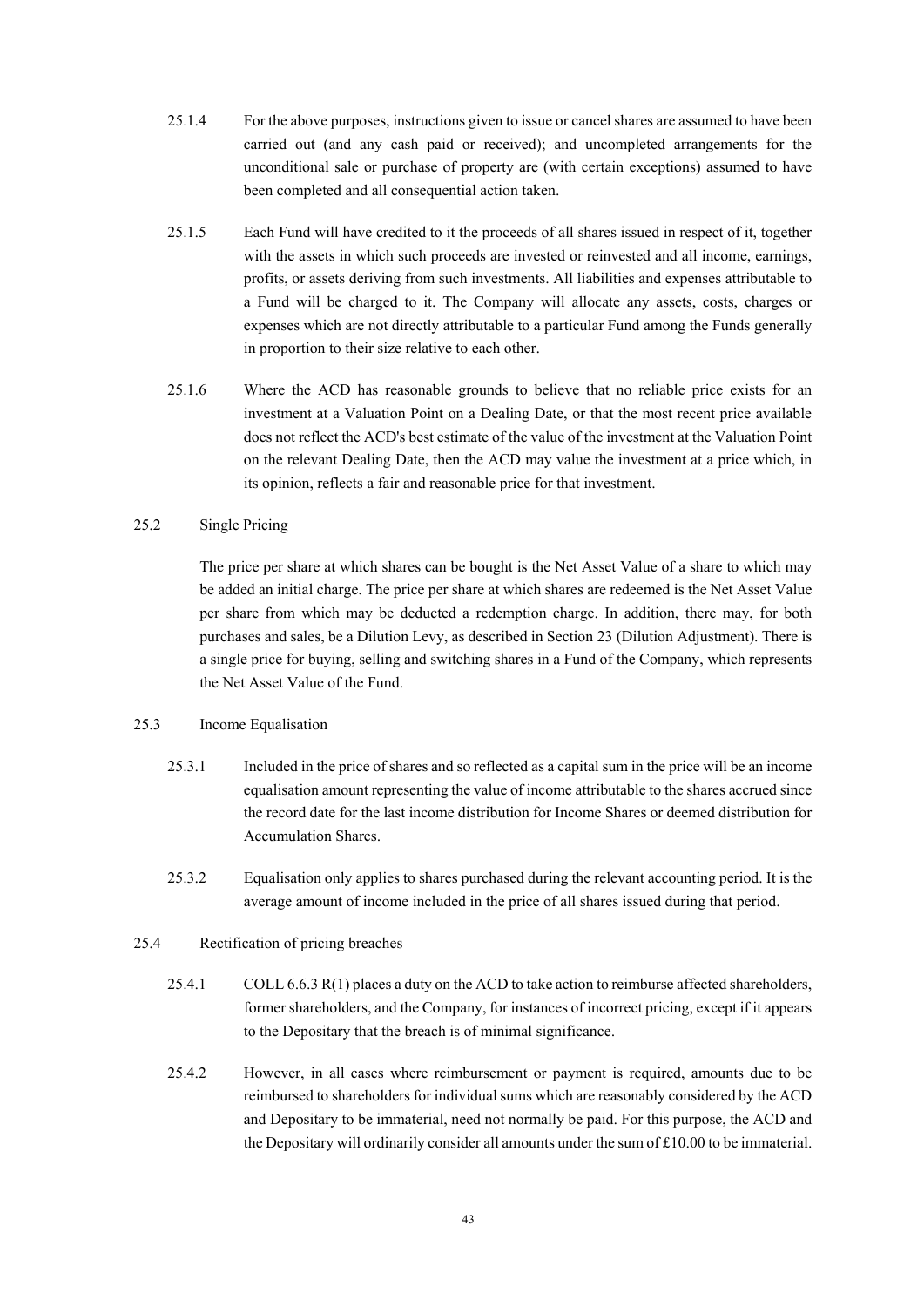- 25.1.4 For the above purposes, instructions given to issue or cancel shares are assumed to have been carried out (and any cash paid or received); and uncompleted arrangements for the unconditional sale or purchase of property are (with certain exceptions) assumed to have been completed and all consequential action taken.
- 25.1.5 Each Fund will have credited to it the proceeds of all shares issued in respect of it, together with the assets in which such proceeds are invested or reinvested and all income, earnings, profits, or assets deriving from such investments. All liabilities and expenses attributable to a Fund will be charged to it. The Company will allocate any assets, costs, charges or expenses which are not directly attributable to a particular Fund among the Funds generally in proportion to their size relative to each other.
- 25.1.6 Where the ACD has reasonable grounds to believe that no reliable price exists for an investment at a Valuation Point on a Dealing Date, or that the most recent price available does not reflect the ACD's best estimate of the value of the investment at the Valuation Point on the relevant Dealing Date, then the ACD may value the investment at a price which, in its opinion, reflects a fair and reasonable price for that investment.

### 25.2 Single Pricing

The price per share at which shares can be bought is the Net Asset Value of a share to which may be added an initial charge. The price per share at which shares are redeemed is the Net Asset Value per share from which may be deducted a redemption charge. In addition, there may, for both purchases and sales, be a Dilution Levy, as described in Section 23 (Dilution Adjustment). There is a single price for buying, selling and switching shares in a Fund of the Company, which represents the Net Asset Value of the Fund.

#### 25.3 Income Equalisation

- 25.3.1 Included in the price of shares and so reflected as a capital sum in the price will be an income equalisation amount representing the value of income attributable to the shares accrued since the record date for the last income distribution for Income Shares or deemed distribution for Accumulation Shares.
- 25.3.2 Equalisation only applies to shares purchased during the relevant accounting period. It is the average amount of income included in the price of all shares issued during that period.

### 25.4 Rectification of pricing breaches

- 25.4.1 COLL 6.6.3 R(1) places a duty on the ACD to take action to reimburse affected shareholders, former shareholders, and the Company, for instances of incorrect pricing, except if it appears to the Depositary that the breach is of minimal significance.
- 25.4.2 However, in all cases where reimbursement or payment is required, amounts due to be reimbursed to shareholders for individual sums which are reasonably considered by the ACD and Depositary to be immaterial, need not normally be paid. For this purpose, the ACD and the Depositary will ordinarily consider all amounts under the sum of £10.00 to be immaterial.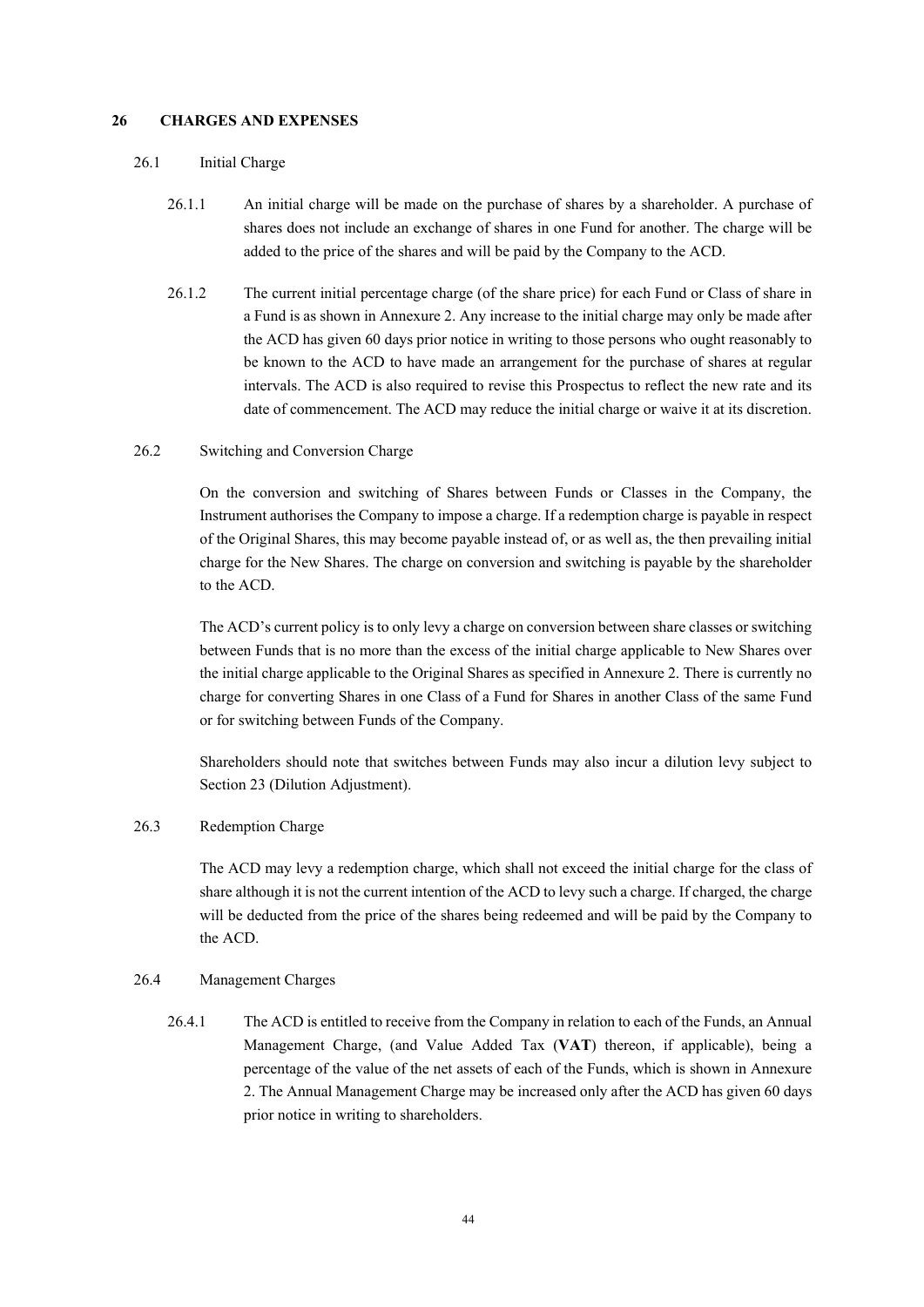#### **26 CHARGES AND EXPENSES**

#### 26.1 Initial Charge

- 26.1.1 An initial charge will be made on the purchase of shares by a shareholder. A purchase of shares does not include an exchange of shares in one Fund for another. The charge will be added to the price of the shares and will be paid by the Company to the ACD.
- 26.1.2 The current initial percentage charge (of the share price) for each Fund or Class of share in a Fund is as shown in Annexure 2. Any increase to the initial charge may only be made after the ACD has given 60 days prior notice in writing to those persons who ought reasonably to be known to the ACD to have made an arrangement for the purchase of shares at regular intervals. The ACD is also required to revise this Prospectus to reflect the new rate and its date of commencement. The ACD may reduce the initial charge or waive it at its discretion.
- 26.2 Switching and Conversion Charge

On the conversion and switching of Shares between Funds or Classes in the Company, the Instrument authorises the Company to impose a charge. If a redemption charge is payable in respect of the Original Shares, this may become payable instead of, or as well as, the then prevailing initial charge for the New Shares. The charge on conversion and switching is payable by the shareholder to the ACD.

The ACD's current policy is to only levy a charge on conversion between share classes or switching between Funds that is no more than the excess of the initial charge applicable to New Shares over the initial charge applicable to the Original Shares as specified in Annexure 2. There is currently no charge for converting Shares in one Class of a Fund for Shares in another Class of the same Fund or for switching between Funds of the Company.

Shareholders should note that switches between Funds may also incur a dilution levy subject to Section 23 (Dilution Adjustment).

# 26.3 Redemption Charge

The ACD may levy a redemption charge, which shall not exceed the initial charge for the class of share although it is not the current intention of the ACD to levy such a charge. If charged, the charge will be deducted from the price of the shares being redeemed and will be paid by the Company to the ACD.

#### 26.4 Management Charges

26.4.1 The ACD is entitled to receive from the Company in relation to each of the Funds, an Annual Management Charge, (and Value Added Tax (**VAT**) thereon, if applicable), being a percentage of the value of the net assets of each of the Funds, which is shown in Annexure 2. The Annual Management Charge may be increased only after the ACD has given 60 days prior notice in writing to shareholders.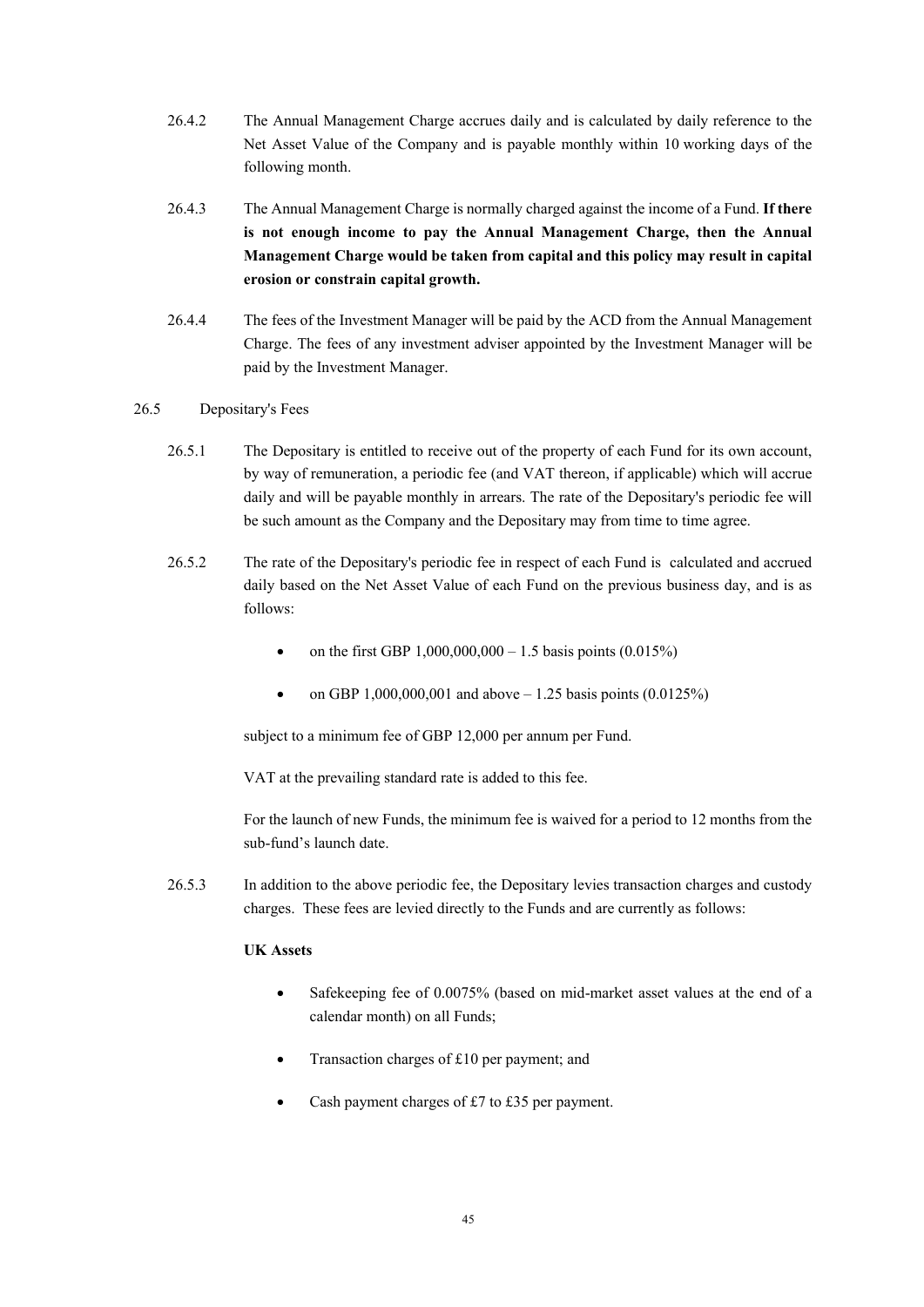- 26.4.2 The Annual Management Charge accrues daily and is calculated by daily reference to the Net Asset Value of the Company and is payable monthly within 10 working days of the following month.
- 26.4.3 The Annual Management Charge is normally charged against the income of a Fund. **If there is not enough income to pay the Annual Management Charge, then the Annual Management Charge would be taken from capital and this policy may result in capital erosion or constrain capital growth.**
- 26.4.4 The fees of the Investment Manager will be paid by the ACD from the Annual Management Charge. The fees of any investment adviser appointed by the Investment Manager will be paid by the Investment Manager.

### 26.5 Depositary's Fees

- 26.5.1 The Depositary is entitled to receive out of the property of each Fund for its own account, by way of remuneration, a periodic fee (and VAT thereon, if applicable) which will accrue daily and will be payable monthly in arrears. The rate of the Depositary's periodic fee will be such amount as the Company and the Depositary may from time to time agree.
- 26.5.2 The rate of the Depositary's periodic fee in respect of each Fund is calculated and accrued daily based on the Net Asset Value of each Fund on the previous business day, and is as follows:
	- on the first GBP  $1,000,000,000 1.5$  basis points  $(0.015\%)$
	- on GBP 1,000,000,001 and above  $-1.25$  basis points (0.0125%)

subject to a minimum fee of GBP 12,000 per annum per Fund.

VAT at the prevailing standard rate is added to this fee.

For the launch of new Funds, the minimum fee is waived for a period to 12 months from the sub-fund's launch date.

26.5.3 In addition to the above periodic fee, the Depositary levies transaction charges and custody charges. These fees are levied directly to the Funds and are currently as follows:

# **UK Assets**

- Safekeeping fee of 0.0075% (based on mid-market asset values at the end of a calendar month) on all Funds;
- Transaction charges of £10 per payment; and
- Cash payment charges of £7 to £35 per payment.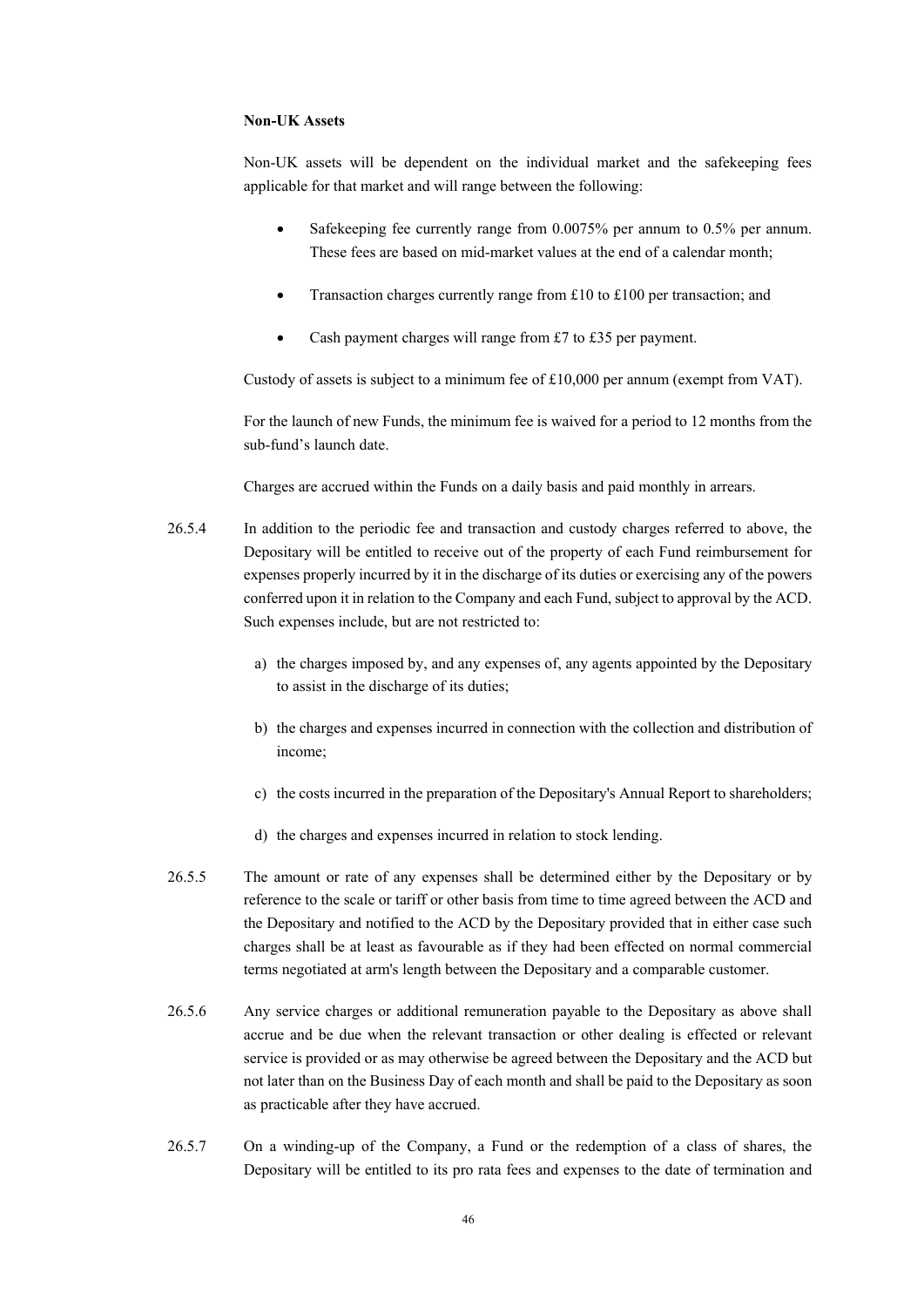#### **Non-UK Assets**

Non-UK assets will be dependent on the individual market and the safekeeping fees applicable for that market and will range between the following:

- Safekeeping fee currently range from 0.0075% per annum to 0.5% per annum. These fees are based on mid-market values at the end of a calendar month;
- Transaction charges currently range from £10 to £100 per transaction; and
- Cash payment charges will range from £7 to £35 per payment.

Custody of assets is subject to a minimum fee of £10,000 per annum (exempt from VAT).

For the launch of new Funds, the minimum fee is waived for a period to 12 months from the sub-fund's launch date.

Charges are accrued within the Funds on a daily basis and paid monthly in arrears.

- 26.5.4 In addition to the periodic fee and transaction and custody charges referred to above, the Depositary will be entitled to receive out of the property of each Fund reimbursement for expenses properly incurred by it in the discharge of its duties or exercising any of the powers conferred upon it in relation to the Company and each Fund, subject to approval by the ACD. Such expenses include, but are not restricted to:
	- a) the charges imposed by, and any expenses of, any agents appointed by the Depositary to assist in the discharge of its duties;
	- b) the charges and expenses incurred in connection with the collection and distribution of income;
	- c) the costs incurred in the preparation of the Depositary's Annual Report to shareholders;
	- d) the charges and expenses incurred in relation to stock lending.
- 26.5.5 The amount or rate of any expenses shall be determined either by the Depositary or by reference to the scale or tariff or other basis from time to time agreed between the ACD and the Depositary and notified to the ACD by the Depositary provided that in either case such charges shall be at least as favourable as if they had been effected on normal commercial terms negotiated at arm's length between the Depositary and a comparable customer.
- 26.5.6 Any service charges or additional remuneration payable to the Depositary as above shall accrue and be due when the relevant transaction or other dealing is effected or relevant service is provided or as may otherwise be agreed between the Depositary and the ACD but not later than on the Business Day of each month and shall be paid to the Depositary as soon as practicable after they have accrued.
- 26.5.7 On a winding-up of the Company, a Fund or the redemption of a class of shares, the Depositary will be entitled to its pro rata fees and expenses to the date of termination and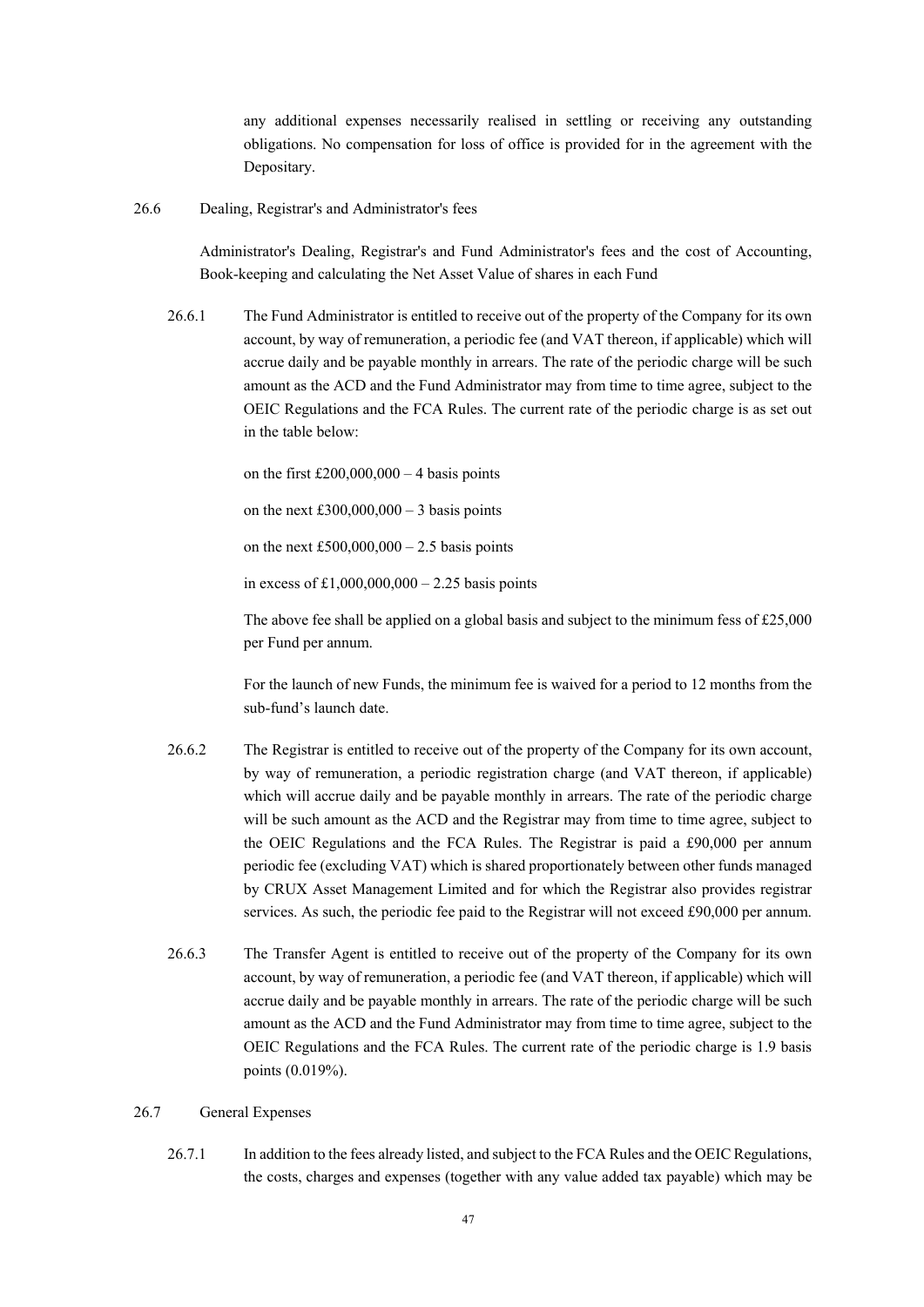any additional expenses necessarily realised in settling or receiving any outstanding obligations. No compensation for loss of office is provided for in the agreement with the Depositary.

26.6 Dealing, Registrar's and Administrator's fees

Administrator's Dealing, Registrar's and Fund Administrator's fees and the cost of Accounting, Book-keeping and calculating the Net Asset Value of shares in each Fund

26.6.1 The Fund Administrator is entitled to receive out of the property of the Company for its own account, by way of remuneration, a periodic fee (and VAT thereon, if applicable) which will accrue daily and be payable monthly in arrears. The rate of the periodic charge will be such amount as the ACD and the Fund Administrator may from time to time agree, subject to the OEIC Regulations and the FCA Rules. The current rate of the periodic charge is as set out in the table below:

on the first  $£200,000,000 - 4$  basis points

on the next £300,000,000 – 3 basis points

on the next  $£500,000,000 - 2.5$  basis points

in excess of £1,000,000,000 – 2.25 basis points

The above fee shall be applied on a global basis and subject to the minimum fess of £25,000 per Fund per annum.

For the launch of new Funds, the minimum fee is waived for a period to 12 months from the sub-fund's launch date.

- 26.6.2 The Registrar is entitled to receive out of the property of the Company for its own account, by way of remuneration, a periodic registration charge (and VAT thereon, if applicable) which will accrue daily and be payable monthly in arrears. The rate of the periodic charge will be such amount as the ACD and the Registrar may from time to time agree, subject to the OEIC Regulations and the FCA Rules. The Registrar is paid a £90,000 per annum periodic fee (excluding VAT) which is shared proportionately between other funds managed by CRUX Asset Management Limited and for which the Registrar also provides registrar services. As such, the periodic fee paid to the Registrar will not exceed £90,000 per annum.
- 26.6.3 The Transfer Agent is entitled to receive out of the property of the Company for its own account, by way of remuneration, a periodic fee (and VAT thereon, if applicable) which will accrue daily and be payable monthly in arrears. The rate of the periodic charge will be such amount as the ACD and the Fund Administrator may from time to time agree, subject to the OEIC Regulations and the FCA Rules. The current rate of the periodic charge is 1.9 basis points (0.019%).

### 26.7 General Expenses

26.7.1 In addition to the fees already listed, and subject to the FCA Rules and the OEIC Regulations, the costs, charges and expenses (together with any value added tax payable) which may be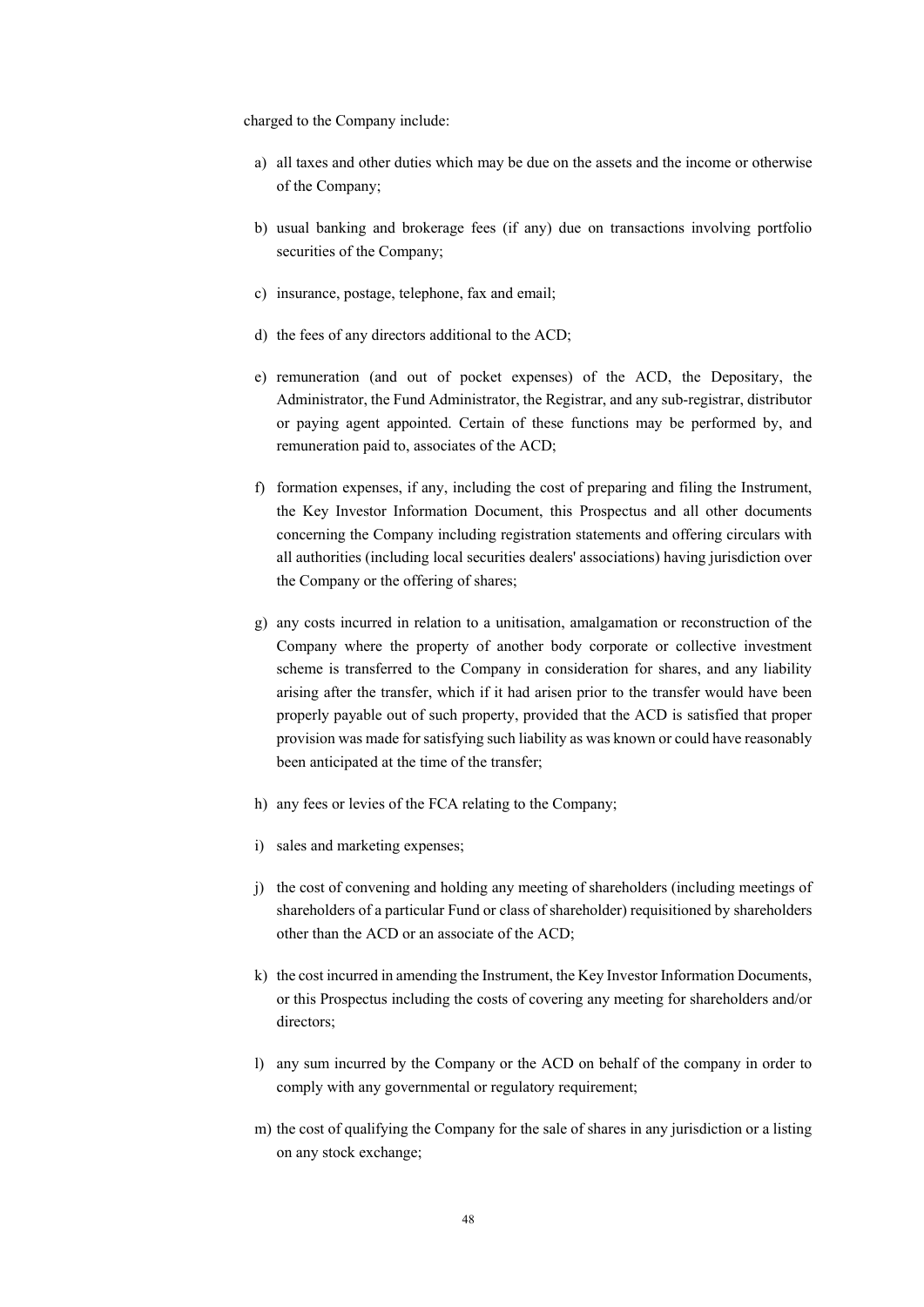charged to the Company include:

- a) all taxes and other duties which may be due on the assets and the income or otherwise of the Company;
- b) usual banking and brokerage fees (if any) due on transactions involving portfolio securities of the Company;
- c) insurance, postage, telephone, fax and email;
- d) the fees of any directors additional to the ACD;
- e) remuneration (and out of pocket expenses) of the ACD, the Depositary, the Administrator, the Fund Administrator, the Registrar, and any sub-registrar, distributor or paying agent appointed. Certain of these functions may be performed by, and remuneration paid to, associates of the ACD;
- f) formation expenses, if any, including the cost of preparing and filing the Instrument, the Key Investor Information Document, this Prospectus and all other documents concerning the Company including registration statements and offering circulars with all authorities (including local securities dealers' associations) having jurisdiction over the Company or the offering of shares;
- g) any costs incurred in relation to a unitisation, amalgamation or reconstruction of the Company where the property of another body corporate or collective investment scheme is transferred to the Company in consideration for shares, and any liability arising after the transfer, which if it had arisen prior to the transfer would have been properly payable out of such property, provided that the ACD is satisfied that proper provision was made for satisfying such liability as was known or could have reasonably been anticipated at the time of the transfer;
- h) any fees or levies of the FCA relating to the Company;
- i) sales and marketing expenses;
- j) the cost of convening and holding any meeting of shareholders (including meetings of shareholders of a particular Fund or class of shareholder) requisitioned by shareholders other than the ACD or an associate of the ACD;
- k) the cost incurred in amending the Instrument, the Key Investor Information Documents, or this Prospectus including the costs of covering any meeting for shareholders and/or directors;
- l) any sum incurred by the Company or the ACD on behalf of the company in order to comply with any governmental or regulatory requirement;
- m) the cost of qualifying the Company for the sale of shares in any jurisdiction or a listing on any stock exchange;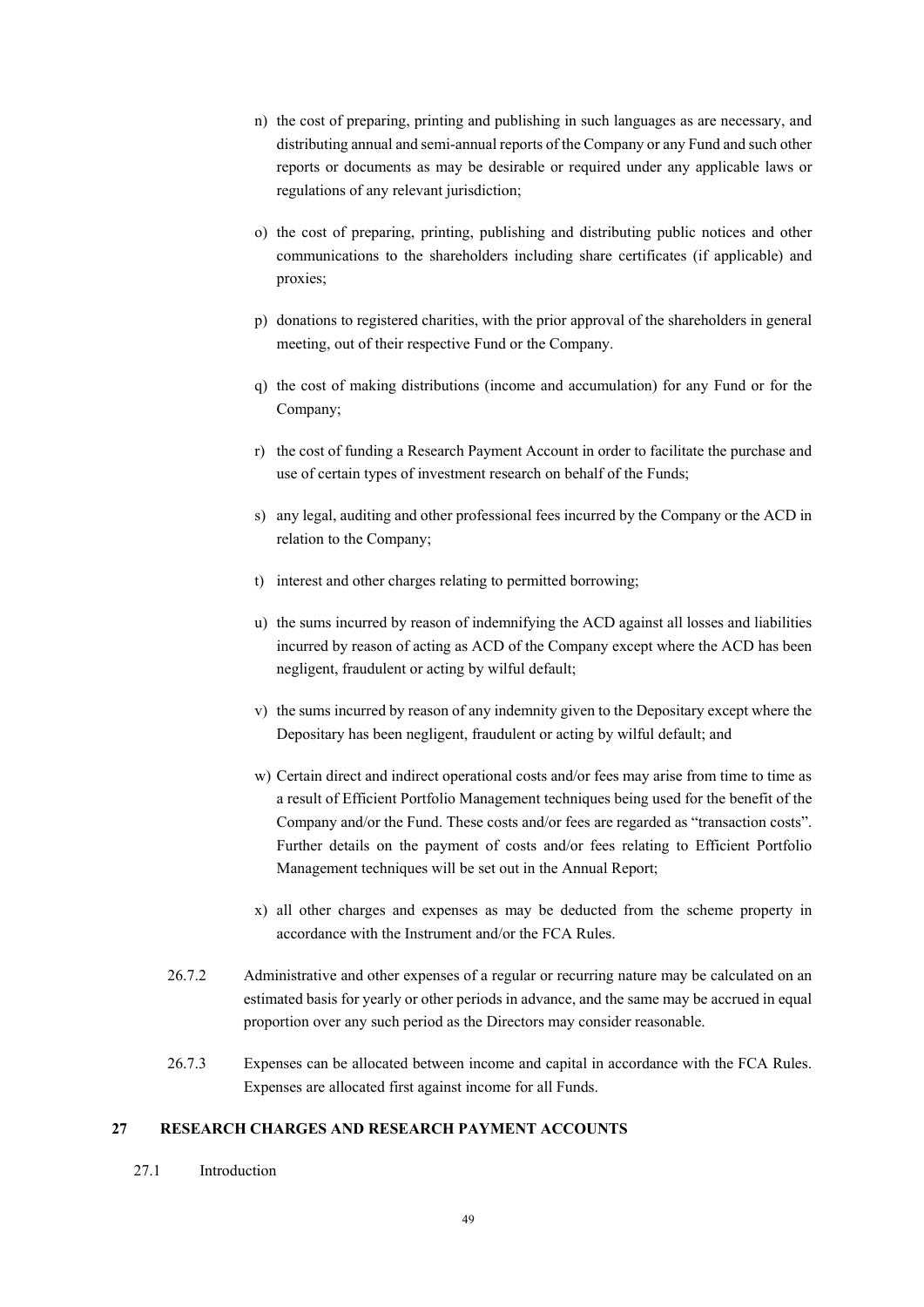- n) the cost of preparing, printing and publishing in such languages as are necessary, and distributing annual and semi-annual reports of the Company or any Fund and such other reports or documents as may be desirable or required under any applicable laws or regulations of any relevant jurisdiction;
- o) the cost of preparing, printing, publishing and distributing public notices and other communications to the shareholders including share certificates (if applicable) and proxies;
- p) donations to registered charities, with the prior approval of the shareholders in general meeting, out of their respective Fund or the Company.
- q) the cost of making distributions (income and accumulation) for any Fund or for the Company;
- r) the cost of funding a Research Payment Account in order to facilitate the purchase and use of certain types of investment research on behalf of the Funds;
- s) any legal, auditing and other professional fees incurred by the Company or the ACD in relation to the Company;
- t) interest and other charges relating to permitted borrowing;
- u) the sums incurred by reason of indemnifying the ACD against all losses and liabilities incurred by reason of acting as ACD of the Company except where the ACD has been negligent, fraudulent or acting by wilful default;
- v) the sums incurred by reason of any indemnity given to the Depositary except where the Depositary has been negligent, fraudulent or acting by wilful default; and
- w) Certain direct and indirect operational costs and/or fees may arise from time to time as a result of Efficient Portfolio Management techniques being used for the benefit of the Company and/or the Fund. These costs and/or fees are regarded as "transaction costs". Further details on the payment of costs and/or fees relating to Efficient Portfolio Management techniques will be set out in the Annual Report;
- x) all other charges and expenses as may be deducted from the scheme property in accordance with the Instrument and/or the FCA Rules.
- 26.7.2 Administrative and other expenses of a regular or recurring nature may be calculated on an estimated basis for yearly or other periods in advance, and the same may be accrued in equal proportion over any such period as the Directors may consider reasonable.
- 26.7.3 Expenses can be allocated between income and capital in accordance with the FCA Rules. Expenses are allocated first against income for all Funds.

# **27 RESEARCH CHARGES AND RESEARCH PAYMENT ACCOUNTS**

27.1 Introduction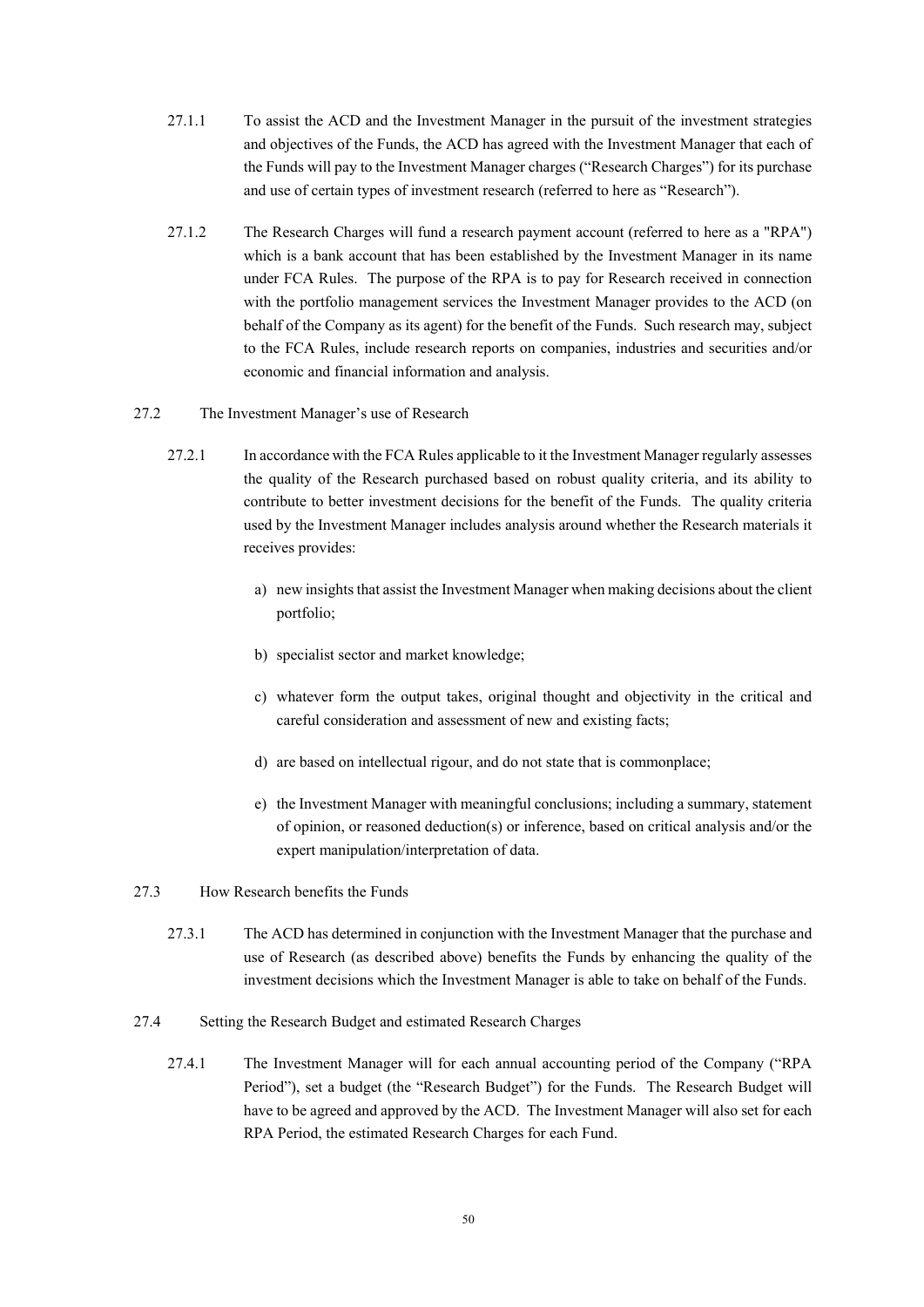- 27.1.1 To assist the ACD and the Investment Manager in the pursuit of the investment strategies and objectives of the Funds, the ACD has agreed with the Investment Manager that each of the Funds will pay to the Investment Manager charges ("Research Charges") for its purchase and use of certain types of investment research (referred to here as "Research").
- 27.1.2 The Research Charges will fund a research payment account (referred to here as a "RPA") which is a bank account that has been established by the Investment Manager in its name under FCA Rules. The purpose of the RPA is to pay for Research received in connection with the portfolio management services the Investment Manager provides to the ACD (on behalf of the Company as its agent) for the benefit of the Funds. Such research may, subject to the FCA Rules, include research reports on companies, industries and securities and/or economic and financial information and analysis.
- 27.2 The Investment Manager's use of Research
	- 27.2.1 In accordance with the FCA Rules applicable to it the Investment Manager regularly assesses the quality of the Research purchased based on robust quality criteria, and its ability to contribute to better investment decisions for the benefit of the Funds. The quality criteria used by the Investment Manager includes analysis around whether the Research materials it receives provides:
		- a) new insights that assist the Investment Manager when making decisions about the client portfolio;
		- b) specialist sector and market knowledge;
		- c) whatever form the output takes, original thought and objectivity in the critical and careful consideration and assessment of new and existing facts;
		- d) are based on intellectual rigour, and do not state that is commonplace;
		- e) the Investment Manager with meaningful conclusions; including a summary, statement of opinion, or reasoned deduction(s) or inference, based on critical analysis and/or the expert manipulation/interpretation of data.

### 27.3 How Research benefits the Funds

- 27.3.1 The ACD has determined in conjunction with the Investment Manager that the purchase and use of Research (as described above) benefits the Funds by enhancing the quality of the investment decisions which the Investment Manager is able to take on behalf of the Funds.
- 27.4 Setting the Research Budget and estimated Research Charges
	- 27.4.1 The Investment Manager will for each annual accounting period of the Company ("RPA Period"), set a budget (the "Research Budget") for the Funds. The Research Budget will have to be agreed and approved by the ACD. The Investment Manager will also set for each RPA Period, the estimated Research Charges for each Fund.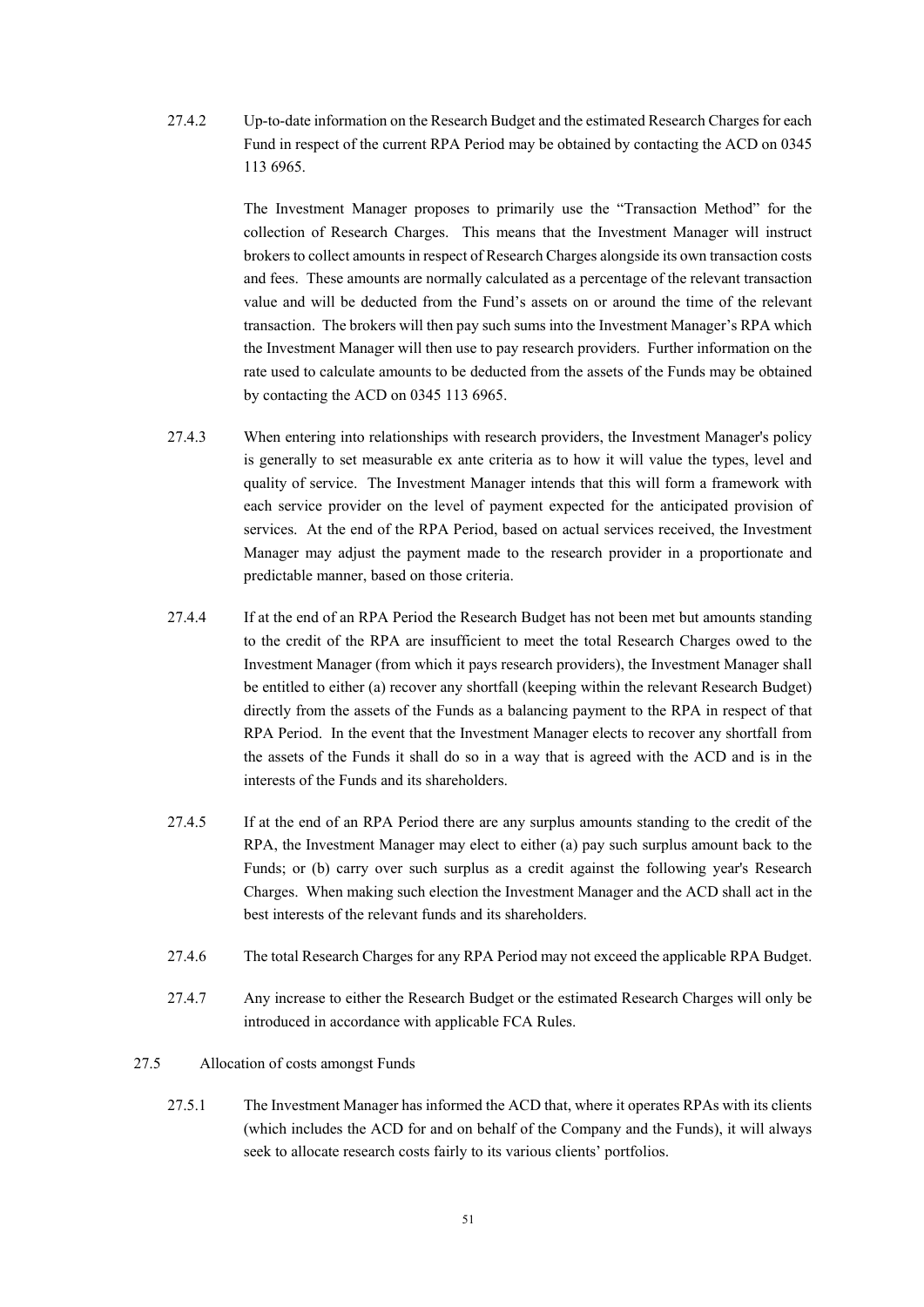27.4.2 Up-to-date information on the Research Budget and the estimated Research Charges for each Fund in respect of the current RPA Period may be obtained by contacting the ACD on 0345 113 6965.

> The Investment Manager proposes to primarily use the "Transaction Method" for the collection of Research Charges. This means that the Investment Manager will instruct brokers to collect amounts in respect of Research Charges alongside its own transaction costs and fees. These amounts are normally calculated as a percentage of the relevant transaction value and will be deducted from the Fund's assets on or around the time of the relevant transaction. The brokers will then pay such sums into the Investment Manager's RPA which the Investment Manager will then use to pay research providers. Further information on the rate used to calculate amounts to be deducted from the assets of the Funds may be obtained by contacting the ACD on 0345 113 6965.

- 27.4.3 When entering into relationships with research providers, the Investment Manager's policy is generally to set measurable ex ante criteria as to how it will value the types, level and quality of service. The Investment Manager intends that this will form a framework with each service provider on the level of payment expected for the anticipated provision of services. At the end of the RPA Period, based on actual services received, the Investment Manager may adjust the payment made to the research provider in a proportionate and predictable manner, based on those criteria.
- 27.4.4 If at the end of an RPA Period the Research Budget has not been met but amounts standing to the credit of the RPA are insufficient to meet the total Research Charges owed to the Investment Manager (from which it pays research providers), the Investment Manager shall be entitled to either (a) recover any shortfall (keeping within the relevant Research Budget) directly from the assets of the Funds as a balancing payment to the RPA in respect of that RPA Period. In the event that the Investment Manager elects to recover any shortfall from the assets of the Funds it shall do so in a way that is agreed with the ACD and is in the interests of the Funds and its shareholders.
- 27.4.5 If at the end of an RPA Period there are any surplus amounts standing to the credit of the RPA, the Investment Manager may elect to either (a) pay such surplus amount back to the Funds; or (b) carry over such surplus as a credit against the following year's Research Charges. When making such election the Investment Manager and the ACD shall act in the best interests of the relevant funds and its shareholders.
- 27.4.6 The total Research Charges for any RPA Period may not exceed the applicable RPA Budget.
- 27.4.7 Any increase to either the Research Budget or the estimated Research Charges will only be introduced in accordance with applicable FCA Rules.
- 27.5 Allocation of costs amongst Funds
	- 27.5.1 The Investment Manager has informed the ACD that, where it operates RPAs with its clients (which includes the ACD for and on behalf of the Company and the Funds), it will always seek to allocate research costs fairly to its various clients' portfolios.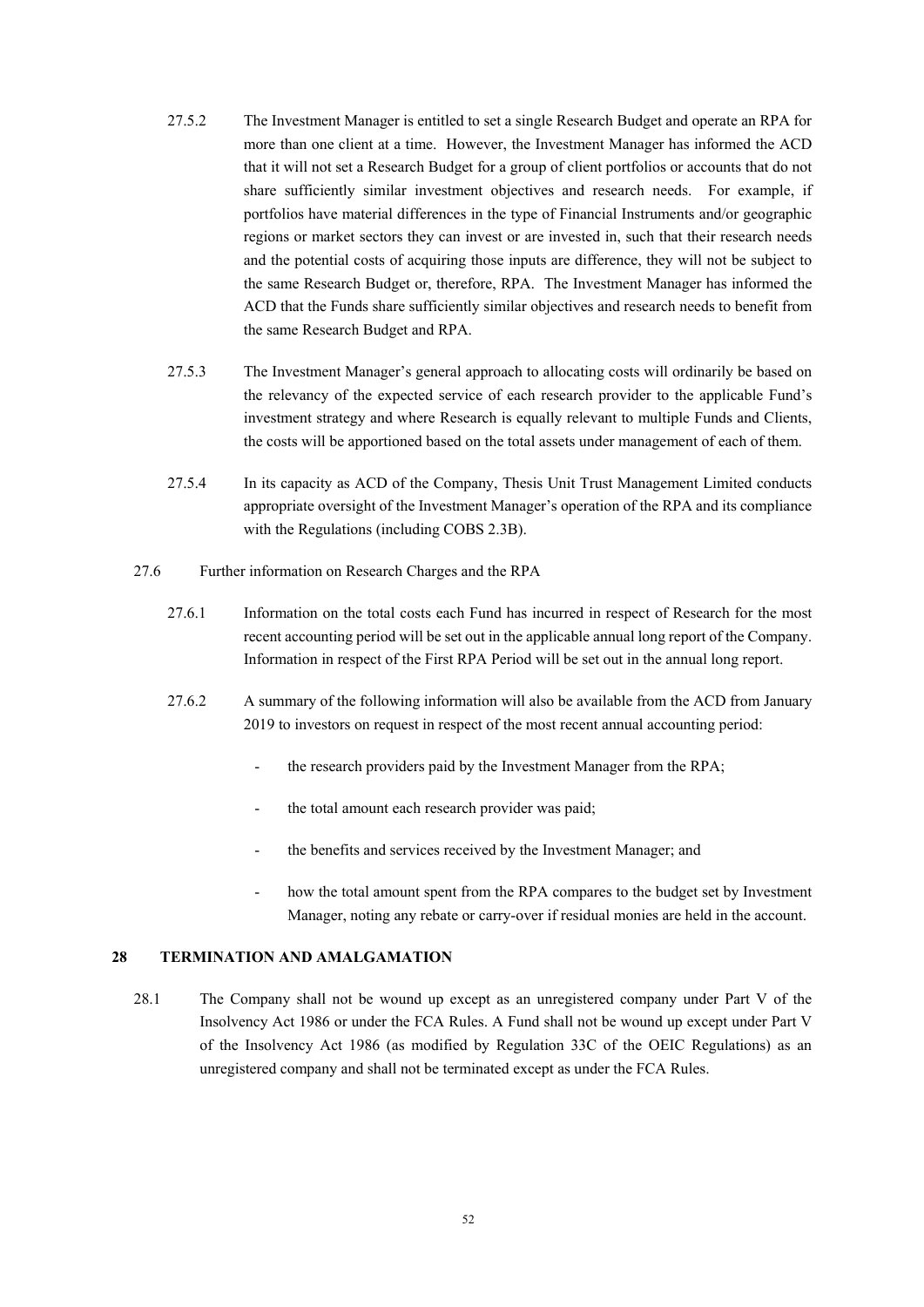- 27.5.2 The Investment Manager is entitled to set a single Research Budget and operate an RPA for more than one client at a time. However, the Investment Manager has informed the ACD that it will not set a Research Budget for a group of client portfolios or accounts that do not share sufficiently similar investment objectives and research needs. For example, if portfolios have material differences in the type of Financial Instruments and/or geographic regions or market sectors they can invest or are invested in, such that their research needs and the potential costs of acquiring those inputs are difference, they will not be subject to the same Research Budget or, therefore, RPA. The Investment Manager has informed the ACD that the Funds share sufficiently similar objectives and research needs to benefit from the same Research Budget and RPA.
- 27.5.3 The Investment Manager's general approach to allocating costs will ordinarily be based on the relevancy of the expected service of each research provider to the applicable Fund's investment strategy and where Research is equally relevant to multiple Funds and Clients, the costs will be apportioned based on the total assets under management of each of them.
- 27.5.4 In its capacity as ACD of the Company, Thesis Unit Trust Management Limited conducts appropriate oversight of the Investment Manager's operation of the RPA and its compliance with the Regulations (including COBS 2.3B).
- 27.6 Further information on Research Charges and the RPA
	- 27.6.1 Information on the total costs each Fund has incurred in respect of Research for the most recent accounting period will be set out in the applicable annual long report of the Company. Information in respect of the First RPA Period will be set out in the annual long report.
	- 27.6.2 A summary of the following information will also be available from the ACD from January 2019 to investors on request in respect of the most recent annual accounting period:
		- the research providers paid by the Investment Manager from the RPA;
		- the total amount each research provider was paid;
		- the benefits and services received by the Investment Manager; and
		- how the total amount spent from the RPA compares to the budget set by Investment Manager, noting any rebate or carry-over if residual monies are held in the account.

### **28 TERMINATION AND AMALGAMATION**

28.1 The Company shall not be wound up except as an unregistered company under Part V of the Insolvency Act 1986 or under the FCA Rules. A Fund shall not be wound up except under Part V of the Insolvency Act 1986 (as modified by Regulation 33C of the OEIC Regulations) as an unregistered company and shall not be terminated except as under the FCA Rules.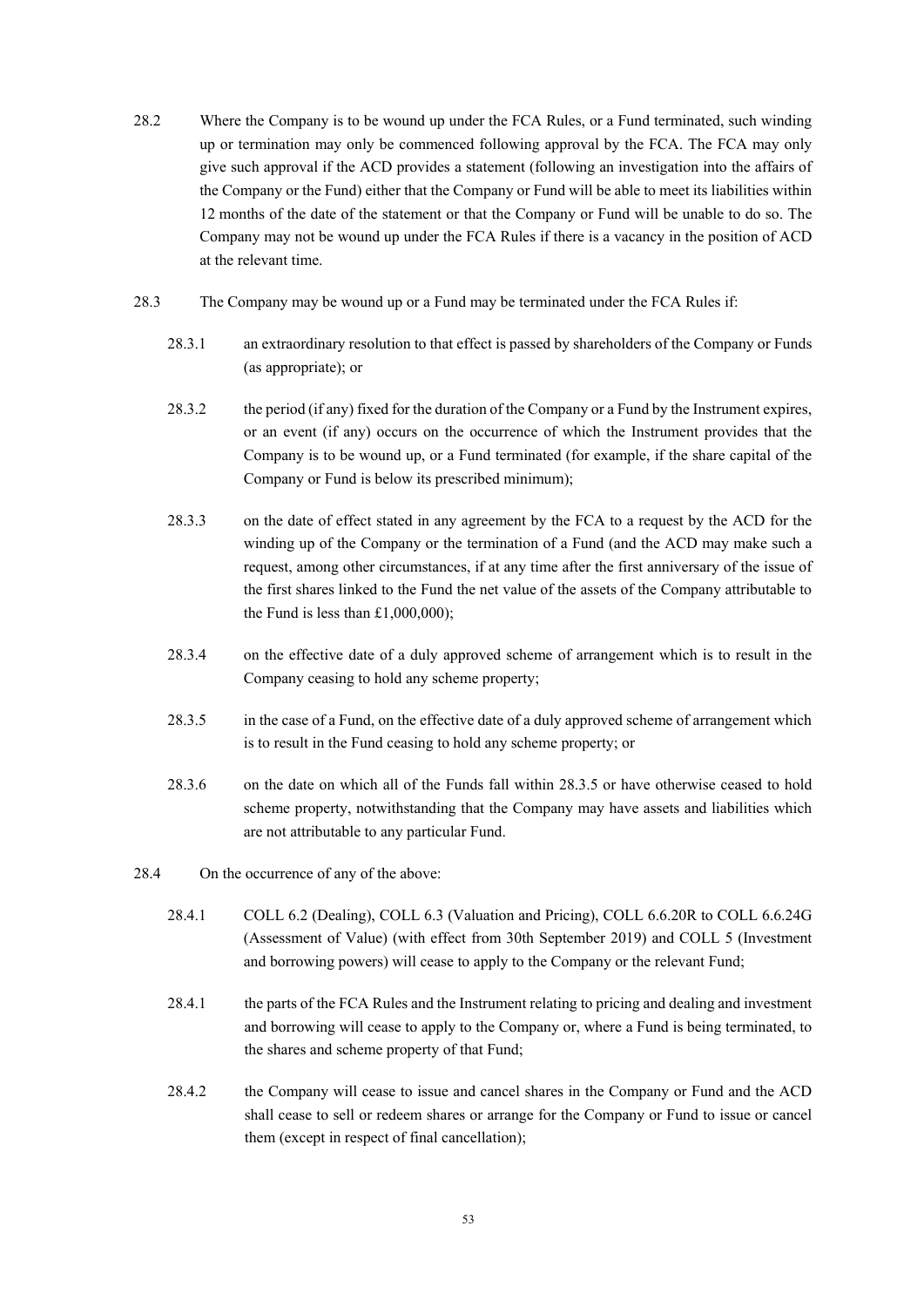- 28.2 Where the Company is to be wound up under the FCA Rules, or a Fund terminated, such winding up or termination may only be commenced following approval by the FCA. The FCA may only give such approval if the ACD provides a statement (following an investigation into the affairs of the Company or the Fund) either that the Company or Fund will be able to meet its liabilities within 12 months of the date of the statement or that the Company or Fund will be unable to do so. The Company may not be wound up under the FCA Rules if there is a vacancy in the position of ACD at the relevant time.
- 28.3 The Company may be wound up or a Fund may be terminated under the FCA Rules if:
	- 28.3.1 an extraordinary resolution to that effect is passed by shareholders of the Company or Funds (as appropriate); or
	- 28.3.2 the period (if any) fixed for the duration of the Company or a Fund by the Instrument expires, or an event (if any) occurs on the occurrence of which the Instrument provides that the Company is to be wound up, or a Fund terminated (for example, if the share capital of the Company or Fund is below its prescribed minimum);
	- 28.3.3 on the date of effect stated in any agreement by the FCA to a request by the ACD for the winding up of the Company or the termination of a Fund (and the ACD may make such a request, among other circumstances, if at any time after the first anniversary of the issue of the first shares linked to the Fund the net value of the assets of the Company attributable to the Fund is less than £1,000,000);
	- 28.3.4 on the effective date of a duly approved scheme of arrangement which is to result in the Company ceasing to hold any scheme property;
	- 28.3.5 in the case of a Fund, on the effective date of a duly approved scheme of arrangement which is to result in the Fund ceasing to hold any scheme property; or
	- 28.3.6 on the date on which all of the Funds fall within 28.3.5 or have otherwise ceased to hold scheme property, notwithstanding that the Company may have assets and liabilities which are not attributable to any particular Fund.
- 28.4 On the occurrence of any of the above:
	- 28.4.1 COLL 6.2 (Dealing), COLL 6.3 (Valuation and Pricing), COLL 6.6.20R to COLL 6.6.24G (Assessment of Value) (with effect from 30th September 2019) and COLL 5 (Investment and borrowing powers) will cease to apply to the Company or the relevant Fund;
	- 28.4.1 the parts of the FCA Rules and the Instrument relating to pricing and dealing and investment and borrowing will cease to apply to the Company or, where a Fund is being terminated, to the shares and scheme property of that Fund;
	- 28.4.2 the Company will cease to issue and cancel shares in the Company or Fund and the ACD shall cease to sell or redeem shares or arrange for the Company or Fund to issue or cancel them (except in respect of final cancellation);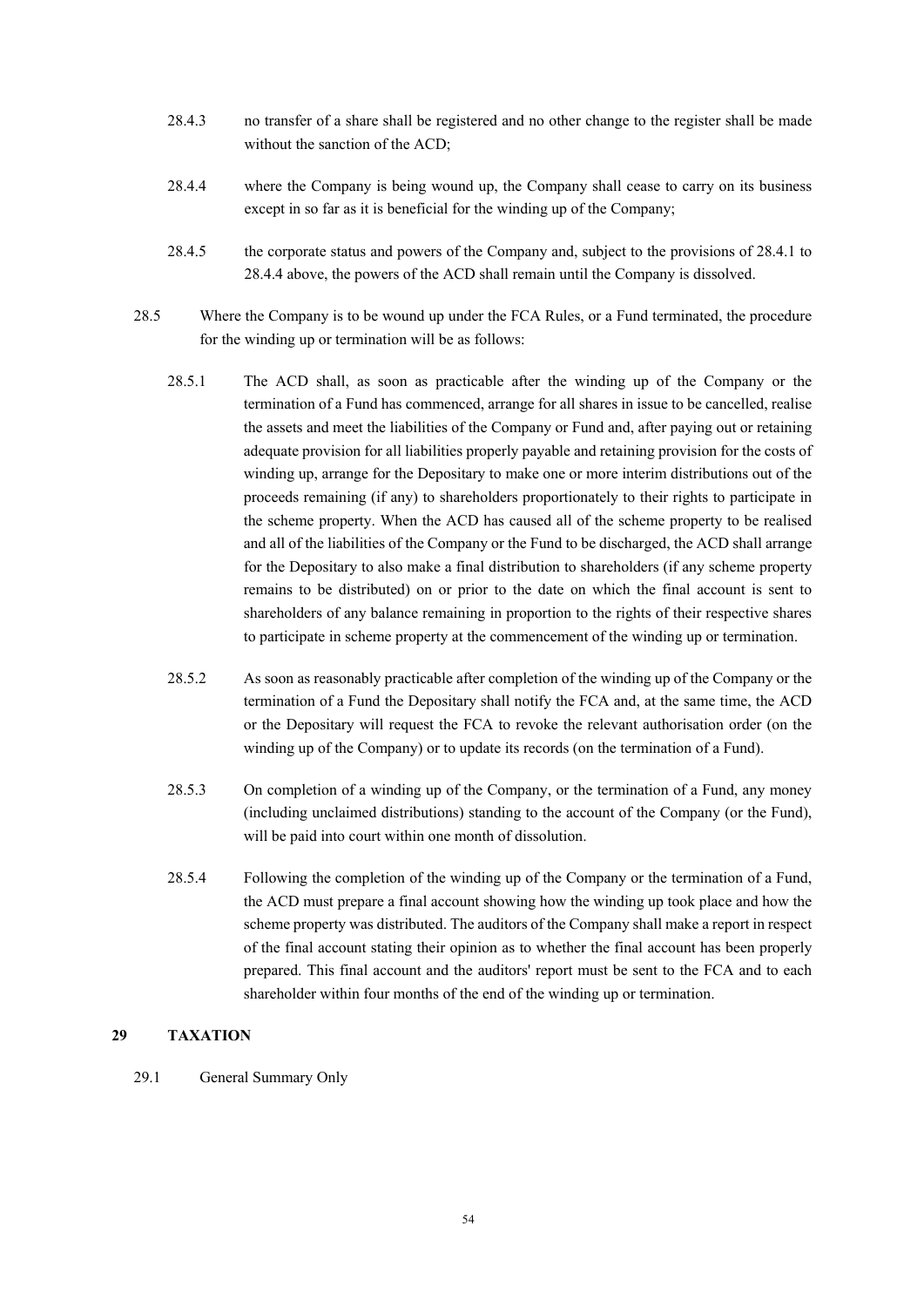- 28.4.3 no transfer of a share shall be registered and no other change to the register shall be made without the sanction of the ACD;
- 28.4.4 where the Company is being wound up, the Company shall cease to carry on its business except in so far as it is beneficial for the winding up of the Company;
- 28.4.5 the corporate status and powers of the Company and, subject to the provisions of 28.4.1 to 28.4.4 above, the powers of the ACD shall remain until the Company is dissolved.
- 28.5 Where the Company is to be wound up under the FCA Rules, or a Fund terminated, the procedure for the winding up or termination will be as follows:
	- 28.5.1 The ACD shall, as soon as practicable after the winding up of the Company or the termination of a Fund has commenced, arrange for all shares in issue to be cancelled, realise the assets and meet the liabilities of the Company or Fund and, after paying out or retaining adequate provision for all liabilities properly payable and retaining provision for the costs of winding up, arrange for the Depositary to make one or more interim distributions out of the proceeds remaining (if any) to shareholders proportionately to their rights to participate in the scheme property. When the ACD has caused all of the scheme property to be realised and all of the liabilities of the Company or the Fund to be discharged, the ACD shall arrange for the Depositary to also make a final distribution to shareholders (if any scheme property remains to be distributed) on or prior to the date on which the final account is sent to shareholders of any balance remaining in proportion to the rights of their respective shares to participate in scheme property at the commencement of the winding up or termination.
	- 28.5.2 As soon as reasonably practicable after completion of the winding up of the Company or the termination of a Fund the Depositary shall notify the FCA and, at the same time, the ACD or the Depositary will request the FCA to revoke the relevant authorisation order (on the winding up of the Company) or to update its records (on the termination of a Fund).
	- 28.5.3 On completion of a winding up of the Company, or the termination of a Fund, any money (including unclaimed distributions) standing to the account of the Company (or the Fund), will be paid into court within one month of dissolution.
	- 28.5.4 Following the completion of the winding up of the Company or the termination of a Fund, the ACD must prepare a final account showing how the winding up took place and how the scheme property was distributed. The auditors of the Company shall make a report in respect of the final account stating their opinion as to whether the final account has been properly prepared. This final account and the auditors' report must be sent to the FCA and to each shareholder within four months of the end of the winding up or termination.

#### **29 TAXATION**

29.1 General Summary Only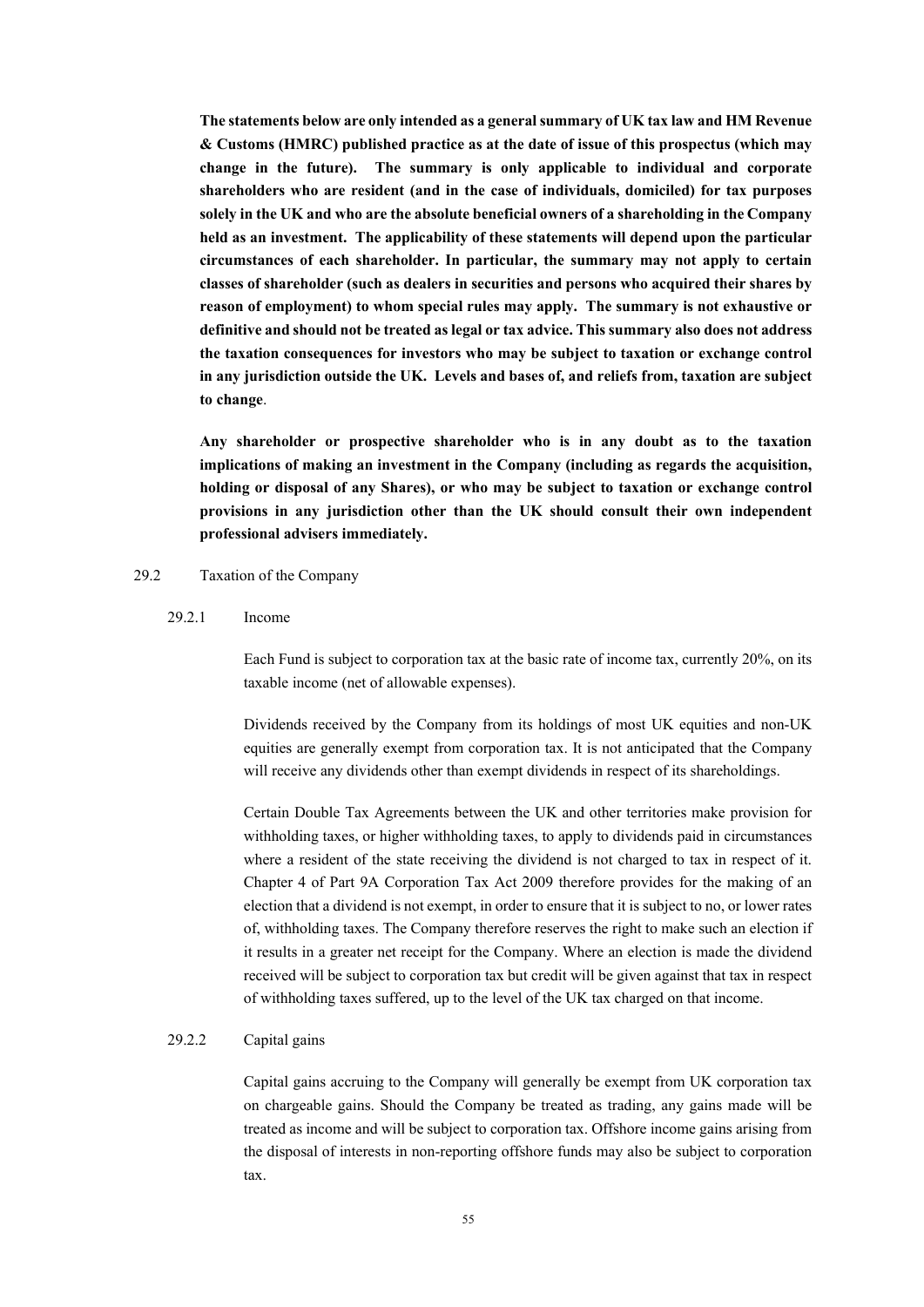**The statements below are only intended as a general summary of UK tax law and HM Revenue & Customs (HMRC) published practice as at the date of issue of this prospectus (which may change in the future). The summary is only applicable to individual and corporate shareholders who are resident (and in the case of individuals, domiciled) for tax purposes solely in the UK and who are the absolute beneficial owners of a shareholding in the Company held as an investment. The applicability of these statements will depend upon the particular circumstances of each shareholder. In particular, the summary may not apply to certain classes of shareholder (such as dealers in securities and persons who acquired their shares by reason of employment) to whom special rules may apply. The summary is not exhaustive or definitive and should not be treated as legal or tax advice. This summary also does not address the taxation consequences for investors who may be subject to taxation or exchange control in any jurisdiction outside the UK. Levels and bases of, and reliefs from, taxation are subject to change**.

**Any shareholder or prospective shareholder who is in any doubt as to the taxation implications of making an investment in the Company (including as regards the acquisition, holding or disposal of any Shares), or who may be subject to taxation or exchange control provisions in any jurisdiction other than the UK should consult their own independent professional advisers immediately.** 

### 29.2 Taxation of the Company

#### 29.2.1 Income

Each Fund is subject to corporation tax at the basic rate of income tax, currently 20%, on its taxable income (net of allowable expenses).

Dividends received by the Company from its holdings of most UK equities and non-UK equities are generally exempt from corporation tax. It is not anticipated that the Company will receive any dividends other than exempt dividends in respect of its shareholdings.

Certain Double Tax Agreements between the UK and other territories make provision for withholding taxes, or higher withholding taxes, to apply to dividends paid in circumstances where a resident of the state receiving the dividend is not charged to tax in respect of it. Chapter 4 of Part 9A Corporation Tax Act 2009 therefore provides for the making of an election that a dividend is not exempt, in order to ensure that it is subject to no, or lower rates of, withholding taxes. The Company therefore reserves the right to make such an election if it results in a greater net receipt for the Company. Where an election is made the dividend received will be subject to corporation tax but credit will be given against that tax in respect of withholding taxes suffered, up to the level of the UK tax charged on that income.

#### 29.2.2 Capital gains

Capital gains accruing to the Company will generally be exempt from UK corporation tax on chargeable gains. Should the Company be treated as trading, any gains made will be treated as income and will be subject to corporation tax. Offshore income gains arising from the disposal of interests in non-reporting offshore funds may also be subject to corporation tax.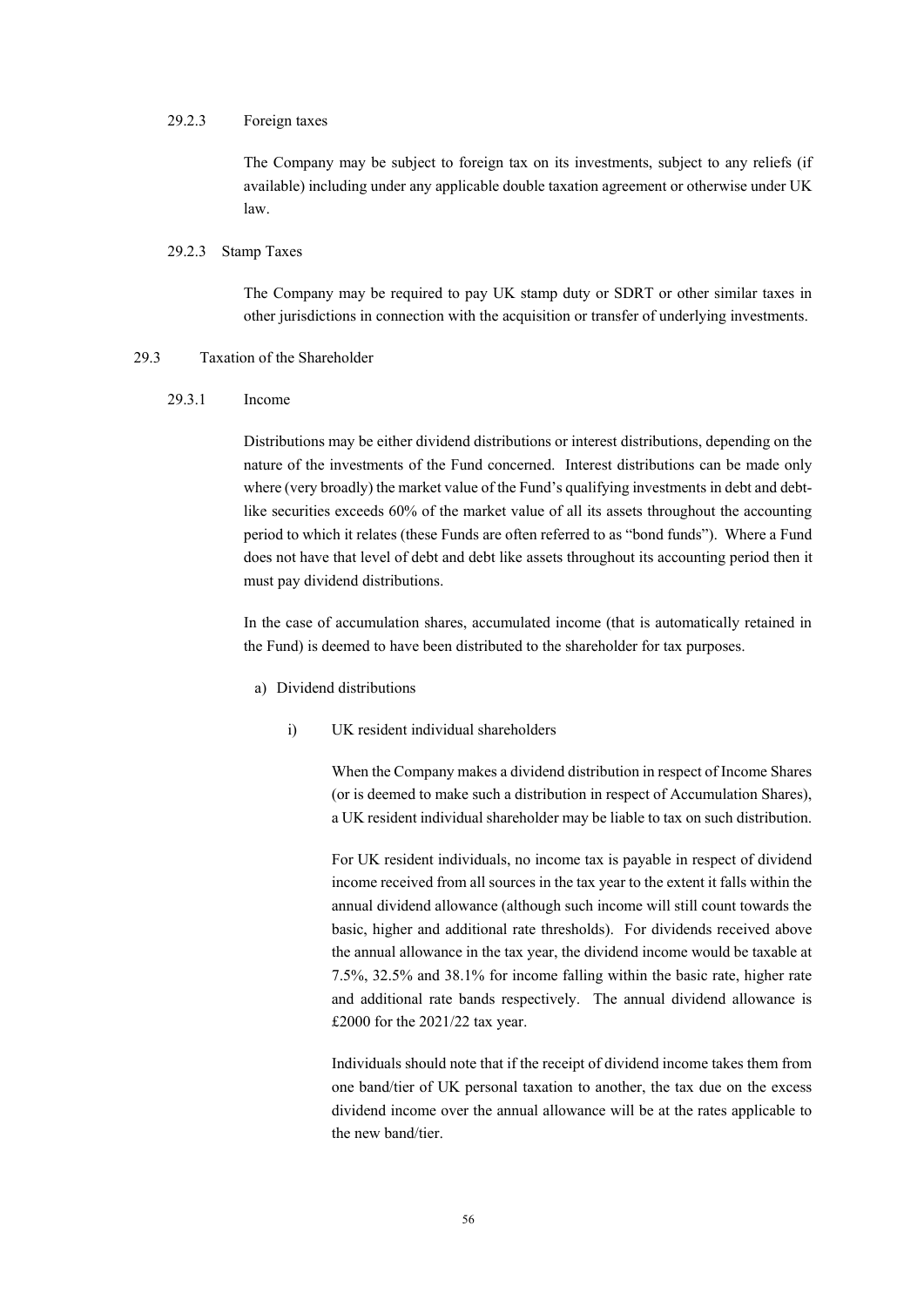#### 29.2.3 Foreign taxes

The Company may be subject to foreign tax on its investments, subject to any reliefs (if available) including under any applicable double taxation agreement or otherwise under UK law.

#### 29.2.3 Stamp Taxes

The Company may be required to pay UK stamp duty or SDRT or other similar taxes in other jurisdictions in connection with the acquisition or transfer of underlying investments.

#### 29.3 Taxation of the Shareholder

#### 29.3.1 Income

Distributions may be either dividend distributions or interest distributions, depending on the nature of the investments of the Fund concerned. Interest distributions can be made only where (very broadly) the market value of the Fund's qualifying investments in debt and debtlike securities exceeds 60% of the market value of all its assets throughout the accounting period to which it relates (these Funds are often referred to as "bond funds"). Where a Fund does not have that level of debt and debt like assets throughout its accounting period then it must pay dividend distributions.

In the case of accumulation shares, accumulated income (that is automatically retained in the Fund) is deemed to have been distributed to the shareholder for tax purposes.

- a) Dividend distributions
	- i) UK resident individual shareholders

When the Company makes a dividend distribution in respect of Income Shares (or is deemed to make such a distribution in respect of Accumulation Shares), a UK resident individual shareholder may be liable to tax on such distribution.

For UK resident individuals, no income tax is payable in respect of dividend income received from all sources in the tax year to the extent it falls within the annual dividend allowance (although such income will still count towards the basic, higher and additional rate thresholds). For dividends received above the annual allowance in the tax year, the dividend income would be taxable at 7.5%, 32.5% and 38.1% for income falling within the basic rate, higher rate and additional rate bands respectively. The annual dividend allowance is £2000 for the 2021/22 tax year.

Individuals should note that if the receipt of dividend income takes them from one band/tier of UK personal taxation to another, the tax due on the excess dividend income over the annual allowance will be at the rates applicable to the new hand/tier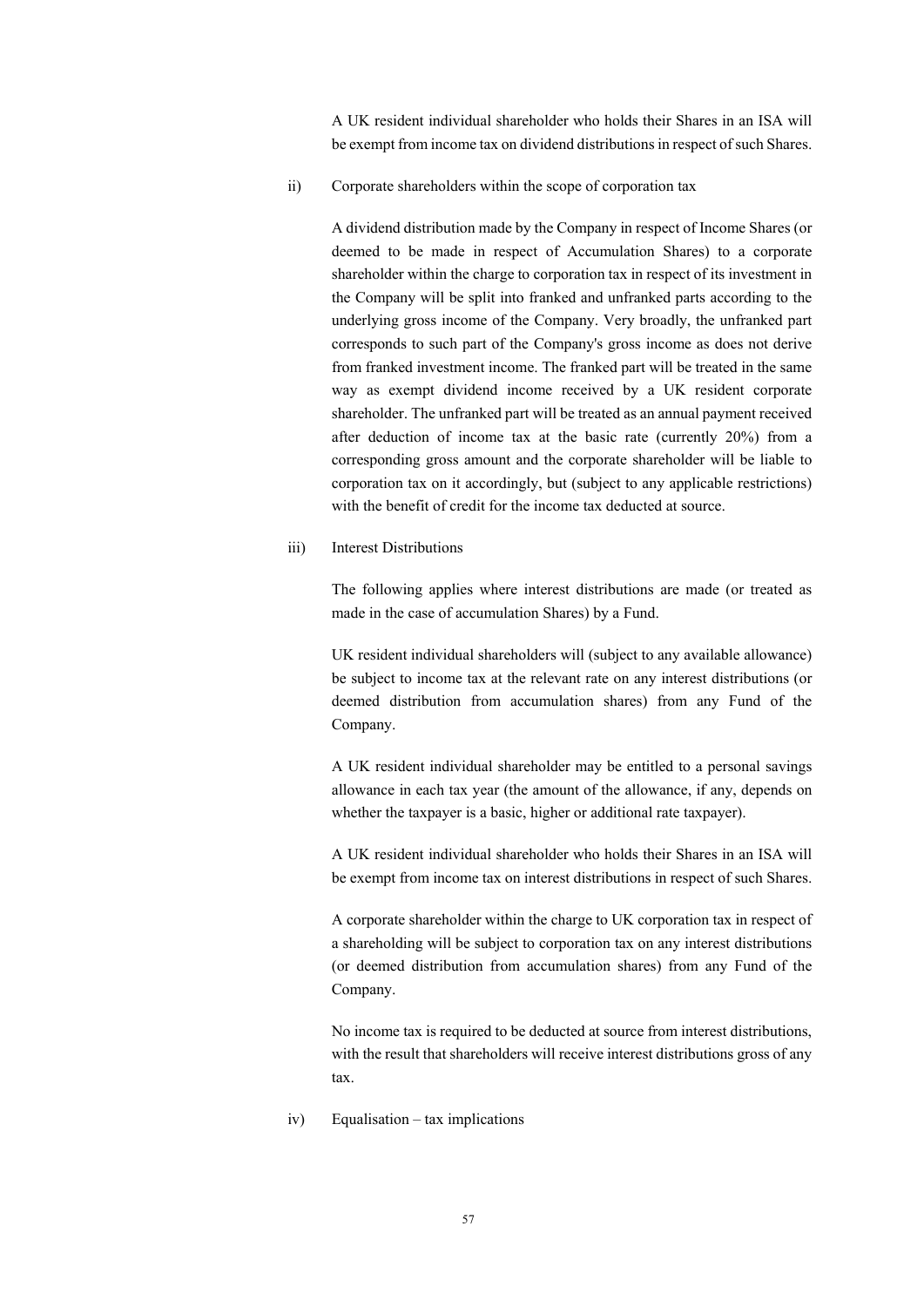A UK resident individual shareholder who holds their Shares in an ISA will be exempt from income tax on dividend distributions in respect of such Shares.

ii) Corporate shareholders within the scope of corporation tax

A dividend distribution made by the Company in respect of Income Shares (or deemed to be made in respect of Accumulation Shares) to a corporate shareholder within the charge to corporation tax in respect of its investment in the Company will be split into franked and unfranked parts according to the underlying gross income of the Company. Very broadly, the unfranked part corresponds to such part of the Company's gross income as does not derive from franked investment income. The franked part will be treated in the same way as exempt dividend income received by a UK resident corporate shareholder. The unfranked part will be treated as an annual payment received after deduction of income tax at the basic rate (currently 20%) from a corresponding gross amount and the corporate shareholder will be liable to corporation tax on it accordingly, but (subject to any applicable restrictions) with the benefit of credit for the income tax deducted at source.

#### iii) Interest Distributions

The following applies where interest distributions are made (or treated as made in the case of accumulation Shares) by a Fund.

UK resident individual shareholders will (subject to any available allowance) be subject to income tax at the relevant rate on any interest distributions (or deemed distribution from accumulation shares) from any Fund of the Company.

A UK resident individual shareholder may be entitled to a personal savings allowance in each tax year (the amount of the allowance, if any, depends on whether the taxpayer is a basic, higher or additional rate taxpayer).

A UK resident individual shareholder who holds their Shares in an ISA will be exempt from income tax on interest distributions in respect of such Shares.

A corporate shareholder within the charge to UK corporation tax in respect of a shareholding will be subject to corporation tax on any interest distributions (or deemed distribution from accumulation shares) from any Fund of the Company.

No income tax is required to be deducted at source from interest distributions, with the result that shareholders will receive interest distributions gross of any tax.

iv) Equalisation – tax implications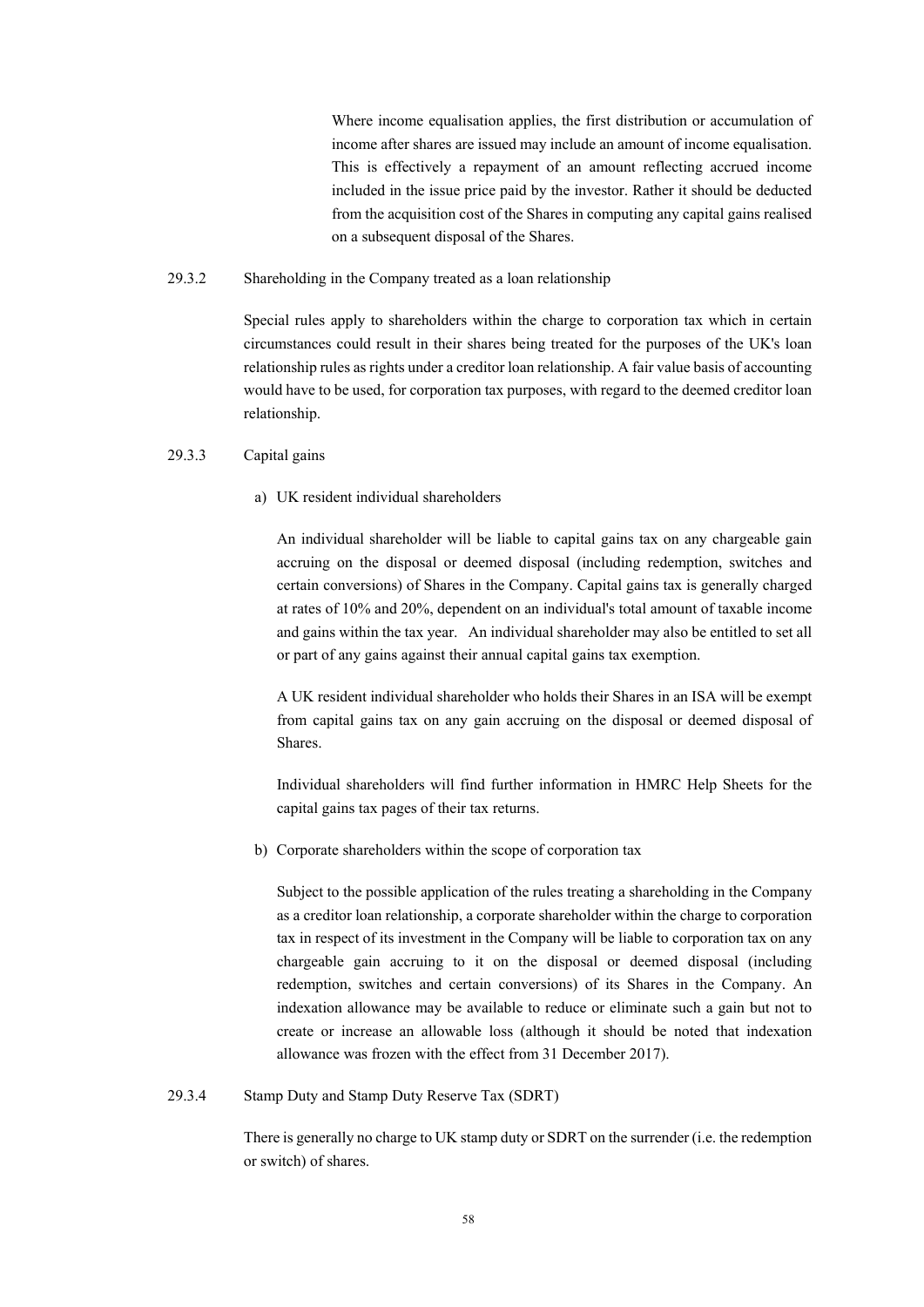Where income equalisation applies, the first distribution or accumulation of income after shares are issued may include an amount of income equalisation. This is effectively a repayment of an amount reflecting accrued income included in the issue price paid by the investor. Rather it should be deducted from the acquisition cost of the Shares in computing any capital gains realised on a subsequent disposal of the Shares.

### 29.3.2 Shareholding in the Company treated as a loan relationship

Special rules apply to shareholders within the charge to corporation tax which in certain circumstances could result in their shares being treated for the purposes of the UK's loan relationship rules as rights under a creditor loan relationship. A fair value basis of accounting would have to be used, for corporation tax purposes, with regard to the deemed creditor loan relationship.

# 29.3.3 Capital gains

#### a) UK resident individual shareholders

An individual shareholder will be liable to capital gains tax on any chargeable gain accruing on the disposal or deemed disposal (including redemption, switches and certain conversions) of Shares in the Company. Capital gains tax is generally charged at rates of 10% and 20%, dependent on an individual's total amount of taxable income and gains within the tax year. An individual shareholder may also be entitled to set all or part of any gains against their annual capital gains tax exemption.

A UK resident individual shareholder who holds their Shares in an ISA will be exempt from capital gains tax on any gain accruing on the disposal or deemed disposal of Shares.

Individual shareholders will find further information in HMRC Help Sheets for the capital gains tax pages of their tax returns.

b) Corporate shareholders within the scope of corporation tax

Subject to the possible application of the rules treating a shareholding in the Company as a creditor loan relationship, a corporate shareholder within the charge to corporation tax in respect of its investment in the Company will be liable to corporation tax on any chargeable gain accruing to it on the disposal or deemed disposal (including redemption, switches and certain conversions) of its Shares in the Company. An indexation allowance may be available to reduce or eliminate such a gain but not to create or increase an allowable loss (although it should be noted that indexation allowance was frozen with the effect from 31 December 2017).

### 29.3.4 Stamp Duty and Stamp Duty Reserve Tax (SDRT)

There is generally no charge to UK stamp duty or SDRT on the surrender (i.e. the redemption or switch) of shares.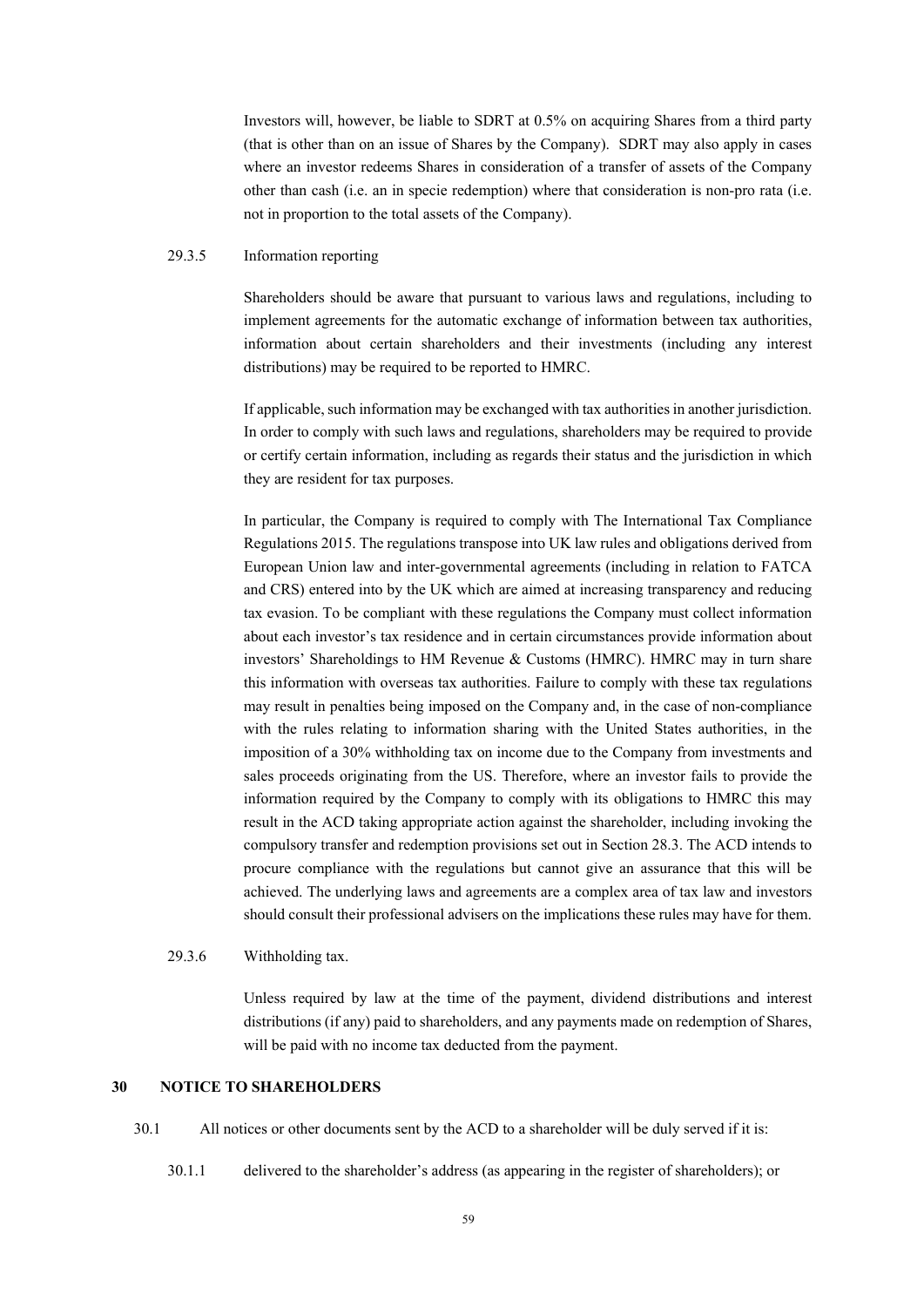Investors will, however, be liable to SDRT at 0.5% on acquiring Shares from a third party (that is other than on an issue of Shares by the Company). SDRT may also apply in cases where an investor redeems Shares in consideration of a transfer of assets of the Company other than cash (i.e. an in specie redemption) where that consideration is non-pro rata (i.e. not in proportion to the total assets of the Company).

### 29.3.5 Information reporting

Shareholders should be aware that pursuant to various laws and regulations, including to implement agreements for the automatic exchange of information between tax authorities, information about certain shareholders and their investments (including any interest distributions) may be required to be reported to HMRC.

If applicable, such information may be exchanged with tax authorities in another jurisdiction. In order to comply with such laws and regulations, shareholders may be required to provide or certify certain information, including as regards their status and the jurisdiction in which they are resident for tax purposes.

In particular, the Company is required to comply with The International Tax Compliance Regulations 2015. The regulations transpose into UK law rules and obligations derived from European Union law and inter-governmental agreements (including in relation to FATCA and CRS) entered into by the UK which are aimed at increasing transparency and reducing tax evasion. To be compliant with these regulations the Company must collect information about each investor's tax residence and in certain circumstances provide information about investors' Shareholdings to HM Revenue & Customs (HMRC). HMRC may in turn share this information with overseas tax authorities. Failure to comply with these tax regulations may result in penalties being imposed on the Company and, in the case of non-compliance with the rules relating to information sharing with the United States authorities, in the imposition of a 30% withholding tax on income due to the Company from investments and sales proceeds originating from the US. Therefore, where an investor fails to provide the information required by the Company to comply with its obligations to HMRC this may result in the ACD taking appropriate action against the shareholder, including invoking the compulsory transfer and redemption provisions set out in Section 28.3. The ACD intends to procure compliance with the regulations but cannot give an assurance that this will be achieved. The underlying laws and agreements are a complex area of tax law and investors should consult their professional advisers on the implications these rules may have for them.

#### 29.3.6 Withholding tax.

Unless required by law at the time of the payment, dividend distributions and interest distributions (if any) paid to shareholders, and any payments made on redemption of Shares, will be paid with no income tax deducted from the payment.

#### **30 NOTICE TO SHAREHOLDERS**

30.1 All notices or other documents sent by the ACD to a shareholder will be duly served if it is:

30.1.1 delivered to the shareholder's address (as appearing in the register of shareholders); or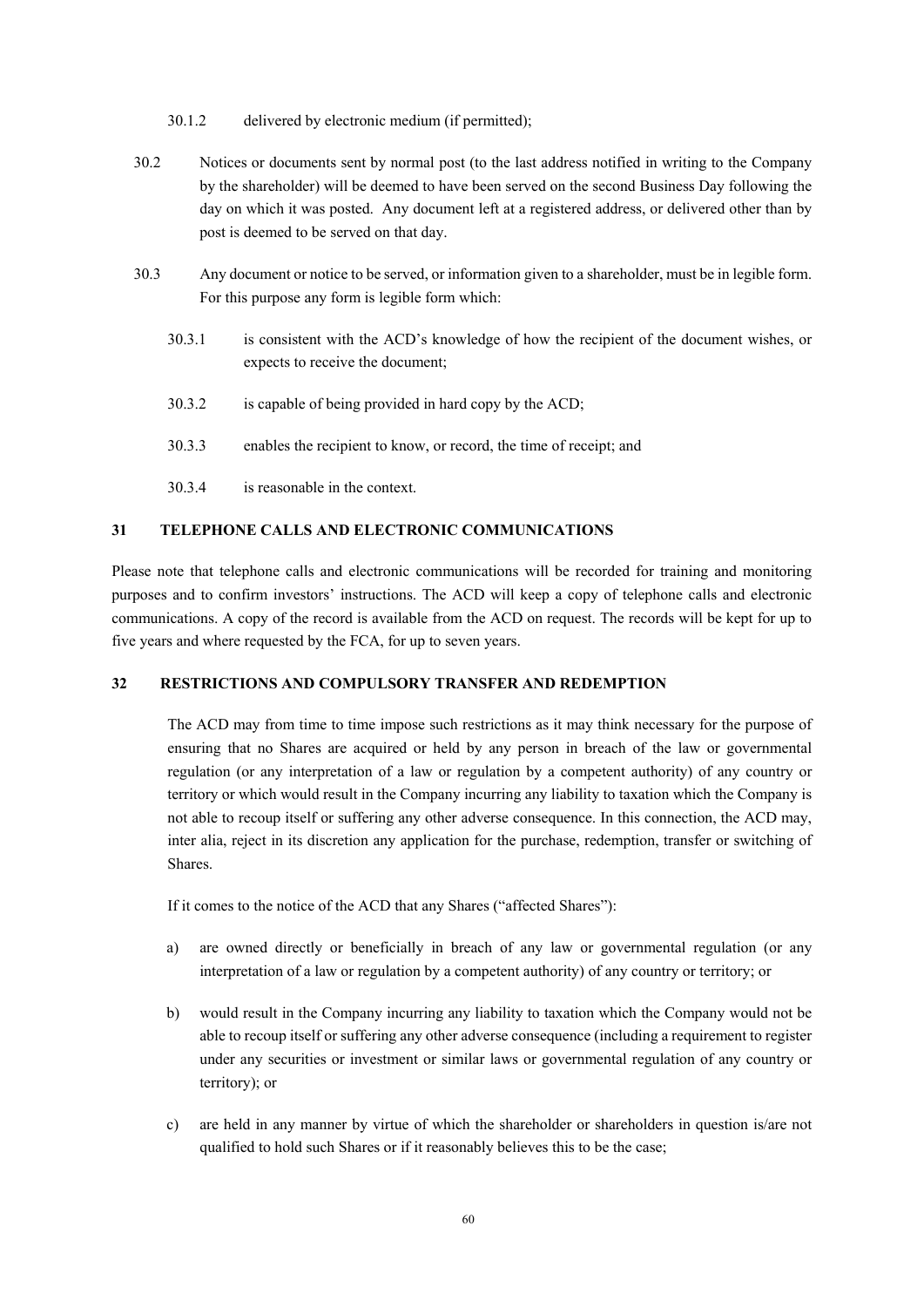30.1.2 delivered by electronic medium (if permitted);

- 30.2 Notices or documents sent by normal post (to the last address notified in writing to the Company by the shareholder) will be deemed to have been served on the second Business Day following the day on which it was posted. Any document left at a registered address, or delivered other than by post is deemed to be served on that day.
- 30.3 Any document or notice to be served, or information given to a shareholder, must be in legible form. For this purpose any form is legible form which:
	- 30.3.1 is consistent with the ACD's knowledge of how the recipient of the document wishes, or expects to receive the document;
	- 30.3.2 is capable of being provided in hard copy by the ACD;
	- 30.3.3 enables the recipient to know, or record, the time of receipt; and
	- 30.3.4 is reasonable in the context.

# **31 TELEPHONE CALLS AND ELECTRONIC COMMUNICATIONS**

Please note that telephone calls and electronic communications will be recorded for training and monitoring purposes and to confirm investors' instructions. The ACD will keep a copy of telephone calls and electronic communications. A copy of the record is available from the ACD on request. The records will be kept for up to five years and where requested by the FCA, for up to seven years.

### **32 RESTRICTIONS AND COMPULSORY TRANSFER AND REDEMPTION**

The ACD may from time to time impose such restrictions as it may think necessary for the purpose of ensuring that no Shares are acquired or held by any person in breach of the law or governmental regulation (or any interpretation of a law or regulation by a competent authority) of any country or territory or which would result in the Company incurring any liability to taxation which the Company is not able to recoup itself or suffering any other adverse consequence. In this connection, the ACD may, inter alia, reject in its discretion any application for the purchase, redemption, transfer or switching of **Shares**.

If it comes to the notice of the ACD that any Shares ("affected Shares"):

- a) are owned directly or beneficially in breach of any law or governmental regulation (or any interpretation of a law or regulation by a competent authority) of any country or territory; or
- b) would result in the Company incurring any liability to taxation which the Company would not be able to recoup itself or suffering any other adverse consequence (including a requirement to register under any securities or investment or similar laws or governmental regulation of any country or territory); or
- c) are held in any manner by virtue of which the shareholder or shareholders in question is/are not qualified to hold such Shares or if it reasonably believes this to be the case;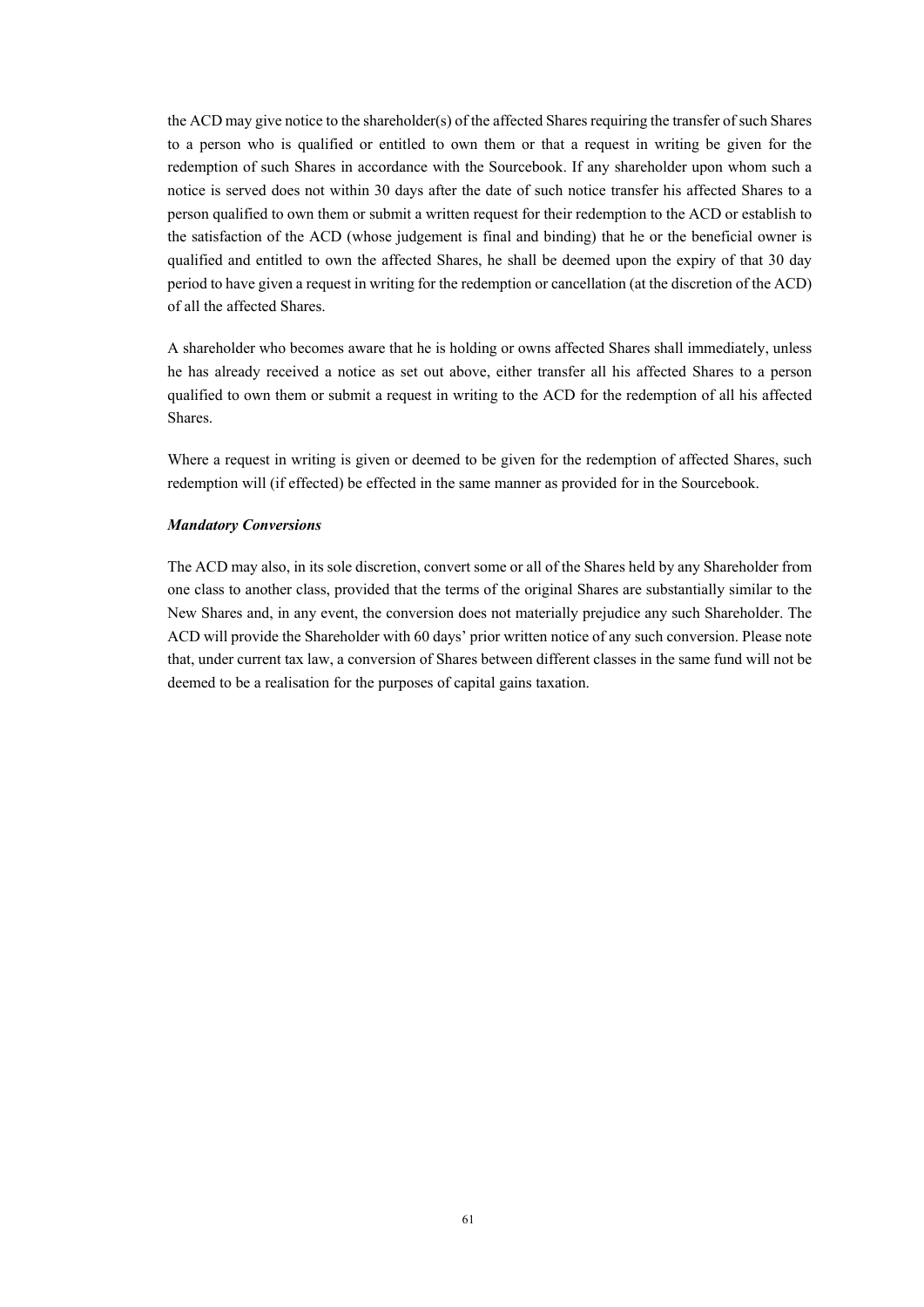the ACD may give notice to the shareholder(s) of the affected Shares requiring the transfer of such Shares to a person who is qualified or entitled to own them or that a request in writing be given for the redemption of such Shares in accordance with the Sourcebook. If any shareholder upon whom such a notice is served does not within 30 days after the date of such notice transfer his affected Shares to a person qualified to own them or submit a written request for their redemption to the ACD or establish to the satisfaction of the ACD (whose judgement is final and binding) that he or the beneficial owner is qualified and entitled to own the affected Shares, he shall be deemed upon the expiry of that 30 day period to have given a request in writing for the redemption or cancellation (at the discretion of the ACD) of all the affected Shares.

A shareholder who becomes aware that he is holding or owns affected Shares shall immediately, unless he has already received a notice as set out above, either transfer all his affected Shares to a person qualified to own them or submit a request in writing to the ACD for the redemption of all his affected Shares.

Where a request in writing is given or deemed to be given for the redemption of affected Shares, such redemption will (if effected) be effected in the same manner as provided for in the Sourcebook.

#### *Mandatory Conversions*

The ACD may also, in its sole discretion, convert some or all of the Shares held by any Shareholder from one class to another class, provided that the terms of the original Shares are substantially similar to the New Shares and, in any event, the conversion does not materially prejudice any such Shareholder. The ACD will provide the Shareholder with 60 days' prior written notice of any such conversion. Please note that, under current tax law, a conversion of Shares between different classes in the same fund will not be deemed to be a realisation for the purposes of capital gains taxation.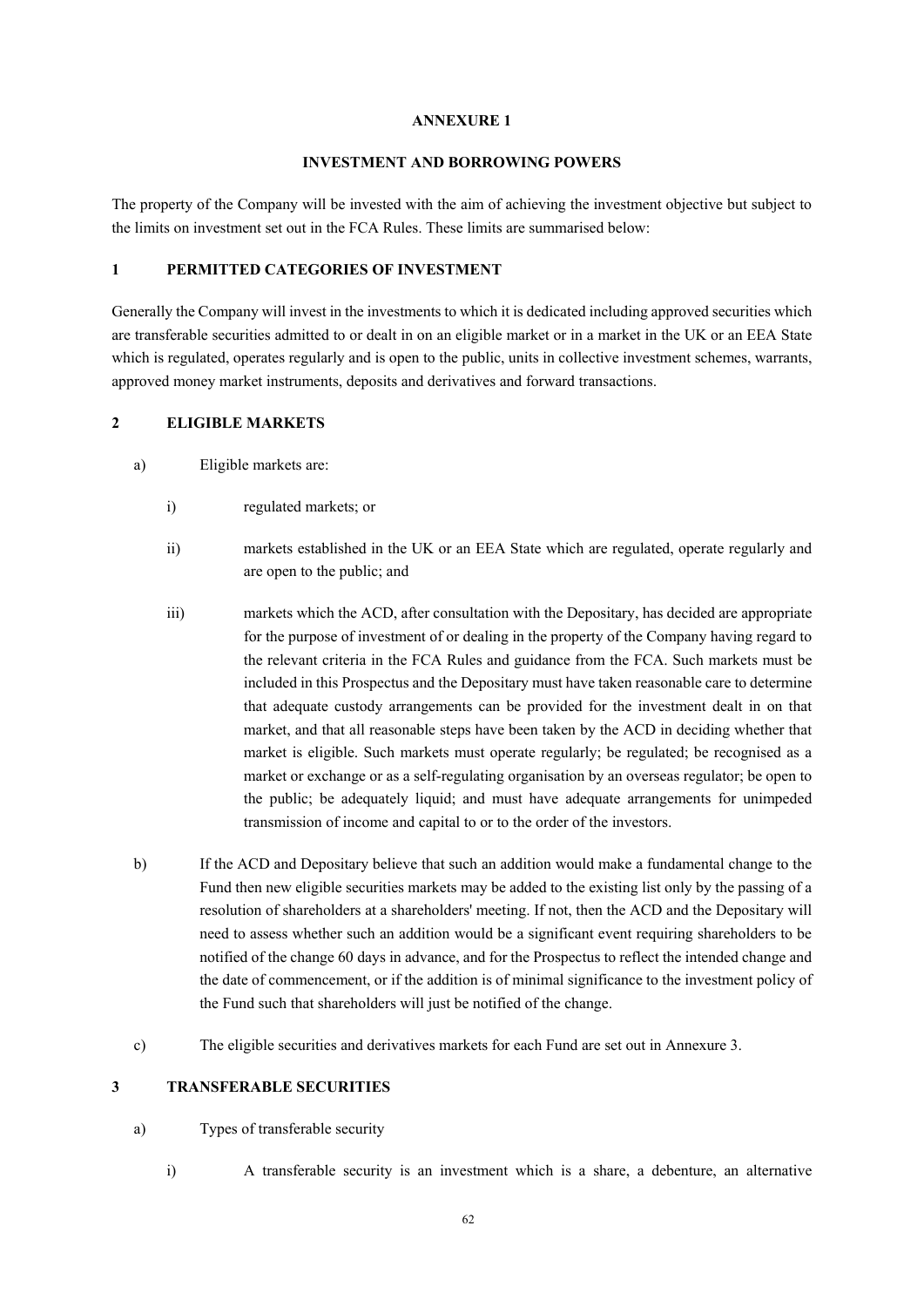#### **ANNEXURE 1**

# **INVESTMENT AND BORROWING POWERS**

The property of the Company will be invested with the aim of achieving the investment objective but subject to the limits on investment set out in the FCA Rules. These limits are summarised below:

# **1 PERMITTED CATEGORIES OF INVESTMENT**

Generally the Company will invest in the investments to which it is dedicated including approved securities which are transferable securities admitted to or dealt in on an eligible market or in a market in the UK or an EEA State which is regulated, operates regularly and is open to the public, units in collective investment schemes, warrants, approved money market instruments, deposits and derivatives and forward transactions.

### **2 ELIGIBLE MARKETS**

- a) Eligible markets are:
	- i) regulated markets; or
	- ii) markets established in the UK or an EEA State which are regulated, operate regularly and are open to the public; and
	- iii) markets which the ACD, after consultation with the Depositary, has decided are appropriate for the purpose of investment of or dealing in the property of the Company having regard to the relevant criteria in the FCA Rules and guidance from the FCA. Such markets must be included in this Prospectus and the Depositary must have taken reasonable care to determine that adequate custody arrangements can be provided for the investment dealt in on that market, and that all reasonable steps have been taken by the ACD in deciding whether that market is eligible. Such markets must operate regularly; be regulated; be recognised as a market or exchange or as a self-regulating organisation by an overseas regulator; be open to the public; be adequately liquid; and must have adequate arrangements for unimpeded transmission of income and capital to or to the order of the investors.
- b) If the ACD and Depositary believe that such an addition would make a fundamental change to the Fund then new eligible securities markets may be added to the existing list only by the passing of a resolution of shareholders at a shareholders' meeting. If not, then the ACD and the Depositary will need to assess whether such an addition would be a significant event requiring shareholders to be notified of the change 60 days in advance, and for the Prospectus to reflect the intended change and the date of commencement, or if the addition is of minimal significance to the investment policy of the Fund such that shareholders will just be notified of the change.
- c) The eligible securities and derivatives markets for each Fund are set out in Annexure 3.

# **3 TRANSFERABLE SECURITIES**

### a) Types of transferable security

i) A transferable security is an investment which is a share, a debenture, an alternative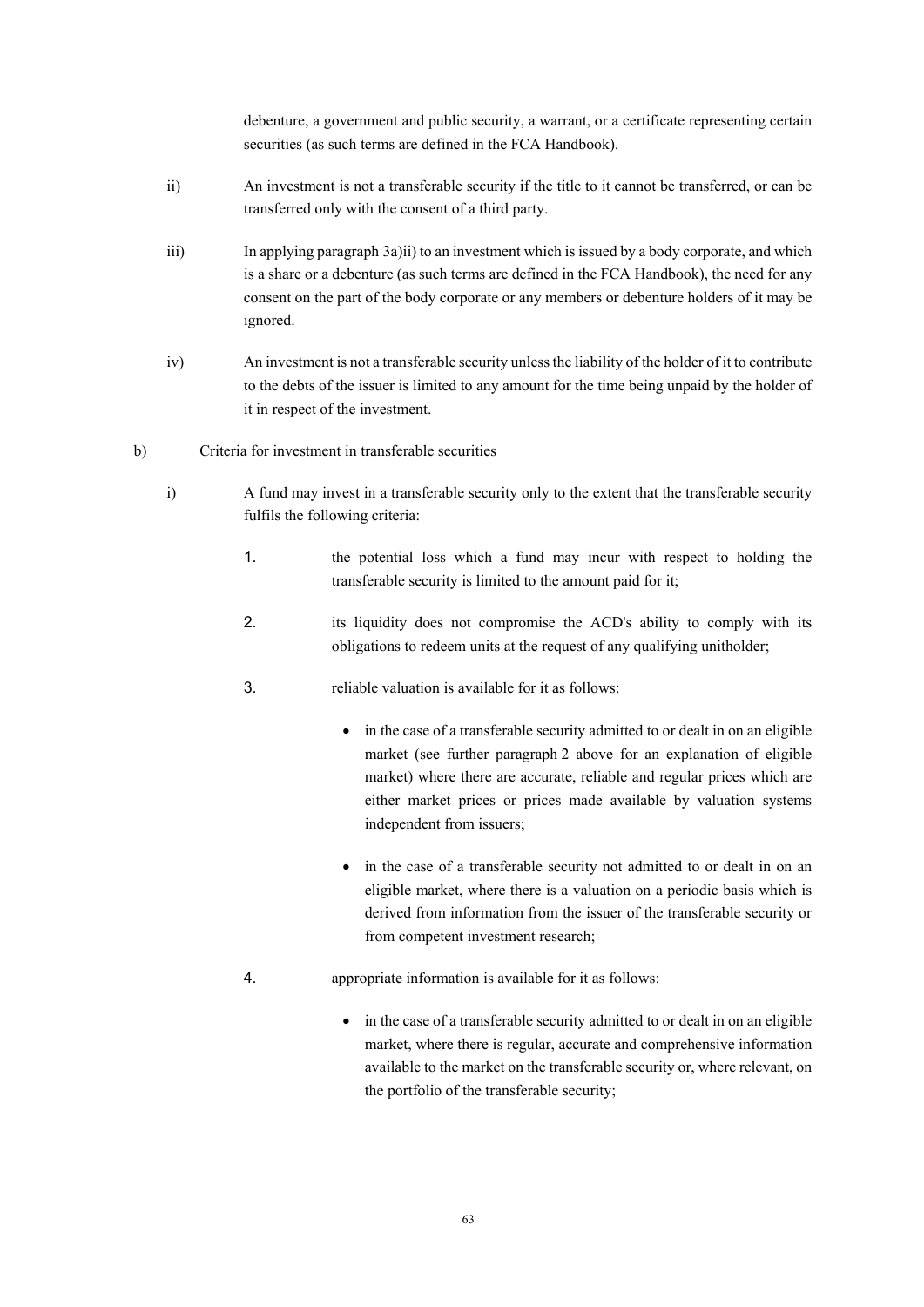debenture, a government and public security, a warrant, or a certificate representing certain securities (as such terms are defined in the FCA Handbook).

- ii) An investment is not a transferable security if the title to it cannot be transferred, or can be transferred only with the consent of a third party.
- iii) In applying paragraph 3a)ii) to an investment which is issued by a body corporate, and which is a share or a debenture (as such terms are defined in the FCA Handbook), the need for any consent on the part of the body corporate or any members or debenture holders of it may be ignored.
- iv) An investment is not a transferable security unless the liability of the holder of it to contribute to the debts of the issuer is limited to any amount for the time being unpaid by the holder of it in respect of the investment.
- b) Criteria for investment in transferable securities
	- i) A fund may invest in a transferable security only to the extent that the transferable security fulfils the following criteria:
		- 1. the potential loss which a fund may incur with respect to holding the transferable security is limited to the amount paid for it;
		- 2. its liquidity does not compromise the ACD's ability to comply with its obligations to redeem units at the request of any qualifying unitholder;
		- 3. reliable valuation is available for it as follows:
			- in the case of a transferable security admitted to or dealt in on an eligible market (see further paragraph 2 above for an explanation of eligible market) where there are accurate, reliable and regular prices which are either market prices or prices made available by valuation systems independent from issuers;
			- in the case of a transferable security not admitted to or dealt in on an eligible market, where there is a valuation on a periodic basis which is derived from information from the issuer of the transferable security or from competent investment research;
		- 4. appropriate information is available for it as follows:
			- in the case of a transferable security admitted to or dealt in on an eligible market, where there is regular, accurate and comprehensive information available to the market on the transferable security or, where relevant, on the portfolio of the transferable security;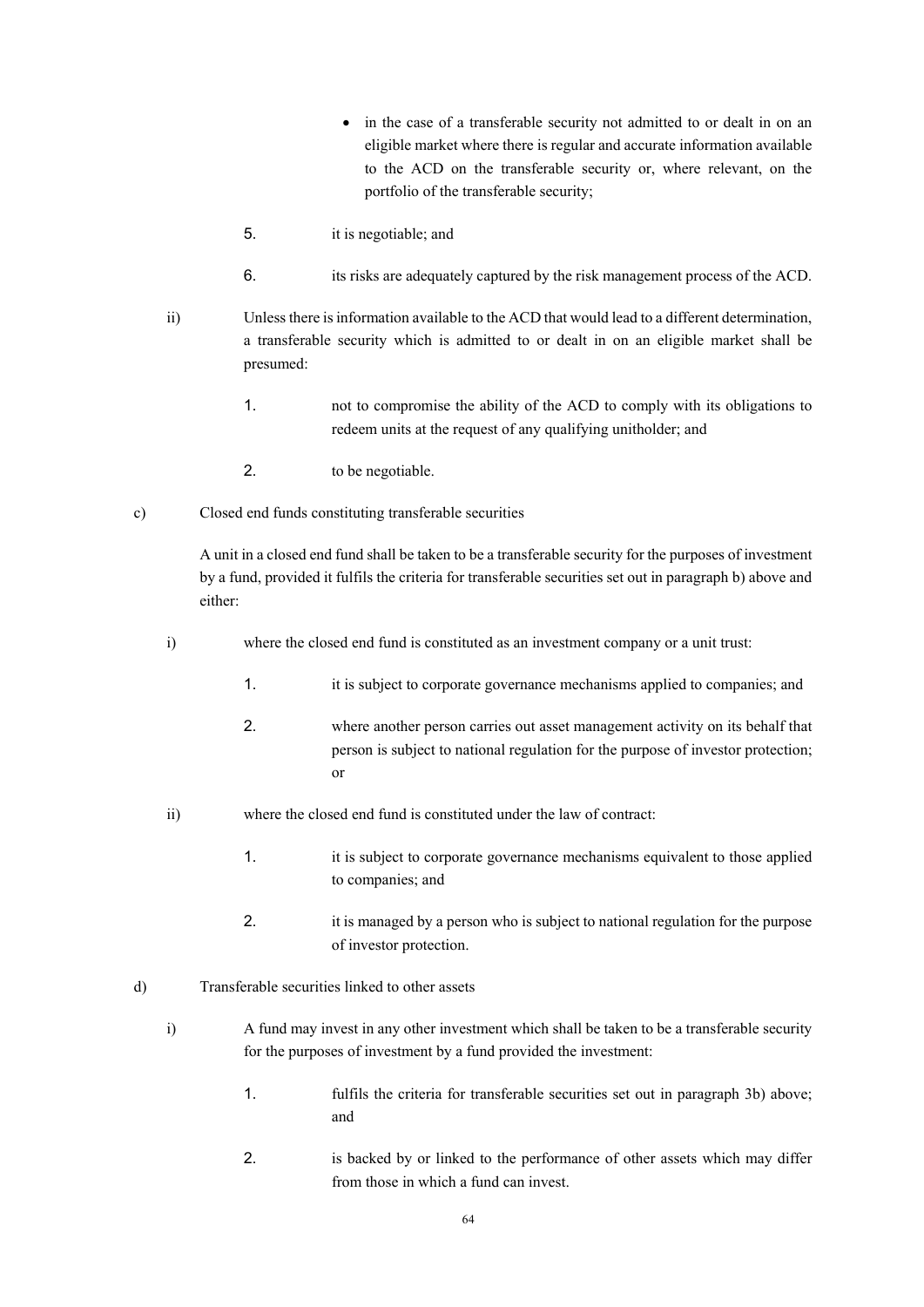- in the case of a transferable security not admitted to or dealt in on an eligible market where there is regular and accurate information available to the ACD on the transferable security or, where relevant, on the portfolio of the transferable security;
- 5. it is negotiable; and
- 6. its risks are adequately captured by the risk management process of the ACD.
- ii) Unless there is information available to the ACD that would lead to a different determination, a transferable security which is admitted to or dealt in on an eligible market shall be presumed:
	- 1. not to compromise the ability of the ACD to comply with its obligations to redeem units at the request of any qualifying unitholder; and
	- 2. to be negotiable.
- c) Closed end funds constituting transferable securities

A unit in a closed end fund shall be taken to be a transferable security for the purposes of investment by a fund, provided it fulfils the criteria for transferable securities set out in paragraph b) above and either:

- i) where the closed end fund is constituted as an investment company or a unit trust:
	- 1. it is subject to corporate governance mechanisms applied to companies; and
	- 2. where another person carries out asset management activity on its behalf that person is subject to national regulation for the purpose of investor protection; or
- ii) where the closed end fund is constituted under the law of contract:
	- 1. it is subject to corporate governance mechanisms equivalent to those applied to companies; and
	- 2. it is managed by a person who is subject to national regulation for the purpose of investor protection.
- d) Transferable securities linked to other assets
	- i) A fund may invest in any other investment which shall be taken to be a transferable security for the purposes of investment by a fund provided the investment:
		- 1. fulfils the criteria for transferable securities set out in paragraph 3b) above; and
		- 2. is backed by or linked to the performance of other assets which may differ from those in which a fund can invest.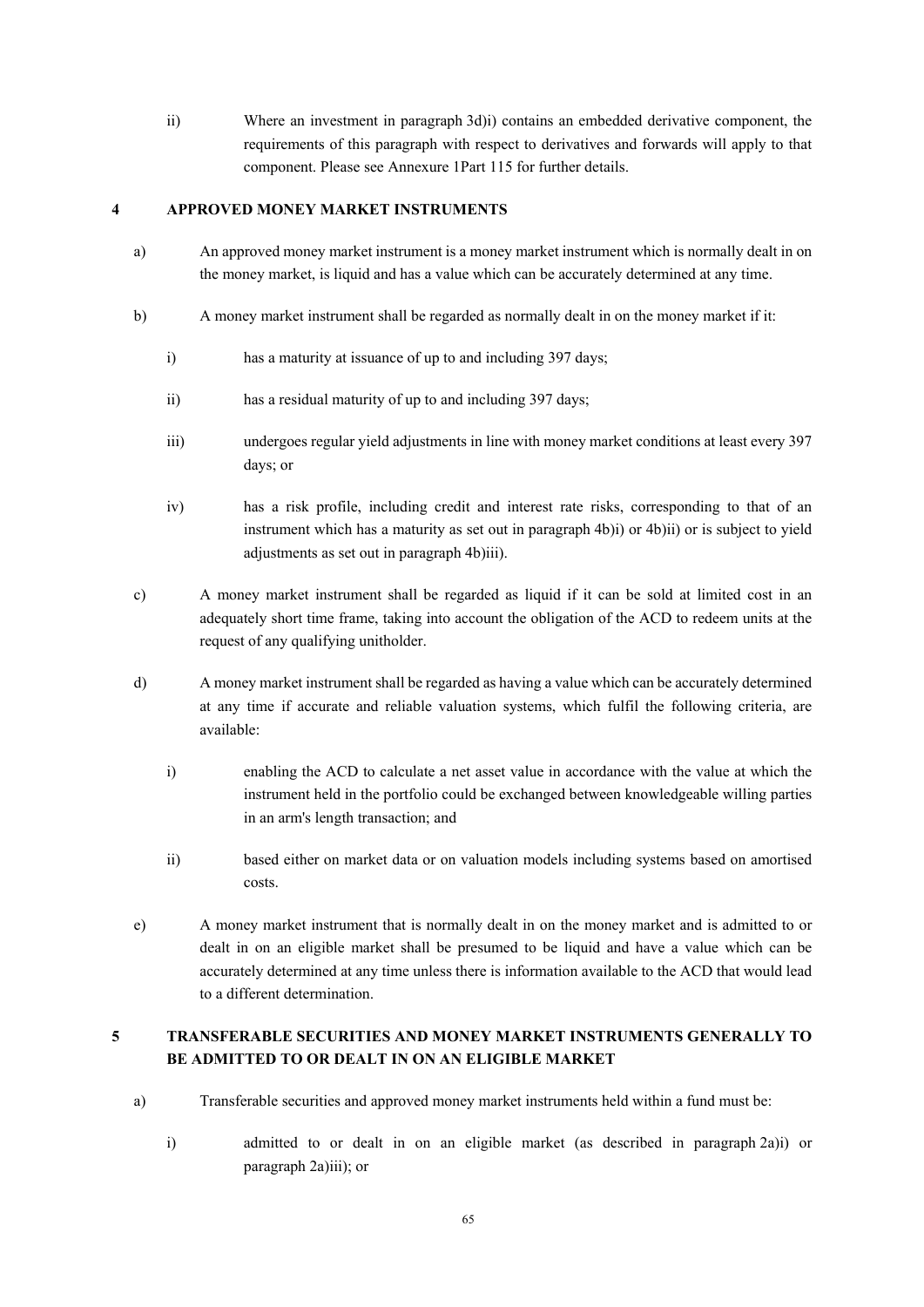ii) Where an investment in paragraph 3d)i) contains an embedded derivative component, the requirements of this paragraph with respect to derivatives and forwards will apply to that component. Please see Annexure 1Part 115 for further details.

# **4 APPROVED MONEY MARKET INSTRUMENTS**

- a) An approved money market instrument is a money market instrument which is normally dealt in on the money market, is liquid and has a value which can be accurately determined at any time.
- b) A money market instrument shall be regarded as normally dealt in on the money market if it:
	- i) has a maturity at issuance of up to and including 397 days;
	- ii) has a residual maturity of up to and including 397 days;
	- iii) undergoes regular yield adjustments in line with money market conditions at least every 397 days; or
	- iv) has a risk profile, including credit and interest rate risks, corresponding to that of an instrument which has a maturity as set out in paragraph 4b)i) or 4b)ii) or is subject to yield adjustments as set out in paragraph 4b)iii).
- c) A money market instrument shall be regarded as liquid if it can be sold at limited cost in an adequately short time frame, taking into account the obligation of the ACD to redeem units at the request of any qualifying unitholder.
- d) A money market instrument shall be regarded as having a value which can be accurately determined at any time if accurate and reliable valuation systems, which fulfil the following criteria, are available:
	- i) enabling the ACD to calculate a net asset value in accordance with the value at which the instrument held in the portfolio could be exchanged between knowledgeable willing parties in an arm's length transaction; and
	- ii) based either on market data or on valuation models including systems based on amortised costs.
- e) A money market instrument that is normally dealt in on the money market and is admitted to or dealt in on an eligible market shall be presumed to be liquid and have a value which can be accurately determined at any time unless there is information available to the ACD that would lead to a different determination.

# **5 TRANSFERABLE SECURITIES AND MONEY MARKET INSTRUMENTS GENERALLY TO BE ADMITTED TO OR DEALT IN ON AN ELIGIBLE MARKET**

- a) Transferable securities and approved money market instruments held within a fund must be:
	- i) admitted to or dealt in on an eligible market (as described in paragraph 2a)i) or paragraph 2a)iii); or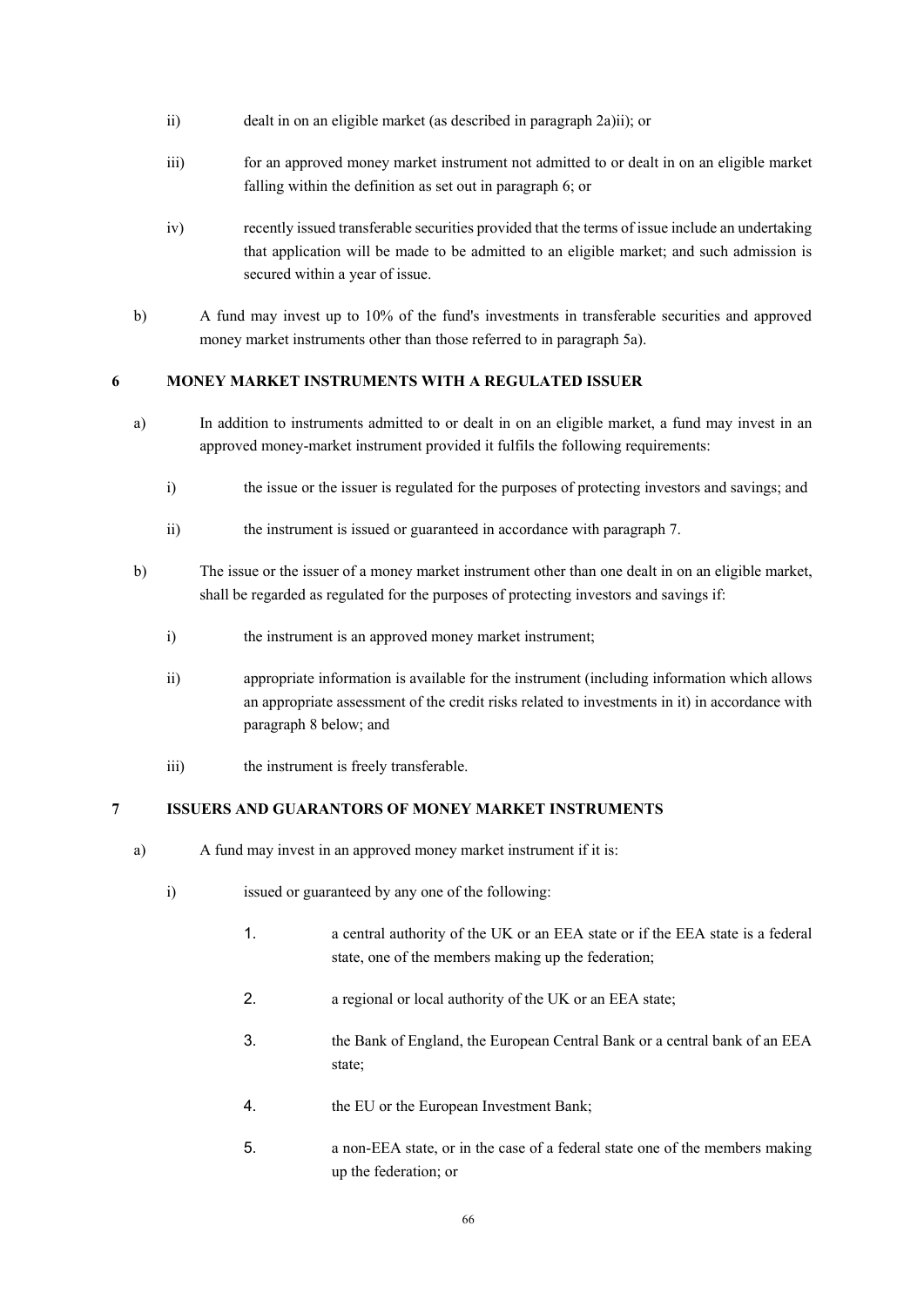- ii) dealt in on an eligible market (as described in paragraph 2a)ii); or
- iii) for an approved money market instrument not admitted to or dealt in on an eligible market falling within the definition as set out in paragraph 6; or
- iv) recently issued transferable securities provided that the terms of issue include an undertaking that application will be made to be admitted to an eligible market; and such admission is secured within a year of issue.
- b) A fund may invest up to 10% of the fund's investments in transferable securities and approved money market instruments other than those referred to in paragraph 5a).

# **6 MONEY MARKET INSTRUMENTS WITH A REGULATED ISSUER**

- a) In addition to instruments admitted to or dealt in on an eligible market, a fund may invest in an approved money-market instrument provided it fulfils the following requirements:
	- i) the issue or the issuer is regulated for the purposes of protecting investors and savings; and
	- ii) the instrument is issued or guaranteed in accordance with paragraph 7.
- b) The issue or the issuer of a money market instrument other than one dealt in on an eligible market, shall be regarded as regulated for the purposes of protecting investors and savings if:
	- i) the instrument is an approved money market instrument;
	- ii) appropriate information is available for the instrument (including information which allows an appropriate assessment of the credit risks related to investments in it) in accordance with paragraph 8 below; and
	- iii) the instrument is freely transferable.

# **7 ISSUERS AND GUARANTORS OF MONEY MARKET INSTRUMENTS**

- a) A fund may invest in an approved money market instrument if it is:
	- i) issued or guaranteed by any one of the following:
		- 1. a central authority of the UK or an EEA state or if the EEA state is a federal state, one of the members making up the federation;
		- 2. a regional or local authority of the UK or an EEA state;
		- 3. the Bank of England, the European Central Bank or a central bank of an EEA state;
		- 4. the EU or the European Investment Bank;
		- 5. a non-EEA state, or in the case of a federal state one of the members making up the federation; or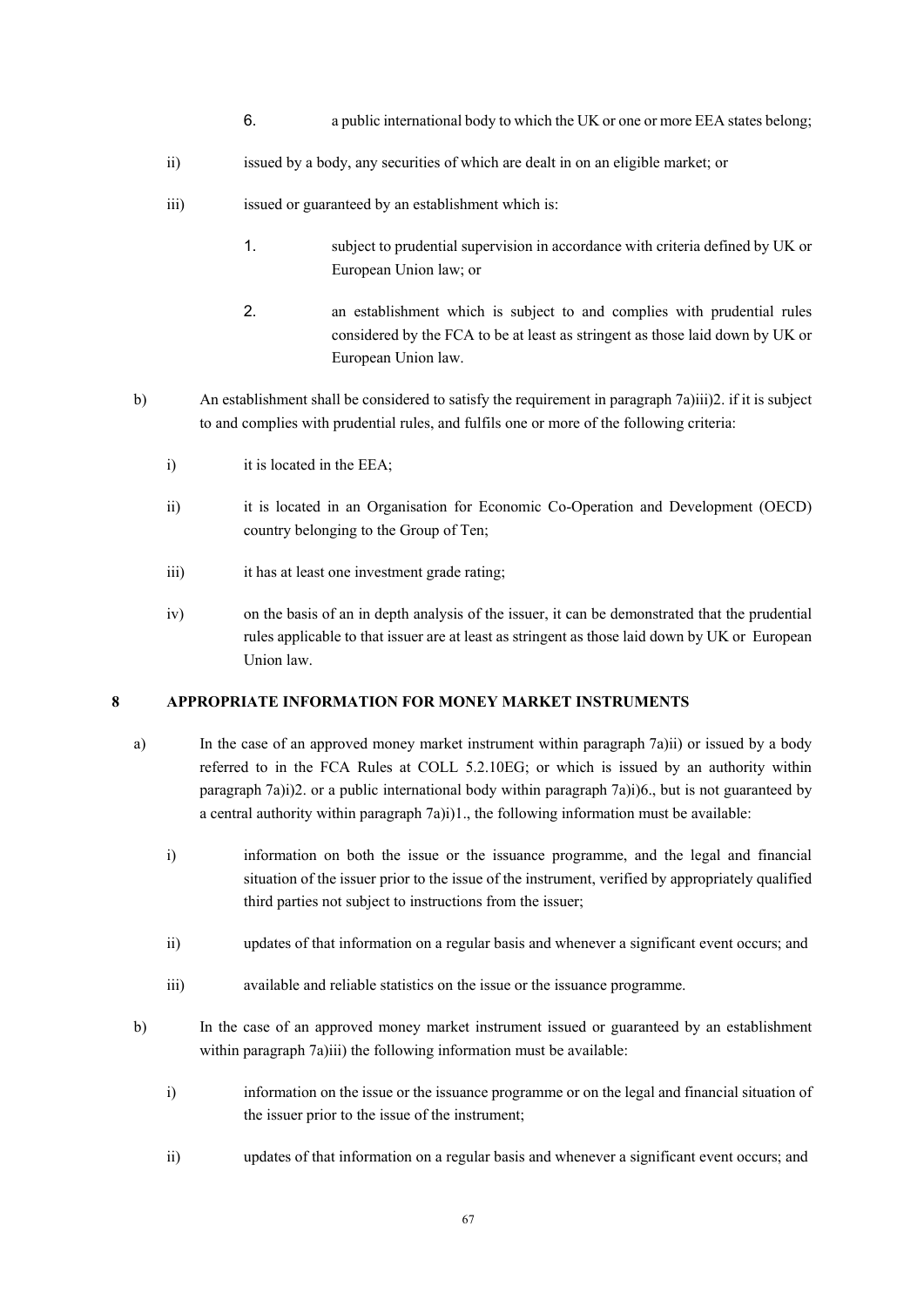- 6. a public international body to which the UK or one or more EEA states belong;
- ii) issued by a body, any securities of which are dealt in on an eligible market; or
- iii) issued or guaranteed by an establishment which is:
	- 1. subject to prudential supervision in accordance with criteria defined by UK or European Union law; or
	- 2. an establishment which is subject to and complies with prudential rules considered by the FCA to be at least as stringent as those laid down by UK or European Union law.
- b) An establishment shall be considered to satisfy the requirement in paragraph 7a)iii)2. if it is subject to and complies with prudential rules, and fulfils one or more of the following criteria:
	- i) it is located in the EEA;
	- ii) it is located in an Organisation for Economic Co-Operation and Development (OECD) country belonging to the Group of Ten;
	- iii) it has at least one investment grade rating;
	- iv) on the basis of an in depth analysis of the issuer, it can be demonstrated that the prudential rules applicable to that issuer are at least as stringent as those laid down by UK or European Union law.

### **8 APPROPRIATE INFORMATION FOR MONEY MARKET INSTRUMENTS**

- a) In the case of an approved money market instrument within paragraph 7a)ii) or issued by a body referred to in the FCA Rules at COLL 5.2.10EG; or which is issued by an authority within paragraph 7a)i)2. or a public international body within paragraph 7a)i)6., but is not guaranteed by a central authority within paragraph 7a)i)1., the following information must be available:
	- i) information on both the issue or the issuance programme, and the legal and financial situation of the issuer prior to the issue of the instrument, verified by appropriately qualified third parties not subject to instructions from the issuer;
	- ii) updates of that information on a regular basis and whenever a significant event occurs; and
	- iii) available and reliable statistics on the issue or the issuance programme.
- b) In the case of an approved money market instrument issued or guaranteed by an establishment within paragraph 7a)iii) the following information must be available:
	- i) information on the issue or the issuance programme or on the legal and financial situation of the issuer prior to the issue of the instrument;
	- ii) updates of that information on a regular basis and whenever a significant event occurs; and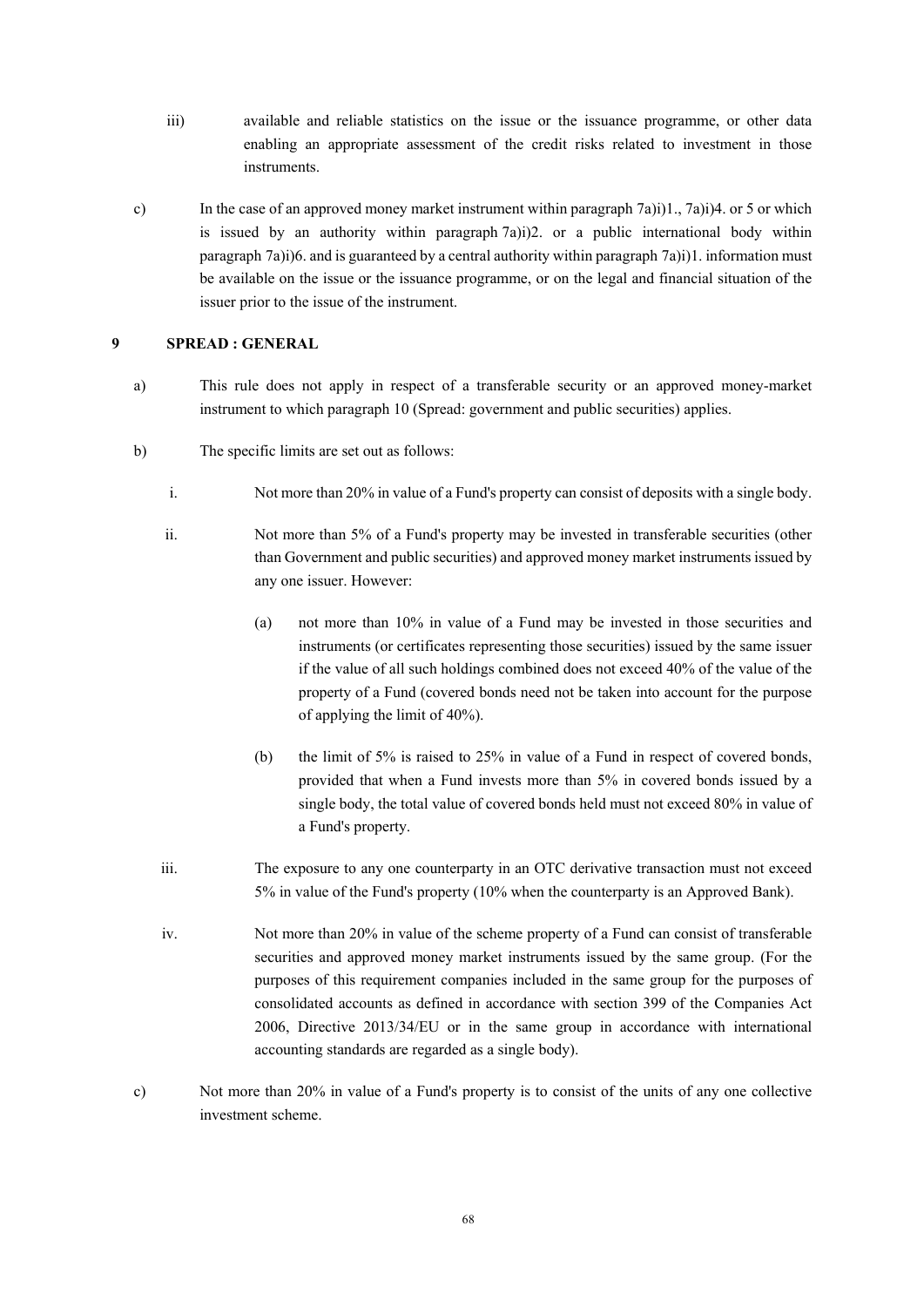- iii) available and reliable statistics on the issue or the issuance programme, or other data enabling an appropriate assessment of the credit risks related to investment in those instruments.
- c) In the case of an approved money market instrument within paragraph 7a)i)1., 7a)i)4. or 5 or which is issued by an authority within paragraph  $(7a)i)2$ . or a public international body within paragraph 7a)i)6. and is guaranteed by a central authority within paragraph 7a)i)1. information must be available on the issue or the issuance programme, or on the legal and financial situation of the issuer prior to the issue of the instrument.

### **9 SPREAD : GENERAL**

- a) This rule does not apply in respect of a transferable security or an approved money-market instrument to which paragraph 10 (Spread: government and public securities) applies.
- b) The specific limits are set out as follows:
	- i. Not more than 20% in value of a Fund's property can consist of deposits with a single body.
	- ii. Not more than 5% of a Fund's property may be invested in transferable securities (other than Government and public securities) and approved money market instruments issued by any one issuer. However:
		- (a) not more than 10% in value of a Fund may be invested in those securities and instruments (or certificates representing those securities) issued by the same issuer if the value of all such holdings combined does not exceed 40% of the value of the property of a Fund (covered bonds need not be taken into account for the purpose of applying the limit of 40%).
		- (b) the limit of 5% is raised to 25% in value of a Fund in respect of covered bonds, provided that when a Fund invests more than 5% in covered bonds issued by a single body, the total value of covered bonds held must not exceed 80% in value of a Fund's property.
	- iii. The exposure to any one counterparty in an OTC derivative transaction must not exceed 5% in value of the Fund's property (10% when the counterparty is an Approved Bank).
	- iv. Not more than 20% in value of the scheme property of a Fund can consist of transferable securities and approved money market instruments issued by the same group. (For the purposes of this requirement companies included in the same group for the purposes of consolidated accounts as defined in accordance with section 399 of the Companies Act 2006, Directive 2013/34/EU or in the same group in accordance with international accounting standards are regarded as a single body).
- c) Not more than 20% in value of a Fund's property is to consist of the units of any one collective investment scheme.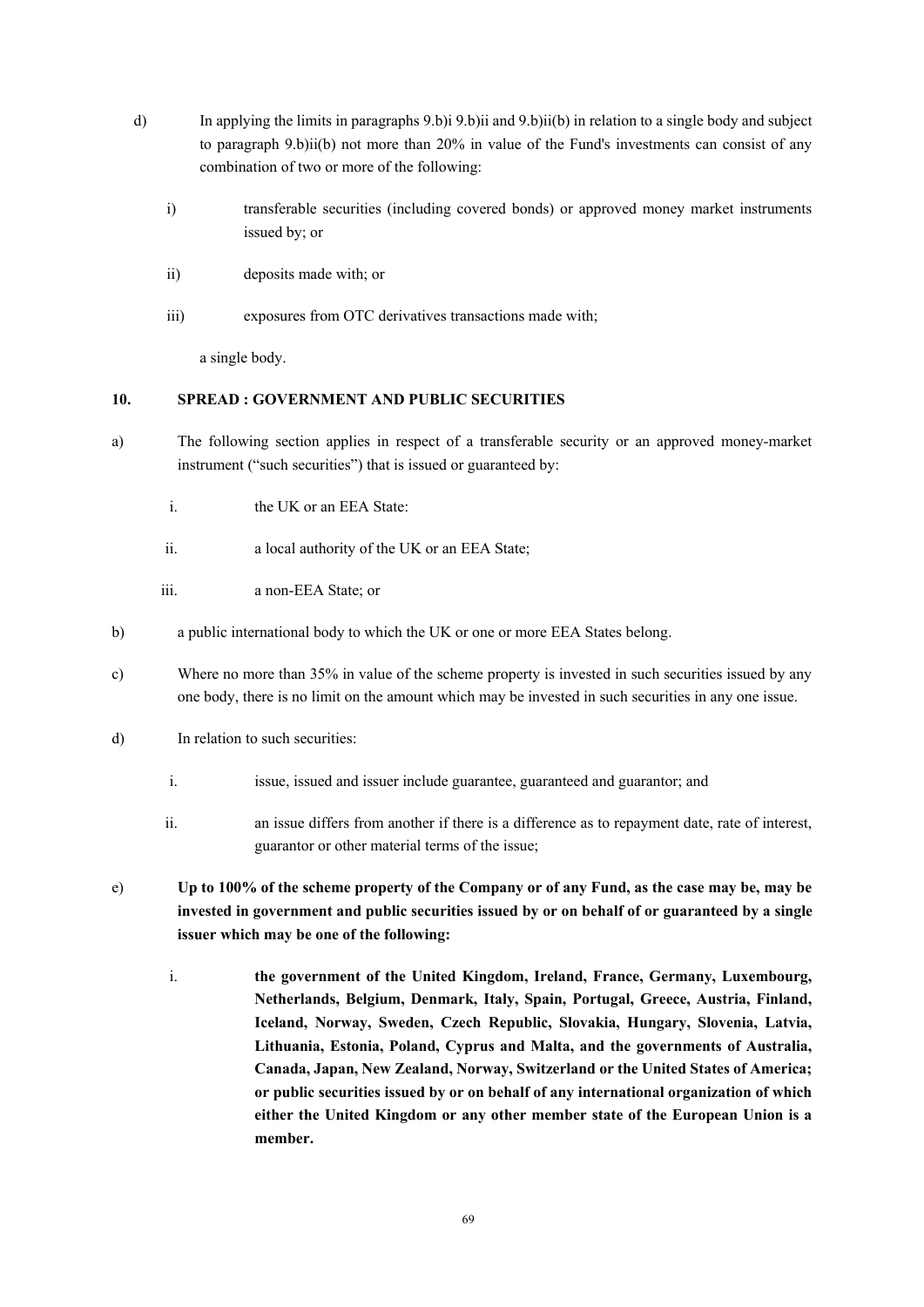- d) In applying the limits in paragraphs 9.b)i 9.b)ii and 9.b)ii(b) in relation to a single body and subject to paragraph 9.b)ii(b) not more than 20% in value of the Fund's investments can consist of any combination of two or more of the following:
	- i) transferable securities (including covered bonds) or approved money market instruments issued by; or
	- ii) deposits made with; or
	- iii) exposures from OTC derivatives transactions made with;

a single body.

# **10. SPREAD : GOVERNMENT AND PUBLIC SECURITIES**

- a) The following section applies in respect of a transferable security or an approved money-market instrument ("such securities") that is issued or guaranteed by:
	- i. the UK or an EEA State:
	- ii. a local authority of the UK or an EEA State;
	- iii. a non-EEA State; or
- b) a public international body to which the UK or one or more EEA States belong.
- c) Where no more than 35% in value of the scheme property is invested in such securities issued by any one body, there is no limit on the amount which may be invested in such securities in any one issue.
- d) In relation to such securities:
	- i. issue, issued and issuer include guarantee, guaranteed and guarantor; and
	- ii. an issue differs from another if there is a difference as to repayment date, rate of interest, guarantor or other material terms of the issue;
- e) **Up to 100% of the scheme property of the Company or of any Fund, as the case may be, may be invested in government and public securities issued by or on behalf of or guaranteed by a single issuer which may be one of the following:** 
	- i. **the government of the United Kingdom, Ireland, France, Germany, Luxembourg, Netherlands, Belgium, Denmark, Italy, Spain, Portugal, Greece, Austria, Finland, Iceland, Norway, Sweden, Czech Republic, Slovakia, Hungary, Slovenia, Latvia, Lithuania, Estonia, Poland, Cyprus and Malta, and the governments of Australia, Canada, Japan, New Zealand, Norway, Switzerland or the United States of America; or public securities issued by or on behalf of any international organization of which either the United Kingdom or any other member state of the European Union is a member.**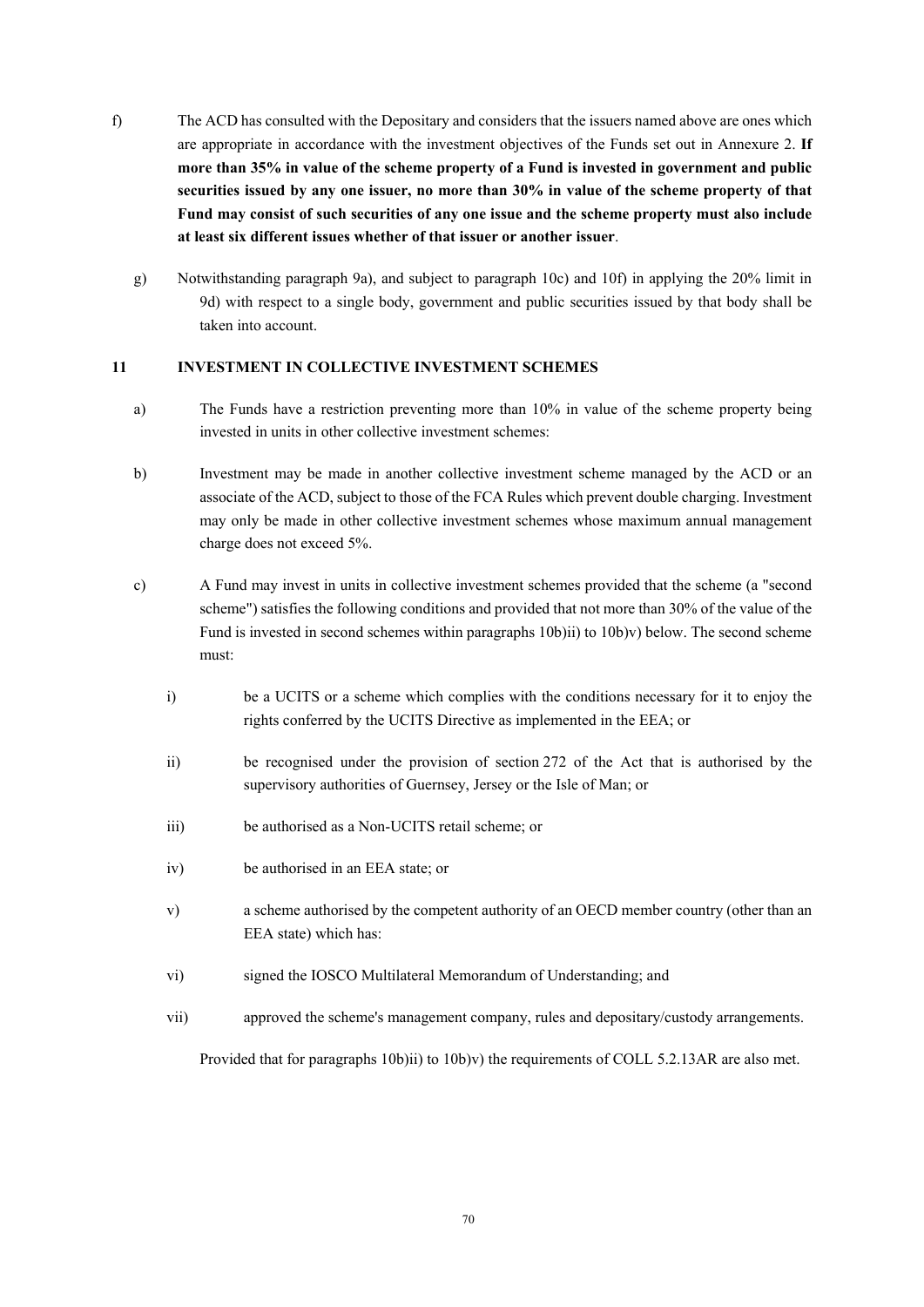- f) The ACD has consulted with the Depositary and considers that the issuers named above are ones which are appropriate in accordance with the investment objectives of the Funds set out in Annexure 2. **If more than 35% in value of the scheme property of a Fund is invested in government and public securities issued by any one issuer, no more than 30% in value of the scheme property of that Fund may consist of such securities of any one issue and the scheme property must also include at least six different issues whether of that issuer or another issuer**.
	- g) Notwithstanding paragraph 9a), and subject to paragraph 10c) and 10f) in applying the 20% limit in 9d) with respect to a single body, government and public securities issued by that body shall be taken into account.

# **11 INVESTMENT IN COLLECTIVE INVESTMENT SCHEMES**

- a) The Funds have a restriction preventing more than 10% in value of the scheme property being invested in units in other collective investment schemes:
- b) Investment may be made in another collective investment scheme managed by the ACD or an associate of the ACD, subject to those of the FCA Rules which prevent double charging. Investment may only be made in other collective investment schemes whose maximum annual management charge does not exceed 5%.
- c) A Fund may invest in units in collective investment schemes provided that the scheme (a "second scheme") satisfies the following conditions and provided that not more than 30% of the value of the Fund is invested in second schemes within paragraphs 10b)ii) to 10b)v) below. The second scheme must:
	- i) be a UCITS or a scheme which complies with the conditions necessary for it to enjoy the rights conferred by the UCITS Directive as implemented in the EEA; or
	- ii) be recognised under the provision of section 272 of the Act that is authorised by the supervisory authorities of Guernsey, Jersey or the Isle of Man; or
	- iii) be authorised as a Non-UCITS retail scheme; or
	- iv) be authorised in an EEA state; or
	- v) a scheme authorised by the competent authority of an OECD member country (other than an EEA state) which has:
	- vi) signed the IOSCO Multilateral Memorandum of Understanding; and
	- vii) approved the scheme's management company, rules and depositary/custody arrangements.

Provided that for paragraphs 10b)ii) to 10b)v) the requirements of COLL 5.2.13AR are also met.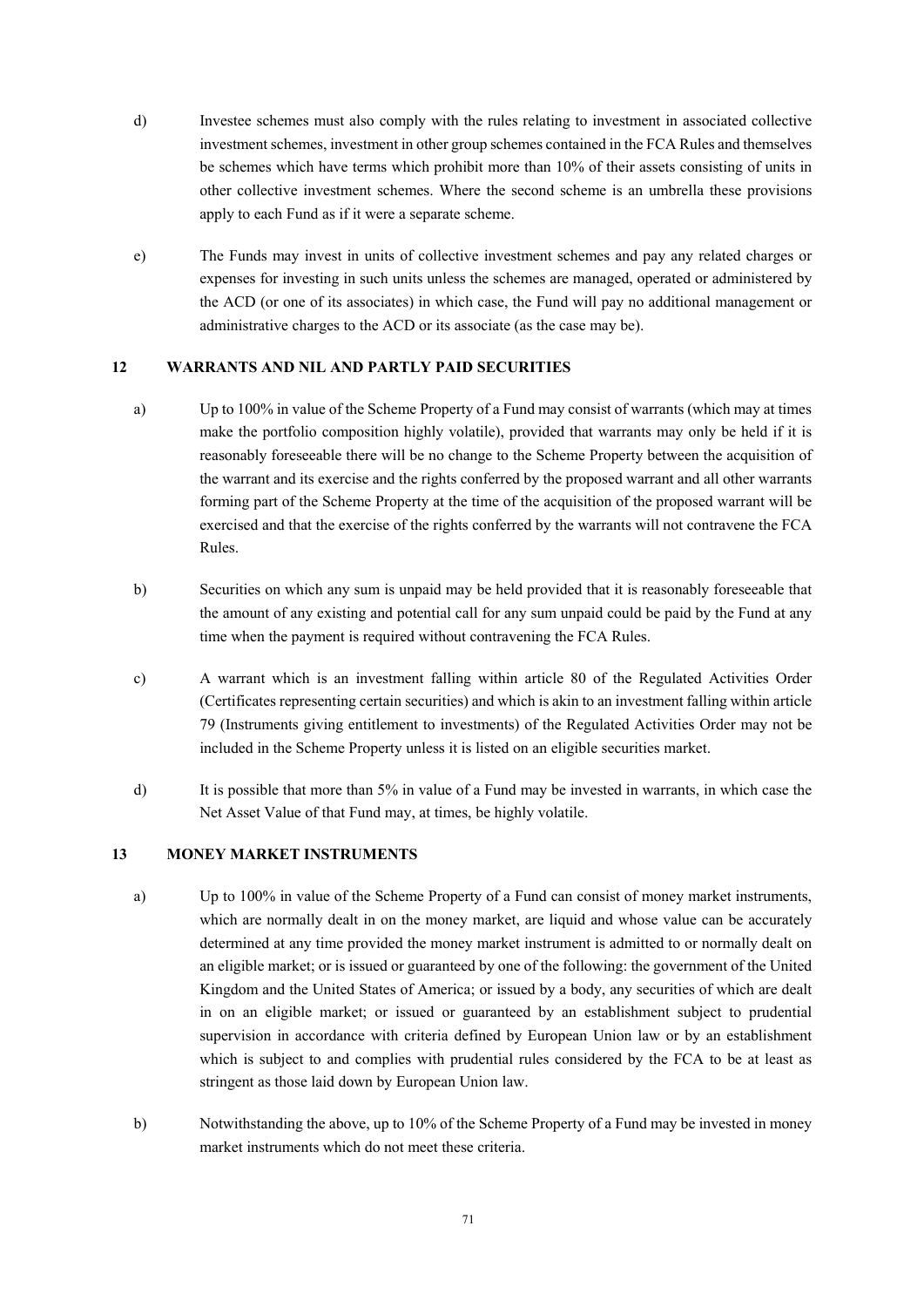- d) Investee schemes must also comply with the rules relating to investment in associated collective investment schemes, investment in other group schemes contained in the FCA Rules and themselves be schemes which have terms which prohibit more than 10% of their assets consisting of units in other collective investment schemes. Where the second scheme is an umbrella these provisions apply to each Fund as if it were a separate scheme.
- e) The Funds may invest in units of collective investment schemes and pay any related charges or expenses for investing in such units unless the schemes are managed, operated or administered by the ACD (or one of its associates) in which case, the Fund will pay no additional management or administrative charges to the ACD or its associate (as the case may be).

# **12 WARRANTS AND NIL AND PARTLY PAID SECURITIES**

- a) Up to 100% in value of the Scheme Property of a Fund may consist of warrants (which may at times make the portfolio composition highly volatile), provided that warrants may only be held if it is reasonably foreseeable there will be no change to the Scheme Property between the acquisition of the warrant and its exercise and the rights conferred by the proposed warrant and all other warrants forming part of the Scheme Property at the time of the acquisition of the proposed warrant will be exercised and that the exercise of the rights conferred by the warrants will not contravene the FCA Rules.
- b) Securities on which any sum is unpaid may be held provided that it is reasonably foreseeable that the amount of any existing and potential call for any sum unpaid could be paid by the Fund at any time when the payment is required without contravening the FCA Rules.
- c) A warrant which is an investment falling within article 80 of the Regulated Activities Order (Certificates representing certain securities) and which is akin to an investment falling within article 79 (Instruments giving entitlement to investments) of the Regulated Activities Order may not be included in the Scheme Property unless it is listed on an eligible securities market.
- d) It is possible that more than 5% in value of a Fund may be invested in warrants, in which case the Net Asset Value of that Fund may, at times, be highly volatile.

# **13 MONEY MARKET INSTRUMENTS**

- a) Up to 100% in value of the Scheme Property of a Fund can consist of money market instruments, which are normally dealt in on the money market, are liquid and whose value can be accurately determined at any time provided the money market instrument is admitted to or normally dealt on an eligible market; or is issued or guaranteed by one of the following: the government of the United Kingdom and the United States of America; or issued by a body, any securities of which are dealt in on an eligible market; or issued or guaranteed by an establishment subject to prudential supervision in accordance with criteria defined by European Union law or by an establishment which is subject to and complies with prudential rules considered by the FCA to be at least as stringent as those laid down by European Union law.
- b) Notwithstanding the above, up to 10% of the Scheme Property of a Fund may be invested in money market instruments which do not meet these criteria.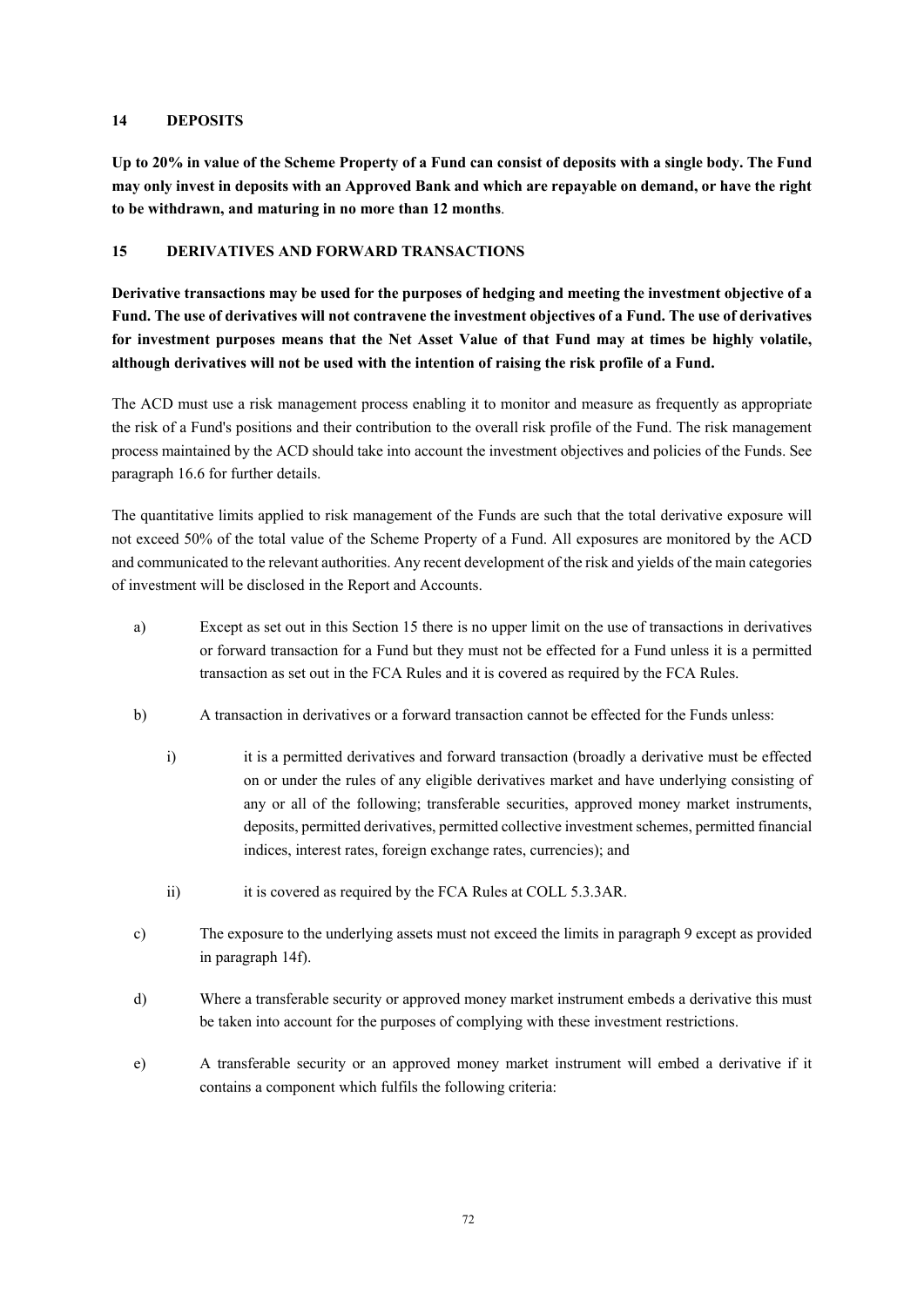# **14 DEPOSITS**

**Up to 20% in value of the Scheme Property of a Fund can consist of deposits with a single body. The Fund may only invest in deposits with an Approved Bank and which are repayable on demand, or have the right to be withdrawn, and maturing in no more than 12 months**.

# **15 DERIVATIVES AND FORWARD TRANSACTIONS**

**Derivative transactions may be used for the purposes of hedging and meeting the investment objective of a Fund. The use of derivatives will not contravene the investment objectives of a Fund. The use of derivatives for investment purposes means that the Net Asset Value of that Fund may at times be highly volatile, although derivatives will not be used with the intention of raising the risk profile of a Fund.** 

The ACD must use a risk management process enabling it to monitor and measure as frequently as appropriate the risk of a Fund's positions and their contribution to the overall risk profile of the Fund. The risk management process maintained by the ACD should take into account the investment objectives and policies of the Funds. See paragraph 16.6 for further details.

The quantitative limits applied to risk management of the Funds are such that the total derivative exposure will not exceed 50% of the total value of the Scheme Property of a Fund. All exposures are monitored by the ACD and communicated to the relevant authorities. Any recent development of the risk and yields of the main categories of investment will be disclosed in the Report and Accounts.

- a) Except as set out in this Section 15 there is no upper limit on the use of transactions in derivatives or forward transaction for a Fund but they must not be effected for a Fund unless it is a permitted transaction as set out in the FCA Rules and it is covered as required by the FCA Rules.
- b) A transaction in derivatives or a forward transaction cannot be effected for the Funds unless:
	- i) it is a permitted derivatives and forward transaction (broadly a derivative must be effected on or under the rules of any eligible derivatives market and have underlying consisting of any or all of the following; transferable securities, approved money market instruments, deposits, permitted derivatives, permitted collective investment schemes, permitted financial indices, interest rates, foreign exchange rates, currencies); and
	- ii) it is covered as required by the FCA Rules at COLL 5.3.3AR.
- c) The exposure to the underlying assets must not exceed the limits in paragraph 9 except as provided in paragraph 14f).
- d) Where a transferable security or approved money market instrument embeds a derivative this must be taken into account for the purposes of complying with these investment restrictions.
- e) A transferable security or an approved money market instrument will embed a derivative if it contains a component which fulfils the following criteria: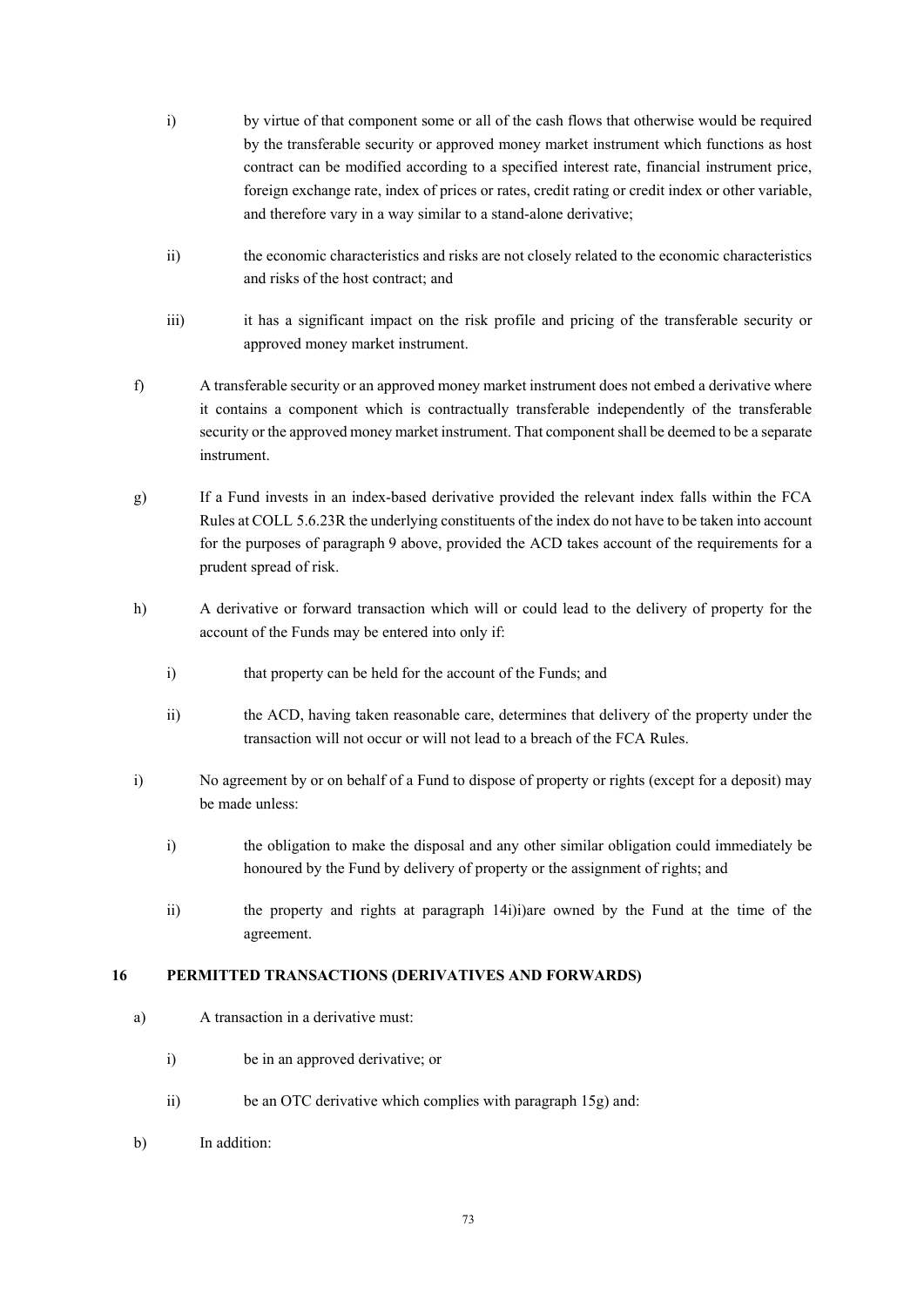- i) by virtue of that component some or all of the cash flows that otherwise would be required by the transferable security or approved money market instrument which functions as host contract can be modified according to a specified interest rate, financial instrument price, foreign exchange rate, index of prices or rates, credit rating or credit index or other variable, and therefore vary in a way similar to a stand-alone derivative;
- ii) the economic characteristics and risks are not closely related to the economic characteristics and risks of the host contract; and
- iii) it has a significant impact on the risk profile and pricing of the transferable security or approved money market instrument.
- f) A transferable security or an approved money market instrument does not embed a derivative where it contains a component which is contractually transferable independently of the transferable security or the approved money market instrument. That component shall be deemed to be a separate instrument.
- g) If a Fund invests in an index-based derivative provided the relevant index falls within the FCA Rules at COLL 5.6.23R the underlying constituents of the index do not have to be taken into account for the purposes of paragraph 9 above, provided the ACD takes account of the requirements for a prudent spread of risk.
- h) A derivative or forward transaction which will or could lead to the delivery of property for the account of the Funds may be entered into only if:
	- i) that property can be held for the account of the Funds; and
	- ii) the ACD, having taken reasonable care, determines that delivery of the property under the transaction will not occur or will not lead to a breach of the FCA Rules.
- i) No agreement by or on behalf of a Fund to dispose of property or rights (except for a deposit) may be made unless:
	- i) the obligation to make the disposal and any other similar obligation could immediately be honoured by the Fund by delivery of property or the assignment of rights; and
	- ii) the property and rights at paragraph 14i)i)are owned by the Fund at the time of the agreement.

## **16 PERMITTED TRANSACTIONS (DERIVATIVES AND FORWARDS)**

- a) A transaction in a derivative must:
	- i) be in an approved derivative; or
	- ii) be an OTC derivative which complies with paragraph 15g) and:
- b) In addition: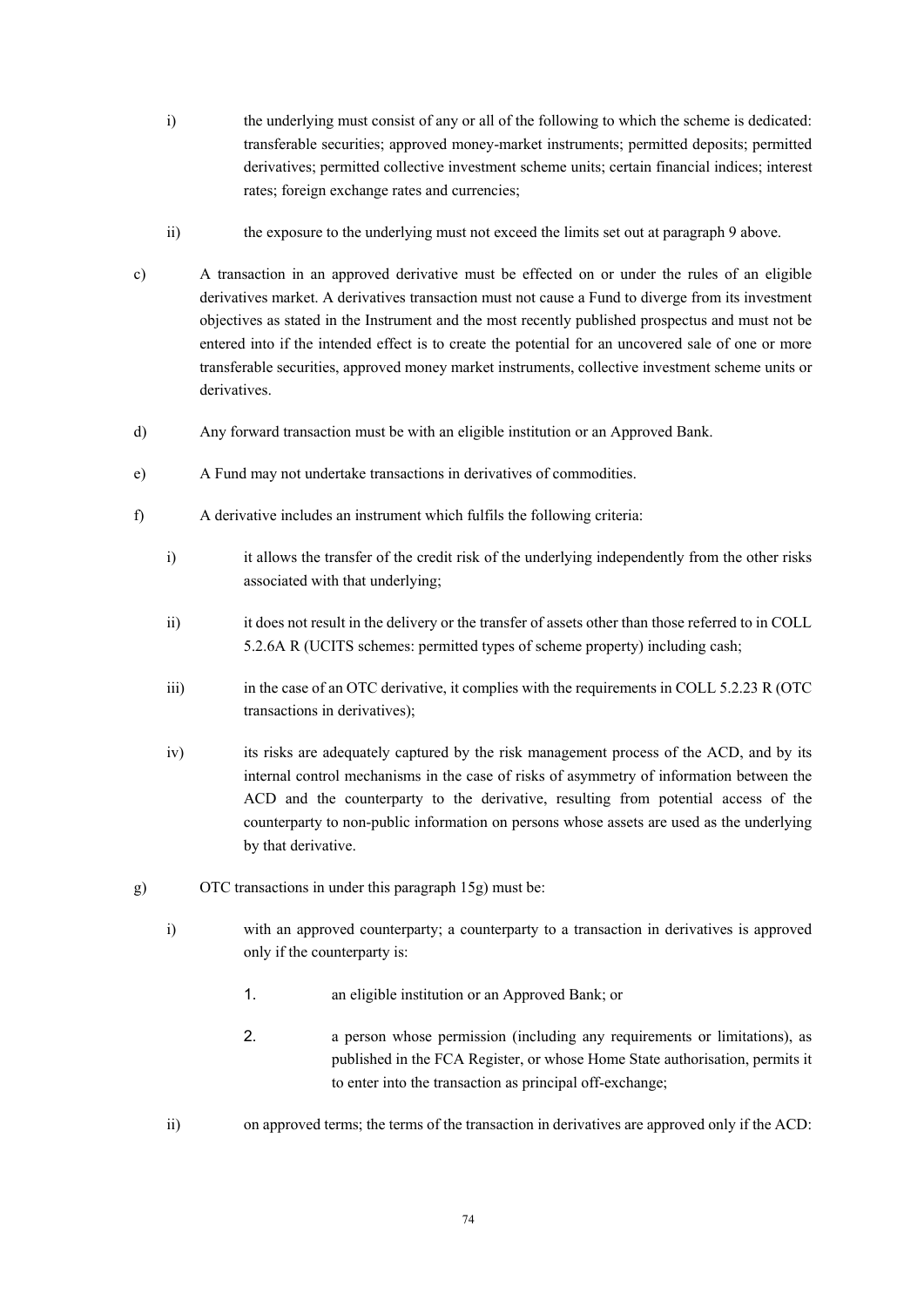- i) the underlying must consist of any or all of the following to which the scheme is dedicated: transferable securities; approved money-market instruments; permitted deposits; permitted derivatives; permitted collective investment scheme units; certain financial indices; interest rates; foreign exchange rates and currencies;
- ii) the exposure to the underlying must not exceed the limits set out at paragraph 9 above.
- c) A transaction in an approved derivative must be effected on or under the rules of an eligible derivatives market. A derivatives transaction must not cause a Fund to diverge from its investment objectives as stated in the Instrument and the most recently published prospectus and must not be entered into if the intended effect is to create the potential for an uncovered sale of one or more transferable securities, approved money market instruments, collective investment scheme units or derivatives.
- d) Any forward transaction must be with an eligible institution or an Approved Bank.
- e) A Fund may not undertake transactions in derivatives of commodities.
- f) A derivative includes an instrument which fulfils the following criteria:
	- i) it allows the transfer of the credit risk of the underlying independently from the other risks associated with that underlying;
	- ii) it does not result in the delivery or the transfer of assets other than those referred to in COLL 5.2.6A R (UCITS schemes: permitted types of scheme property) including cash;
	- iii) in the case of an OTC derivative, it complies with the requirements in COLL 5.2.23 R (OTC transactions in derivatives);
	- iv) its risks are adequately captured by the risk management process of the ACD, and by its internal control mechanisms in the case of risks of asymmetry of information between the ACD and the counterparty to the derivative, resulting from potential access of the counterparty to non-public information on persons whose assets are used as the underlying by that derivative.
- g) OTC transactions in under this paragraph 15g) must be:
	- i) with an approved counterparty; a counterparty to a transaction in derivatives is approved only if the counterparty is:
		- 1. an eligible institution or an Approved Bank; or
		- 2. a person whose permission (including any requirements or limitations), as published in the FCA Register, or whose Home State authorisation, permits it to enter into the transaction as principal off-exchange;
	- ii) on approved terms; the terms of the transaction in derivatives are approved only if the ACD: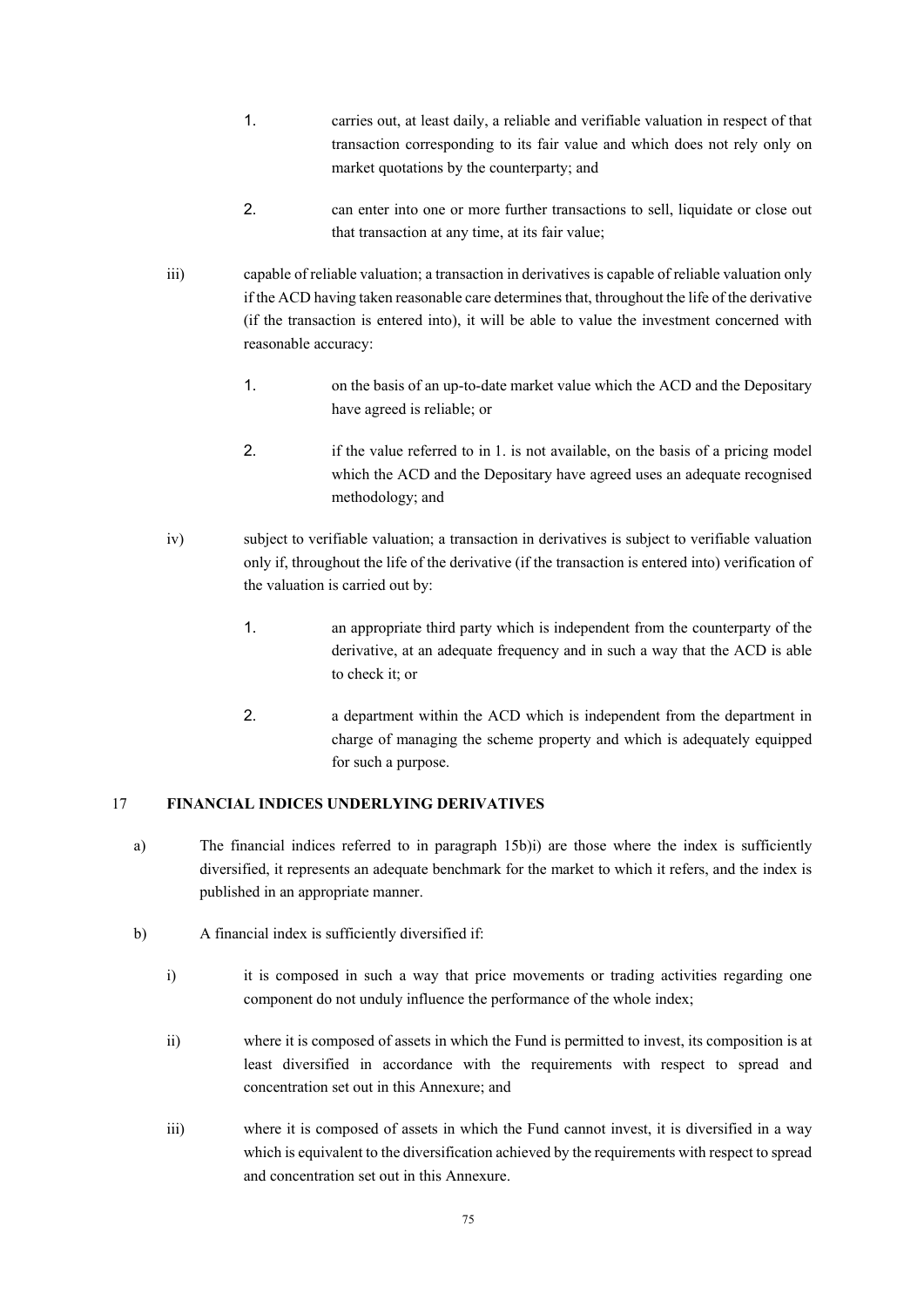- 1. carries out, at least daily, a reliable and verifiable valuation in respect of that transaction corresponding to its fair value and which does not rely only on market quotations by the counterparty; and
- 2. can enter into one or more further transactions to sell, liquidate or close out that transaction at any time, at its fair value;
- iii) capable of reliable valuation; a transaction in derivatives is capable of reliable valuation only if the ACD having taken reasonable care determines that, throughout the life of the derivative (if the transaction is entered into), it will be able to value the investment concerned with reasonable accuracy:
	- 1. on the basis of an up-to-date market value which the ACD and the Depositary have agreed is reliable; or
	- 2. if the value referred to in 1. is not available, on the basis of a pricing model which the ACD and the Depositary have agreed uses an adequate recognised methodology; and
- iv) subject to verifiable valuation; a transaction in derivatives is subject to verifiable valuation only if, throughout the life of the derivative (if the transaction is entered into) verification of the valuation is carried out by:
	- 1. an appropriate third party which is independent from the counterparty of the derivative, at an adequate frequency and in such a way that the ACD is able to check it; or
	- 2. a department within the ACD which is independent from the department in charge of managing the scheme property and which is adequately equipped for such a purpose.

## 17 **FINANCIAL INDICES UNDERLYING DERIVATIVES**

- a) The financial indices referred to in paragraph 15b)i) are those where the index is sufficiently diversified, it represents an adequate benchmark for the market to which it refers, and the index is published in an appropriate manner.
- b) A financial index is sufficiently diversified if:
	- i) it is composed in such a way that price movements or trading activities regarding one component do not unduly influence the performance of the whole index;
	- ii) where it is composed of assets in which the Fund is permitted to invest, its composition is at least diversified in accordance with the requirements with respect to spread and concentration set out in this Annexure; and
	- iii) where it is composed of assets in which the Fund cannot invest, it is diversified in a way which is equivalent to the diversification achieved by the requirements with respect to spread and concentration set out in this Annexure.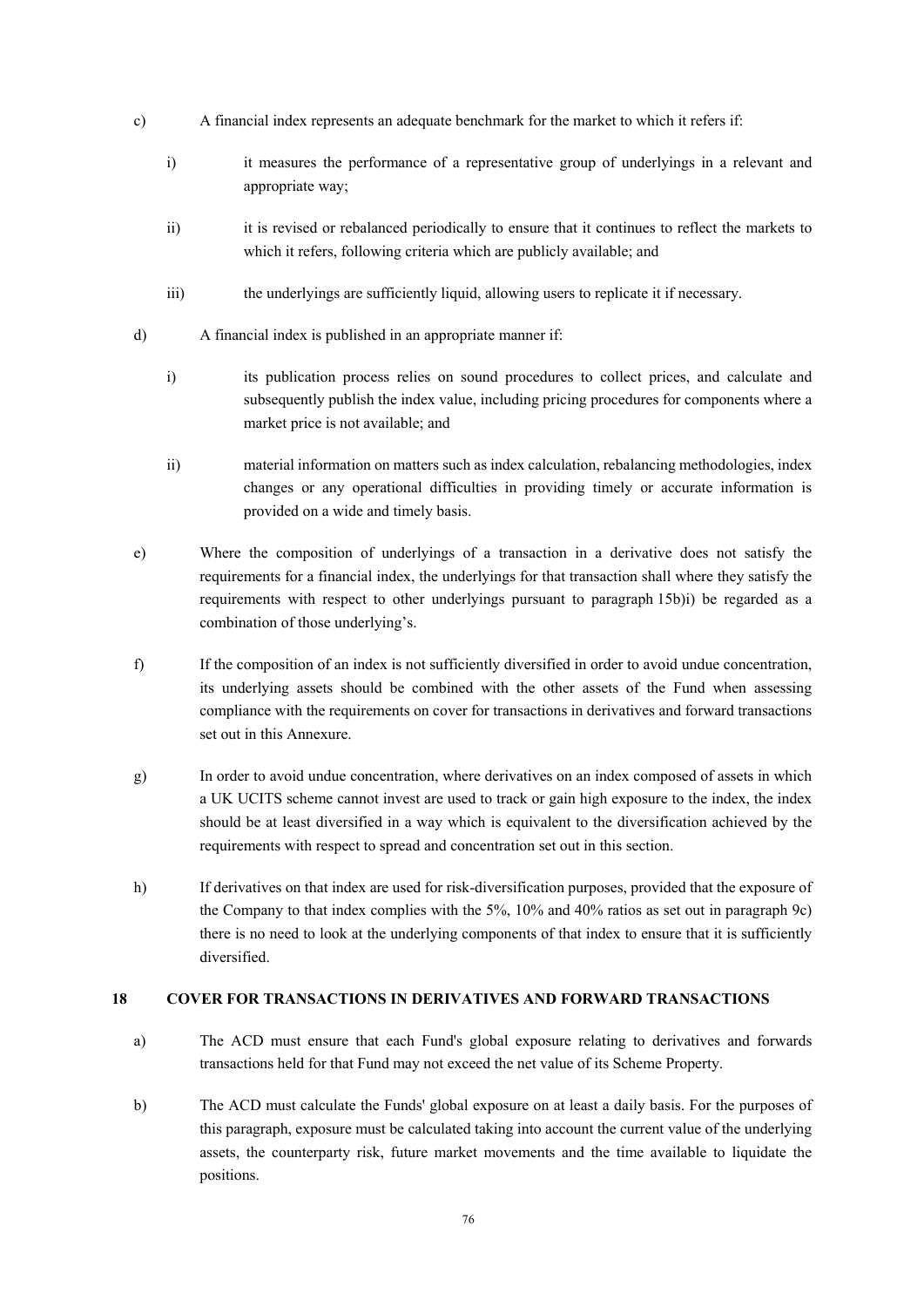- c) A financial index represents an adequate benchmark for the market to which it refers if:
	- i) it measures the performance of a representative group of underlyings in a relevant and appropriate way;
	- ii) it is revised or rebalanced periodically to ensure that it continues to reflect the markets to which it refers, following criteria which are publicly available; and
	- iii) the underlyings are sufficiently liquid, allowing users to replicate it if necessary.
- d) A financial index is published in an appropriate manner if:
	- i) its publication process relies on sound procedures to collect prices, and calculate and subsequently publish the index value, including pricing procedures for components where a market price is not available; and
	- ii) material information on matters such as index calculation, rebalancing methodologies, index changes or any operational difficulties in providing timely or accurate information is provided on a wide and timely basis.
- e) Where the composition of underlyings of a transaction in a derivative does not satisfy the requirements for a financial index, the underlyings for that transaction shall where they satisfy the requirements with respect to other underlyings pursuant to paragraph 15b)i) be regarded as a combination of those underlying's.
- f) If the composition of an index is not sufficiently diversified in order to avoid undue concentration, its underlying assets should be combined with the other assets of the Fund when assessing compliance with the requirements on cover for transactions in derivatives and forward transactions set out in this Annexure.
- g) In order to avoid undue concentration, where derivatives on an index composed of assets in which a UK UCITS scheme cannot invest are used to track or gain high exposure to the index, the index should be at least diversified in a way which is equivalent to the diversification achieved by the requirements with respect to spread and concentration set out in this section.
- h) If derivatives on that index are used for risk-diversification purposes, provided that the exposure of the Company to that index complies with the 5%, 10% and 40% ratios as set out in paragraph 9c) there is no need to look at the underlying components of that index to ensure that it is sufficiently diversified.

# **18 COVER FOR TRANSACTIONS IN DERIVATIVES AND FORWARD TRANSACTIONS**

- a) The ACD must ensure that each Fund's global exposure relating to derivatives and forwards transactions held for that Fund may not exceed the net value of its Scheme Property.
- b) The ACD must calculate the Funds' global exposure on at least a daily basis. For the purposes of this paragraph, exposure must be calculated taking into account the current value of the underlying assets, the counterparty risk, future market movements and the time available to liquidate the positions.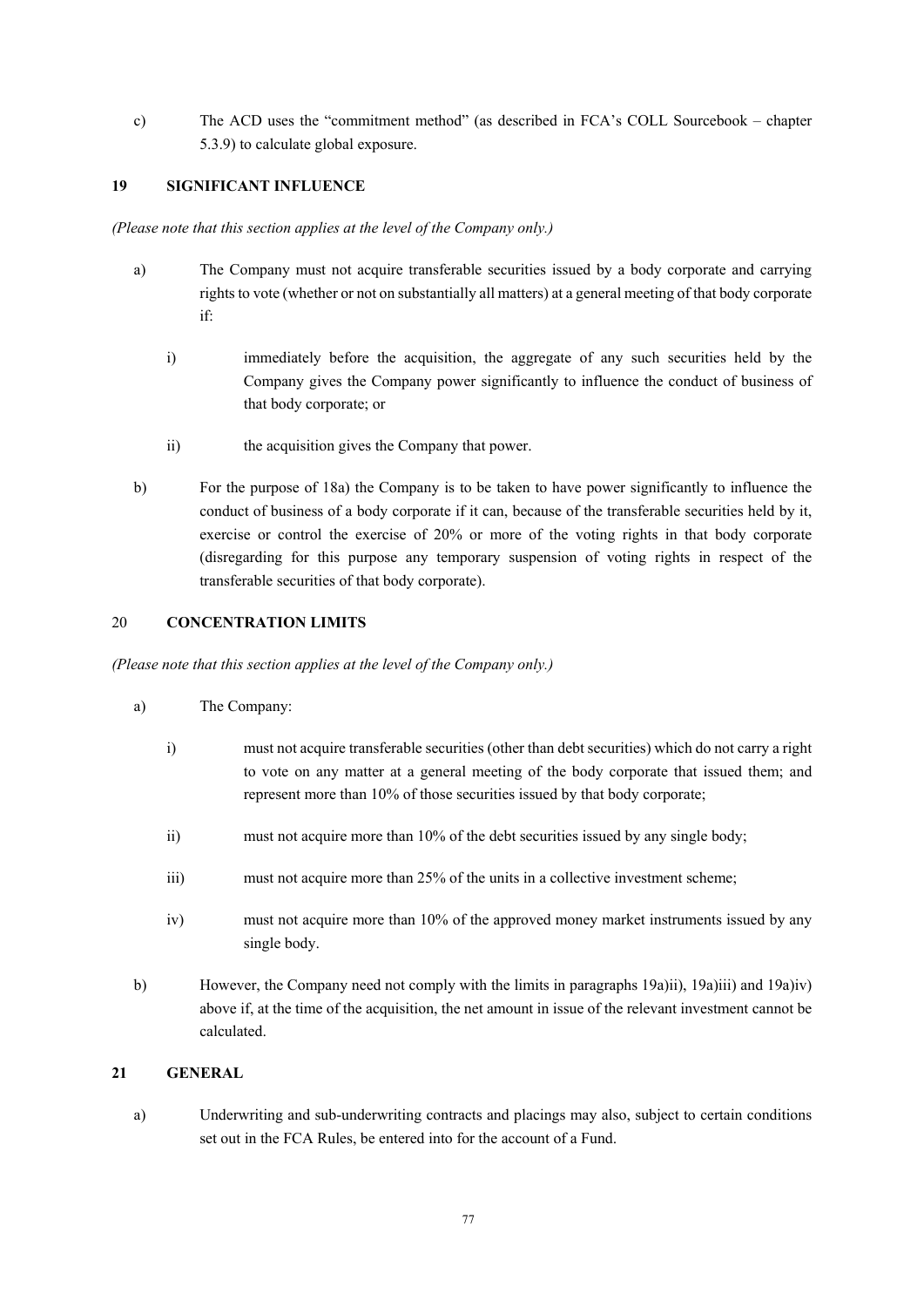c) The ACD uses the "commitment method" (as described in FCA's COLL Sourcebook – chapter 5.3.9) to calculate global exposure.

# **19 SIGNIFICANT INFLUENCE**

*(Please note that this section applies at the level of the Company only.)* 

- a) The Company must not acquire transferable securities issued by a body corporate and carrying rights to vote (whether or not on substantially all matters) at a general meeting of that body corporate if:
	- i) immediately before the acquisition, the aggregate of any such securities held by the Company gives the Company power significantly to influence the conduct of business of that body corporate; or
	- ii) the acquisition gives the Company that power.
- b) For the purpose of 18a) the Company is to be taken to have power significantly to influence the conduct of business of a body corporate if it can, because of the transferable securities held by it, exercise or control the exercise of 20% or more of the voting rights in that body corporate (disregarding for this purpose any temporary suspension of voting rights in respect of the transferable securities of that body corporate).

## 20 **CONCENTRATION LIMITS**

*(Please note that this section applies at the level of the Company only.)*

- a) The Company:
	- i) must not acquire transferable securities (other than debt securities) which do not carry a right to vote on any matter at a general meeting of the body corporate that issued them; and represent more than 10% of those securities issued by that body corporate;
	- ii) must not acquire more than 10% of the debt securities issued by any single body;
	- iii) must not acquire more than 25% of the units in a collective investment scheme;
	- iv) must not acquire more than 10% of the approved money market instruments issued by any single body.
- b) However, the Company need not comply with the limits in paragraphs 19a)ii), 19a)iii) and 19a)iv) above if, at the time of the acquisition, the net amount in issue of the relevant investment cannot be calculated.

# **21 GENERAL**

a) Underwriting and sub-underwriting contracts and placings may also, subject to certain conditions set out in the FCA Rules, be entered into for the account of a Fund.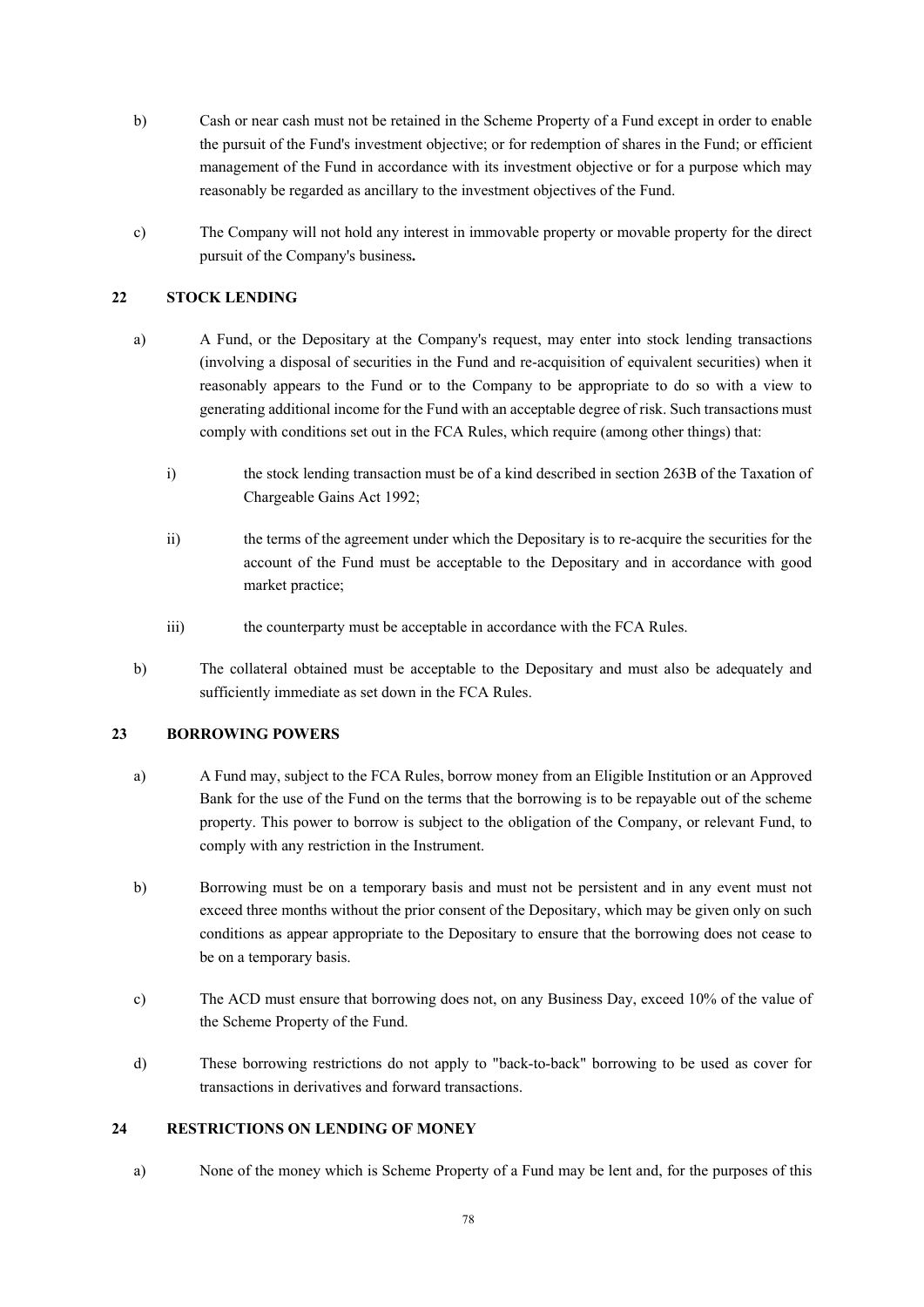- b) Cash or near cash must not be retained in the Scheme Property of a Fund except in order to enable the pursuit of the Fund's investment objective; or for redemption of shares in the Fund; or efficient management of the Fund in accordance with its investment objective or for a purpose which may reasonably be regarded as ancillary to the investment objectives of the Fund.
- c) The Company will not hold any interest in immovable property or movable property for the direct pursuit of the Company's business**.**

# **22 STOCK LENDING**

- a) A Fund, or the Depositary at the Company's request, may enter into stock lending transactions (involving a disposal of securities in the Fund and re-acquisition of equivalent securities) when it reasonably appears to the Fund or to the Company to be appropriate to do so with a view to generating additional income for the Fund with an acceptable degree of risk. Such transactions must comply with conditions set out in the FCA Rules, which require (among other things) that:
	- i) the stock lending transaction must be of a kind described in section 263B of the Taxation of Chargeable Gains Act 1992;
	- ii) the terms of the agreement under which the Depositary is to re-acquire the securities for the account of the Fund must be acceptable to the Depositary and in accordance with good market practice;
	- iii) the counterparty must be acceptable in accordance with the FCA Rules.
- b) The collateral obtained must be acceptable to the Depositary and must also be adequately and sufficiently immediate as set down in the FCA Rules.

# **23 BORROWING POWERS**

- a) A Fund may, subject to the FCA Rules, borrow money from an Eligible Institution or an Approved Bank for the use of the Fund on the terms that the borrowing is to be repayable out of the scheme property. This power to borrow is subject to the obligation of the Company, or relevant Fund, to comply with any restriction in the Instrument.
- b) Borrowing must be on a temporary basis and must not be persistent and in any event must not exceed three months without the prior consent of the Depositary, which may be given only on such conditions as appear appropriate to the Depositary to ensure that the borrowing does not cease to be on a temporary basis.
- c) The ACD must ensure that borrowing does not, on any Business Day, exceed 10% of the value of the Scheme Property of the Fund.
- d) These borrowing restrictions do not apply to "back-to-back" borrowing to be used as cover for transactions in derivatives and forward transactions.

# **24 RESTRICTIONS ON LENDING OF MONEY**

a) None of the money which is Scheme Property of a Fund may be lent and, for the purposes of this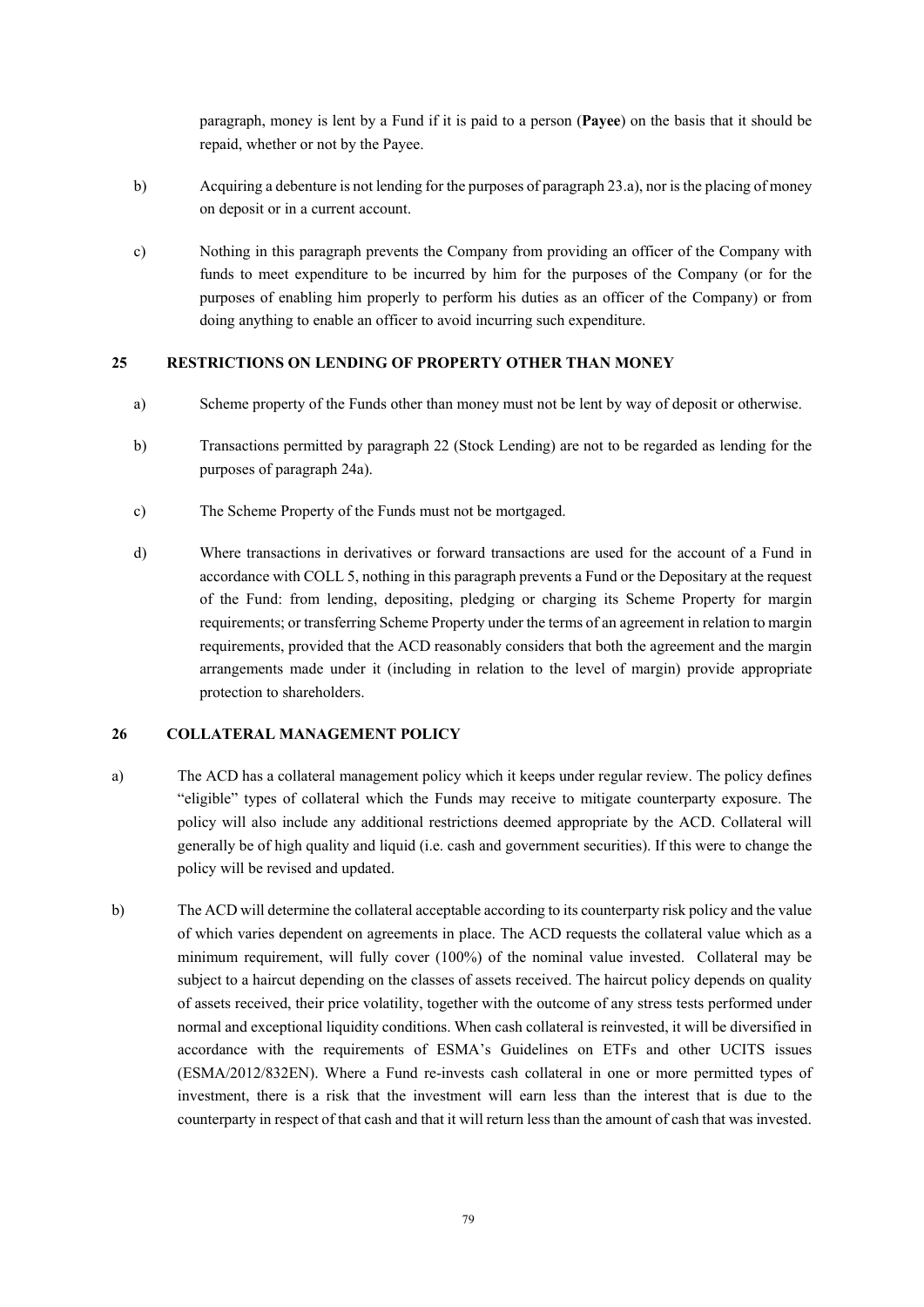paragraph, money is lent by a Fund if it is paid to a person (**Payee**) on the basis that it should be repaid, whether or not by the Payee.

- b) Acquiring a debenture is not lending for the purposes of paragraph 23.a), nor is the placing of money on deposit or in a current account.
- c) Nothing in this paragraph prevents the Company from providing an officer of the Company with funds to meet expenditure to be incurred by him for the purposes of the Company (or for the purposes of enabling him properly to perform his duties as an officer of the Company) or from doing anything to enable an officer to avoid incurring such expenditure.

### **25 RESTRICTIONS ON LENDING OF PROPERTY OTHER THAN MONEY**

- a) Scheme property of the Funds other than money must not be lent by way of deposit or otherwise.
- b) Transactions permitted by paragraph 22 (Stock Lending) are not to be regarded as lending for the purposes of paragraph 24a).
- c) The Scheme Property of the Funds must not be mortgaged.
- d) Where transactions in derivatives or forward transactions are used for the account of a Fund in accordance with COLL 5, nothing in this paragraph prevents a Fund or the Depositary at the request of the Fund: from lending, depositing, pledging or charging its Scheme Property for margin requirements; or transferring Scheme Property under the terms of an agreement in relation to margin requirements, provided that the ACD reasonably considers that both the agreement and the margin arrangements made under it (including in relation to the level of margin) provide appropriate protection to shareholders.

### **26 COLLATERAL MANAGEMENT POLICY**

- a) The ACD has a collateral management policy which it keeps under regular review. The policy defines "eligible" types of collateral which the Funds may receive to mitigate counterparty exposure. The policy will also include any additional restrictions deemed appropriate by the ACD. Collateral will generally be of high quality and liquid (i.e. cash and government securities). If this were to change the policy will be revised and updated.
- b) The ACD will determine the collateral acceptable according to its counterparty risk policy and the value of which varies dependent on agreements in place. The ACD requests the collateral value which as a minimum requirement, will fully cover (100%) of the nominal value invested. Collateral may be subject to a haircut depending on the classes of assets received. The haircut policy depends on quality of assets received, their price volatility, together with the outcome of any stress tests performed under normal and exceptional liquidity conditions. When cash collateral is reinvested, it will be diversified in accordance with the requirements of ESMA's Guidelines on ETFs and other UCITS issues (ESMA/2012/832EN). Where a Fund re-invests cash collateral in one or more permitted types of investment, there is a risk that the investment will earn less than the interest that is due to the counterparty in respect of that cash and that it will return less than the amount of cash that was invested.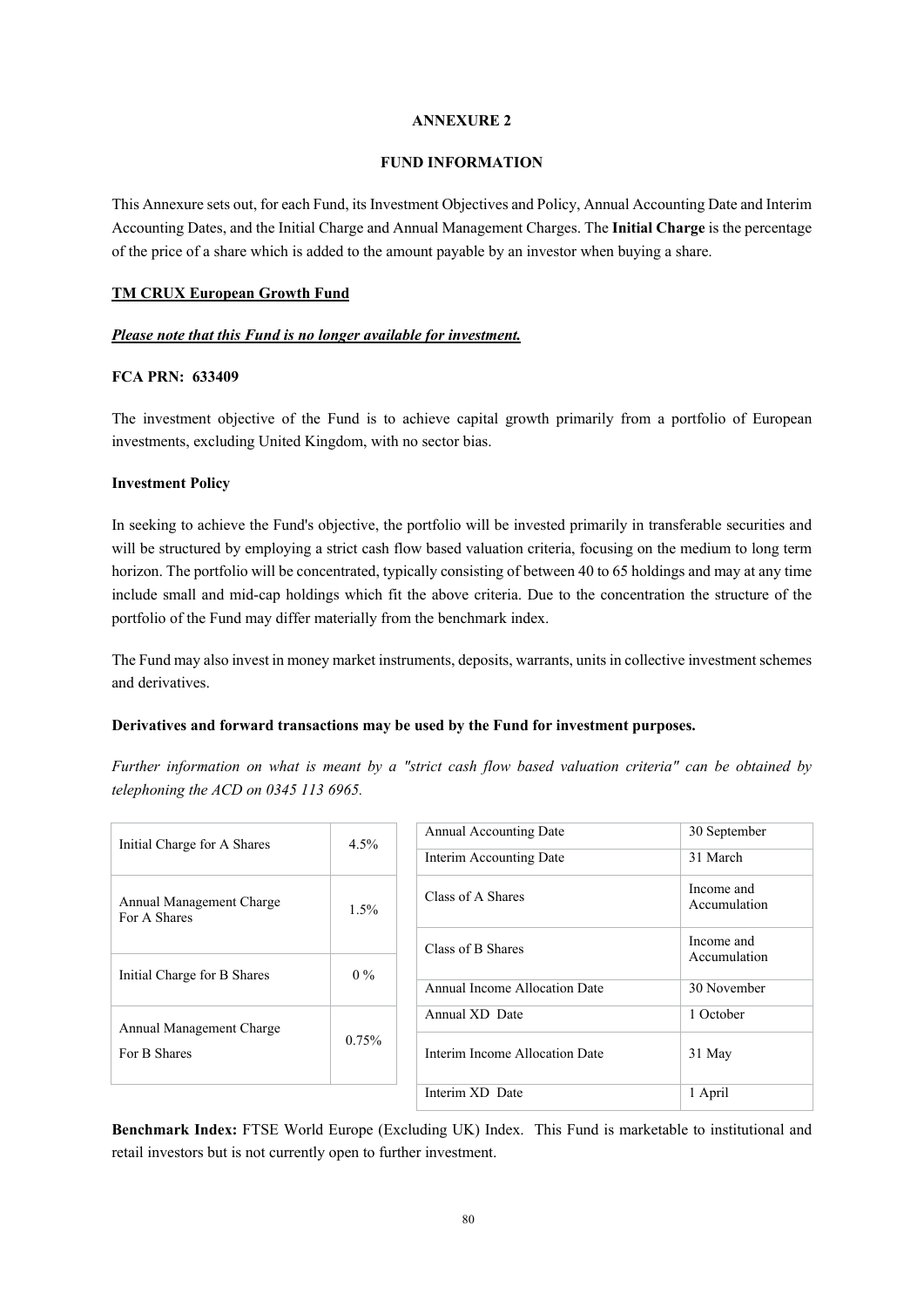## **FUND INFORMATION**

This Annexure sets out, for each Fund, its Investment Objectives and Policy, Annual Accounting Date and Interim Accounting Dates, and the Initial Charge and Annual Management Charges. The **Initial Charge** is the percentage of the price of a share which is added to the amount payable by an investor when buying a share.

## **TM CRUX European Growth Fund**

## *Please note that this Fund is no longer available for investment.*

## **FCA PRN: 633409**

The investment objective of the Fund is to achieve capital growth primarily from a portfolio of European investments, excluding United Kingdom, with no sector bias.

## **Investment Policy**

In seeking to achieve the Fund's objective, the portfolio will be invested primarily in transferable securities and will be structured by employing a strict cash flow based valuation criteria, focusing on the medium to long term horizon. The portfolio will be concentrated, typically consisting of between 40 to 65 holdings and may at any time include small and mid-cap holdings which fit the above criteria. Due to the concentration the structure of the portfolio of the Fund may differ materially from the benchmark index.

The Fund may also invest in money market instruments, deposits, warrants, units in collective investment schemes and derivatives.

## **Derivatives and forward transactions may be used by the Fund for investment purposes.**

*Further information on what is meant by a "strict cash flow based valuation criteria" can be obtained by telephoning the ACD on 0345 113 6965.*

| Initial Charge for A Shares              | $4.5\%$  | <b>Annual Accounting Date</b>  | 30 September               |
|------------------------------------------|----------|--------------------------------|----------------------------|
|                                          |          | Interim Accounting Date        | 31 March                   |
| Annual Management Charge<br>For A Shares | $1.5\%$  | Class of A Shares              | Income and<br>Accumulation |
|                                          |          | Class of B Shares              | Income and<br>Accumulation |
| Initial Charge for B Shares              | $0\%$    |                                |                            |
|                                          |          | Annual Income Allocation Date  | 30 November                |
| Annual Management Charge                 | $0.75\%$ | Annual XD Date                 | 1 October                  |
| For B Shares                             |          | Interim Income Allocation Date | 31 May                     |
|                                          |          | Interim XD Date                | 1 April                    |

**Benchmark Index:** FTSE World Europe (Excluding UK) Index. This Fund is marketable to institutional and retail investors but is not currently open to further investment.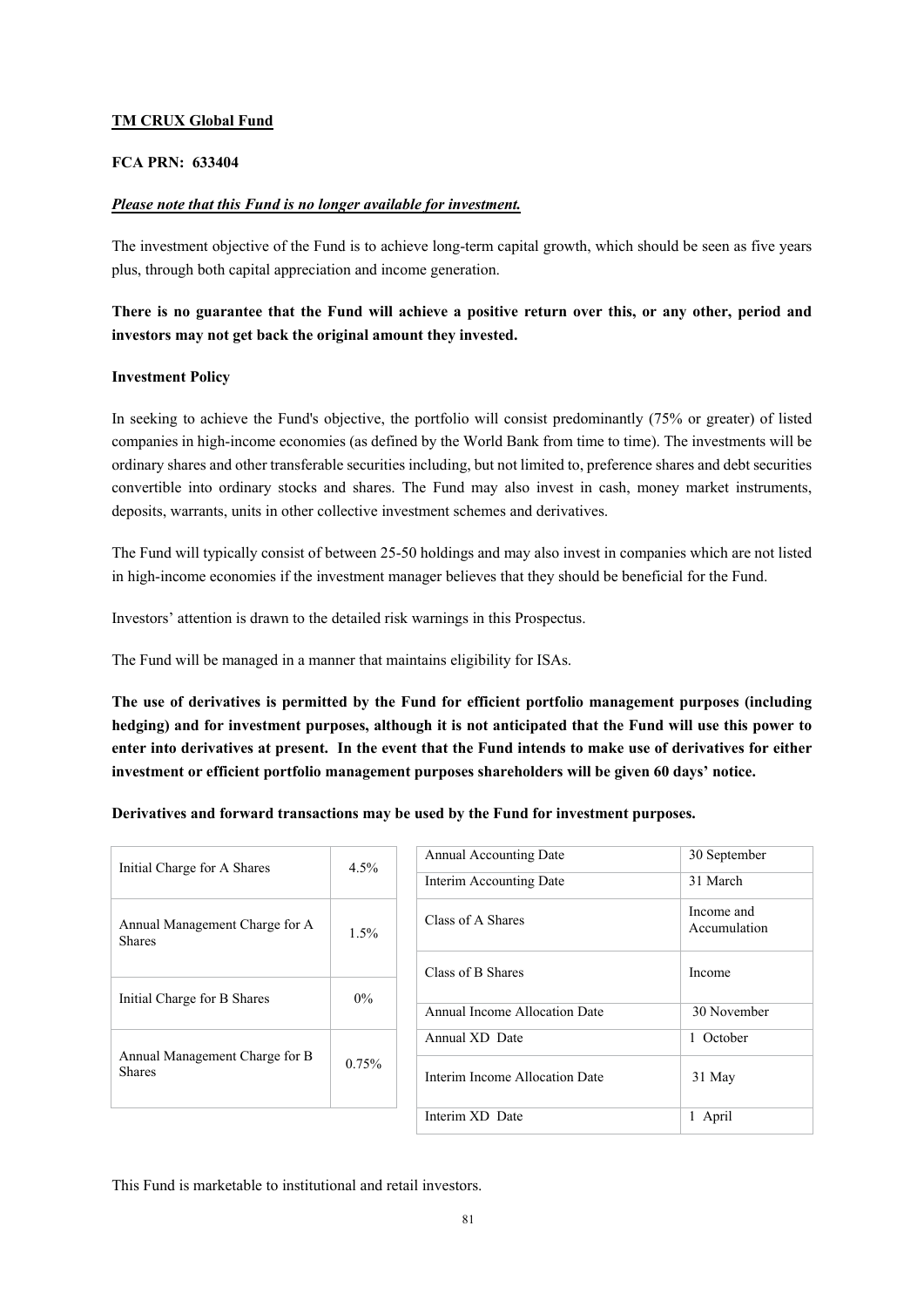# **TM CRUX Global Fund**

# **FCA PRN: 633404**

## *Please note that this Fund is no longer available for investment.*

The investment objective of the Fund is to achieve long-term capital growth, which should be seen as five years plus, through both capital appreciation and income generation.

# **There is no guarantee that the Fund will achieve a positive return over this, or any other, period and investors may not get back the original amount they invested.**

## **Investment Policy**

In seeking to achieve the Fund's objective, the portfolio will consist predominantly (75% or greater) of listed companies in high-income economies (as defined by the World Bank from time to time). The investments will be ordinary shares and other transferable securities including, but not limited to, preference shares and debt securities convertible into ordinary stocks and shares. The Fund may also invest in cash, money market instruments, deposits, warrants, units in other collective investment schemes and derivatives.

The Fund will typically consist of between 25-50 holdings and may also invest in companies which are not listed in high-income economies if the investment manager believes that they should be beneficial for the Fund.

Investors' attention is drawn to the detailed risk warnings in this Prospectus.

The Fund will be managed in a manner that maintains eligibility for ISAs.

**The use of derivatives is permitted by the Fund for efficient portfolio management purposes (including hedging) and for investment purposes, although it is not anticipated that the Fund will use this power to enter into derivatives at present. In the event that the Fund intends to make use of derivatives for either investment or efficient portfolio management purposes shareholders will be given 60 days' notice.** 

**Derivatives and forward transactions may be used by the Fund for investment purposes.** 

| Initial Charge for A Shares                     | $4.5\%$ | <b>Annual Accounting Date</b>  | 30 September               |
|-------------------------------------------------|---------|--------------------------------|----------------------------|
|                                                 |         | Interim Accounting Date        | 31 March                   |
| Annual Management Charge for A<br><b>Shares</b> | $1.5\%$ | Class of A Shares              | Income and<br>Accumulation |
|                                                 |         | Class of B Shares              | Income                     |
| Initial Charge for B Shares                     | $0\%$   |                                |                            |
|                                                 |         | Annual Income Allocation Date  | 30 November                |
|                                                 | 0.75%   | Annual XD Date                 | 1 October                  |
| Annual Management Charge for B<br><b>Shares</b> |         | Interim Income Allocation Date | 31 May                     |
|                                                 |         | Interim XD Date                | 1 April                    |
|                                                 |         |                                |                            |

This Fund is marketable to institutional and retail investors.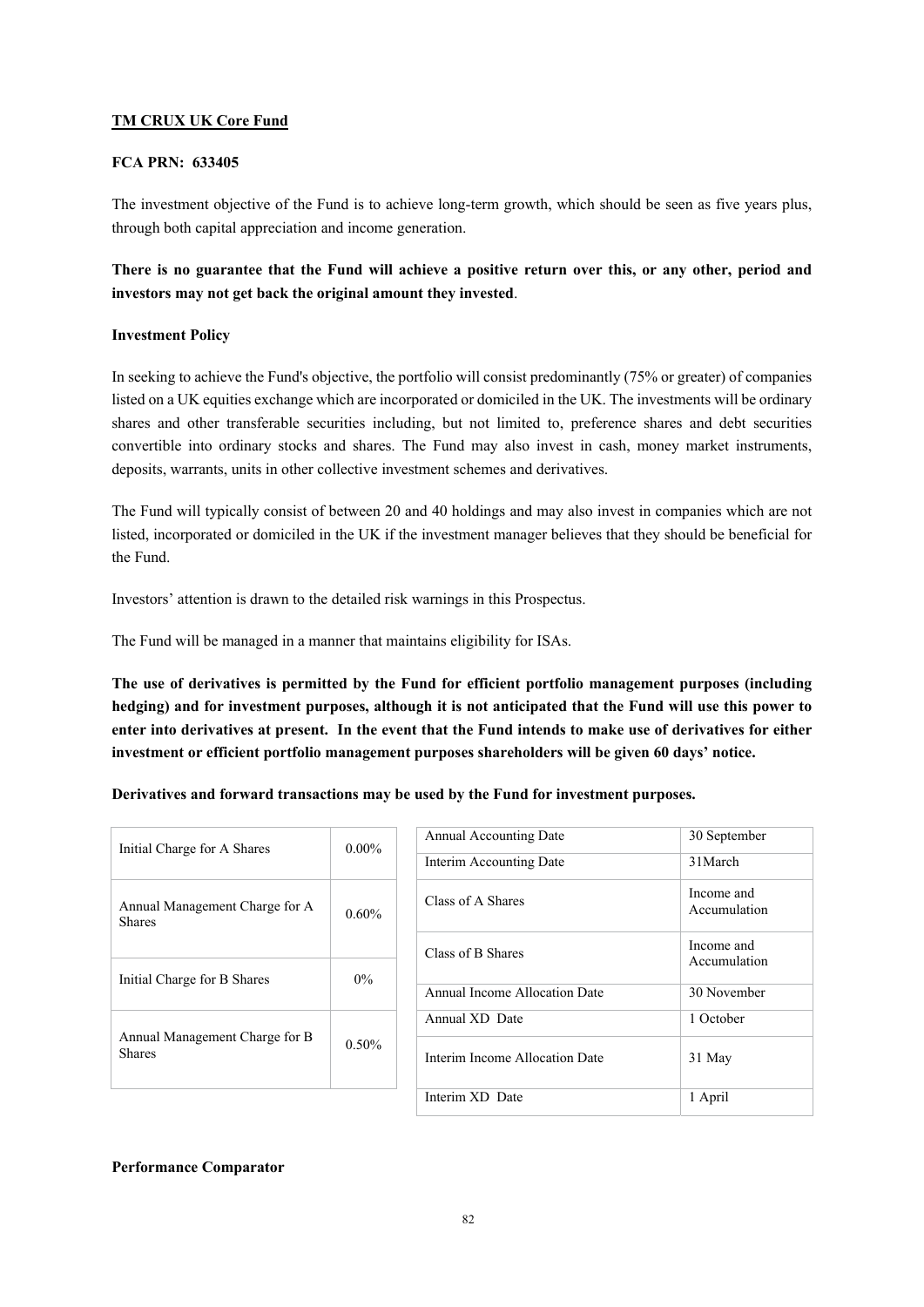# **TM CRUX UK Core Fund**

## **FCA PRN: 633405**

The investment objective of the Fund is to achieve long-term growth, which should be seen as five years plus, through both capital appreciation and income generation.

# **There is no guarantee that the Fund will achieve a positive return over this, or any other, period and investors may not get back the original amount they invested**.

## **Investment Policy**

In seeking to achieve the Fund's objective, the portfolio will consist predominantly (75% or greater) of companies listed on a UK equities exchange which are incorporated or domiciled in the UK. The investments will be ordinary shares and other transferable securities including, but not limited to, preference shares and debt securities convertible into ordinary stocks and shares. The Fund may also invest in cash, money market instruments, deposits, warrants, units in other collective investment schemes and derivatives.

The Fund will typically consist of between 20 and 40 holdings and may also invest in companies which are not listed, incorporated or domiciled in the UK if the investment manager believes that they should be beneficial for the Fund.

Investors' attention is drawn to the detailed risk warnings in this Prospectus.

The Fund will be managed in a manner that maintains eligibility for ISAs.

**The use of derivatives is permitted by the Fund for efficient portfolio management purposes (including hedging) and for investment purposes, although it is not anticipated that the Fund will use this power to enter into derivatives at present. In the event that the Fund intends to make use of derivatives for either investment or efficient portfolio management purposes shareholders will be given 60 days' notice.** 

**Derivatives and forward transactions may be used by the Fund for investment purposes.** 

| Initial Charge for A Shares                     | $0.00\%$ | Ar<br>Int |
|-------------------------------------------------|----------|-----------|
| Annual Management Charge for A<br><b>Shares</b> | 0.60%    | Cl.       |
| Initial Charge for B Shares                     | $0\%$    | Cl:<br>Ar |
| Annual Management Charge for B                  |          | Ar        |
| <b>Shares</b>                                   | 0.50%    | Int       |

| Initial Charge for A Shares                     | $0.00\%$ | Annual Accounting Date         | 30 September               |
|-------------------------------------------------|----------|--------------------------------|----------------------------|
|                                                 |          | Interim Accounting Date        | 31 March                   |
| Annual Management Charge for A<br><b>Shares</b> | $0.60\%$ | Class of A Shares              | Income and<br>Accumulation |
|                                                 |          | Class of B Shares              | Income and<br>Accumulation |
| Initial Charge for B Shares                     | $0\%$    |                                |                            |
|                                                 |          | Annual Income Allocation Date  | 30 November                |
|                                                 |          | Annual XD Date                 | 1 October                  |
| Annual Management Charge for B<br><b>Shares</b> | $0.50\%$ | Interim Income Allocation Date | 31 May                     |
|                                                 |          | Interim XD Date                | 1 April                    |

## **Performance Comparator**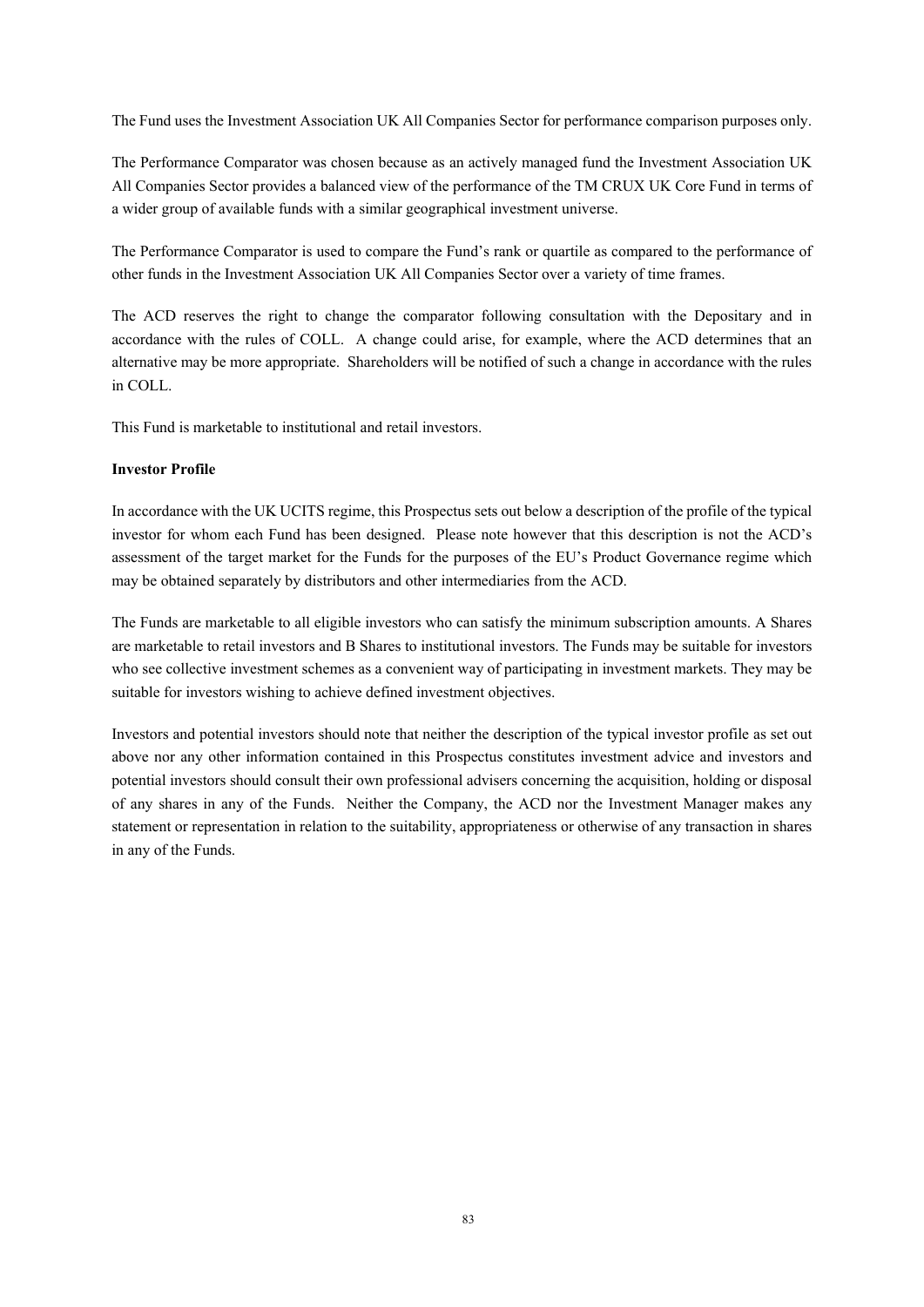The Fund uses the Investment Association UK All Companies Sector for performance comparison purposes only.

The Performance Comparator was chosen because as an actively managed fund the Investment Association UK All Companies Sector provides a balanced view of the performance of the TM CRUX UK Core Fund in terms of a wider group of available funds with a similar geographical investment universe.

The Performance Comparator is used to compare the Fund's rank or quartile as compared to the performance of other funds in the Investment Association UK All Companies Sector over a variety of time frames.

The ACD reserves the right to change the comparator following consultation with the Depositary and in accordance with the rules of COLL. A change could arise, for example, where the ACD determines that an alternative may be more appropriate. Shareholders will be notified of such a change in accordance with the rules in COLL.

This Fund is marketable to institutional and retail investors.

#### **Investor Profile**

In accordance with the UK UCITS regime, this Prospectus sets out below a description of the profile of the typical investor for whom each Fund has been designed. Please note however that this description is not the ACD's assessment of the target market for the Funds for the purposes of the EU's Product Governance regime which may be obtained separately by distributors and other intermediaries from the ACD.

The Funds are marketable to all eligible investors who can satisfy the minimum subscription amounts. A Shares are marketable to retail investors and B Shares to institutional investors. The Funds may be suitable for investors who see collective investment schemes as a convenient way of participating in investment markets. They may be suitable for investors wishing to achieve defined investment objectives.

Investors and potential investors should note that neither the description of the typical investor profile as set out above nor any other information contained in this Prospectus constitutes investment advice and investors and potential investors should consult their own professional advisers concerning the acquisition, holding or disposal of any shares in any of the Funds. Neither the Company, the ACD nor the Investment Manager makes any statement or representation in relation to the suitability, appropriateness or otherwise of any transaction in shares in any of the Funds.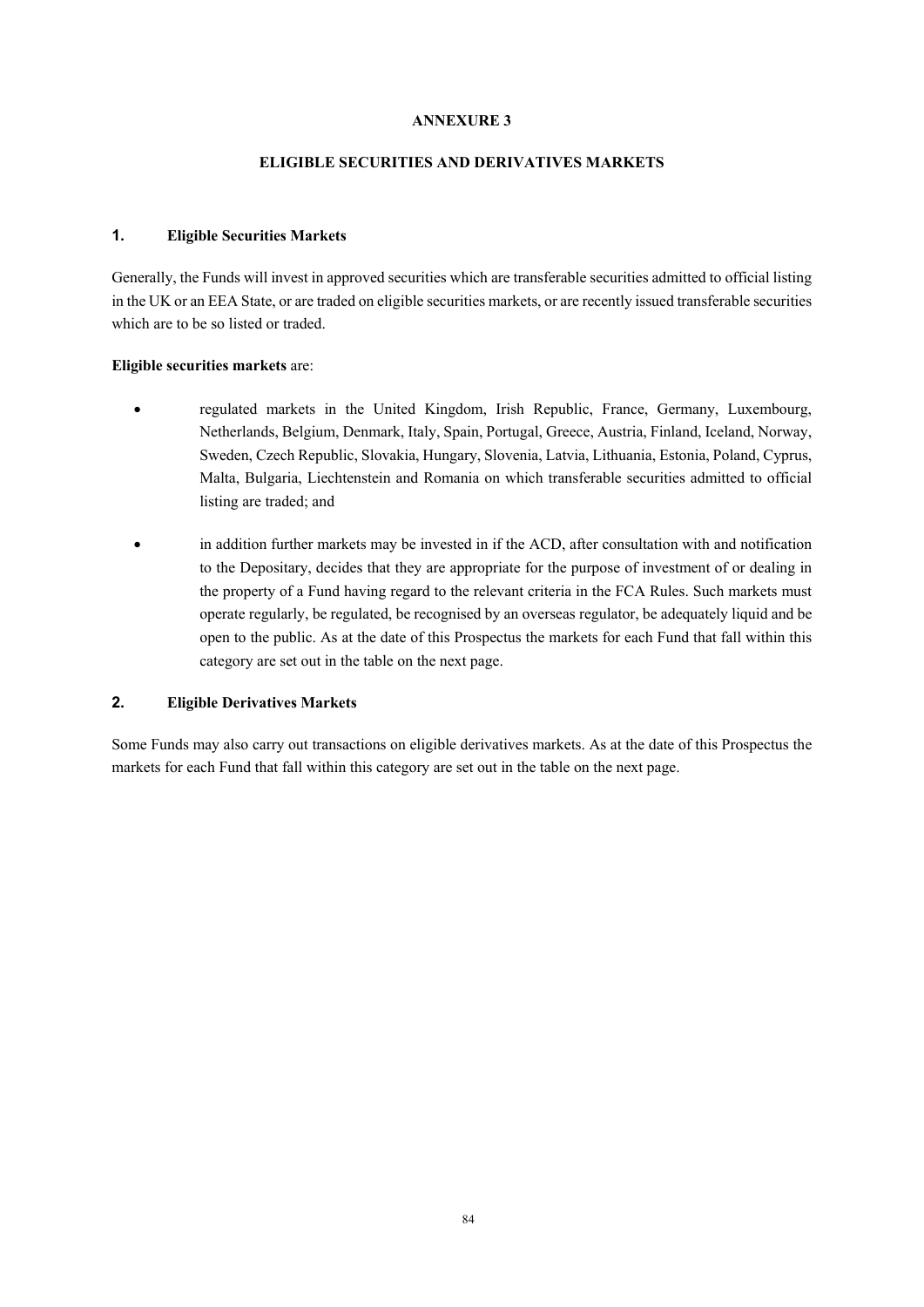# **ELIGIBLE SECURITIES AND DERIVATIVES MARKETS**

# **1. Eligible Securities Markets**

Generally, the Funds will invest in approved securities which are transferable securities admitted to official listing in the UK or an EEA State, or are traded on eligible securities markets, or are recently issued transferable securities which are to be so listed or traded.

## **Eligible securities markets** are:

- regulated markets in the United Kingdom, Irish Republic, France, Germany, Luxembourg, Netherlands, Belgium, Denmark, Italy, Spain, Portugal, Greece, Austria, Finland, Iceland, Norway, Sweden, Czech Republic, Slovakia, Hungary, Slovenia, Latvia, Lithuania, Estonia, Poland, Cyprus, Malta, Bulgaria, Liechtenstein and Romania on which transferable securities admitted to official listing are traded; and
- in addition further markets may be invested in if the ACD, after consultation with and notification to the Depositary, decides that they are appropriate for the purpose of investment of or dealing in the property of a Fund having regard to the relevant criteria in the FCA Rules. Such markets must operate regularly, be regulated, be recognised by an overseas regulator, be adequately liquid and be open to the public. As at the date of this Prospectus the markets for each Fund that fall within this category are set out in the table on the next page.

# **2. Eligible Derivatives Markets**

Some Funds may also carry out transactions on eligible derivatives markets. As at the date of this Prospectus the markets for each Fund that fall within this category are set out in the table on the next page.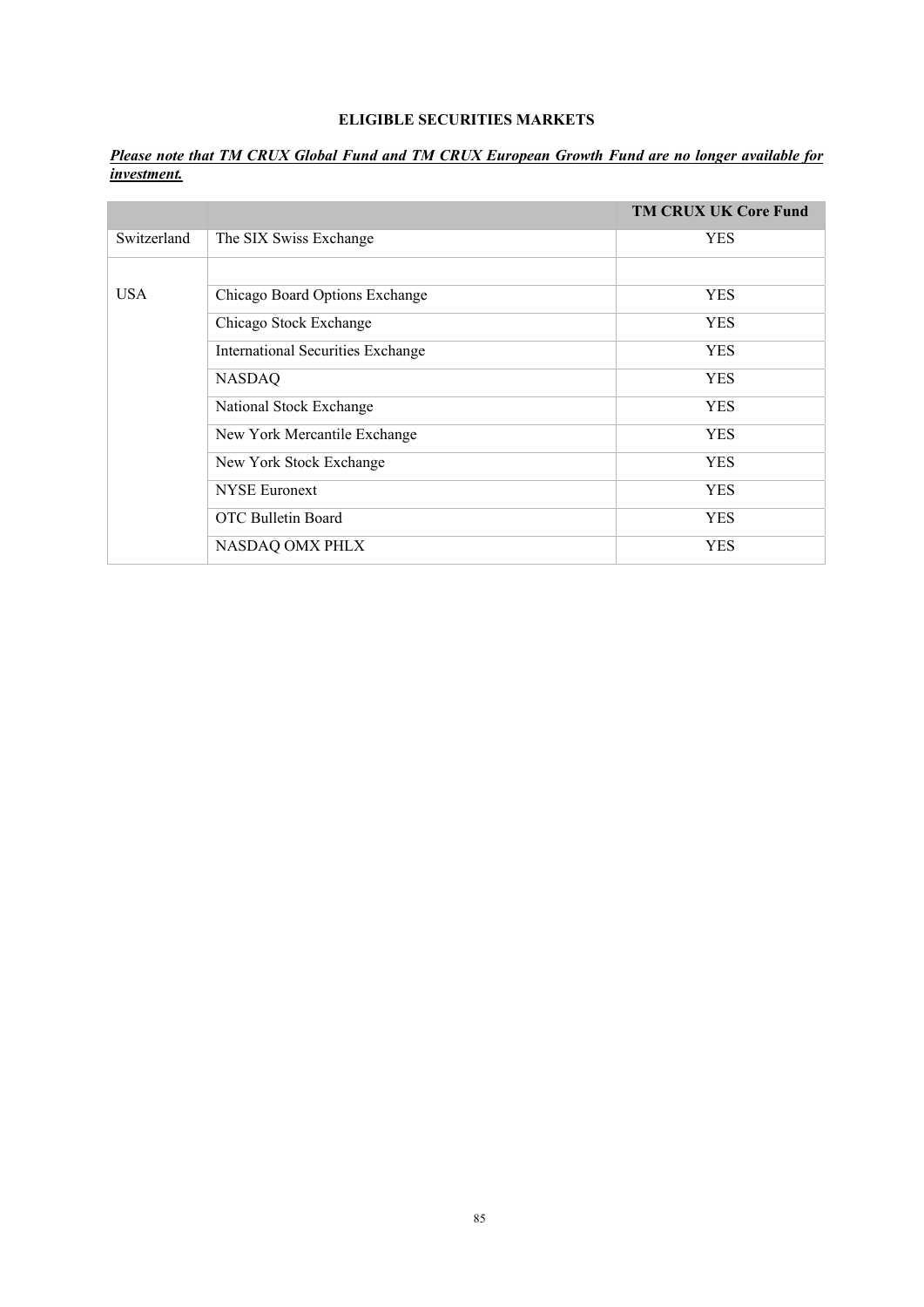# **ELIGIBLE SECURITIES MARKETS**

*Please note that TM CRUX Global Fund and TM CRUX European Growth Fund are no longer available for investment.* 

|             |                                   | <b>TM CRUX UK Core Fund</b> |
|-------------|-----------------------------------|-----------------------------|
| Switzerland | The SIX Swiss Exchange            | <b>YES</b>                  |
|             |                                   |                             |
| <b>USA</b>  | Chicago Board Options Exchange    | <b>YES</b>                  |
|             | Chicago Stock Exchange            | <b>YES</b>                  |
|             | International Securities Exchange | <b>YES</b>                  |
|             | <b>NASDAQ</b>                     | <b>YES</b>                  |
|             | National Stock Exchange           | <b>YES</b>                  |
|             | New York Mercantile Exchange      | <b>YES</b>                  |
|             | New York Stock Exchange           | <b>YES</b>                  |
|             | <b>NYSE</b> Euronext              | <b>YES</b>                  |
|             | OTC Bulletin Board                | <b>YES</b>                  |
|             | NASDAQ OMX PHLX                   | <b>YES</b>                  |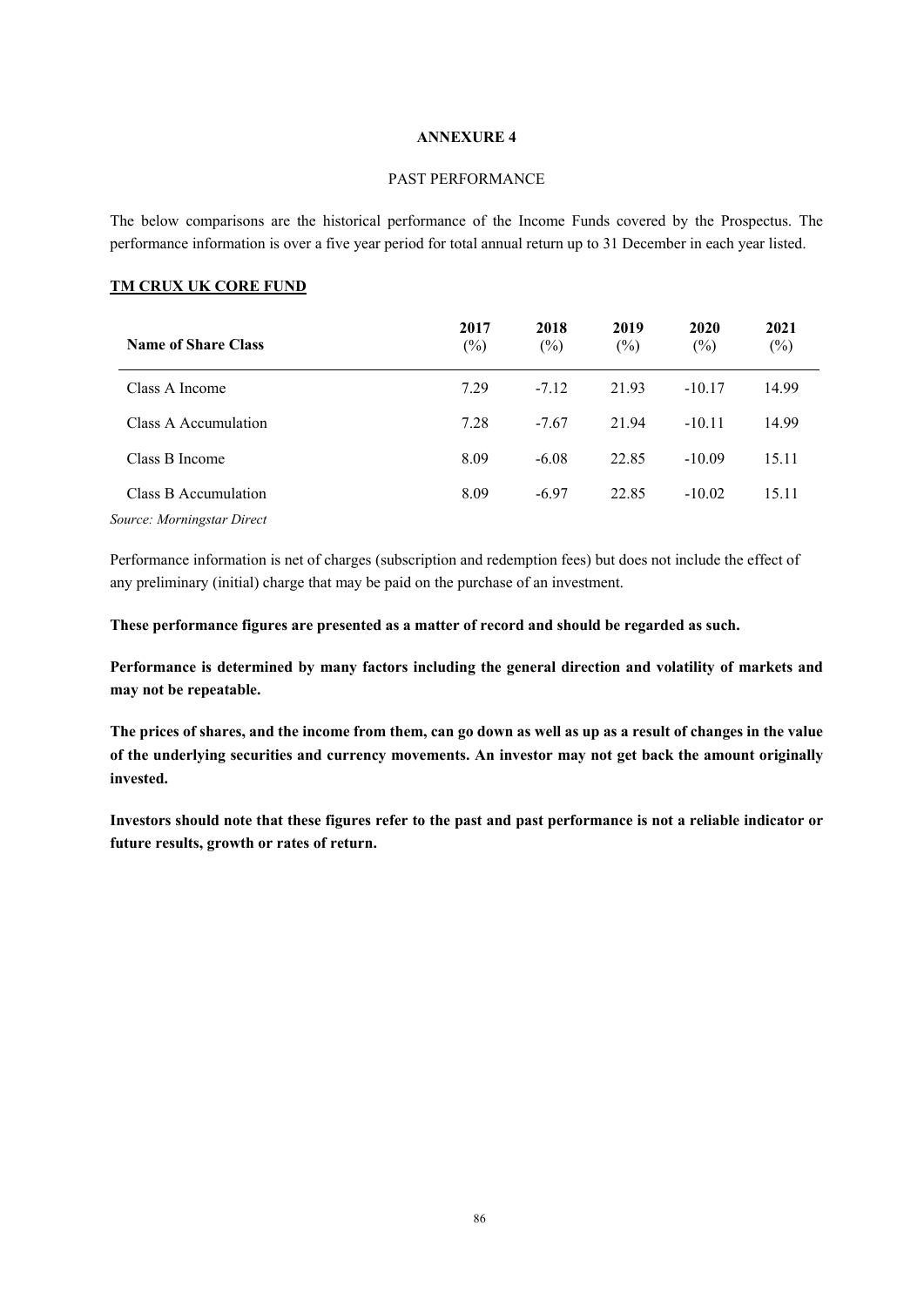### PAST PERFORMANCE

The below comparisons are the historical performance of the Income Funds covered by the Prospectus. The performance information is over a five year period for total annual return up to 31 December in each year listed.

## **TM CRUX UK CORE FUND**

| <b>Name of Share Class</b> | 2017<br>$(\%)$ | 2018<br>$(\%)$ | 2019<br>$(\%)$ | 2020<br>$(\%)$ | 2021<br>$(\%)$ |
|----------------------------|----------------|----------------|----------------|----------------|----------------|
| Class A Income             | 7.29           | $-7.12$        | 21.93          | $-10.17$       | 14.99          |
| Class A Accumulation       | 7.28           | $-7.67$        | 21.94          | $-10.11$       | 14.99          |
| Class B Income             | 8.09           | $-6.08$        | 22.85          | $-10.09$       | 15.11          |
| Class B Accumulation       | 8.09           | $-6.97$        | 22.85          | $-10.02$       | 15.11          |
| Source: Morningstar Direct |                |                |                |                |                |

Performance information is net of charges (subscription and redemption fees) but does not include the effect of any preliminary (initial) charge that may be paid on the purchase of an investment.

### **These performance figures are presented as a matter of record and should be regarded as such.**

**Performance is determined by many factors including the general direction and volatility of markets and may not be repeatable.** 

**The prices of shares, and the income from them, can go down as well as up as a result of changes in the value of the underlying securities and currency movements. An investor may not get back the amount originally invested.** 

**Investors should note that these figures refer to the past and past performance is not a reliable indicator or future results, growth or rates of return.**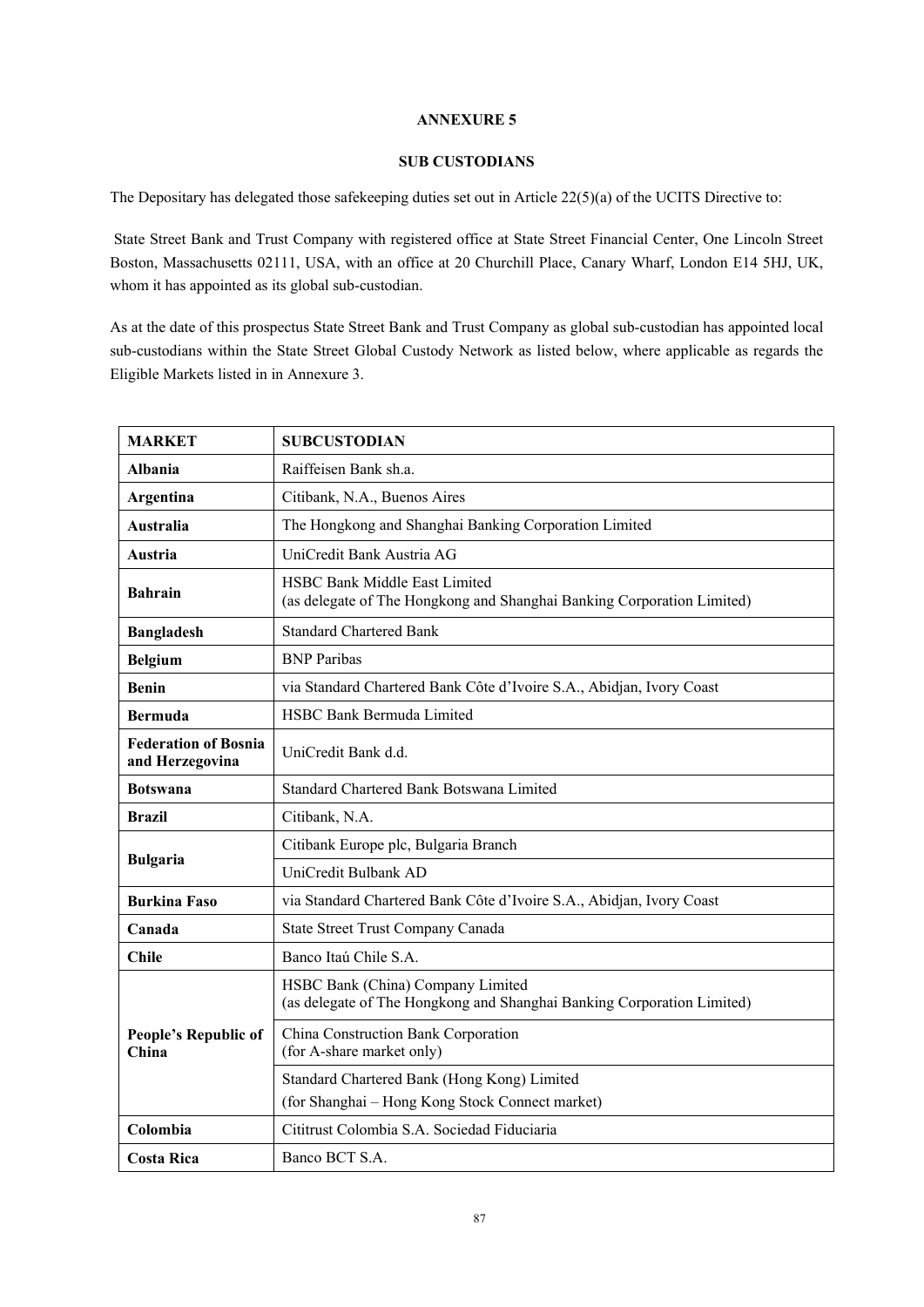## **SUB CUSTODIANS**

The Depositary has delegated those safekeeping duties set out in Article 22(5)(a) of the UCITS Directive to:

 State Street Bank and Trust Company with registered office at State Street Financial Center, One Lincoln Street Boston, Massachusetts 02111, USA, with an office at 20 Churchill Place, Canary Wharf, London E14 5HJ, UK, whom it has appointed as its global sub-custodian.

As at the date of this prospectus State Street Bank and Trust Company as global sub-custodian has appointed local sub-custodians within the State Street Global Custody Network as listed below, where applicable as regards the Eligible Markets listed in in Annexure 3.

| <b>MARKET</b>                                  | <b>SUBCUSTODIAN</b>                                                                                         |
|------------------------------------------------|-------------------------------------------------------------------------------------------------------------|
| Albania                                        | Raiffeisen Bank sh.a.                                                                                       |
| Argentina                                      | Citibank, N.A., Buenos Aires                                                                                |
| Australia                                      | The Hongkong and Shanghai Banking Corporation Limited                                                       |
| Austria                                        | UniCredit Bank Austria AG                                                                                   |
| <b>Bahrain</b>                                 | HSBC Bank Middle East Limited<br>(as delegate of The Hongkong and Shanghai Banking Corporation Limited)     |
| <b>Bangladesh</b>                              | <b>Standard Chartered Bank</b>                                                                              |
| <b>Belgium</b>                                 | <b>BNP</b> Paribas                                                                                          |
| Benin                                          | via Standard Chartered Bank Côte d'Ivoire S.A., Abidjan, Ivory Coast                                        |
| <b>Bermuda</b>                                 | <b>HSBC Bank Bermuda Limited</b>                                                                            |
| <b>Federation of Bosnia</b><br>and Herzegovina | UniCredit Bank d.d.                                                                                         |
| <b>Botswana</b>                                | Standard Chartered Bank Botswana Limited                                                                    |
| <b>Brazil</b>                                  | Citibank, N.A.                                                                                              |
|                                                | Citibank Europe plc, Bulgaria Branch                                                                        |
| <b>Bulgaria</b>                                | UniCredit Bulbank AD                                                                                        |
| <b>Burkina Faso</b>                            | via Standard Chartered Bank Côte d'Ivoire S.A., Abidjan, Ivory Coast                                        |
| Canada                                         | State Street Trust Company Canada                                                                           |
| <b>Chile</b>                                   | Banco Itaú Chile S.A.                                                                                       |
| People's Republic of<br>China                  | HSBC Bank (China) Company Limited<br>(as delegate of The Hongkong and Shanghai Banking Corporation Limited) |
|                                                | China Construction Bank Corporation<br>(for A-share market only)                                            |
|                                                | Standard Chartered Bank (Hong Kong) Limited                                                                 |
|                                                | (for Shanghai - Hong Kong Stock Connect market)                                                             |
| Colombia                                       | Cititrust Colombia S.A. Sociedad Fiduciaria                                                                 |
| <b>Costa Rica</b>                              | Banco BCT S.A.                                                                                              |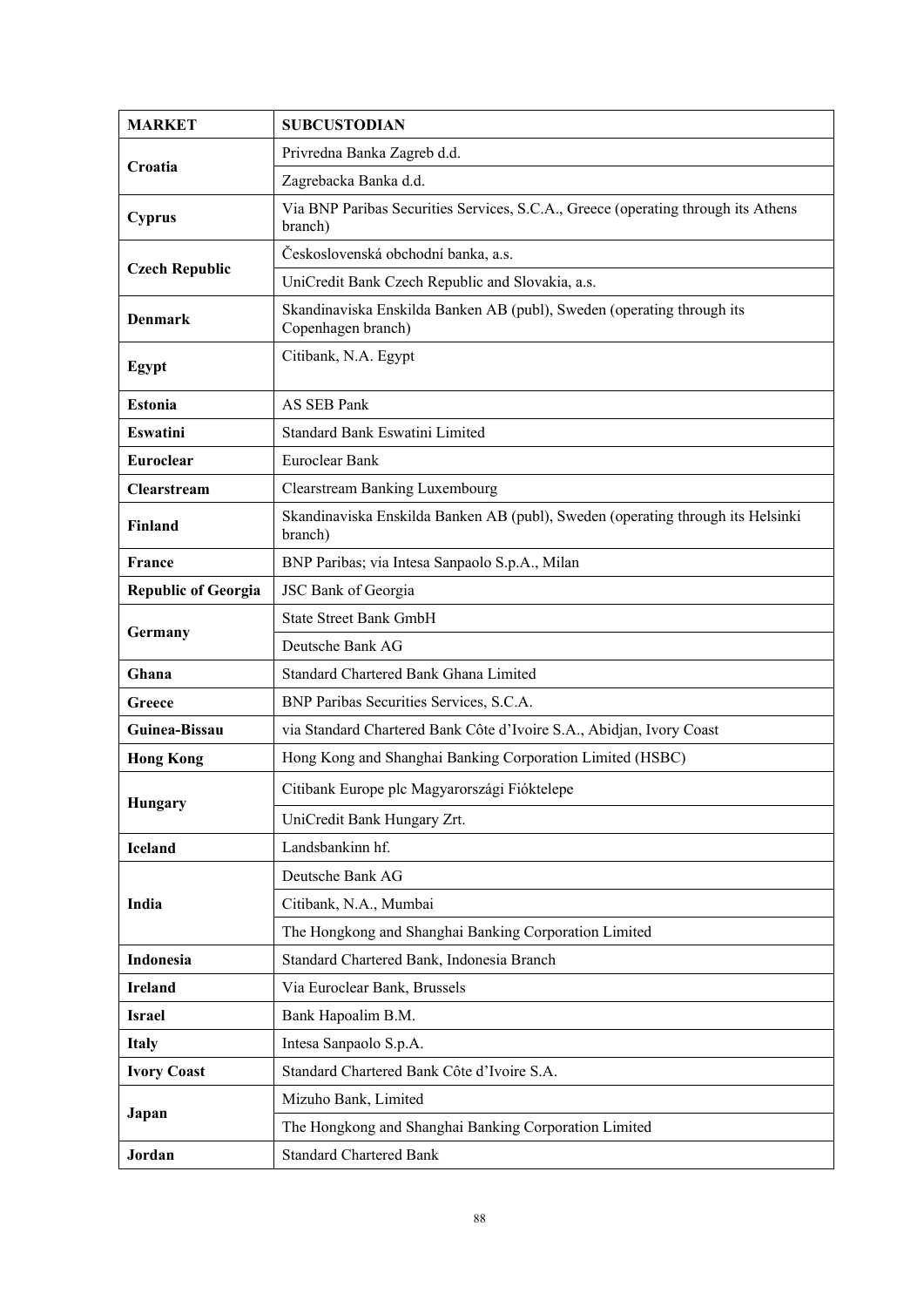| <b>MARKET</b>              | <b>SUBCUSTODIAN</b>                                                                          |
|----------------------------|----------------------------------------------------------------------------------------------|
|                            | Privredna Banka Zagreb d.d.                                                                  |
| Croatia                    | Zagrebacka Banka d.d.                                                                        |
| Cyprus                     | Via BNP Paribas Securities Services, S.C.A., Greece (operating through its Athens<br>branch) |
|                            | Československá obchodní banka, a.s.                                                          |
| <b>Czech Republic</b>      | UniCredit Bank Czech Republic and Slovakia, a.s.                                             |
| <b>Denmark</b>             | Skandinaviska Enskilda Banken AB (publ), Sweden (operating through its<br>Copenhagen branch) |
| Egypt                      | Citibank, N.A. Egypt                                                                         |
| <b>Estonia</b>             | AS SEB Pank                                                                                  |
| Eswatini                   | Standard Bank Eswatini Limited                                                               |
| <b>Euroclear</b>           | Euroclear Bank                                                                               |
| Clearstream                | <b>Clearstream Banking Luxembourg</b>                                                        |
| <b>Finland</b>             | Skandinaviska Enskilda Banken AB (publ), Sweden (operating through its Helsinki<br>branch)   |
| <b>France</b>              | BNP Paribas; via Intesa Sanpaolo S.p.A., Milan                                               |
| <b>Republic of Georgia</b> | JSC Bank of Georgia                                                                          |
|                            | <b>State Street Bank GmbH</b>                                                                |
| Germany                    | Deutsche Bank AG                                                                             |
| Ghana                      | Standard Chartered Bank Ghana Limited                                                        |
| Greece                     | BNP Paribas Securities Services, S.C.A.                                                      |
| Guinea-Bissau              | via Standard Chartered Bank Côte d'Ivoire S.A., Abidjan, Ivory Coast                         |
| <b>Hong Kong</b>           | Hong Kong and Shanghai Banking Corporation Limited (HSBC)                                    |
| Hungary                    | Citibank Europe plc Magyarországi Fióktelepe                                                 |
|                            | UniCredit Bank Hungary Zrt.                                                                  |
| <b>Iceland</b>             | Landsbankinn hf.                                                                             |
|                            | Deutsche Bank AG                                                                             |
| India                      | Citibank, N.A., Mumbai                                                                       |
|                            | The Hongkong and Shanghai Banking Corporation Limited                                        |
| Indonesia                  | Standard Chartered Bank, Indonesia Branch                                                    |
| <b>Ireland</b>             | Via Euroclear Bank, Brussels                                                                 |
| <b>Israel</b>              | Bank Hapoalim B.M.                                                                           |
| <b>Italy</b>               | Intesa Sanpaolo S.p.A.                                                                       |
| <b>Ivory Coast</b>         | Standard Chartered Bank Côte d'Ivoire S.A.                                                   |
| Japan                      | Mizuho Bank, Limited                                                                         |
|                            | The Hongkong and Shanghai Banking Corporation Limited                                        |
| Jordan                     | <b>Standard Chartered Bank</b>                                                               |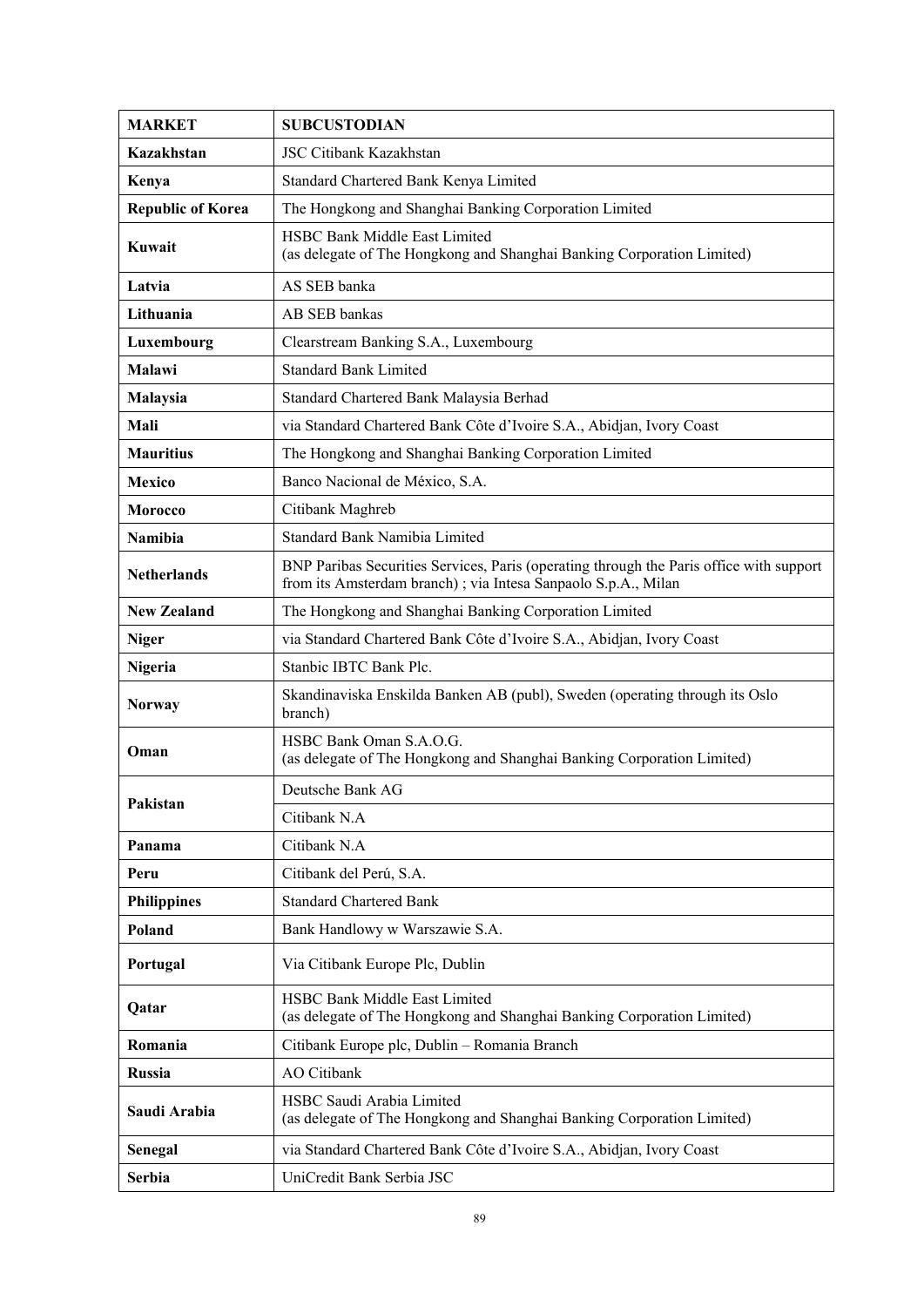| <b>MARKET</b>            | <b>SUBCUSTODIAN</b>                                                                                                                                      |
|--------------------------|----------------------------------------------------------------------------------------------------------------------------------------------------------|
| Kazakhstan               | JSC Citibank Kazakhstan                                                                                                                                  |
| Kenya                    | Standard Chartered Bank Kenya Limited                                                                                                                    |
| <b>Republic of Korea</b> | The Hongkong and Shanghai Banking Corporation Limited                                                                                                    |
| Kuwait                   | HSBC Bank Middle East Limited<br>(as delegate of The Hongkong and Shanghai Banking Corporation Limited)                                                  |
| Latvia                   | AS SEB banka                                                                                                                                             |
| Lithuania                | AB SEB bankas                                                                                                                                            |
| Luxembourg               | Clearstream Banking S.A., Luxembourg                                                                                                                     |
| Malawi                   | <b>Standard Bank Limited</b>                                                                                                                             |
| Malaysia                 | Standard Chartered Bank Malaysia Berhad                                                                                                                  |
| Mali                     | via Standard Chartered Bank Côte d'Ivoire S.A., Abidjan, Ivory Coast                                                                                     |
| <b>Mauritius</b>         | The Hongkong and Shanghai Banking Corporation Limited                                                                                                    |
| Mexico                   | Banco Nacional de México, S.A.                                                                                                                           |
| <b>Morocco</b>           | Citibank Maghreb                                                                                                                                         |
| Namibia                  | Standard Bank Namibia Limited                                                                                                                            |
| <b>Netherlands</b>       | BNP Paribas Securities Services, Paris (operating through the Paris office with support<br>from its Amsterdam branch); via Intesa Sanpaolo S.p.A., Milan |
| <b>New Zealand</b>       | The Hongkong and Shanghai Banking Corporation Limited                                                                                                    |
| <b>Niger</b>             | via Standard Chartered Bank Côte d'Ivoire S.A., Abidjan, Ivory Coast                                                                                     |
| Nigeria                  | Stanbic IBTC Bank Plc.                                                                                                                                   |
| <b>Norway</b>            | Skandinaviska Enskilda Banken AB (publ), Sweden (operating through its Oslo<br>branch)                                                                   |
| Oman                     | HSBC Bank Oman S.A.O.G.<br>(as delegate of The Hongkong and Shanghai Banking Corporation Limited)                                                        |
|                          | Deutsche Bank AG                                                                                                                                         |
| Pakistan                 | Citibank N.A                                                                                                                                             |
| Panama                   | Citibank N.A                                                                                                                                             |
| Peru                     | Citibank del Perú, S.A.                                                                                                                                  |
| <b>Philippines</b>       | <b>Standard Chartered Bank</b>                                                                                                                           |
| Poland                   | Bank Handlowy w Warszawie S.A.                                                                                                                           |
| Portugal                 | Via Citibank Europe Plc, Dublin                                                                                                                          |
| Qatar                    | HSBC Bank Middle East Limited<br>(as delegate of The Hongkong and Shanghai Banking Corporation Limited)                                                  |
| Romania                  | Citibank Europe plc, Dublin - Romania Branch                                                                                                             |
| <b>Russia</b>            | <b>AO</b> Citibank                                                                                                                                       |
| Saudi Arabia             | HSBC Saudi Arabia Limited<br>(as delegate of The Hongkong and Shanghai Banking Corporation Limited)                                                      |
| Senegal                  | via Standard Chartered Bank Côte d'Ivoire S.A., Abidjan, Ivory Coast                                                                                     |
| Serbia                   | UniCredit Bank Serbia JSC                                                                                                                                |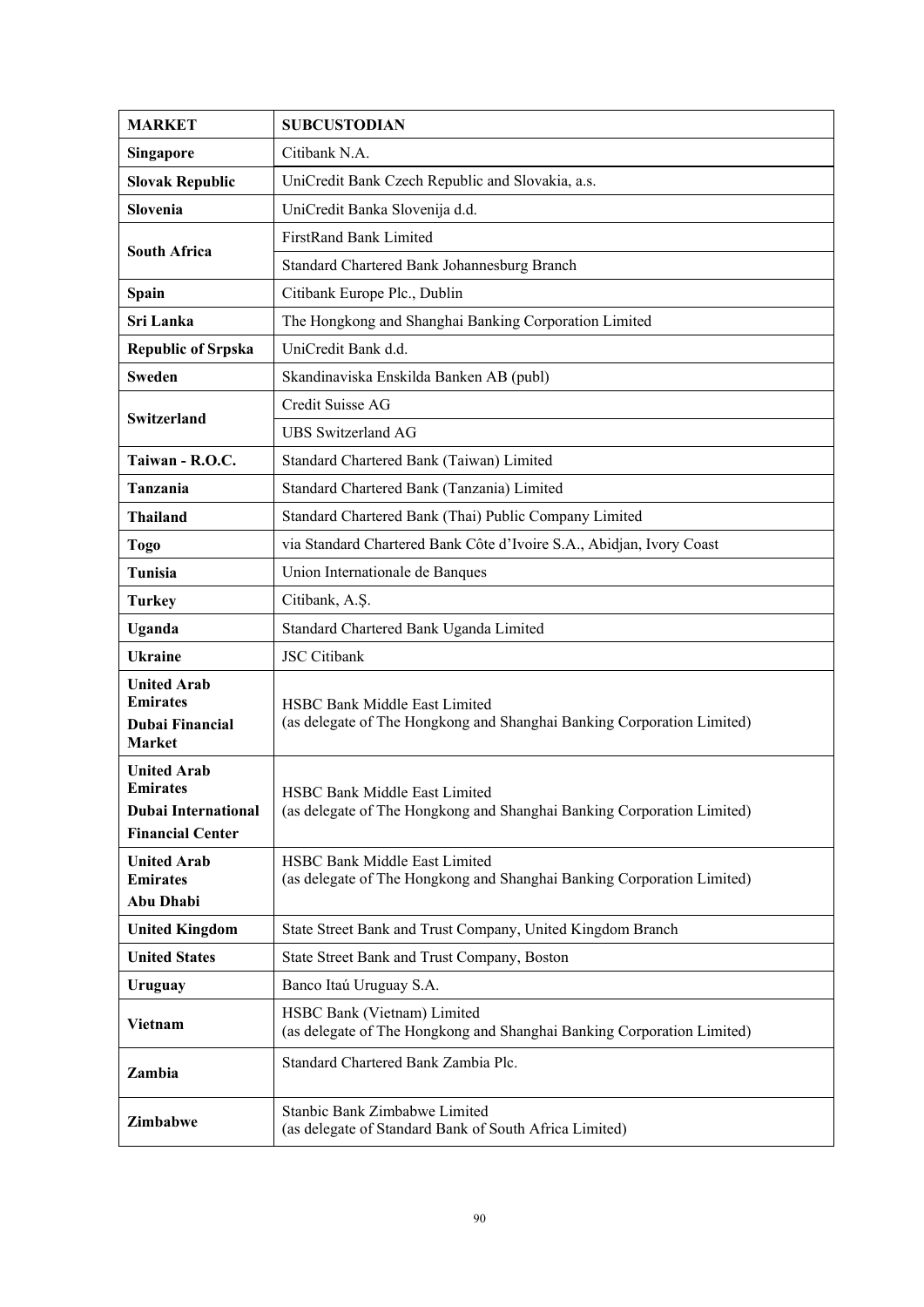| <b>MARKET</b>                                         | <b>SUBCUSTODIAN</b>                                                                                   |
|-------------------------------------------------------|-------------------------------------------------------------------------------------------------------|
| <b>Singapore</b>                                      | Citibank N.A.                                                                                         |
| <b>Slovak Republic</b>                                | UniCredit Bank Czech Republic and Slovakia, a.s.                                                      |
| Slovenia                                              | UniCredit Banka Slovenija d.d.                                                                        |
|                                                       | FirstRand Bank Limited                                                                                |
| <b>South Africa</b>                                   | Standard Chartered Bank Johannesburg Branch                                                           |
| Spain                                                 | Citibank Europe Plc., Dublin                                                                          |
| Sri Lanka                                             | The Hongkong and Shanghai Banking Corporation Limited                                                 |
| <b>Republic of Srpska</b>                             | UniCredit Bank d.d.                                                                                   |
| <b>Sweden</b>                                         | Skandinaviska Enskilda Banken AB (publ)                                                               |
|                                                       | Credit Suisse AG                                                                                      |
| Switzerland                                           | <b>UBS</b> Switzerland AG                                                                             |
| Taiwan - R.O.C.                                       | Standard Chartered Bank (Taiwan) Limited                                                              |
| Tanzania                                              | Standard Chartered Bank (Tanzania) Limited                                                            |
| <b>Thailand</b>                                       | Standard Chartered Bank (Thai) Public Company Limited                                                 |
| Togo                                                  | via Standard Chartered Bank Côte d'Ivoire S.A., Abidjan, Ivory Coast                                  |
| Tunisia                                               | Union Internationale de Banques                                                                       |
| <b>Turkey</b>                                         | Citibank, A.Ş.                                                                                        |
| Uganda                                                | Standard Chartered Bank Uganda Limited                                                                |
| <b>Ukraine</b>                                        | <b>JSC</b> Citibank                                                                                   |
| <b>United Arab</b><br><b>Emirates</b>                 | HSBC Bank Middle East Limited                                                                         |
| <b>Dubai Financial</b><br>Market                      | (as delegate of The Hongkong and Shanghai Banking Corporation Limited)                                |
| <b>United Arab</b>                                    |                                                                                                       |
| <b>Emirates</b>                                       | <b>HSBC Bank Middle East Limited</b>                                                                  |
| <b>Dubai International</b><br><b>Financial Center</b> | (as delegate of The Hongkong and Shanghai Banking Corporation Limited)                                |
| <b>United Arab</b>                                    | HSBC Bank Middle East Limited                                                                         |
| <b>Emirates</b>                                       | (as delegate of The Hongkong and Shanghai Banking Corporation Limited)                                |
| Abu Dhabi                                             |                                                                                                       |
| <b>United Kingdom</b>                                 | State Street Bank and Trust Company, United Kingdom Branch                                            |
| <b>United States</b>                                  | State Street Bank and Trust Company, Boston                                                           |
| Uruguay                                               | Banco Itaú Uruguay S.A.                                                                               |
| Vietnam                                               | HSBC Bank (Vietnam) Limited<br>(as delegate of The Hongkong and Shanghai Banking Corporation Limited) |
| Zambia                                                | Standard Chartered Bank Zambia Plc.                                                                   |
| Zimbabwe                                              | Stanbic Bank Zimbabwe Limited<br>(as delegate of Standard Bank of South Africa Limited)               |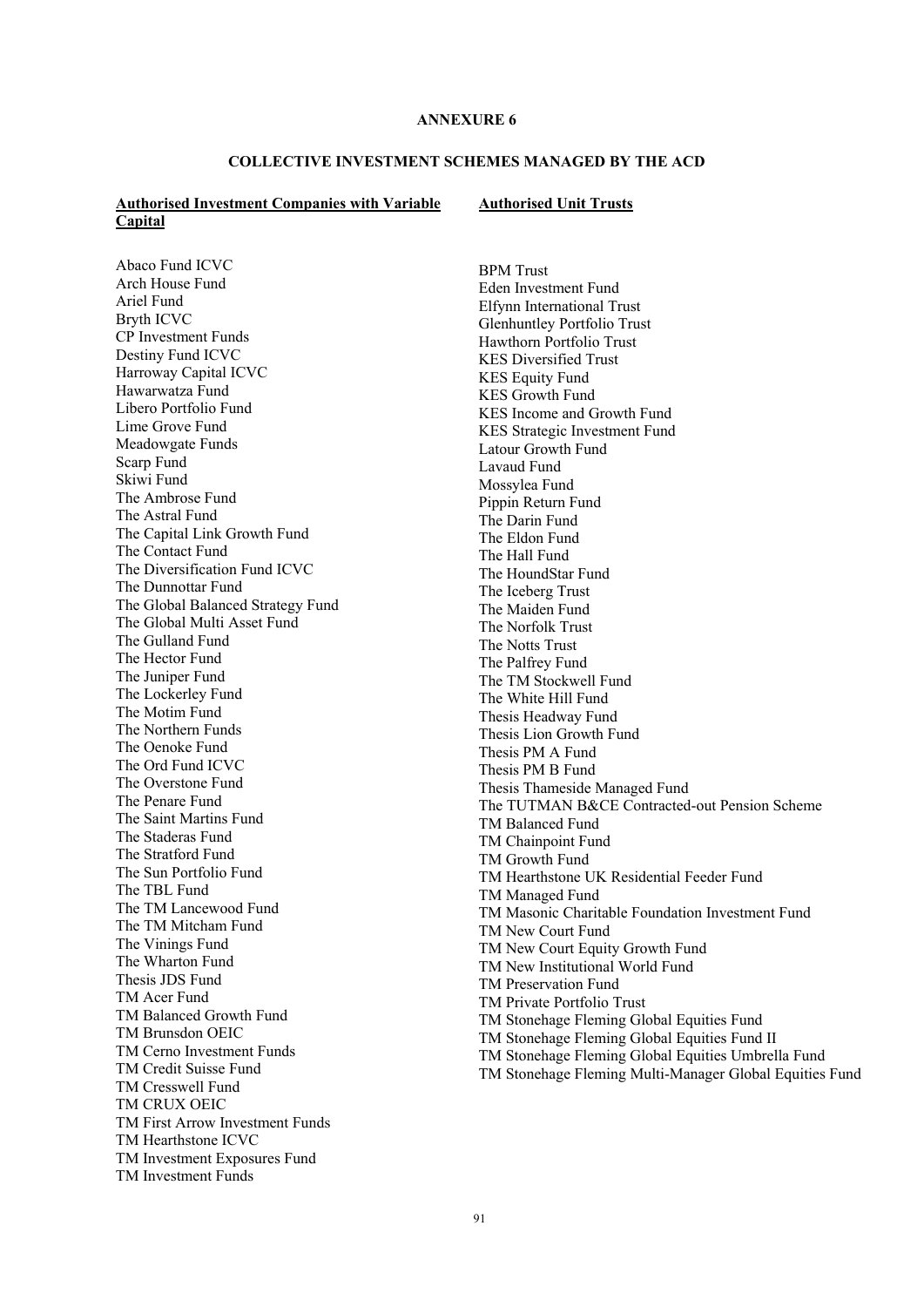### **COLLECTIVE INVESTMENT SCHEMES MANAGED BY THE ACD**

### **Authorised Investment Companies with Variable Capital**

#### **Authorised Unit Trusts**

Abaco Fund ICVC Arch House Fund Ariel Fund Bryth ICVC CP Investment Funds Destiny Fund ICVC Harroway Capital ICVC Hawarwatza Fund Libero Portfolio Fund Lime Grove Fund Meadowgate Funds Scarp Fund Skiwi Fund The Ambrose Fund The Astral Fund The Capital Link Growth Fund The Contact Fund The Diversification Fund ICVC The Dunnottar Fund The Global Balanced Strategy Fund The Global Multi Asset Fund The Gulland Fund The Hector Fund The Juniper Fund The Lockerley Fund The Motim Fund The Northern Funds The Oenoke Fund The Ord Fund ICVC The Overstone Fund The Penare Fund The Saint Martins Fund The Staderas Fund The Stratford Fund The Sun Portfolio Fund The TBL Fund The TM Lancewood Fund The TM Mitcham Fund The Vinings Fund The Wharton Fund Thesis JDS Fund TM Acer Fund TM Balanced Growth Fund TM Brunsdon OEIC TM Cerno Investment Funds TM Credit Suisse Fund TM Cresswell Fund TM CRUX OEIC TM First Arrow Investment Funds TM Hearthstone ICVC TM Investment Exposures Fund TM Investment Funds

BPM Trust Eden Investment Fund Elfynn International Trust Glenhuntley Portfolio Trust Hawthorn Portfolio Trust KES Diversified Trust KES Equity Fund KES Growth Fund KES Income and Growth Fund KES Strategic Investment Fund Latour Growth Fund Lavaud Fund Mossylea Fund Pippin Return Fund The Darin Fund The Eldon Fund The Hall Fund The HoundStar Fund The Iceberg Trust The Maiden Fund The Norfolk Trust The Notts Trust The Palfrey Fund The TM Stockwell Fund The White Hill Fund Thesis Headway Fund Thesis Lion Growth Fund Thesis PM A Fund Thesis PM B Fund Thesis Thameside Managed Fund The TUTMAN B&CE Contracted-out Pension Scheme TM Balanced Fund TM Chainpoint Fund TM Growth Fund TM Hearthstone UK Residential Feeder Fund TM Managed Fund TM Masonic Charitable Foundation Investment Fund TM New Court Fund TM New Court Equity Growth Fund TM New Institutional World Fund TM Preservation Fund TM Private Portfolio Trust TM Stonehage Fleming Global Equities Fund TM Stonehage Fleming Global Equities Fund II TM Stonehage Fleming Global Equities Umbrella Fund TM Stonehage Fleming Multi-Manager Global Equities Fund